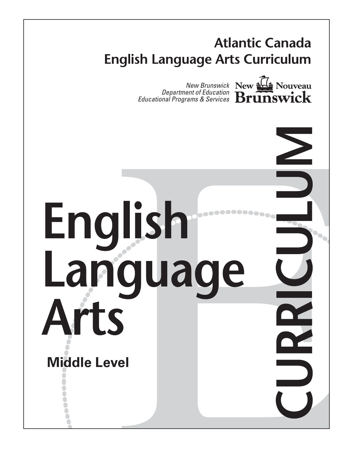

# English Language Arts **Middle Level**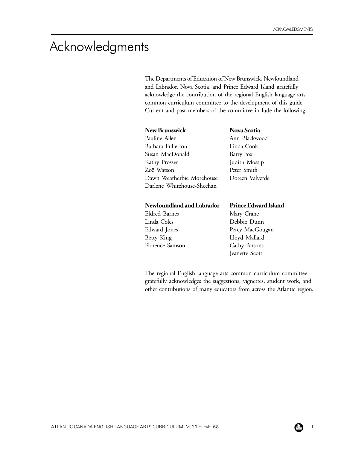# Acknowledgments

The Departments of Education of New Brunswick, Newfoundland and Labrador, Nova Scotia, and Prince Edward Island gratefully acknowledge the contribution of the regional English language arts common curriculum committee to the development of this guide. Current and past members of the committee include the following:

#### **New Brunswick**

| Pauline Allen              |
|----------------------------|
| Barbara Fullerton          |
| Susan MacDonald            |
| Kathy Prosser              |
| Zoë Watson                 |
| Dawn Weatherbie Morehouse  |
| Darlene Whitehouse-Sheehan |

**Nova Scotia** Ann Blackwood Linda Cook Barry Fox Judith Mossip Peter Smith Doreen Valverde

#### **Newfoundland and Labrador**

Eldred Barnes Linda Coles Edward Jones Betty King Florence Samson

#### **Prince Edward Island**

Mary Crane Debbie Dunn Percy MacGougan Lloyd Mallard Cathy Parsons Jeanette Scott

The regional English language arts common curriculum committee gratefully acknowledges the suggestions, vignettes, student work, and other contributions of many educators from across the Atlantic region.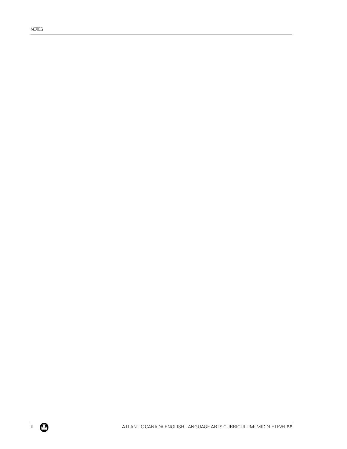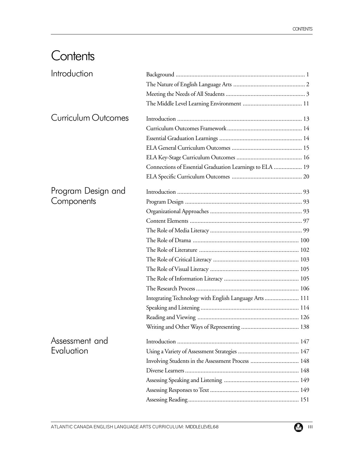# **Contents**

| Introduction        |                                                          |  |
|---------------------|----------------------------------------------------------|--|
|                     |                                                          |  |
|                     |                                                          |  |
|                     |                                                          |  |
| Curriculum Outcomes |                                                          |  |
|                     |                                                          |  |
|                     |                                                          |  |
|                     |                                                          |  |
|                     |                                                          |  |
|                     | Connections of Essential Graduation Learnings to ELA  19 |  |
|                     |                                                          |  |
| Program Design and  |                                                          |  |
| Components          |                                                          |  |
|                     |                                                          |  |
|                     |                                                          |  |
|                     |                                                          |  |
|                     |                                                          |  |
|                     |                                                          |  |
|                     |                                                          |  |
|                     |                                                          |  |
|                     |                                                          |  |
|                     |                                                          |  |
|                     | Integrating Technology with English Language Arts  111   |  |
|                     |                                                          |  |
|                     |                                                          |  |
|                     |                                                          |  |
| Assessment and      |                                                          |  |
| Evaluation          |                                                          |  |
|                     | Involving Students in the Assessment Process  148        |  |
|                     |                                                          |  |
|                     |                                                          |  |
|                     |                                                          |  |
|                     |                                                          |  |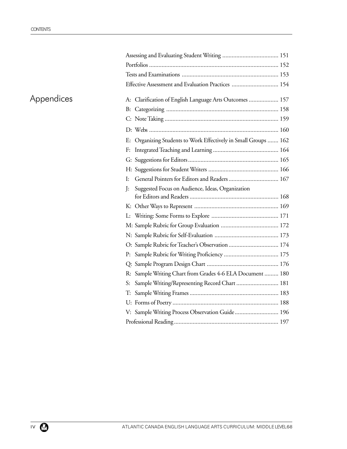| Effective Assessment and Evaluation Practices  154              |  |
|-----------------------------------------------------------------|--|
| A: Clarification of English Language Arts Outcomes  157         |  |
|                                                                 |  |
|                                                                 |  |
|                                                                 |  |
| E: Organizing Students to Work Effectively in Small Groups  162 |  |
|                                                                 |  |
|                                                                 |  |
|                                                                 |  |
| Ŀ                                                               |  |
| Suggested Focus on Audience, Ideas, Organization<br>J:          |  |
|                                                                 |  |
|                                                                 |  |
|                                                                 |  |
|                                                                 |  |
| O: Sample Rubric for Teacher's Observation  174                 |  |
|                                                                 |  |

# Appendices

P: Sample Rubric for Writing Proficiency ................................... 175 Q: Sample Program Design Chart .............................................. 176 R: Sample Writing Chart from Grades 4-6 ELA Document ......... 180 S: Sample Writing/Representing Record Chart ........................... 181 T: Sample Writing Frames ......................................................... 183 U: Forms of Poetry .................................................................... 188 V: Sample Writing Process Observation Guide............................ 196 Professional Reading ................................................................... 197

Assessing and Evaluating Student Writing .................................... 151 Portfolios ................................................................................... 152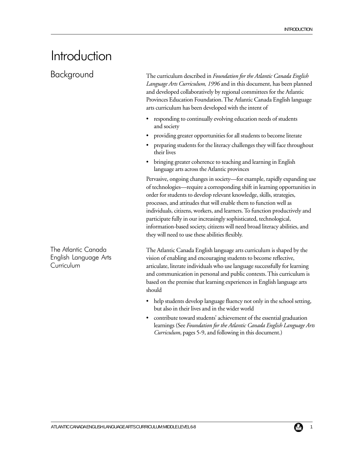# Introduction

Background

The curriculum described in *Foundation for the Atlantic Canada English Language Arts Curriculum, 1996* and in this document, has been planned and developed collaboratively by regional committees for the Atlantic Provinces Education Foundation. The Atlantic Canada English language arts curriculum has been developed with the intent of

- responding to continually evolving education needs of students and society
- providing greater opportunities for all students to become literate
- preparing students for the literacy challenges they will face throughout their lives
- bringing greater coherence to teaching and learning in English language arts across the Atlantic provinces

Pervasive, ongoing changes in society—for example, rapidly expanding use of technologies—require a corresponding shift in learning opportunities in order for students to develop relevant knowledge, skills, strategies, processes, and attitudes that will enable them to function well as individuals, citizens, workers, and learners. To function productively and participate fully in our increasingly sophisticated, technological, information-based society, citizens will need broad literacy abilities, and they will need to use these abilities flexibly.

The Atlantic Canada English language arts curriculum is shaped by the vision of enabling and encouraging students to become reflective, articulate, literate individuals who use language successfully for learning and communication in personal and public contexts. This curriculum is based on the premise that learning experiences in English language arts should

- help students develop language fluency not only in the school setting, but also in their lives and in the wider world
- contribute toward students' achievement of the essential graduation learnings (See *Foundation for the Atlantic Canada English Language Arts Curriculum*, pages 5-9, and following in this document.)

The Atlantic Canada English Language Arts Curriculum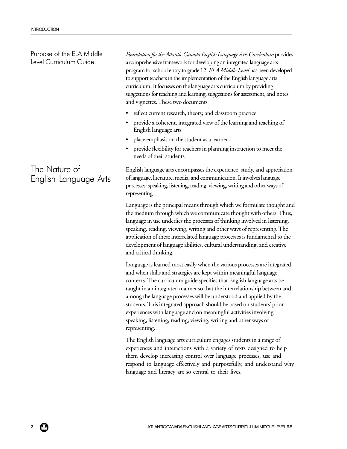Purpose of the ELA Middle Level Curriculum Guide

# The Nature of English Language Arts

*Foundation for the Atlantic Canada English Language Arts Curriculum* provides a comprehensive framework for developing an integrated language arts program for school entry to grade 12. *ELA Middle Level* has been developed to support teachers in the implementation of the English language arts curriculum. It focusses on the language arts curriculum by providing suggestions for teaching and learning, suggestions for assessment, and notes and vignettes. These two documents

- reflect current research, theory, and classroom practice
- provide a coherent, integrated view of the learning and teaching of English language arts
- place emphasis on the student as a learner
- provide flexibility for teachers in planning instruction to meet the needs of their students

English language arts encompasses the experience, study, and appreciation of language, literature, media, and communication. It involves language processes: speaking, listening, reading, viewing, writing and other ways of representing.

Language is the principal means through which we formulate thought and the medium through which we communicate thought with others. Thus, language in use underlies the processes of thinking involved in listening, speaking, reading, viewing, writing and other ways of representing. The application of these interrelated language processes is fundamental to the development of language abilities, cultural understanding, and creative and critical thinking.

Language is learned most easily when the various processes are integrated and when skills and strategies are kept within meaningful language contexts. The curriculum guide specifies that English language arts be taught in an integrated manner so that the interrelationship between and among the language processes will be understood and applied by the students. This integrated approach should be based on students' prior experiences with language and on meaningful activities involving speaking, listening, reading, viewing, writing and other ways of representing.

The English language arts curriculum engages students in a range of experiences and interactions with a variety of texts designed to help them develop increasing control over language processes, use and respond to language effectively and purposefully, and understand why language and literacy are so central to their lives.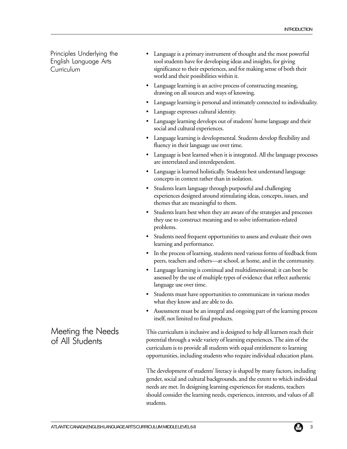Principles Underlying the English Language Arts **Curriculum** 

- Language is a primary instrument of thought and the most powerful tool students have for developing ideas and insights, for giving significance to their experiences, and for making sense of both their world and their possibilities within it.
- Language learning is an active process of constructing meaning, drawing on all sources and ways of knowing.
- Language learning is personal and intimately connected to individuality.
- Language expresses cultural identity.
- Language learning develops out of students' home language and their social and cultural experiences.
- Language learning is developmental. Students develop flexibility and fluency in their language use over time.
- Language is best learned when it is integrated. All the language processes are interrelated and interdependent.
- Language is learned holistically. Students best understand language concepts in context rather than in isolation.
- Students learn language through purposeful and challenging experiences designed around stimulating ideas, concepts, issues, and themes that are meaningful to them.
- Students learn best when they are aware of the strategies and processes they use to construct meaning and to solve information-related problems.
- Students need frequent opportunities to assess and evaluate their own learning and performance.
- In the process of learning, students need various forms of feedback from peers, teachers and others—at school, at home, and in the community.
- Language learning is continual and multidimensional; it can best be assessed by the use of multiple types of evidence that reflect authentic language use over time.
- Students must have opportunities to communicate in various modes what they know and are able to do.
- Assessment must be an integral and ongoing part of the learning process itself, not limited to final products.

This curriculum is inclusive and is designed to help all learners reach their potential through a wide variety of learning experiences. The aim of the curriculum is to provide all students with equal entitlement to learning opportunities, including students who require individual education plans.

The development of students' literacy is shaped by many factors, including gender, social and cultural backgrounds, and the extent to which individual needs are met. In designing learning experiences for students, teachers should consider the learning needs, experiences, interests, and values of all students.

Meeting the Needs of All Students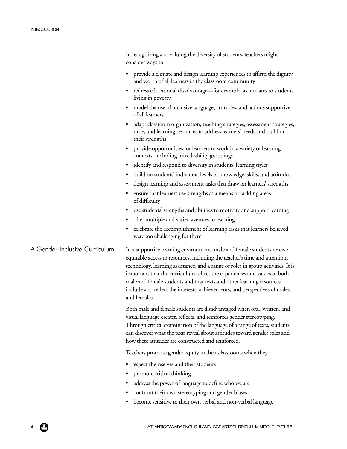|                               | In recognizing and valuing the diversity of students, teachers might<br>consider ways to                                                                                                                                                                                                                                                                                                                                                                                                   |
|-------------------------------|--------------------------------------------------------------------------------------------------------------------------------------------------------------------------------------------------------------------------------------------------------------------------------------------------------------------------------------------------------------------------------------------------------------------------------------------------------------------------------------------|
|                               | provide a climate and design learning experiences to affirm the dignity<br>and worth of all learners in the classroom community                                                                                                                                                                                                                                                                                                                                                            |
|                               | • redress educational disadvantage-for example, as it relates to students<br>living in poverty                                                                                                                                                                                                                                                                                                                                                                                             |
|                               | model the use of inclusive language, attitudes, and actions supportive<br>of all learners                                                                                                                                                                                                                                                                                                                                                                                                  |
|                               | adapt classroom organization, teaching strategies, assessment strategies,<br>time, and learning resources to address learners' needs and build on<br>their strengths                                                                                                                                                                                                                                                                                                                       |
|                               | provide opportunities for learners to work in a variety of learning<br>contexts, including mixed-ability groupings                                                                                                                                                                                                                                                                                                                                                                         |
|                               | • identify and respond to diversity in students' learning styles                                                                                                                                                                                                                                                                                                                                                                                                                           |
|                               | build on students' individual levels of knowledge, skills, and attitudes                                                                                                                                                                                                                                                                                                                                                                                                                   |
|                               | design learning and assessment tasks that draw on learners' strengths                                                                                                                                                                                                                                                                                                                                                                                                                      |
|                               | ensure that learners use strengths as a means of tackling areas<br>of difficulty                                                                                                                                                                                                                                                                                                                                                                                                           |
|                               | use students' strengths and abilities to motivate and support learning                                                                                                                                                                                                                                                                                                                                                                                                                     |
|                               | • offer multiple and varied avenues to learning                                                                                                                                                                                                                                                                                                                                                                                                                                            |
|                               | celebrate the accomplishment of learning tasks that learners believed<br>٠<br>were too challenging for them                                                                                                                                                                                                                                                                                                                                                                                |
| A Gender-Inclusive Curriculum | In a supportive learning environment, male and female students receive<br>equitable access to resources, including the teacher's time and attention,<br>technology, learning assistance, and a range of roles in group activities. It is<br>important that the curriculum reflect the experiences and values of both<br>male and female students and that texts and other learning resources<br>include and reflect the interests, achievements, and perspectives of males<br>and females. |
|                               | Both male and female students are disadvantaged when oral, written, and<br>visual language creates, reflects, and reinforces gender stereotyping.<br>Through critical examination of the language of a range of texts, students<br>can discover what the texts reveal about attitudes toward gender roles and<br>how these attitudes are constructed and reinforced.                                                                                                                       |
|                               | Teachers promote gender equity in their classrooms when they                                                                                                                                                                                                                                                                                                                                                                                                                               |
|                               | • respect themselves and their students                                                                                                                                                                                                                                                                                                                                                                                                                                                    |
|                               | promote critical thinking                                                                                                                                                                                                                                                                                                                                                                                                                                                                  |
|                               | address the power of language to define who we are                                                                                                                                                                                                                                                                                                                                                                                                                                         |
|                               | confront their own stereotyping and gender biases                                                                                                                                                                                                                                                                                                                                                                                                                                          |
|                               |                                                                                                                                                                                                                                                                                                                                                                                                                                                                                            |

• become sensitive to their own verbal and non-verbal language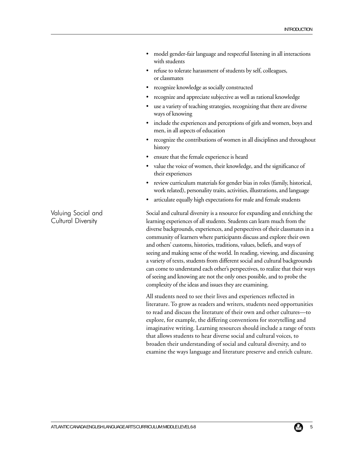- model gender-fair language and respectful listening in all interactions with students
- refuse to tolerate harassment of students by self, colleagues, or classmates
- recognize knowledge as socially constructed
- recognize and appreciate subjective as well as rational knowledge
- use a variety of teaching strategies, recognizing that there are diverse ways of knowing
- include the experiences and perceptions of girls and women, boys and men, in all aspects of education
- recognize the contributions of women in all disciplines and throughout history
- ensure that the female experience is heard
- value the voice of women, their knowledge, and the significance of their experiences
- review curriculum materials for gender bias in roles (family, historical, work related), personality traits, activities, illustrations, and language
- articulate equally high expectations for male and female students

Social and cultural diversity is a resource for expanding and enriching the learning experiences of all students. Students can learn much from the diverse backgrounds, experiences, and perspectives of their classmates in a community of learners where participants discuss and explore their own and others' customs, histories, traditions, values, beliefs, and ways of seeing and making sense of the world. In reading, viewing, and discussing a variety of texts, students from different social and cultural backgrounds can come to understand each other's perspectives, to realize that their ways of seeing and knowing are not the only ones possible, and to probe the complexity of the ideas and issues they are examining.

All students need to see their lives and experiences reflected in literature. To grow as readers and writers, students need opportunities to read and discuss the literature of their own and other cultures—to explore, for example, the differing conventions for storytelling and imaginative writing. Learning resources should include a range of texts that allows students to hear diverse social and cultural voices, to broaden their understanding of social and cultural diversity, and to examine the ways language and literature preserve and enrich culture.

Valuing Social and Cultural Diversity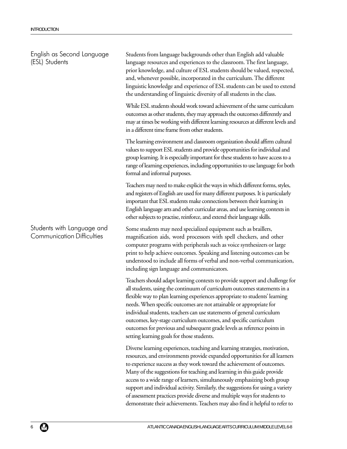Students from language backgrounds other than English add valuable language resources and experiences to the classroom. The first language, prior knowledge, and culture of ESL students should be valued, respected, and, whenever possible, incorporated in the curriculum. The different linguistic knowledge and experience of ESL students can be used to extend the understanding of linguistic diversity of all students in the class. While ESL students should work toward achievement of the same curriculum outcomes as other students, they may approach the outcomes differently and may at times be working with different learning resources at different levels and in a different time frame from other students. The learning environment and classroom organization should affirm cultural values to support ESL students and provide opportunities for individual and group learning. It is especially important for these students to have access to a range of learning experiences, including opportunities to use language for both formal and informal purposes. Teachers may need to make explicit the ways in which different forms, styles, and registers of English are used for many different purposes. It is particularly important that ESL students make connections between their learning in English language arts and other curricular areas, and use learning contexts in other subjects to practise, reinforce, and extend their language skills. Some students may need specialized equipment such as braillers, magnification aids, word processors with spell checkers, and other computer programs with peripherals such as voice synthesizers or large print to help achieve outcomes. Speaking and listening outcomes can be understood to include all forms of verbal and non-verbal communication, including sign language and communicators. Teachers should adapt learning contexts to provide support and challenge for all students, using the continuum of curriculum outcomes statements in a flexible way to plan learning experiences appropriate to students' learning needs. When specific outcomes are not attainable or appropriate for individual students, teachers can use statements of general curriculum outcomes, key-stage curriculum outcomes, and specific curriculum outcomes for previous and subsequent grade levels as reference points in setting learning goals for those students. Diverse learning experiences, teaching and learning strategies, motivation, resources, and environments provide expanded opportunities for all learners to experience success as they work toward the achievement of outcomes. Many of the suggestions for teaching and learning in this guide provide access to a wide range of learners, simultaneously emphasizing both group English as Second Language (ESL) Students Students with Language and Communication Difficulties

> support and individual activity. Similarly, the suggestions for using a variety of assessment practices provide diverse and multiple ways for students to demonstrate their achievements. Teachers may also find it helpful to refer to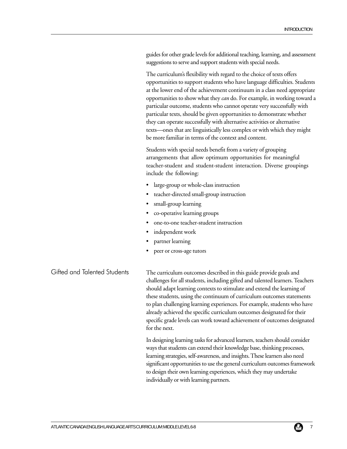guides for other grade levels for additional teaching, learning, and assessment suggestions to serve and support students with special needs.

The curriculum's flexibility with regard to the choice of texts offers opportunities to support students who have language difficulties. Students at the lower end of the achievement continuum in a class need appropriate opportunities to show what they *can* do. For example, in working toward a particular outcome, students who cannot operate very successfully with particular texts, should be given opportunities to demonstrate whether they can operate successfully with alternative activities or alternative texts—ones that are linguistically less complex or with which they might be more familiar in terms of the context and content.

Students with special needs benefit from a variety of grouping arrangements that allow optimum opportunities for meaningful teacher-student and student-student interaction. Diverse groupings include the following:

- large-group or whole-class instruction
- teacher-directed small-group instruction
- small-group learning
- co-operative learning groups
- one-to-one teacher-student instruction
- independent work
- partner learning
- peer or cross-age tutors

The curriculum outcomes described in this guide provide goals and challenges for all students, including gifted and talented learners. Teachers should adapt learning contexts to stimulate and extend the learning of these students, using the continuum of curriculum outcomes statements to plan challenging learning experiences. For example, students who have already achieved the specific curriculum outcomes designated for their specific grade levels can work toward achievement of outcomes designated for the next. Gifted and Talented Students

> In designing learning tasks for advanced learners, teachers should consider ways that students can extend their knowledge base, thinking processes, learning strategies, self-awareness, and insights. These learners also need significant opportunities to use the general curriculum outcomes framework to design their own learning experiences, which they may undertake individually or with learning partners.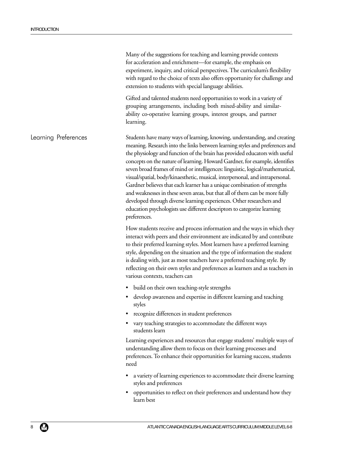|                      | Many of the suggestions for teaching and learning provide contexts<br>for acceleration and enrichment-for example, the emphasis on<br>experiment, inquiry, and critical perspectives. The curriculum's flexibility<br>with regard to the choice of texts also offers opportunity for challenge and<br>extension to students with special language abilities.                                                                                                                                                                                                                                                                                                                                                                                                                                                               |
|----------------------|----------------------------------------------------------------------------------------------------------------------------------------------------------------------------------------------------------------------------------------------------------------------------------------------------------------------------------------------------------------------------------------------------------------------------------------------------------------------------------------------------------------------------------------------------------------------------------------------------------------------------------------------------------------------------------------------------------------------------------------------------------------------------------------------------------------------------|
|                      | Gifted and talented students need opportunities to work in a variety of<br>grouping arrangements, including both mixed-ability and similar-<br>ability co-operative learning groups, interest groups, and partner<br>learning.                                                                                                                                                                                                                                                                                                                                                                                                                                                                                                                                                                                             |
| Learning Preferences | Students have many ways of learning, knowing, understanding, and creating<br>meaning. Research into the links between learning styles and preferences and<br>the physiology and function of the brain has provided educators with useful<br>concepts on the nature of learning. Howard Gardner, for example, identifies<br>seven broad frames of mind or intelligences: linguistic, logical/mathematical,<br>visual/spatial, body/kinaesthetic, musical, interpersonal, and intrapersonal.<br>Gardner believes that each learner has a unique combination of strengths<br>and weaknesses in these seven areas, but that all of them can be more fully<br>developed through diverse learning experiences. Other researchers and<br>education psychologists use different descriptors to categorize learning<br>preferences. |
|                      | How students receive and process information and the ways in which they<br>interact with peers and their environment are indicated by and contribute<br>to their preferred learning styles. Most learners have a preferred learning<br>style, depending on the situation and the type of information the student<br>is dealing with, just as most teachers have a preferred teaching style. By<br>reflecting on their own styles and preferences as learners and as teachers in<br>various contexts, teachers can                                                                                                                                                                                                                                                                                                          |
|                      | • build on their own teaching-style strengths                                                                                                                                                                                                                                                                                                                                                                                                                                                                                                                                                                                                                                                                                                                                                                              |
|                      | • develop awareness and expertise in different learning and teaching<br>styles                                                                                                                                                                                                                                                                                                                                                                                                                                                                                                                                                                                                                                                                                                                                             |
|                      | recognize differences in student preferences                                                                                                                                                                                                                                                                                                                                                                                                                                                                                                                                                                                                                                                                                                                                                                               |
|                      | vary teaching strategies to accommodate the different ways<br>students learn                                                                                                                                                                                                                                                                                                                                                                                                                                                                                                                                                                                                                                                                                                                                               |
|                      | Learning experiences and resources that engage students' multiple ways of<br>understanding allow them to focus on their learning processes and<br>preferences. To enhance their opportunities for learning success, students<br>need                                                                                                                                                                                                                                                                                                                                                                                                                                                                                                                                                                                       |
|                      | a variety of learning experiences to accommodate their diverse learning<br>٠<br>styles and preferences                                                                                                                                                                                                                                                                                                                                                                                                                                                                                                                                                                                                                                                                                                                     |
|                      | opportunities to reflect on their preferences and understand how they<br>learn best                                                                                                                                                                                                                                                                                                                                                                                                                                                                                                                                                                                                                                                                                                                                        |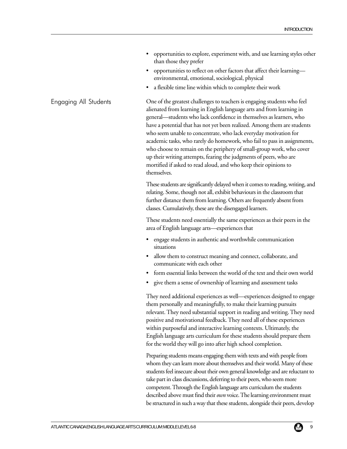- opportunities to explore, experiment with, and use learning styles other than those they prefer
- opportunities to reflect on other factors that affect their learning environmental, emotional, sociological, physical
- a flexible time line within which to complete their work

One of the greatest challenges to teachers is engaging students who feel alienated from learning in English language arts and from learning in general—students who lack confidence in themselves as learners, who have a potential that has not yet been realized. Among them are students who seem unable to concentrate, who lack everyday motivation for academic tasks, who rarely do homework, who fail to pass in assignments, who choose to remain on the periphery of small-group work, who cover up their writing attempts, fearing the judgments of peers, who are mortified if asked to read aloud, and who keep their opinions to themselves.

These students are significantly delayed when it comes to reading, writing, and relating. Some, though not all, exhibit behaviours in the classroom that further distance them from learning. Others are frequently absent from classes. Cumulatively, these are the disengaged learners.

These students need essentially the same experiences as their peers in the area of English language arts—experiences that

- engage students in authentic and worthwhile communication situations
- allow them to construct meaning and connect, collaborate, and communicate with each other
- form essential links between the world of the text and their own world
- give them a sense of ownership of learning and assessment tasks

They need additional experiences as well—experiences designed to engage them personally and meaningfully, to make their learning pursuits relevant. They need substantial support in reading and writing. They need positive and motivational feedback. They need all of these experiences within purposeful and interactive learning contexts. Ultimately, the English language arts curriculum for these students should prepare them for the world they will go into after high school completion.

Preparing students means engaging them with texts and with people from whom they can learn more about themselves and their world. Many of these students feel insecure about their own general knowledge and are reluctant to take part in class discussions, deferring to their peers, who seem more competent. Through the English language arts curriculum the students described above must find their *own* voice. The learning environment must be structured in such a way that these students, alongside their peers, develop

#### Engaging All Students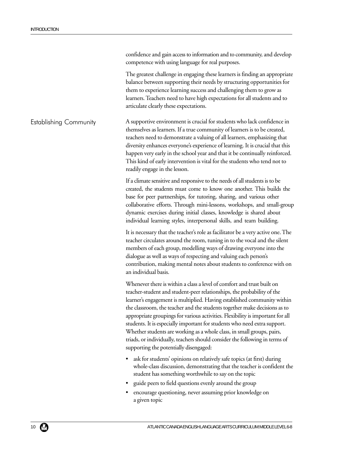|                               | confidence and gain access to information and to community, and develop<br>competence with using language for real purposes.                                                                                                                                                                                                                                                                                                                                                                                                                                                                                                                                               |
|-------------------------------|----------------------------------------------------------------------------------------------------------------------------------------------------------------------------------------------------------------------------------------------------------------------------------------------------------------------------------------------------------------------------------------------------------------------------------------------------------------------------------------------------------------------------------------------------------------------------------------------------------------------------------------------------------------------------|
|                               | The greatest challenge in engaging these learners is finding an appropriate<br>balance between supporting their needs by structuring opportunities for<br>them to experience learning success and challenging them to grow as<br>learners. Teachers need to have high expectations for all students and to<br>articulate clearly these expectations.                                                                                                                                                                                                                                                                                                                       |
| <b>Establishing Community</b> | A supportive environment is crucial for students who lack confidence in<br>themselves as learners. If a true community of learners is to be created,<br>teachers need to demonstrate a valuing of all learners, emphasizing that<br>diversity enhances everyone's experience of learning. It is crucial that this<br>happen very early in the school year and that it be continually reinforced.<br>This kind of early intervention is vital for the students who tend not to<br>readily engage in the lesson.                                                                                                                                                             |
|                               | If a climate sensitive and responsive to the needs of all students is to be<br>created, the students must come to know one another. This builds the<br>base for peer partnerships, for tutoring, sharing, and various other<br>collaborative efforts. Through mini-lessons, workshops, and small-group<br>dynamic exercises during initial classes, knowledge is shared about<br>individual learning styles, interpersonal skills, and team building.                                                                                                                                                                                                                      |
|                               | It is necessary that the teacher's role as facilitator be a very active one. The<br>teacher circulates around the room, tuning in to the vocal and the silent<br>members of each group, modelling ways of drawing everyone into the<br>dialogue as well as ways of respecting and valuing each person's<br>contribution, making mental notes about students to conference with on<br>an individual basis.                                                                                                                                                                                                                                                                  |
|                               | Whenever there is within a class a level of comfort and trust built on<br>teacher-student and student-peer relationships, the probability of the<br>learner's engagement is multiplied. Having established community within<br>the classroom, the teacher and the students together make decisions as to<br>appropriate groupings for various activities. Flexibility is important for all<br>students. It is especially important for students who need extra support.<br>Whether students are working as a whole class, in small groups, pairs,<br>triads, or individually, teachers should consider the following in terms of<br>supporting the potentially disengaged: |
|                               | ask for students' opinions on relatively safe topics (at first) during<br>whole-class discussion, demonstrating that the teacher is confident the<br>student has something worthwhile to say on the topic                                                                                                                                                                                                                                                                                                                                                                                                                                                                  |
|                               | guide peers to field questions evenly around the group                                                                                                                                                                                                                                                                                                                                                                                                                                                                                                                                                                                                                     |
|                               | encourage questioning, never assuming prior knowledge on<br>a given topic                                                                                                                                                                                                                                                                                                                                                                                                                                                                                                                                                                                                  |
|                               |                                                                                                                                                                                                                                                                                                                                                                                                                                                                                                                                                                                                                                                                            |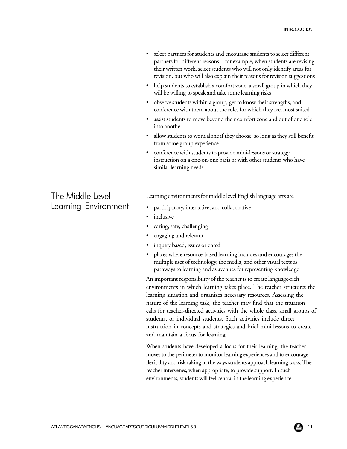- select partners for students and encourage students to select different partners for different reasons—for example, when students are revising their written work, select students who will not only identify areas for revision, but who will also explain their reasons for revision suggestions
- help students to establish a comfort zone, a small group in which they will be willing to speak and take some learning risks
- observe students within a group, get to know their strengths, and conference with them about the roles for which they feel most suited
- assist students to move beyond their comfort zone and out of one role into another
- allow students to work alone if they choose, so long as they still benefit from some group experience
- conference with students to provide mini-lessons or strategy instruction on a one-on-one basis or with other students who have similar learning needs

# The Middle Level Learning Environment

Learning environments for middle level English language arts are

- participatory, interactive, and collaborative
- *inclusive*
- caring, safe, challenging
- engaging and relevant
- inquiry based, issues oriented
- places where resource-based learning includes and encourages the multiple uses of technology, the media, and other visual texts as pathways to learning and as avenues for representing knowledge

An important responsibility of the teacher is to create language-rich environments in which learning takes place. The teacher structures the learning situation and organizes necessary resources. Assessing the nature of the learning task, the teacher may find that the situation calls for teacher-directed activities with the whole class, small groups of students, or individual students. Such activities include direct instruction in concepts and strategies and brief mini-lessons to create and maintain a focus for learning.

When students have developed a focus for their learning, the teacher moves to the perimeter to monitor learning experiences and to encourage flexibility and risk taking in the ways students approach learning tasks. The teacher intervenes, when appropriate, to provide support. In such environments, students will feel central in the learning experience.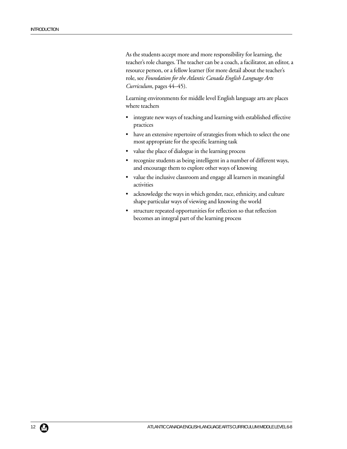As the students accept more and more responsibility for learning, the teacher's role changes. The teacher can be a coach, a facilitator, an editor, a resource person, or a fellow learner (for more detail about the teacher's role, see *Foundation for the Atlantic Canada English Language Arts Curriculum*, pages 44–45).

Learning environments for middle level English language arts are places where teachers

- integrate new ways of teaching and learning with established effective practices
- have an extensive repertoire of strategies from which to select the one most appropriate for the specific learning task
- value the place of dialogue in the learning process
- recognize students as being intelligent in a number of different ways, and encourage them to explore other ways of knowing
- value the inclusive classroom and engage all learners in meaningful activities
- acknowledge the ways in which gender, race, ethnicity, and culture shape particular ways of viewing and knowing the world
- structure repeated opportunities for reflection so that reflection becomes an integral part of the learning process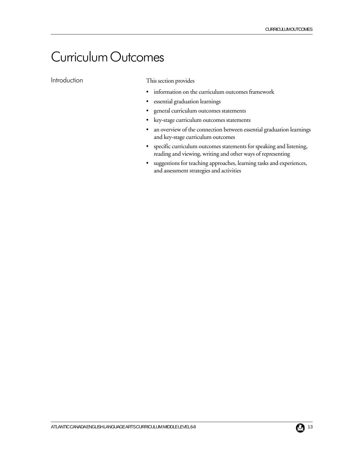# Curriculum Outcomes

Introduction

This section provides

- information on the curriculum outcomes framework
- essential graduation learnings
- general curriculum outcomes statements
- key-stage curriculum outcomes statements
- an overview of the connection between essential graduation learnings and key-stage curriculum outcomes
- specific curriculum outcomes statements for speaking and listening, reading and viewing, writing and other ways of representing
- suggestions for teaching approaches, learning tasks and experiences, and assessment strategies and activities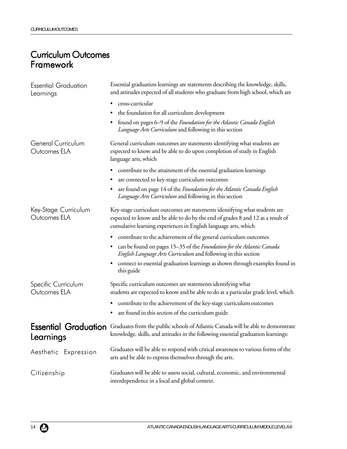# Curriculum Outcomes Framework

| <b>Essential Graduation</b><br>Learnings | Essential graduation learnings are statements describing the knowledge, skills,<br>and attitudes expected of all students who graduate from high school, which are                                                               |
|------------------------------------------|----------------------------------------------------------------------------------------------------------------------------------------------------------------------------------------------------------------------------------|
|                                          | cross-curricular<br>٠                                                                                                                                                                                                            |
|                                          | the foundation for all curriculum development                                                                                                                                                                                    |
|                                          | found on pages 6–9 of the Foundation for the Atlantic Canada English<br>٠<br><i>Language Arts Curriculum</i> and following in this section                                                                                       |
| General Curriculum<br>Outcomes ELA       | General curriculum outcomes are statements identifying what students are<br>expected to know and be able to do upon completion of study in English<br>language arts, which                                                       |
|                                          | contribute to the attainment of the essential graduation learnings                                                                                                                                                               |
|                                          | are connected to key-stage curriculum outcomes<br>$\bullet$                                                                                                                                                                      |
|                                          | are found on page 14 of the Foundation for the Atlantic Canada English<br>٠<br><i>Language Arts Curriculum</i> and following in this section                                                                                     |
| Key-Stage Curriculum<br>Outcomes ELA     | Key-stage curriculum outcomes are statements identifying what students are<br>expected to know and be able to do by the end of grades 8 and 12 as a result of<br>cumulative learning experiences in English language arts, which |
|                                          | contribute to the achievement of the general curriculum outcomes                                                                                                                                                                 |
|                                          | can be found on pages 15–35 of the Foundation for the Atlantic Canada<br>٠<br><i>English Language Arts Curriculum</i> and following in this section                                                                              |
|                                          | connect to essential graduation learnings as shown through examples found in<br>٠<br>this guide                                                                                                                                  |
| Specific Curriculum<br>Outcomes ELA      | Specific curriculum outcomes are statements identifying what<br>students are expected to know and be able to do at a particular grade level, which                                                                               |
|                                          | contribute to the achievement of the key-stage curriculum outcomes                                                                                                                                                               |
|                                          | are found in this section of the curriculum guide<br>٠                                                                                                                                                                           |
| <b>Essential Graduation</b><br>Learnings | Graduates from the public schools of Atlantic Canada will be able to demonstrate<br>knowledge, skills, and attitudes in the following essential graduation learnings:                                                            |
| Aesthetic Expression                     | Graduates will be able to respond with critical awareness to various forms of the<br>arts and be able to express themselves through the arts.                                                                                    |
| Citizenship                              | Graduates will be able to assess social, cultural, economic, and environmental<br>interdependence in a local and global context.                                                                                                 |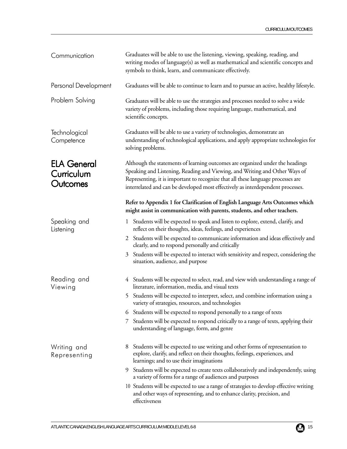| Communication                                | Graduates will be able to use the listening, viewing, speaking, reading, and<br>writing modes of language(s) as well as mathematical and scientific concepts and<br>symbols to think, learn, and communicate effectively.                                                                                                          |
|----------------------------------------------|------------------------------------------------------------------------------------------------------------------------------------------------------------------------------------------------------------------------------------------------------------------------------------------------------------------------------------|
| Personal Development                         | Graduates will be able to continue to learn and to pursue an active, healthy lifestyle.                                                                                                                                                                                                                                            |
| Problem Solving                              | Graduates will be able to use the strategies and processes needed to solve a wide<br>variety of problems, including those requiring language, mathematical, and<br>scientific concepts.                                                                                                                                            |
| Technological<br>Competence                  | Graduates will be able to use a variety of technologies, demonstrate an<br>understanding of technological applications, and apply appropriate technologies for<br>solving problems.                                                                                                                                                |
| <b>ELA General</b><br>Curriculum<br>Outcomes | Although the statements of learning outcomes are organized under the headings<br>Speaking and Listening, Reading and Viewing, and Writing and Other Ways of<br>Representing, it is important to recognize that all these language processes are<br>interrelated and can be developed most effectively as interdependent processes. |
|                                              | Refer to Appendix 1 for Clarification of English Language Arts Outcomes which<br>might assist in communication with parents, students, and other teachers.                                                                                                                                                                         |
| Speaking and<br>Listening                    | Students will be expected to speak and listen to explore, extend, clarify, and<br>$\perp$<br>reflect on their thoughts, ideas, feelings, and experiences                                                                                                                                                                           |
|                                              | Students will be expected to communicate information and ideas effectively and<br>2<br>clearly, and to respond personally and critically                                                                                                                                                                                           |
|                                              | Students will be expected to interact with sensitivity and respect, considering the<br>3<br>situation, audience, and purpose                                                                                                                                                                                                       |
| Reading and<br>Viewing                       | 4 Students will be expected to select, read, and view with understanding a range of<br>literature, information, media, and visual texts                                                                                                                                                                                            |
|                                              | Students will be expected to interpret, select, and combine information using a<br>variety of strategies, resources, and technologies                                                                                                                                                                                              |
|                                              | Students will be expected to respond personally to a range of texts<br>6                                                                                                                                                                                                                                                           |
|                                              | Students will be expected to respond critically to a range of texts, applying their<br>$\mathcal{L}$<br>understanding of language, form, and genre                                                                                                                                                                                 |
| Writing and<br>Representing                  | Students will be expected to use writing and other forms of representation to<br>8<br>explore, clarify, and reflect on their thoughts, feelings, experiences, and<br>learnings; and to use their imaginations                                                                                                                      |
|                                              | Students will be expected to create texts collaboratively and independently, using<br>9<br>a variety of forms for a range of audiences and purposes                                                                                                                                                                                |
|                                              | 10 Students will be expected to use a range of strategies to develop effective writing<br>and other ways of representing, and to enhance clarity, precision, and<br>effectiveness                                                                                                                                                  |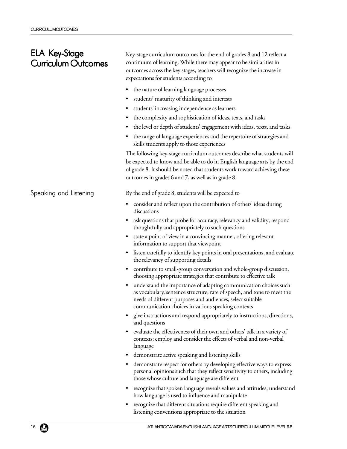# ELA Key-Stage Curriculum Outcomes

Speaking and Listening

Key-stage curriculum outcomes for the end of grades 8 and 12 reflect a continuum of learning. While there may appear to be similarities in outcomes across the key stages, teachers will recognize the increase in expectations for students according to

- the nature of learning language processes
- students' maturity of thinking and interests
- students' increasing independence as learners
- the complexity and sophistication of ideas, texts, and tasks
- the level or depth of students' engagement with ideas, texts, and tasks
- the range of language experiences and the repertoire of strategies and skills students apply to those experiences

The following key-stage curriculum outcomes describe what students will be expected to know and be able to do in English language arts by the end of grade 8. It should be noted that students work toward achieving these outcomes in grades 6 and 7, as well as in grade 8.

By the end of grade 8, students will be expected to

- consider and reflect upon the contribution of others' ideas during discussions
- ask questions that probe for accuracy, relevancy and validity; respond thoughtfully and appropriately to such questions
- state a point of view in a convincing manner, offering relevant information to support that viewpoint
- listen carefully to identify key points in oral presentations, and evaluate the relevancy of supporting details
- contribute to small-group conversation and whole-group discussion, choosing appropriate strategies that contribute to effective talk
- understand the importance of adapting communication choices such as vocabulary, sentence structure, rate of speech, and tone to meet the needs of different purposes and audiences; select suitable communication choices in various speaking contexts
- give instructions and respond appropriately to instructions, directions, and questions
- evaluate the effectiveness of their own and others' talk in a variety of contexts; employ and consider the effects of verbal and non-verbal language
- demonstrate active speaking and listening skills
- demonstrate respect for others by developing effective ways to express personal opinions such that they reflect sensitivity to others, including those whose culture and language are different
- recognize that spoken language reveals values and attitudes; understand how language is used to influence and manipulate
- recognize that different situations require different speaking and listening conventions appropriate to the situation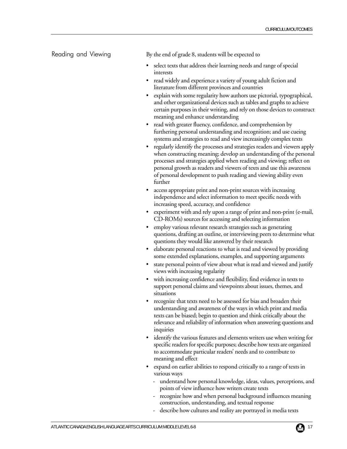#### Reading and Viewing

By the end of grade 8, students will be expected to

- select texts that address their learning needs and range of special interests
- read widely and experience a variety of young adult fiction and literature from different provinces and countries
- explain with some regularity how authors use pictorial, typographical, and other organizational devices such as tables and graphs to achieve certain purposes in their writing, and rely on those devices to construct meaning and enhance understanding
- read with greater fluency, confidence, and comprehension by furthering personal understanding and recognition; and use cueing systems and strategies to read and view increasingly complex texts
- regularly identify the processes and strategies readers and viewers apply when constructing meaning; develop an understanding of the personal processes and strategies applied when reading and viewing; reflect on personal growth as readers and viewers of texts and use this awareness of personal development to push reading and viewing ability even further
- access appropriate print and non-print sources with increasing independence and select information to meet specific needs with increasing speed, accuracy, and confidence
- experiment with and rely upon a range of print and non-print (e-mail, CD-ROMs) sources for accessing and selecting information
- employ various relevant research strategies such as generating questions, drafting an outline, or interviewing peers to determine what questions they would like answered by their research
- elaborate personal reactions to what is read and viewed by providing some extended explanations, examples, and supporting arguments
- state personal points of view about what is read and viewed and justify views with increasing regularity
- with increasing confidence and flexibility, find evidence in texts to support personal claims and viewpoints about issues, themes, and situations
- recognize that texts need to be assessed for bias and broaden their understanding and awareness of the ways in which print and media texts can be biased; begin to question and think critically about the relevance and reliability of information when answering questions and inquiries
- identify the various features and elements writers use when writing for specific readers for specific purposes; describe how texts are organized to accommodate particular readers' needs and to contribute to meaning and effect
- expand on earlier abilities to respond critically to a range of texts in various ways
	- understand how personal knowledge, ideas, values, perceptions, and points of view influence how writers create texts
	- recognize how and when personal background influences meaning construction, understanding, and textual response
	- describe how cultures and reality are portrayed in media texts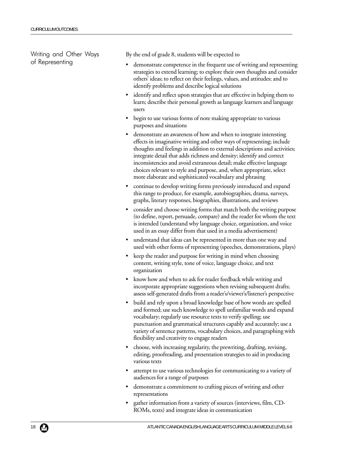Writing and Other Ways of Representing

By the end of grade 8, students will be expected to

- demonstrate competence in the frequent use of writing and representing strategies to extend learning; to explore their own thoughts and consider others' ideas; to reflect on their feelings, values, and attitudes; and to identify problems and describe logical solutions
- identify and reflect upon strategies that are effective in helping them to learn; describe their personal growth as language learners and language users
- begin to use various forms of note making appropriate to various purposes and situations
- demonstrate an awareness of how and when to integrate interesting effects in imaginative writing and other ways of representing; include thoughts and feelings in addition to external descriptions and activities; integrate detail that adds richness and density; identify and correct inconsistencies and avoid extraneous detail; make effective language choices relevant to style and purpose, and, when appropriate, select more elaborate and sophisticated vocabulary and phrasing
- continue to develop writing forms previously introduced and expand this range to produce, for example, autobiographies, drama, surveys, graphs, literary responses, biographies, illustrations, and reviews
- consider and choose writing forms that match both the writing purpose (to define, report, persuade, compare) and the reader for whom the text is intended (understand why language choice, organization, and voice used in an essay differ from that used in a media advertisement)
- understand that ideas can be represented in more than one way and used with other forms of representing (speeches, demonstrations, plays)
- keep the reader and purpose for writing in mind when choosing content, writing style, tone of voice, language choice, and text organization
- know how and when to ask for reader feedback while writing and incorporate appropriate suggestions when revising subsequent drafts; assess self-generated drafts from a reader's/viewer's/listener's perspective
- build and rely upon a broad knowledge base of how words are spelled and formed; use such knowledge to spell unfamiliar words and expand vocabulary; regularly use resource texts to verify spelling; use punctuation and grammatical structures capably and accurately; use a variety of sentence patterns, vocabulary choices, and paragraphing with flexibility and creativity to engage readers
- choose, with increasing regularity, the prewriting, drafting, revising, editing, proofreading, and presentation strategies to aid in producing various texts
- attempt to use various technologies for communicating to a variety of audiences for a range of purposes
- demonstrate a commitment to crafting pieces of writing and other representations
- gather information from a variety of sources (interviews, film, CD-ROMs, texts) and integrate ideas in communication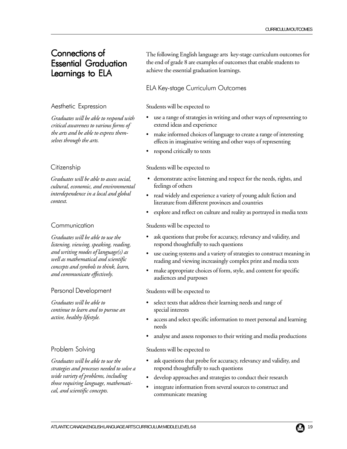# Connections of **Essential Graduation** Learnings to ELA

#### Aesthetic Expression

*Graduates will be able to respond with critical awareness to various forms of the arts and be able to express themselves through the arts.*

#### Citizenship

*Graduates will be able to assess social, cultural, economic, and environmental interdependence in a local and global context.*

#### **Communication**

*Graduates will be able to use the listening, viewing, speaking, reading, and writing modes of language(s) as well as mathematical and scientific concepts and symbols to think, learn, and communicate effectively.*

#### Personal Development

*Graduates will be able to continue to learn and to pursue an active, healthy lifestyle.*

#### Problem Solving

*Graduates will be able to use the strategies and processes needed to solve a wide variety of problems, including those requiring language, mathematical, and scientific concepts.*

The following English language arts key-stage curriculum outcomes for the end of grade 8 are examples of outcomes that enable students to achieve the essential graduation learnings.

#### ELA Key-stage Curriculum Outcomes

#### Students will be expected to

- use a range of strategies in writing and other ways of representing to extend ideas and experience
- make informed choices of language to create a range of interesting effects in imaginative writing and other ways of representing
- respond critically to texts

#### Students will be expected to

- demonstrate active listening and respect for the needs, rights, and feelings of others
- read widely and experience a variety of young adult fiction and literature from different provinces and countries
- explore and reflect on culture and reality as portrayed in media texts

#### Students will be expected to

- ask questions that probe for accuracy, relevancy and validity, and respond thoughtfully to such questions
- use cueing systems and a variety of strategies to construct meaning in reading and viewing increasingly complex print and media texts
- make appropriate choices of form, style, and content for specific audiences and purposes

#### Students will be expected to

- select texts that address their learning needs and range of special interests
- access and select specific information to meet personal and learning needs
- analyse and assess responses to their writing and media productions

#### Students will be expected to

- ask questions that probe for accuracy, relevancy and validity, and respond thoughtfully to such questions
- develop approaches and strategies to conduct their research
- integrate information from several sources to construct and communicate meaning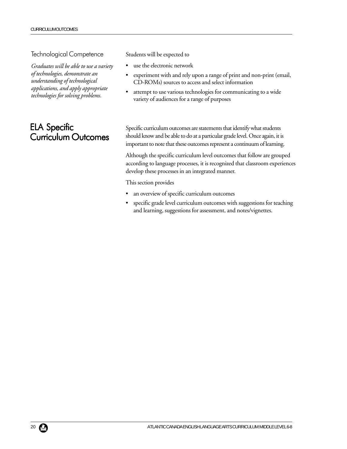#### Technological Competence

*Graduates will be able to use a variety of technologies, demonstrate an understanding of technological applications, and apply appropriate technologies for solving problems.*

# ELA Specific **Curriculum Outcomes**

Students will be expected to

- use the electronic network
- experiment with and rely upon a range of print and non-print (email, CD-ROMs) sources to access and select information
- attempt to use various technologies for communicating to a wide variety of audiences for a range of purposes

Specific curriculum outcomes are statements that identify what students should know and be able to do at a particular grade level. Once again, it is important to note that these outcomes represent a continuum of learning.

Although the specific curriculum level outcomes that follow are grouped according to language processes, it is recognized that classroom experiences develop these processes in an integrated manner.

This section provides

- an overview of specific curriculum outcomes
- specific grade level curriculum outcomes with suggestions for teaching and learning, suggestions for assessment, and notes/vignettes.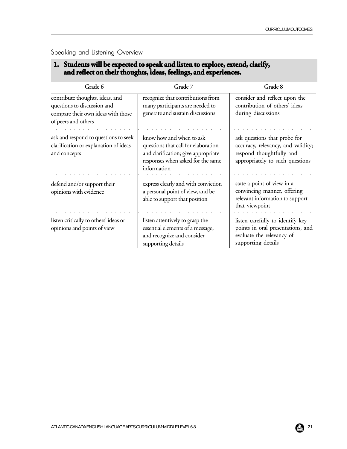#### Speaking and Listening Overview

## 1. Students will be expected to speak and listen to explore, extend, clarify, **and reflect on their thoughts, ideas, feelings, and experiences. and reflect their thoughts, ideas, feelings, and**

| Grade 6                                                                                                                     | Grade 7                                                                                                                                                    | Grade 8                                                                                                                           |
|-----------------------------------------------------------------------------------------------------------------------------|------------------------------------------------------------------------------------------------------------------------------------------------------------|-----------------------------------------------------------------------------------------------------------------------------------|
| contribute thoughts, ideas, and<br>questions to discussion and<br>compare their own ideas with those<br>of peers and others | recognize that contributions from<br>many participants are needed to<br>generate and sustain discussions                                                   | consider and reflect upon the<br>contribution of others' ideas<br>during discussions                                              |
| ask and respond to questions to seek<br>clarification or explanation of ideas<br>and concepts                               | know how and when to ask<br>questions that call for elaboration<br>and clarification; give appropriate<br>responses when asked for the same<br>information | ask questions that probe for<br>accuracy, relevancy, and validity;<br>respond thoughtfully and<br>appropriately to such questions |
| defend and/or support their<br>opinions with evidence                                                                       | express clearly and with conviction<br>a personal point of view, and be<br>able to support that position                                                   | state a point of view in a<br>convincing manner, offering<br>relevant information to support<br>that viewpoint                    |
| listen critically to others' ideas or<br>opinions and points of view                                                        | listen attentively to grasp the<br>essential elements of a message,<br>and recognize and consider<br>supporting details                                    | listen carefully to identify key<br>points in oral presentations, and<br>evaluate the relevancy of<br>supporting details          |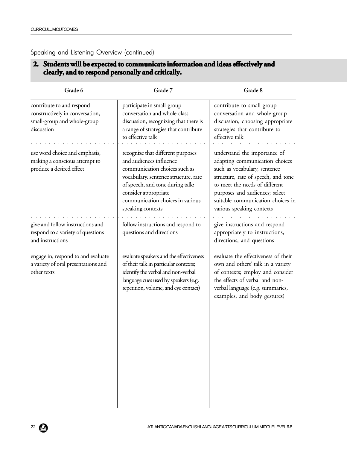#### Speaking and Listening Overview (continued)

## **2. Students will be expected to communicate information and ideas effectively and clearly, and to respond personally and critically. clearly, and critically.**

| Grade 6                                                                                                   | Grade 7                                                                                                                                                                                                                                                    | Grade 8                                                                                                                                                                                                                                                                     |
|-----------------------------------------------------------------------------------------------------------|------------------------------------------------------------------------------------------------------------------------------------------------------------------------------------------------------------------------------------------------------------|-----------------------------------------------------------------------------------------------------------------------------------------------------------------------------------------------------------------------------------------------------------------------------|
| contribute to and respond<br>constructively in conversation,<br>small-group and whole-group<br>discussion | participate in small-group<br>conversation and whole-class<br>discussion, recognizing that there is<br>a range of strategies that contribute<br>to effective talk                                                                                          | contribute to small-group<br>conversation and whole-group<br>discussion, choosing appropriate<br>strategies that contribute to<br>effective talk                                                                                                                            |
| use word choice and emphasis,<br>making a conscious attempt to<br>produce a desired effect                | recognize that different purposes<br>and audiences influence<br>communication choices such as<br>vocabulary, sentence structure, rate<br>of speech, and tone during talk;<br>consider appropriate<br>communication choices in various<br>speaking contexts | understand the importance of<br>adapting communication choices<br>such as vocabulary, sentence<br>structure, rate of speech, and tone<br>to meet the needs of different<br>purposes and audiences; select<br>suitable communication choices in<br>various speaking contexts |
| give and follow instructions and<br>respond to a variety of questions<br>and instructions                 | follow instructions and respond to<br>questions and directions                                                                                                                                                                                             | give instructions and respond<br>appropriately to instructions,<br>directions, and questions                                                                                                                                                                                |
| engage in, respond to and evaluate<br>a variety of oral presentations and<br>other texts                  | evaluate speakers and the effectiveness<br>of their talk in particular contexts;<br>identify the verbal and non-verbal<br>language cues used by speakers (e.g.<br>repetition, volume, and eye contact)                                                     | evaluate the effectiveness of their<br>own and others' talk in a variety<br>of contexts; employ and consider<br>the effects of verbal and non-<br>verbal language (e.g. summaries,<br>examples, and body gestures)                                                          |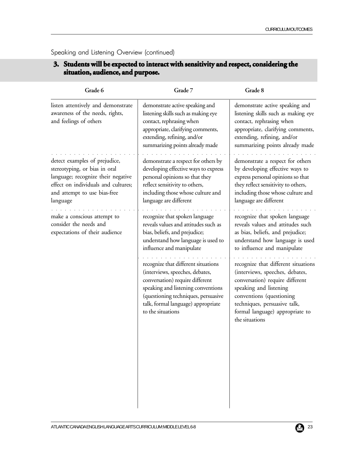| Grade 6                                                                                                                                                                                 | Grade 7                                                                                                                                                                                                                                           | Grade 8                                                                                                                                                                                                                                              |
|-----------------------------------------------------------------------------------------------------------------------------------------------------------------------------------------|---------------------------------------------------------------------------------------------------------------------------------------------------------------------------------------------------------------------------------------------------|------------------------------------------------------------------------------------------------------------------------------------------------------------------------------------------------------------------------------------------------------|
| listen attentively and demonstrate<br>awareness of the needs, rights,<br>and feelings of others                                                                                         | demonstrate active speaking and<br>listening skills such as making eye<br>contact, rephrasing when<br>appropriate, clarifying comments,<br>extending, refining, and/or<br>summarizing points already made                                         | demonstrate active speaking and<br>listening skills such as making eye<br>contact, rephrasing when<br>appropriate, clarifying comments,<br>extending, refining, and/or<br>summarizing points already made                                            |
| detect examples of prejudice,<br>stereotyping, or bias in oral<br>language; recognize their negative<br>effect on individuals and cultures;<br>and attempt to use bias-free<br>language | demonstrate a respect for others by<br>developing effective ways to express<br>personal opinions so that they<br>reflect sensitivity to others,<br>including those whose culture and<br>language are different                                    | demonstrate a respect for others<br>by developing effective ways to<br>express personal opinions so that<br>they reflect sensitivity to others,<br>including those whose culture and<br>language are different                                       |
| make a conscious attempt to<br>consider the needs and<br>expectations of their audience                                                                                                 | recognize that spoken language<br>reveals values and attitudes such as<br>bias, beliefs, and prejudice;<br>understand how language is used to<br>influence and manipulate                                                                         | recognize that spoken language<br>reveals values and attitudes such<br>as bias, beliefs, and prejudice;<br>understand how language is used<br>to influence and manipulate                                                                            |
|                                                                                                                                                                                         | recognize that different situations<br>(interviews, speeches, debates,<br>conversation) require different<br>speaking and listening conventions<br>(questioning techniques, persuasive<br>talk, formal language) appropriate<br>to the situations | recognize that different situations<br>(interviews, speeches, debates,<br>conversation) require different<br>speaking and listening<br>conventions (questioning<br>techniques, persuasive talk,<br>formal language) appropriate to<br>the situations |

Speaking and Listening Overview (continued)

#### **3.** Students will be expected to interact with sensitivity and respect, considering the **situation, audience, and purpose. situation,**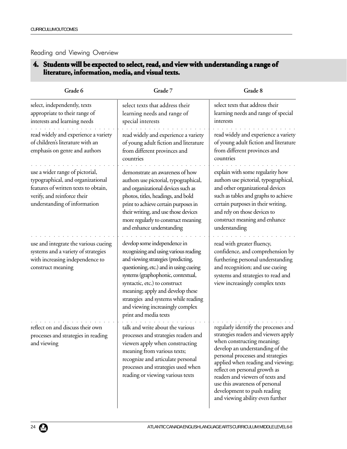#### Reading and Viewing Overview

## **4.** Students will be expected to select, read, and view with understanding a range of literature, information, media, and visual texts.

| Grade 6                                                                                                                                                                     | Grade 7                                                                                                                                                                                                                                                                                                                                                                | Grade 8                                                                                                                                                                                                                                                                                                                                                                                           |
|-----------------------------------------------------------------------------------------------------------------------------------------------------------------------------|------------------------------------------------------------------------------------------------------------------------------------------------------------------------------------------------------------------------------------------------------------------------------------------------------------------------------------------------------------------------|---------------------------------------------------------------------------------------------------------------------------------------------------------------------------------------------------------------------------------------------------------------------------------------------------------------------------------------------------------------------------------------------------|
| select, independently, texts<br>appropriate to their range of<br>interests and learning needs                                                                               | select texts that address their<br>learning needs and range of<br>special interests                                                                                                                                                                                                                                                                                    | select texts that address their<br>learning needs and range of special<br>interests                                                                                                                                                                                                                                                                                                               |
| read widely and experience a variety<br>of children's literature with an<br>emphasis on genre and authors                                                                   | read widely and experience a variety<br>of young adult fiction and literature<br>from different provinces and<br>countries                                                                                                                                                                                                                                             | read widely and experience a variety<br>of young adult fiction and literature<br>from different provinces and<br>countries                                                                                                                                                                                                                                                                        |
| use a wider range of pictorial,<br>typographical, and organizational<br>features of written texts to obtain,<br>verify, and reinforce their<br>understanding of information | demonstrate an awareness of how<br>authors use pictorial, typographical,<br>and organizational devices such as<br>photos, titles, headings, and bold<br>print to achieve certain purposes in<br>their writing, and use those devices<br>more regularly to construct meaning<br>and enhance understanding                                                               | explain with some regularity how<br>authors use pictorial, typographical,<br>and other organizational devices<br>such as tables and graphs to achieve<br>certain purposes in their writing,<br>and rely on those devices to<br>construct meaning and enhance<br>understanding                                                                                                                     |
| use and integrate the various cueing<br>systems and a variety of strategies<br>with increasing independence to<br>construct meaning                                         | develop some independence in<br>recognizing and using various reading<br>and viewing strategies (predicting,<br>questioning, etc.) and in using cueing<br>systems (graphophonic, contextual,<br>syntactic, etc.) to construct<br>meaning; apply and develop these<br>strategies and systems while reading<br>and viewing increasingly complex<br>print and media texts | read with greater fluency,<br>confidence, and comprehension by<br>furthering personal understanding<br>and recognition; and use cueing<br>systems and strategies to read and<br>view increasingly complex texts                                                                                                                                                                                   |
| reflect on and discuss their own<br>processes and strategies in reading<br>and viewing                                                                                      | talk and write about the various<br>processes and strategies readers and<br>viewers apply when constructing<br>meaning from various texts;<br>recognize and articulate personal<br>processes and strategies used when<br>reading or viewing various texts                                                                                                              | regularly identify the processes and<br>strategies readers and viewers apply<br>when constructing meaning;<br>develop an understanding of the<br>personal processes and strategies<br>applied when reading and viewing;<br>reflect on personal growth as<br>readers and viewers of texts and<br>use this awareness of personal<br>development to push reading<br>and viewing ability even further |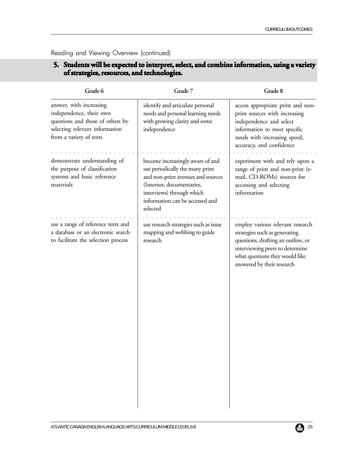Reading and Viewing Overview (continued)

## **5. Students will be expected to interpret, select, and combine information, using a variety of strategies, resources, and technologies. of technologies.**

| Grade 6                                                                                                                                             | Grade 7                                                                                                                                                                                                           | Grade 8                                                                                                                                                                                                    |
|-----------------------------------------------------------------------------------------------------------------------------------------------------|-------------------------------------------------------------------------------------------------------------------------------------------------------------------------------------------------------------------|------------------------------------------------------------------------------------------------------------------------------------------------------------------------------------------------------------|
| answer, with increasing<br>independence, their own<br>questions and those of others by<br>selecting relevant information<br>from a variety of texts | identify and articulate personal<br>needs and personal learning needs<br>with growing clarity and some<br>independence                                                                                            | access appropriate print and non-<br>print sources with increasing<br>independence and select<br>information to meet specific<br>needs with increasing speed,<br>accuracy, and confidence                  |
| demonstrate understanding of<br>the purpose of classification<br>systems and basic reference<br>materials                                           | become increasingly aware of and<br>use periodically the many print<br>and non-print avenues and sources<br>(Internet, documentaries,<br>interviews) through which<br>information can be accessed and<br>selected | experiment with and rely upon a<br>range of print and non-print (e-<br>mail, CD-ROMs) sources for<br>accessing and selecting<br>information                                                                |
| use a range of reference texts and<br>a database or an electronic search<br>to facilitate the selection process                                     | use research strategies such as issue<br>mapping and webbing to guide<br>research                                                                                                                                 | employ various relevant research<br>strategies such as generating<br>questions, drafting an outline, or<br>interviewing peers to determine<br>what questions they would like<br>answered by their research |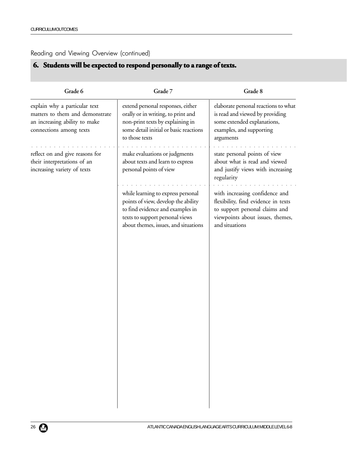## Reading and Viewing Overview (continued)

# **6.** Students will be expected to respond personally to a range of texts.

| Grade 6                                                                                                                      | Grade 7                                                                                                                                                                                  | Grade 8                                                                                                                                                       |
|------------------------------------------------------------------------------------------------------------------------------|------------------------------------------------------------------------------------------------------------------------------------------------------------------------------------------|---------------------------------------------------------------------------------------------------------------------------------------------------------------|
| explain why a particular text<br>matters to them and demonstrate<br>an increasing ability to make<br>connections among texts | extend personal responses, either<br>orally or in writing, to print and<br>non-print texts by explaining in<br>some detail initial or basic reactions<br>to those texts                  | elaborate personal reactions to what<br>is read and viewed by providing<br>some extended explanations,<br>examples, and supporting<br>arguments               |
| reflect on and give reasons for<br>their interpretations of an<br>increasing variety of texts                                | make evaluations or judgments<br>about texts and learn to express<br>personal points of view                                                                                             | state personal points of view<br>about what is read and viewed<br>and justify views with increasing<br>regularity                                             |
|                                                                                                                              | while learning to express personal<br>points of view, develop the ability<br>to find evidence and examples in<br>texts to support personal views<br>about themes, issues, and situations | with increasing confidence and<br>flexibility, find evidence in texts<br>to support personal claims and<br>viewpoints about issues, themes,<br>and situations |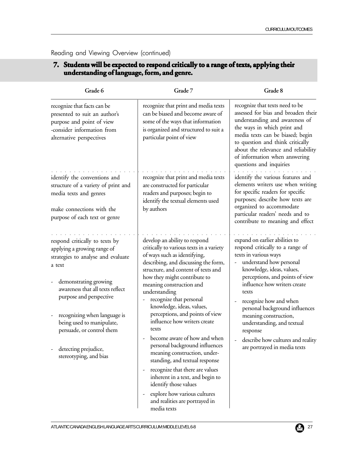| Grade 6                                                                                                                                                                                                                                                                                                                                                | Grade 7                                                                                                                                                                                                                                                                                                                                                                                                                                                                                                                                                                                                                                                                                                         | Grade 8                                                                                                                                                                                                                                                                                                                                                                                                                             |
|--------------------------------------------------------------------------------------------------------------------------------------------------------------------------------------------------------------------------------------------------------------------------------------------------------------------------------------------------------|-----------------------------------------------------------------------------------------------------------------------------------------------------------------------------------------------------------------------------------------------------------------------------------------------------------------------------------------------------------------------------------------------------------------------------------------------------------------------------------------------------------------------------------------------------------------------------------------------------------------------------------------------------------------------------------------------------------------|-------------------------------------------------------------------------------------------------------------------------------------------------------------------------------------------------------------------------------------------------------------------------------------------------------------------------------------------------------------------------------------------------------------------------------------|
| recognize that facts can be<br>presented to suit an author's<br>purpose and point of view<br>-consider information from<br>alternative perspectives                                                                                                                                                                                                    | recognize that print and media texts<br>can be biased and become aware of<br>some of the ways that information<br>is organized and structured to suit a<br>particular point of view                                                                                                                                                                                                                                                                                                                                                                                                                                                                                                                             | recognize that texts need to be<br>assessed for bias and broaden their<br>understanding and awareness of<br>the ways in which print and<br>media texts can be biased; begin<br>to question and think critically<br>about the relevance and reliability<br>of information when answering<br>questions and inquiries                                                                                                                  |
| identify the conventions and<br>structure of a variety of print and<br>media texts and genres<br>make connections with the<br>purpose of each text or genre                                                                                                                                                                                            | recognize that print and media texts<br>are constructed for particular<br>readers and purposes; begin to<br>identify the textual elements used<br>by authors                                                                                                                                                                                                                                                                                                                                                                                                                                                                                                                                                    | identify the various features and<br>elements writers use when writing<br>for specific readers for specific<br>purposes; describe how texts are<br>organized to accommodate<br>particular readers' needs and to<br>contribute to meaning and effect                                                                                                                                                                                 |
| respond critically to texts by<br>applying a growing range of<br>strategies to analyse and evaluate<br>a text<br>demonstrating growing<br>-<br>awareness that all texts reflect<br>purpose and perspective<br>recognizing when language is<br>being used to manipulate,<br>persuade, or control them<br>detecting prejudice,<br>stereotyping, and bias | develop an ability to respond<br>critically to various texts in a variety<br>of ways such as identifying,<br>describing, and discussing the form,<br>structure, and content of texts and<br>how they might contribute to<br>meaning construction and<br>understanding<br>recognize that personal<br>knowledge, ideas, values,<br>perceptions, and points of view<br>influence how writers create<br>texts<br>become aware of how and when<br>personal background influences<br>meaning construction, under-<br>standing, and textual response<br>recognize that there are values<br>inherent in a text, and begin to<br>identify those values<br>explore how various cultures<br>and realities are portrayed in | expand on earlier abilities to<br>respond critically to a range of<br>texts in various ways<br>understand how personal<br>knowledge, ideas, values,<br>perceptions, and points of view<br>influence how writers create<br>texts<br>recognize how and when<br>personal background influences<br>meaning construction,<br>understanding, and textual<br>response<br>describe how cultures and reality<br>are portrayed in media texts |

**7. Students will be expected to respond critically to a range of texts, applying their Students will be range of texts, applying** 

#### Reading and Viewing Overview (continued)

**understanding of language, form, and genre. understanding of language, form, and genre.**

# ATLANTIC CANADA ENGLISH LANGUAGE ARTS CURRICULUM: MIDDLE LEVEL 6-8 27 27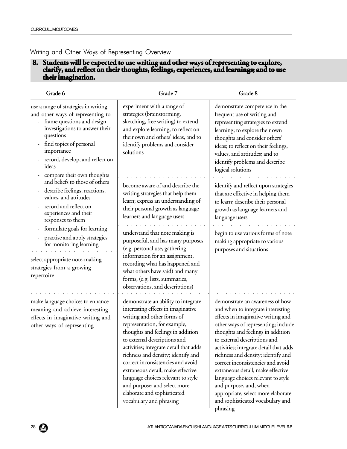#### Writing and Other Ways of Representing Overview

#### **8. Students will be expected to use writing and other ways of representing to explore, Students will be expected to use writing and other ways of representing to clarify, and reflect on their thoughts, feelings, experiences, and learnings; and to use clarify, feelings, experiences, their imagination. their**

| Grade 6                                                                                                                                                                                                                                                                   | Grade 7                                                                                                                                                                                                                                                                                                                                                                                                                                                                                                | Grade 8                                                                                                                                                                                                                                                                                                                                                                                                                                                                                                                                |
|---------------------------------------------------------------------------------------------------------------------------------------------------------------------------------------------------------------------------------------------------------------------------|--------------------------------------------------------------------------------------------------------------------------------------------------------------------------------------------------------------------------------------------------------------------------------------------------------------------------------------------------------------------------------------------------------------------------------------------------------------------------------------------------------|----------------------------------------------------------------------------------------------------------------------------------------------------------------------------------------------------------------------------------------------------------------------------------------------------------------------------------------------------------------------------------------------------------------------------------------------------------------------------------------------------------------------------------------|
| use a range of strategies in writing<br>and other ways of representing to<br>frame questions and design<br>investigations to answer their<br>questions<br>find topics of personal<br>importance<br>record, develop, and reflect on<br>ideas<br>compare their own thoughts | experiment with a range of<br>strategies (brainstorming,<br>sketching, free writing) to extend<br>and explore learning, to reflect on<br>their own and others' ideas, and to<br>identify problems and consider<br>solutions                                                                                                                                                                                                                                                                            | demonstrate competence in the<br>frequent use of writing and<br>representing strategies to extend<br>learning; to explore their own<br>thoughts and consider others'<br>ideas; to reflect on their feelings,<br>values, and attitudes; and to<br>identify problems and describe<br>logical solutions                                                                                                                                                                                                                                   |
| and beliefs to those of others<br>describe feelings, reactions,<br>values, and attitudes<br>record and reflect on<br>experiences and their<br>responses to them                                                                                                           | become aware of and describe the<br>writing strategies that help them<br>learn; express an understanding of<br>their personal growth as language<br>learners and language users                                                                                                                                                                                                                                                                                                                        | identify and reflect upon strategies<br>that are effective in helping them<br>to learn; describe their personal<br>growth as language learners and<br>language users                                                                                                                                                                                                                                                                                                                                                                   |
| formulate goals for learning<br>practise and apply strategies<br>for monitoring learning<br>select appropriate note-making<br>strategies from a growing<br>repertoire                                                                                                     | understand that note making is<br>purposeful, and has many purposes<br>(e.g. personal use, gathering<br>information for an assignment,<br>recording what has happened and<br>what others have said) and many<br>forms, (e.g. lists, summaries,<br>observations, and descriptions)                                                                                                                                                                                                                      | begin to use various forms of note<br>making appropriate to various<br>purposes and situations                                                                                                                                                                                                                                                                                                                                                                                                                                         |
| make language choices to enhance<br>meaning and achieve interesting<br>effects in imaginative writing and<br>other ways of representing                                                                                                                                   | demonstrate an ability to integrate<br>interesting effects in imaginative<br>writing and other forms of<br>representation, for example,<br>thoughts and feelings in addition<br>to external descriptions and<br>activities; integrate detail that adds<br>richness and density; identify and<br>correct inconsistencies and avoid<br>extraneous detail; make effective<br>language choices relevant to style<br>and purpose; and select more<br>elaborate and sophisticated<br>vocabulary and phrasing | demonstrate an awareness of how<br>and when to integrate interesting<br>effects in imaginative writing and<br>other ways of representing; include<br>thoughts and feelings in addition<br>to external descriptions and<br>activities; integrate detail that adds<br>richness and density; identify and<br>correct inconsistencies and avoid<br>extraneous detail; make effective<br>language choices relevant to style<br>and purpose, and, when<br>appropriate, select more elaborate<br>and sophisticated vocabulary and<br>phrasing |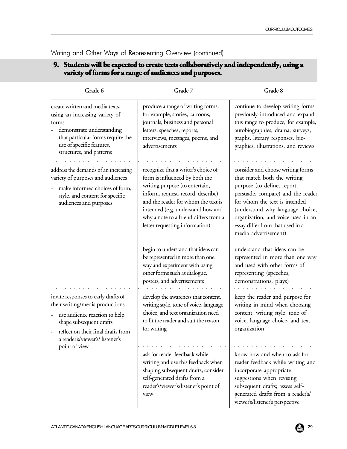| Grade 6                                                                                                                                                                                                                     | Grade 7                                                                                                                                                                                                                                                                                              | Grade 8                                                                                                                                                                                                                                                                                                     |
|-----------------------------------------------------------------------------------------------------------------------------------------------------------------------------------------------------------------------------|------------------------------------------------------------------------------------------------------------------------------------------------------------------------------------------------------------------------------------------------------------------------------------------------------|-------------------------------------------------------------------------------------------------------------------------------------------------------------------------------------------------------------------------------------------------------------------------------------------------------------|
| create written and media texts,<br>using an increasing variety of<br>forms<br>demonstrate understanding<br>that particular forms require the<br>use of specific features,<br>structures, and patterns                       | produce a range of writing forms,<br>for example, stories, cartoons,<br>journals, business and personal<br>letters, speeches, reports,<br>interviews, messages, poems, and<br>advertisements                                                                                                         | continue to develop writing forms<br>previously introduced and expand<br>this range to produce, for example,<br>autobiographies, drama, surveys,<br>graphs, literary responses, bio-<br>graphies, illustrations, and reviews                                                                                |
| address the demands of an increasing<br>variety of purposes and audiences<br>make informed choices of form,<br>style, and content for specific<br>audiences and purposes                                                    | recognize that a writer's choice of<br>form is influenced by both the<br>writing purpose (to entertain,<br>inform, request, record, describe)<br>and the reader for whom the text is<br>intended (e.g. understand how and<br>why a note to a friend differs from a<br>letter requesting information) | consider and choose writing forms<br>that match both the writing<br>purpose (to define, report,<br>persuade, compare) and the reader<br>for whom the text is intended<br>(understand why language choice,<br>organization, and voice used in an<br>essay differ from that used in a<br>media advertisement) |
|                                                                                                                                                                                                                             | begin to understand that ideas can<br>be represented in more than one<br>way and experiment with using<br>other forms such as dialogue,<br>posters, and advertisements                                                                                                                               | understand that ideas can be<br>represented in more than one way<br>and used with other forms of<br>representing (speeches,<br>demonstrations, plays)                                                                                                                                                       |
| invite responses to early drafts of<br>their writing/media productions<br>use audience reaction to help<br>shape subsequent drafts<br>reflect on their final drafts from<br>a reader's/viewer's/listener's<br>point of view | develop the awareness that content,<br>writing style, tone of voice, language<br>choice, and text organization need<br>to fit the reader and suit the reason<br>for writing                                                                                                                          | keep the reader and purpose for<br>writing in mind when choosing<br>content, writing style, tone of<br>voice, language choice, and text<br>organization                                                                                                                                                     |
|                                                                                                                                                                                                                             | ask for reader feedback while<br>writing and use this feedback when<br>shaping subsequent drafts; consider<br>self-generated drafts from a<br>reader's/viewer's/listener's point of<br>view                                                                                                          | know how and when to ask for<br>reader feedback while writing and<br>incorporate appropriate<br>suggestions when revising<br>subsequent drafts; assess self-<br>generated drafts from a reader's/<br>viewer's/listener's perspective                                                                        |

**9. Students will be expected to create texts collaboratively and independently, using a**

Writing and Other Ways of Representing Overview (continued)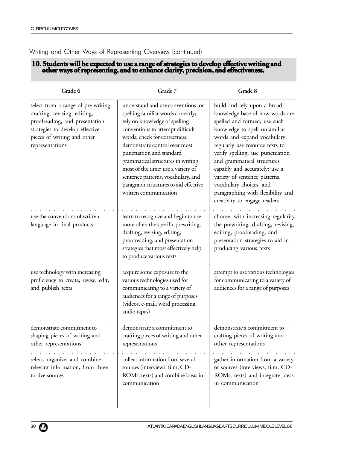#### Writing and Other Ways of Representing Overview (continued)

#### **10. Students will be expected to use a range of strategies to develop effective writing and other ways of representing, and to enhance clarity, precision, and effectiveness. and clarity, precision, and effectiveness.**

| Grade 6                                                                                                                                                                                    | Grade 7                                                                                                                                                                                                                                                                                                                                                                                                                        | Grade 8                                                                                                                                                                                                                                                                                                                                                                                                                                |
|--------------------------------------------------------------------------------------------------------------------------------------------------------------------------------------------|--------------------------------------------------------------------------------------------------------------------------------------------------------------------------------------------------------------------------------------------------------------------------------------------------------------------------------------------------------------------------------------------------------------------------------|----------------------------------------------------------------------------------------------------------------------------------------------------------------------------------------------------------------------------------------------------------------------------------------------------------------------------------------------------------------------------------------------------------------------------------------|
| select from a range of pre-writing,<br>drafting, revising, editing,<br>proofreading, and presentation<br>strategies to develop effective<br>pieces of writing and other<br>representations | understand and use conventions for<br>spelling familiar words correctly;<br>rely on knowledge of spelling<br>conventions to attempt difficult<br>words; check for correctness;<br>demonstrate control over most<br>punctuation and standard<br>grammatical structures in writing<br>most of the time; use a variety of<br>sentence patterns, vocabulary, and<br>paragraph structures to aid effective<br>written communication | build and rely upon a broad<br>knowledge base of how words are<br>spelled and formed; use such<br>knowledge to spell unfamiliar<br>words and expand vocabulary;<br>regularly use resource texts to<br>verify spelling; use punctuation<br>and grammatical structures<br>capably and accurately; use a<br>variety of sentence patterns,<br>vocabulary choices, and<br>paragraphing with flexibility and<br>creativity to engage readers |
| use the conventions of written<br>language in final products                                                                                                                               | learn to recognize and begin to use<br>more often the specific prewriting,<br>drafting, revising, editing,<br>proofreading, and presentation<br>strategies that most effectively help<br>to produce various texts                                                                                                                                                                                                              | choose, with increasing regularity,<br>the prewriting, drafting, revising,<br>editing, proofreading, and<br>presentation strategies to aid in<br>producing various texts                                                                                                                                                                                                                                                               |
| use technology with increasing<br>proficiency to create, revise, edit,<br>and publish texts                                                                                                | acquire some exposure to the<br>various technologies used for<br>communicating to a variety of<br>audiences for a range of purposes<br>(videos, e-mail, word processing,<br>audio tapes)                                                                                                                                                                                                                                       | attempt to use various technologies<br>for communicating to a variety of<br>audiences for a range of purposes                                                                                                                                                                                                                                                                                                                          |
| demonstrate commitment to<br>shaping pieces of writing and<br>other representations                                                                                                        | demonstrate a commitment to<br>crafting pieces of writing and other<br>representations                                                                                                                                                                                                                                                                                                                                         | demonstrate a commitment to<br>crafting pieces of writing and<br>other representations                                                                                                                                                                                                                                                                                                                                                 |
| select, organize, and combine<br>relevant information, from three<br>to five sources                                                                                                       | collect information from several<br>sources (interviews, film, CD-<br>ROMs, texts) and combine ideas in<br>communication                                                                                                                                                                                                                                                                                                       | gather information from a variety<br>of sources (interviews, film, CD-<br>ROMs, texts) and integrate ideas<br>in communication                                                                                                                                                                                                                                                                                                         |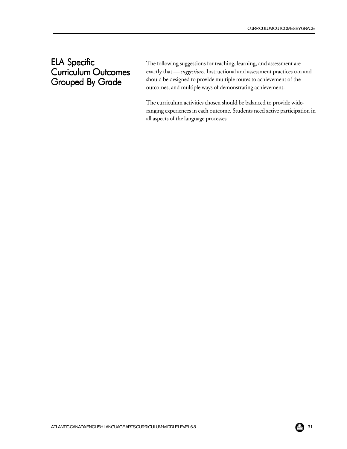# ELA Specific **Curriculum Outcomes** Grouped By Grade

**iculum Outcomes** exactly that — *suggestions*. Instructional and assessment practices can and The following suggestions for teaching, learning, and assessment are should be designed to provide multiple routes to achievement of the outcomes, and multiple ways of demonstrating achievement.

> The curriculum activities chosen should be balanced to provide wideranging experiences in each outcome. Students need active participation in all aspects of the language processes.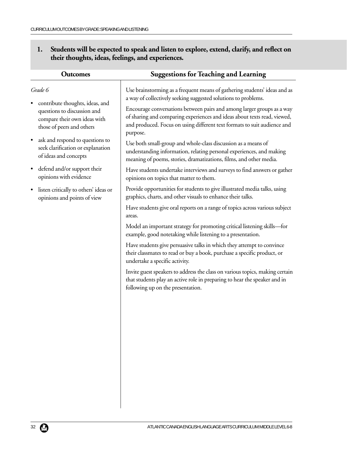| 1. Students will be expected to speak and listen to explore, extend, clarify, and reflect on |                                                   |
|----------------------------------------------------------------------------------------------|---------------------------------------------------|
|                                                                                              | their thoughts, ideas, feelings, and experiences. |

| <b>Outcomes</b>                                                                                                             | <b>Suggestions for Teaching and Learning</b>                                                                                                                                                                                               |
|-----------------------------------------------------------------------------------------------------------------------------|--------------------------------------------------------------------------------------------------------------------------------------------------------------------------------------------------------------------------------------------|
| Grade 6                                                                                                                     | Use brainstorming as a frequent means of gathering students' ideas and as<br>a way of collectively seeking suggested solutions to problems.                                                                                                |
| contribute thoughts, ideas, and<br>questions to discussion and<br>compare their own ideas with<br>those of peers and others | Encourage conversations between pairs and among larger groups as a way<br>of sharing and comparing experiences and ideas about texts read, viewed,<br>and produced. Focus on using different text formats to suit audience and<br>purpose. |
| ask and respond to questions to<br>seek clarification or explanation<br>of ideas and concepts                               | Use both small-group and whole-class discussion as a means of<br>understanding information, relating personal experiences, and making<br>meaning of poems, stories, dramatizations, films, and other media.                                |
| defend and/or support their<br>opinions with evidence                                                                       | Have students undertake interviews and surveys to find answers or gather<br>opinions on topics that matter to them.                                                                                                                        |
| listen critically to others' ideas or<br>opinions and points of view                                                        | Provide opportunities for students to give illustrated media talks, using<br>graphics, charts, and other visuals to enhance their talks.                                                                                                   |
|                                                                                                                             | Have students give oral reports on a range of topics across various subject<br>areas.                                                                                                                                                      |
|                                                                                                                             | Model an important strategy for promoting critical listening skills-for<br>example, good notetaking while listening to a presentation.                                                                                                     |
|                                                                                                                             | Have students give persuasive talks in which they attempt to convince<br>their classmates to read or buy a book, purchase a specific product, or<br>undertake a specific activity.                                                         |
|                                                                                                                             | Invite guest speakers to address the class on various topics, making certain<br>that students play an active role in preparing to hear the speaker and in<br>following up on the presentation.                                             |
|                                                                                                                             |                                                                                                                                                                                                                                            |
|                                                                                                                             |                                                                                                                                                                                                                                            |
|                                                                                                                             |                                                                                                                                                                                                                                            |
|                                                                                                                             |                                                                                                                                                                                                                                            |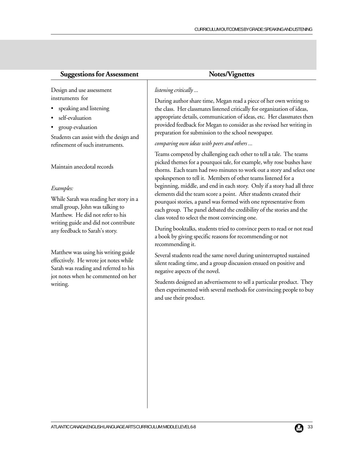Design and use assessment instruments for

- speaking and listening
- self-evaluation
- group evaluation

Students can assist with the design and refinement of such instruments.

Maintain anecdotal records

#### *Examples:*

While Sarah was reading her story in a small group, John was talking to Matthew. He did not refer to his writing guide and did not contribute any feedback to Sarah's story.

Matthew was using his writing guide effectively. He wrote jot notes while Sarah was reading and referred to his jot notes when he commented on her writing.

#### *listening critically ...*

During author share time, Megan read a piece of her own writing to the class. Her classmates listened critically for organization of ideas, appropriate details, communication of ideas, etc. Her classmates then provided feedback for Megan to consider as she revised her writing in preparation for submission to the school newspaper.

#### *comparing own ideas with peers and others ...*

Teams competed by challenging each other to tell a tale. The teams picked themes for a pourquoi tale, for example, why rose bushes have thorns. Each team had two minutes to work out a story and select one spokesperson to tell it. Members of other teams listened for a beginning, middle, and end in each story. Only if a story had all three elements did the team score a point. After students created their pourquoi stories, a panel was formed with one representative from each group. The panel debated the credibility of the stories and the class voted to select the most convincing one.

During booktalks, students tried to convince peers to read or not read a book by giving specific reasons for recommending or not recommending it.

Several students read the same novel during uninterrupted sustained silent reading time, and a group discussion ensued on positive and negative aspects of the novel.

Students designed an advertisement to sell a particular product. They then experimented with several methods for convincing people to buy and use their product.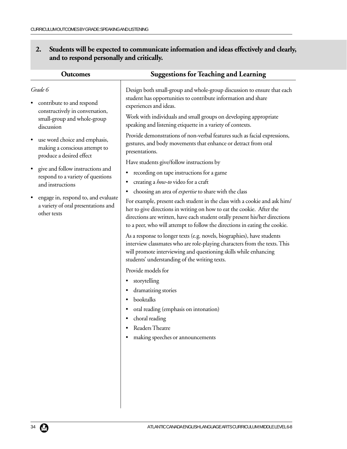## **2. Students will be expected to communicate information and ideas effectively and clearly, and to respond personally and critically.**

| <b>Outcomes</b>                                                                                        | <b>Suggestions for Teaching and Learning</b>                                                                                                                                                                                                                                                                    |
|--------------------------------------------------------------------------------------------------------|-----------------------------------------------------------------------------------------------------------------------------------------------------------------------------------------------------------------------------------------------------------------------------------------------------------------|
| Grade 6<br>contribute to and respond                                                                   | Design both small-group and whole-group discussion to ensure that each<br>student has opportunities to contribute information and share<br>experiences and ideas.                                                                                                                                               |
| constructively in conversation,<br>small-group and whole-group<br>discussion                           | Work with individuals and small groups on developing appropriate<br>speaking and listening etiquette in a variety of contexts.                                                                                                                                                                                  |
| use word choice and emphasis,<br>making a conscious attempt to<br>produce a desired effect             | Provide demonstrations of non-verbal features such as facial expressions,<br>gestures, and body movements that enhance or detract from oral<br>presentations.                                                                                                                                                   |
|                                                                                                        | Have students give/follow instructions by                                                                                                                                                                                                                                                                       |
| give and follow instructions and<br>$\bullet$                                                          | recording on tape instructions for a game<br>٠                                                                                                                                                                                                                                                                  |
| respond to a variety of questions<br>and instructions                                                  | creating a <i>how-to</i> video for a craft<br>٠                                                                                                                                                                                                                                                                 |
|                                                                                                        | choosing an area of <i>expertise</i> to share with the class<br>٠                                                                                                                                                                                                                                               |
| engage in, respond to, and evaluate<br>$\bullet$<br>a variety of oral presentations and<br>other texts | For example, present each student in the class with a cookie and ask him/<br>her to give directions in writing on how to eat the cookie. After the<br>directions are written, have each student orally present his/her directions<br>to a peer, who will attempt to follow the directions in eating the cookie. |
|                                                                                                        | As a response to longer texts (e.g. novels, biographies), have students<br>interview classmates who are role-playing characters from the texts. This<br>will promote interviewing and questioning skills while enhancing<br>students' understanding of the writing texts.                                       |
|                                                                                                        | Provide models for                                                                                                                                                                                                                                                                                              |
|                                                                                                        | storytelling<br>٠<br>dramatizing stories<br>booktalks<br>oral reading (emphasis on intonation)<br>choral reading                                                                                                                                                                                                |
|                                                                                                        | Readers Theatre                                                                                                                                                                                                                                                                                                 |
|                                                                                                        | making speeches or announcements                                                                                                                                                                                                                                                                                |
|                                                                                                        |                                                                                                                                                                                                                                                                                                                 |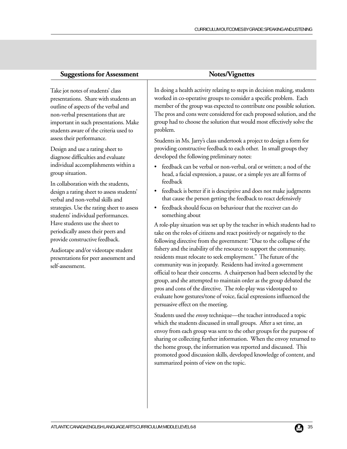Take jot notes of students' class presentations. Share with students an outline of aspects of the verbal and non-verbal presentations that are important in such presentations. Make students aware of the criteria used to assess their performance.

Design and use a rating sheet to diagnose difficulties and evaluate individual accomplishments within a group situation.

In collaboration with the students, design a rating sheet to assess students' verbal and non-verbal skills and strategies. Use the rating sheet to assess students' individual performances. Have students use the sheet to periodically assess their peers and provide constructive feedback.

Audiotape and/or videotape student presentations for peer assessment and self-assessment.

In doing a health activity relating to steps in decision making, students worked in co-operative groups to consider a specific problem. Each member of the group was expected to contribute one possible solution. The pros and cons were considered for each proposed solution, and the group had to choose the solution that would most effectively solve the problem.

Students in Ms. Jarry's class undertook a project to design a form for providing constructive feedback to each other. In small groups they developed the following preliminary notes:

- feedback can be verbal or non-verbal, oral or written; a nod of the head, a facial expression, a pause, or a simple yes are all forms of feedback
- feedback is better if it is descriptive and does not make judgments that cause the person getting the feedback to react defensively
- feedback should focus on behaviour that the receiver can do something about

A role-play situation was set up by the teacher in which students had to take on the roles of citizens and react positively or negatively to the following directive from the government: "Due to the collapse of the fishery and the inability of the resource to support the community, residents must relocate to seek employment." The future of the community was in jeopardy. Residents had invited a government official to hear their concerns. A chairperson had been selected by the group, and she attempted to maintain order as the group debated the pros and cons of the directive. The role-play was videotaped to evaluate how gestures/tone of voice, facial expressions influenced the persuasive effect on the meeting.

Students used the *envoy* technique—the teacher introduced a topic which the students discussed in small groups. After a set time, an envoy from each group was sent to the other groups for the purpose of sharing or collecting further information. When the envoy returned to the home group, the information was reported and discussed. This promoted good discussion skills, developed knowledge of content, and summarized points of view on the topic.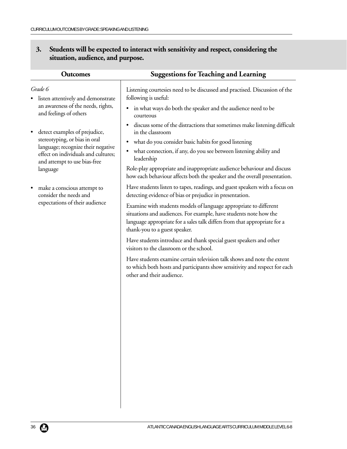| <b>Suggestions for Teaching and Learning</b>                                                                                                                                                                                                         |
|------------------------------------------------------------------------------------------------------------------------------------------------------------------------------------------------------------------------------------------------------|
| Listening courtesies need to be discussed and practised. Discussion of the<br>following is useful:                                                                                                                                                   |
| in what ways do both the speaker and the audience need to be<br>$\bullet$<br>courteous                                                                                                                                                               |
| discuss some of the distractions that sometimes make listening difficult<br>$\bullet$<br>in the classroom                                                                                                                                            |
| what do you consider basic habits for good listening<br>$\bullet$                                                                                                                                                                                    |
| what connection, if any, do you see between listening ability and<br>$\bullet$<br>leadership                                                                                                                                                         |
| Role-play appropriate and inappropriate audience behaviour and discuss<br>how each behaviour affects both the speaker and the overall presentation.                                                                                                  |
| Have students listen to tapes, readings, and guest speakers with a focus on<br>detecting evidence of bias or prejudice in presentation.                                                                                                              |
| Examine with students models of language appropriate to different<br>situations and audiences. For example, have students note how the<br>language appropriate for a sales talk differs from that appropriate for a<br>thank-you to a guest speaker. |
| Have students introduce and thank special guest speakers and other<br>visitors to the classroom or the school.                                                                                                                                       |
| Have students examine certain television talk shows and note the extent<br>to which both hosts and participants show sensitivity and respect for each<br>other and their audience.                                                                   |
|                                                                                                                                                                                                                                                      |
|                                                                                                                                                                                                                                                      |
|                                                                                                                                                                                                                                                      |
|                                                                                                                                                                                                                                                      |
|                                                                                                                                                                                                                                                      |

## **3. Students will be expected to interact with sensitivity and respect, considering the situation, audience, and purpose.**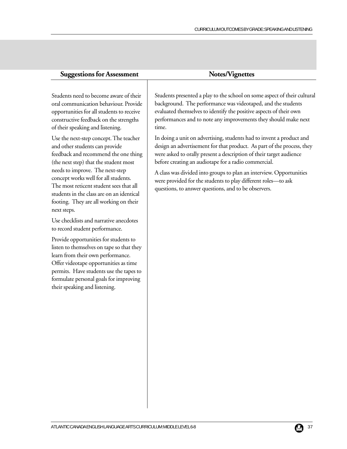Students need to become aware of their oral communication behaviour. Provide opportunities for all students to receive constructive feedback on the strengths of their speaking and listening.

Use the next-step concept. The teacher and other students can provide feedback and recommend the one thing (the next step) that the student most needs to improve. The next-step concept works well for all students. The most reticent student sees that all students in the class are on an identical footing. They are all working on their next steps.

Use checklists and narrative anecdotes to record student performance.

Provide opportunities for students to listen to themselves on tape so that they learn from their own performance. Offer videotape opportunities as time permits. Have students use the tapes to formulate personal goals for improving their speaking and listening.

Students presented a play to the school on some aspect of their cultural background. The performance was videotaped, and the students evaluated themselves to identify the positive aspects of their own performances and to note any improvements they should make next time.

In doing a unit on advertising, students had to invent a product and design an advertisement for that product. As part of the process, they were asked to orally present a description of their target audience before creating an audiotape for a radio commercial.

A class was divided into groups to plan an interview. Opportunities were provided for the students to play different roles—to ask questions, to answer questions, and to be observers.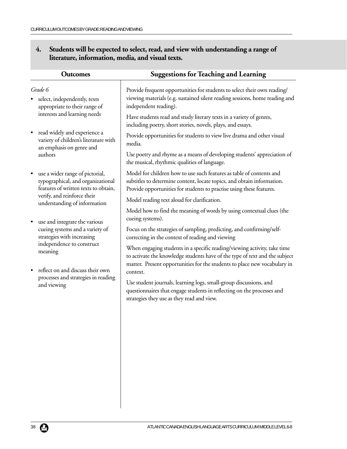## **4. Students will be expected to select, read, and view with understanding a range of literature, information, media, and visual texts.**

| <b>Outcomes</b>                                                                                              | <b>Suggestions for Teaching and Learning</b>                                                                                                                                                                                         |
|--------------------------------------------------------------------------------------------------------------|--------------------------------------------------------------------------------------------------------------------------------------------------------------------------------------------------------------------------------------|
| Grade 6<br>select, independently, texts<br>appropriate to their range of<br>interests and learning needs     | Provide frequent opportunities for students to select their own reading/<br>viewing materials (e.g. sustained silent reading sessions, home reading and<br>independent reading).                                                     |
|                                                                                                              | Have students read and study literary texts in a variety of genres,<br>including poetry, short stories, novels, plays, and essays.                                                                                                   |
| read widely and experience a<br>$\bullet$<br>variety of children's literature with                           | Provide opportunities for students to view live drama and other visual<br>media.                                                                                                                                                     |
| an emphasis on genre and<br>authors                                                                          | Use poetry and rhyme as a means of developing students' appreciation of<br>the musical, rhythmic qualities of language.                                                                                                              |
| use a wider range of pictorial,<br>typographical, and organizational<br>features of written texts to obtain, | Model for children how to use such features as table of contents and<br>subtitles to determine content, locate topics, and obtain information.<br>Provide opportunities for students to practise using these features.               |
| verify, and reinforce their<br>understanding of information                                                  | Model reading text aloud for clarification.                                                                                                                                                                                          |
| use and integrate the various<br>$\bullet$                                                                   | Model how to find the meaning of words by using contextual clues (the<br>cueing systems).                                                                                                                                            |
| cueing systems and a variety of<br>strategies with increasing<br>independence to construct<br>meaning        | Focus on the strategies of sampling, predicting, and confirming/self-<br>correcting in the context of reading and viewing                                                                                                            |
|                                                                                                              | When engaging students in a specific reading/viewing activity, take time<br>to activate the knowledge students have of the type of text and the subject<br>matter. Present opportunities for the students to place new vocabulary in |
| reflect on and discuss their own<br>$\bullet$<br>processes and strategies in reading                         | context.                                                                                                                                                                                                                             |
| and viewing                                                                                                  | Use student journals, learning logs, small-group discussions, and<br>questionnaires that engage students in reflecting on the processes and<br>strategies they use as they read and view.                                            |
|                                                                                                              |                                                                                                                                                                                                                                      |
|                                                                                                              |                                                                                                                                                                                                                                      |
|                                                                                                              |                                                                                                                                                                                                                                      |
|                                                                                                              |                                                                                                                                                                                                                                      |
|                                                                                                              |                                                                                                                                                                                                                                      |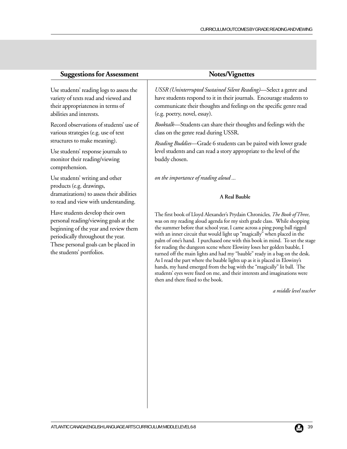Use students' reading logs to assess the variety of texts read and viewed and their appropriateness in terms of abilities and interests.

Record observations of students' use of various strategies (e.g. use of text structures to make meaning).

Use students' response journals to monitor their reading/viewing comprehension.

Use students' writing and other products (e.g. drawings, dramatizations) to assess their abilities to read and view with understanding.

Have students develop their own personal reading/viewing goals at the beginning of the year and review them periodically throughout the year. These personal goals can be placed in the students' portfolios.

*USSR (Uninterrupted Sustained Silent Reading)*—Select a genre and have students respond to it in their journals. Encourage students to communicate their thoughts and feelings on the specific genre read (e.g. poetry, novel, essay).

*Booktalk*—Students can share their thoughts and feelings with the class on the genre read during USSR.

*Reading Buddies*—Grade 6 students can be paired with lower grade level students and can read a story appropriate to the level of the buddy chosen.

*on the importance of reading aloud ...*

#### **A Real Bauble**

The first book of Lloyd Alexander's Prydain Chronicles*, The Book of Three*, was on my reading aloud agenda for my sixth grade class. While shopping the summer before that school year, I came across a ping pong ball rigged with an inner circuit that would light up "magically" when placed in the palm of one's hand. I purchased one with this book in mind. To set the stage for reading the dungeon scene where Elowiny loses her golden bauble, I turned off the main lights and had my "bauble" ready in a bag on the desk. As I read the part where the bauble lights up as it is placed in Elowiny's hands, my hand emerged from the bag with the "magically" lit ball. The students' eyes were fixed on me, and their interests and imaginations were then and there fixed to the book.

*a middle level teacher*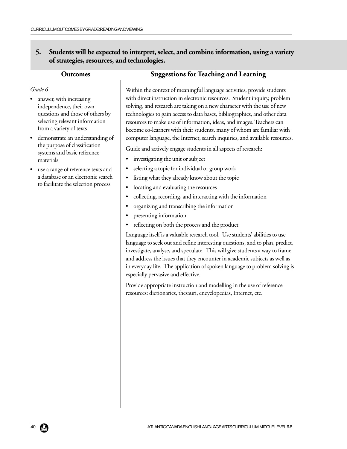**5. Students will be expected to interpret, select, and combine information, using a variety of strategies, resources, and technologies.**

|                               | Within the context of meaningful language activities, provide students       |
|-------------------------------|------------------------------------------------------------------------------|
| reasing                       | with direct instruction in electronic resources. Student inquiry, problem    |
| heir own                      | solving, and research are taking on a new character with the use of new      |
| nose of others by             | technologies to gain access to data bases, bibliographies, and other data    |
| t information                 | resources to make use of information, ideas, and images. Teachers can        |
| f texts                       | become co-learners with their students, many of whom are familiar with       |
| understanding of              | computer language, the Internet, search inquiries, and available resources.  |
| lassification<br>ic reference | Guide and actively engage students in all aspects of research:               |
|                               | investigating the unit or subject                                            |
| ference texts and             | selecting a topic for individual or group work                               |
| electronic search             | listing what they already know about the topic                               |
| selection process             | locating and evaluating the resources                                        |
|                               | collecting, recording, and interacting with the information                  |
|                               | organizing and transcribing the information                                  |
|                               | presenting information                                                       |
|                               | reflecting on both the process and the product                               |
|                               | Language itself is a valuable research tool. Use students' abilities to use  |
|                               | language to seek out and refine interesting questions, and to plan, predict, |
|                               | investigate, analyse, and speculate. This will give students a way to frame  |
|                               | and address the issues that they encounter in academic subjects as well as   |
|                               | in everyday life. The application of spoken language to problem solving is   |
|                               | especially pervasive and effective.                                          |

Provide appropriate instruction and modelling in the use of reference resources: dictionaries, thesauri, encyclopedias, Internet, etc.

## **Outcomes Suggestions for Teaching and Learning**

### *Grade 6*

- answer, with inc independence, th questions and th selecting relevan from a variety of
- demonstrate an the purpose of c systems and basi materials
- use a range of ref a database or an to facilitate the s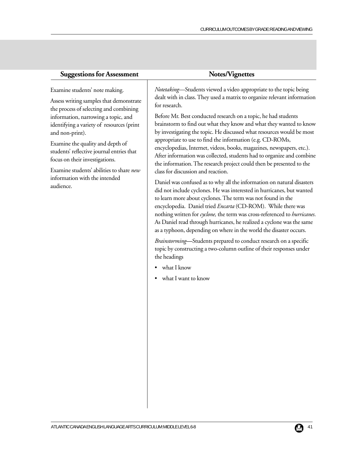| <b>Suggestions for Assessment</b>                                                                                                                                                                                                                                                                                                                                                                                                       | <b>Notes/Vignettes</b>                                                                                                                                                                                                                                                                                                                                                                                                                                                                                                                                                                                                                                                                                                                                                                                                                                                                                                         |
|-----------------------------------------------------------------------------------------------------------------------------------------------------------------------------------------------------------------------------------------------------------------------------------------------------------------------------------------------------------------------------------------------------------------------------------------|--------------------------------------------------------------------------------------------------------------------------------------------------------------------------------------------------------------------------------------------------------------------------------------------------------------------------------------------------------------------------------------------------------------------------------------------------------------------------------------------------------------------------------------------------------------------------------------------------------------------------------------------------------------------------------------------------------------------------------------------------------------------------------------------------------------------------------------------------------------------------------------------------------------------------------|
| Examine students' note making.<br>Assess writing samples that demonstrate<br>the process of selecting and combining<br>information, narrowing a topic, and<br>identifying a variety of resources (print<br>and non-print).<br>Examine the quality and depth of<br>students' reflective journal entries that<br>focus on their investigations.<br>Examine students' abilities to share new<br>information with the intended<br>audience. | Notetaking-Students viewed a video appropriate to the topic being<br>dealt with in class. They used a matrix to organize relevant information<br>for research.<br>Before Mr. Best conducted research on a topic, he had students<br>brainstorm to find out what they know and what they wanted to know<br>by investigating the topic. He discussed what resources would be most<br>appropriate to use to find the information (e.g. CD-ROMs,<br>encyclopedias, Internet, videos, books, magazines, newspapers, etc.).<br>After information was collected, students had to organize and combine<br>the information. The research project could then be presented to the<br>class for discussion and reaction.<br>Daniel was confused as to why all the information on natural disasters<br>did not include cyclones. He was interested in hurricanes, but wanted<br>to learn more about cyclones. The term was not found in the |
|                                                                                                                                                                                                                                                                                                                                                                                                                                         | encyclopedia. Daniel tried Encarta (CD-ROM). While there was<br>nothing written for cyclone, the term was cross-referenced to hurricanes.<br>As Daniel read through hurricanes, he realized a cyclone was the same<br>as a typhoon, depending on where in the world the disaster occurs.<br>Brainstorming-Students prepared to conduct research on a specific<br>topic by constructing a two-column outline of their responses under<br>the headings<br>what I know<br>what I want to know                                                                                                                                                                                                                                                                                                                                                                                                                                     |
|                                                                                                                                                                                                                                                                                                                                                                                                                                         |                                                                                                                                                                                                                                                                                                                                                                                                                                                                                                                                                                                                                                                                                                                                                                                                                                                                                                                                |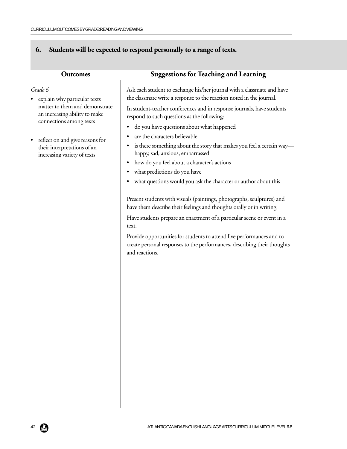# **6. Students will be expected to respond personally to a range of texts.**

| <b>Outcomes</b>                                                                               | <b>Suggestions for Teaching and Learning</b>                                                                                                                        |
|-----------------------------------------------------------------------------------------------|---------------------------------------------------------------------------------------------------------------------------------------------------------------------|
| Grade 6<br>explain why particular texts                                                       | Ask each student to exchange his/her journal with a classmate and have<br>the classmate write a response to the reaction noted in the journal.                      |
| matter to them and demonstrate<br>an increasing ability to make<br>connections among texts    | In student-teacher conferences and in response journals, have students<br>respond to such questions as the following:                                               |
|                                                                                               | do you have questions about what happened<br>are the characters believable                                                                                          |
| reflect on and give reasons for<br>their interpretations of an<br>increasing variety of texts | is there something about the story that makes you feel a certain way-<br>happy, sad, anxious, embarrassed                                                           |
|                                                                                               | how do you feel about a character's actions                                                                                                                         |
|                                                                                               | what predictions do you have                                                                                                                                        |
|                                                                                               | what questions would you ask the character or author about this                                                                                                     |
|                                                                                               | Present students with visuals (paintings, photographs, sculptures) and<br>have them describe their feelings and thoughts orally or in writing.                      |
|                                                                                               | Have students prepare an enactment of a particular scene or event in a<br>text.                                                                                     |
|                                                                                               | Provide opportunities for students to attend live performances and to<br>create personal responses to the performances, describing their thoughts<br>and reactions. |
|                                                                                               |                                                                                                                                                                     |
|                                                                                               |                                                                                                                                                                     |
|                                                                                               |                                                                                                                                                                     |
|                                                                                               |                                                                                                                                                                     |
|                                                                                               |                                                                                                                                                                     |
|                                                                                               |                                                                                                                                                                     |
|                                                                                               |                                                                                                                                                                     |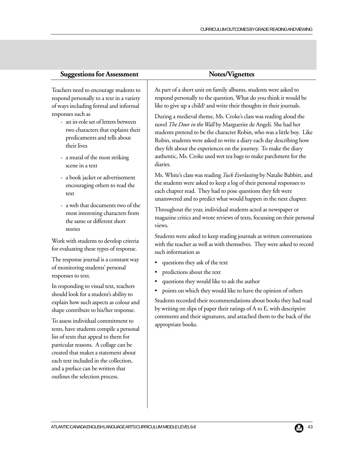| Teachers need to encourage students to                                                                                                                                                                                                                                                                                                                                                                                                                                                                                                                                                                                                                                                  | As part of a short unit on family albums, students were asked to                                                                                                                                                                                                                                                                                                                                                                                                                                                                                                                      |
|-----------------------------------------------------------------------------------------------------------------------------------------------------------------------------------------------------------------------------------------------------------------------------------------------------------------------------------------------------------------------------------------------------------------------------------------------------------------------------------------------------------------------------------------------------------------------------------------------------------------------------------------------------------------------------------------|---------------------------------------------------------------------------------------------------------------------------------------------------------------------------------------------------------------------------------------------------------------------------------------------------------------------------------------------------------------------------------------------------------------------------------------------------------------------------------------------------------------------------------------------------------------------------------------|
| respond personally to a text in a variety                                                                                                                                                                                                                                                                                                                                                                                                                                                                                                                                                                                                                                               | respond personally to the question, What do you think it would b                                                                                                                                                                                                                                                                                                                                                                                                                                                                                                                      |
| of ways including formal and informal                                                                                                                                                                                                                                                                                                                                                                                                                                                                                                                                                                                                                                                   | like to give up a child? and write their thoughts in their journals.                                                                                                                                                                                                                                                                                                                                                                                                                                                                                                                  |
| responses such as                                                                                                                                                                                                                                                                                                                                                                                                                                                                                                                                                                                                                                                                       | During a medieval theme, Ms. Croke's class was reading aloud the                                                                                                                                                                                                                                                                                                                                                                                                                                                                                                                      |
| - an in-role set of letters between                                                                                                                                                                                                                                                                                                                                                                                                                                                                                                                                                                                                                                                     | novel The Door in the Wall by Marguerite de Angeli. She had her                                                                                                                                                                                                                                                                                                                                                                                                                                                                                                                       |
| two characters that explains their                                                                                                                                                                                                                                                                                                                                                                                                                                                                                                                                                                                                                                                      | students pretend to be the character Robin, who was a little boy.                                                                                                                                                                                                                                                                                                                                                                                                                                                                                                                     |
| predicaments and tells about                                                                                                                                                                                                                                                                                                                                                                                                                                                                                                                                                                                                                                                            | Robin, students were asked to write a diary each day describing he                                                                                                                                                                                                                                                                                                                                                                                                                                                                                                                    |
| their lives                                                                                                                                                                                                                                                                                                                                                                                                                                                                                                                                                                                                                                                                             | they felt about the experiences on the journey. To make the diary                                                                                                                                                                                                                                                                                                                                                                                                                                                                                                                     |
| - a mural of the most striking                                                                                                                                                                                                                                                                                                                                                                                                                                                                                                                                                                                                                                                          | authentic, Ms. Croke used wet tea bags to make parchment for th                                                                                                                                                                                                                                                                                                                                                                                                                                                                                                                       |
| scene in a text                                                                                                                                                                                                                                                                                                                                                                                                                                                                                                                                                                                                                                                                         | diaries.                                                                                                                                                                                                                                                                                                                                                                                                                                                                                                                                                                              |
| - a book jacket or advertisement                                                                                                                                                                                                                                                                                                                                                                                                                                                                                                                                                                                                                                                        | Ms. White's class was reading Tuck Everlasting by Natalie Babbitt,                                                                                                                                                                                                                                                                                                                                                                                                                                                                                                                    |
| encouraging others to read the                                                                                                                                                                                                                                                                                                                                                                                                                                                                                                                                                                                                                                                          | the students were asked to keep a log of their personal responses to                                                                                                                                                                                                                                                                                                                                                                                                                                                                                                                  |
| text                                                                                                                                                                                                                                                                                                                                                                                                                                                                                                                                                                                                                                                                                    | each chapter read. They had to pose questions they felt were                                                                                                                                                                                                                                                                                                                                                                                                                                                                                                                          |
| - a web that documents two of the                                                                                                                                                                                                                                                                                                                                                                                                                                                                                                                                                                                                                                                       | unanswered and to predict what would happen in the next chapte                                                                                                                                                                                                                                                                                                                                                                                                                                                                                                                        |
| most interesting characters from                                                                                                                                                                                                                                                                                                                                                                                                                                                                                                                                                                                                                                                        | Throughout the year, individual students acted as newspaper or                                                                                                                                                                                                                                                                                                                                                                                                                                                                                                                        |
| the same or different short                                                                                                                                                                                                                                                                                                                                                                                                                                                                                                                                                                                                                                                             | magazine critics and wrote reviews of texts, focussing on their per                                                                                                                                                                                                                                                                                                                                                                                                                                                                                                                   |
| stories                                                                                                                                                                                                                                                                                                                                                                                                                                                                                                                                                                                                                                                                                 | views.                                                                                                                                                                                                                                                                                                                                                                                                                                                                                                                                                                                |
| Work with students to develop criteria<br>for evaluating these types of response.<br>The response journal is a constant way<br>of monitoring students' personal<br>responses to text.<br>In responding to visual text, teachers<br>should look for a student's ability to<br>explain how such aspects as colour and<br>shape contribute to his/her response.<br>To assess individual commitment to<br>texts, have students compile a personal<br>list of texts that appeal to them for<br>particular reasons. A collage can be<br>created that makes a statement about<br>each text included in the collection,<br>and a preface can be written that<br>outlines the selection process. | Students were asked to keep reading journals as written conversat<br>with the teacher as well as with themselves. They were asked to re<br>such information as<br>questions they ask of the text<br>predictions about the text<br>questions they would like to ask the author<br>points on which they would like to have the opinion of others<br>٠<br>Students recorded their recommendations about books they had<br>by writing on slips of paper their ratings of A to E, with descriptiv<br>comments and their signatures, and attached them to the back of<br>appropriate books. |
|                                                                                                                                                                                                                                                                                                                                                                                                                                                                                                                                                                                                                                                                                         |                                                                                                                                                                                                                                                                                                                                                                                                                                                                                                                                                                                       |

 $\overline{\phantom{a}}$ 

As part of a short unit on family albums, students were asked to respond personally to the question, What do you think it would be

During a medieval theme, Ms. Croke's class was reading aloud the students pretend to be the character Robin, who was a little boy. Like Robin, students were asked to write a diary each day describing how they felt about the experiences on the journey. To make the diary authentic, Ms. Croke used wet tea bags to make parchment for the

Ms. White's class was reading *Tuck Everlasting* by Natalie Babbitt, and the students were asked to keep a log of their personal responses to unanswered and to predict what would happen in the next chapter.

magazine critics and wrote reviews of texts, focussing on their personal

Students were asked to keep reading journals as written conversations with the teacher as well as with themselves. They were asked to record

Students recorded their recommendations about books they had read by writing on slips of paper their ratings of A to E, with descriptive comments and their signatures, and attached them to the back of the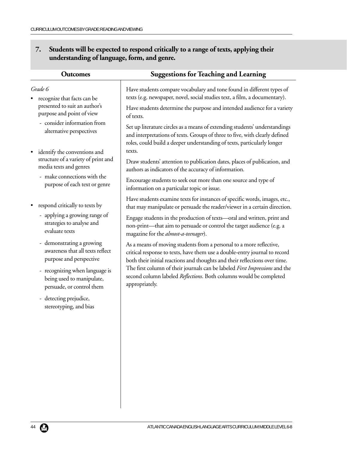## **7. Students will be expected to respond critically to a range of texts, applying their understanding of language, form, and genre.**

| <b>Outcomes</b>                                         | <b>Suggestions for Teaching and Learning</b>                                                                                                                                                                                         |
|---------------------------------------------------------|--------------------------------------------------------------------------------------------------------------------------------------------------------------------------------------------------------------------------------------|
| Grade 6                                                 | Have students compare vocabulary and tone found in different types of                                                                                                                                                                |
| recognize that facts can be                             | texts (e.g. newspaper, novel, social studies text, a film, a documentary).                                                                                                                                                           |
| presented to suit an author's                           | Have students determine the purpose and intended audience for a variety                                                                                                                                                              |
| purpose and point of view                               | of texts.                                                                                                                                                                                                                            |
| - consider information from<br>alternative perspectives | Set up literature circles as a means of extending students' understandings<br>and interpretations of texts. Groups of three to five, with clearly defined<br>roles, could build a deeper understanding of texts, particularly longer |
| identify the conventions and<br>$\bullet$               | texts.                                                                                                                                                                                                                               |
| structure of a variety of print and                     | Draw students' attention to publication dates, places of publication, and                                                                                                                                                            |
| media texts and genres                                  | authors as indicators of the accuracy of information.                                                                                                                                                                                |
| - make connections with the                             | Encourage students to seek out more than one source and type of                                                                                                                                                                      |
| purpose of each text or genre                           | information on a particular topic or issue.                                                                                                                                                                                          |
| respond critically to texts by                          | Have students examine texts for instances of specific words, images, etc.,<br>that may manipulate or persuade the reader/viewer in a certain direction.                                                                              |
| - applying a growing range of                           | Engage students in the production of texts-oral and written, print and                                                                                                                                                               |
| strategies to analyse and                               | non-print—that aim to persuade or control the target audience (e.g. a                                                                                                                                                                |
| evaluate texts                                          | magazine for the <i>almost-a-teenager</i> ).                                                                                                                                                                                         |
| - demonstrating a growing                               | As a means of moving students from a personal to a more reflective,                                                                                                                                                                  |
| awareness that all texts reflect                        | critical response to texts, have them use a double-entry journal to record                                                                                                                                                           |
| purpose and perspective                                 | both their initial reactions and thoughts and their reflections over time.                                                                                                                                                           |
| - recognizing when language is                          | The first column of their journals can be labeled First Impressions and the                                                                                                                                                          |
| being used to manipulate,                               | second column labeled Reflections. Both columns would be completed                                                                                                                                                                   |
| persuade, or control them                               | appropriately.                                                                                                                                                                                                                       |
| - detecting prejudice,<br>stereotyping, and bias        |                                                                                                                                                                                                                                      |
|                                                         |                                                                                                                                                                                                                                      |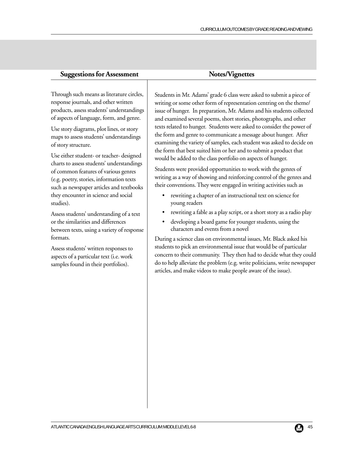| <b>Suggestions for Assessment</b>                                                                                                                                                                                                                                                                                                                                                                                                                                                                                                                                                                                                                                                                                                                                                                                                              | Notes/Vignettes                                                                                                                                                                                                                                                                                                                                                                                                                                                                                                                                                                                                                                                                                                                                                                                                                                                                                                                                                                                                                                                                                                                                                                                                                                                                                                                                                                                                                                                                                       |
|------------------------------------------------------------------------------------------------------------------------------------------------------------------------------------------------------------------------------------------------------------------------------------------------------------------------------------------------------------------------------------------------------------------------------------------------------------------------------------------------------------------------------------------------------------------------------------------------------------------------------------------------------------------------------------------------------------------------------------------------------------------------------------------------------------------------------------------------|-------------------------------------------------------------------------------------------------------------------------------------------------------------------------------------------------------------------------------------------------------------------------------------------------------------------------------------------------------------------------------------------------------------------------------------------------------------------------------------------------------------------------------------------------------------------------------------------------------------------------------------------------------------------------------------------------------------------------------------------------------------------------------------------------------------------------------------------------------------------------------------------------------------------------------------------------------------------------------------------------------------------------------------------------------------------------------------------------------------------------------------------------------------------------------------------------------------------------------------------------------------------------------------------------------------------------------------------------------------------------------------------------------------------------------------------------------------------------------------------------------|
| Through such means as literature circles,<br>response journals, and other written<br>products, assess students' understandings<br>of aspects of language, form, and genre.<br>Use story diagrams, plot lines, or story<br>maps to assess students' understandings<br>of story structure.<br>Use either student- or teacher- designed<br>charts to assess students' understandings<br>of common features of various genres<br>(e.g. poetry, stories, information texts<br>such as newspaper articles and textbooks<br>they encounter in science and social<br>studies).<br>Assess students' understanding of a text<br>or the similarities and differences<br>between texts, using a variety of response<br>formats.<br>Assess students' written responses to<br>aspects of a particular text (i.e. work<br>samples found in their portfolios). | Students in Mr. Adams' grade 6 class were asked to submit a piece of<br>writing or some other form of representation centring on the theme/<br>issue of hunger. In preparation, Mr. Adams and his students collected<br>and examined several poems, short stories, photographs, and other<br>texts related to hunger. Students were asked to consider the power of<br>the form and genre to communicate a message about hunger. After<br>examining the variety of samples, each student was asked to decide on<br>the form that best suited him or her and to submit a product that<br>would be added to the class portfolio on aspects of hunger.<br>Students were provided opportunities to work with the genres of<br>writing as a way of showing and reinforcing control of the genres and<br>their conventions. They were engaged in writing activities such as<br>rewriting a chapter of an instructional text on science for<br>٠<br>young readers<br>rewriting a fable as a play script, or a short story as a radio play<br>developing a board game for younger students, using the<br>characters and events from a novel<br>During a science class on environmental issues, Mr. Black asked his<br>students to pick an environmental issue that would be of particular<br>concern to their community. They then had to decide what they could<br>do to help alleviate the problem (e.g. write politicians, write newspaper<br>articles, and make videos to make people aware of the issue). |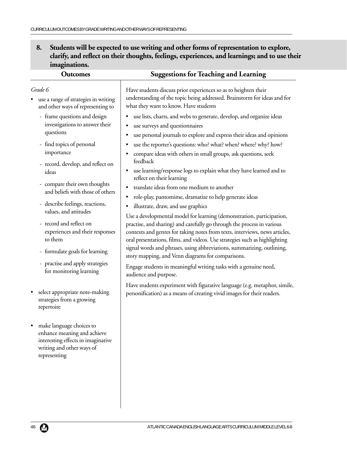**8. Students will be expected to use writing and other forms of representation to explore, clarify, and reflect on their thoughts, feelings, experiences, and learnings; and to use their imaginations.**

| <b>Outcomes</b>                                                                                                                                                                                                                                                             | <b>Suggestions for Teaching and Learning</b>                                                                                                                                                                                                                                                                                                                                                                                                                                                                                                                                                         |
|-----------------------------------------------------------------------------------------------------------------------------------------------------------------------------------------------------------------------------------------------------------------------------|------------------------------------------------------------------------------------------------------------------------------------------------------------------------------------------------------------------------------------------------------------------------------------------------------------------------------------------------------------------------------------------------------------------------------------------------------------------------------------------------------------------------------------------------------------------------------------------------------|
| Grade 6<br>use a range of strategies in writing<br>and other ways of representing to                                                                                                                                                                                        | Have students discuss prior experiences so as to heighten their<br>understanding of the topic being addressed. Brainstorm for ideas and for<br>what they want to know. Have students                                                                                                                                                                                                                                                                                                                                                                                                                 |
| - frame questions and design<br>investigations to answer their<br>questions<br>- find topics of personal<br>importance<br>- record, develop, and reflect on<br>ideas<br>- compare their own thoughts<br>and beliefs with those of others<br>- describe feelings, reactions, | use lists, charts, and webs to generate, develop, and organize ideas<br>٠<br>use surveys and questionnaires<br>٠<br>use personal journals to explore and express their ideas and opinions<br>$\bullet$<br>use the reporter's questions: who? what? when? where? why? how?<br>$\bullet$<br>compare ideas with others in small groups, ask questions, seek<br>٠<br>feedback<br>use learning/response logs to explain what they have learned and to<br>٠<br>reflect on their learning<br>translate ideas from one medium to another<br>٠<br>role-play, pantomime, dramatize to help generate ideas<br>٠ |
| values, and attitudes<br>- record and reflect on<br>experiences and their responses<br>to them<br>- formulate goals for learning<br>- practise and apply strategies<br>for monitoring learning                                                                              | illustrate, draw, and use graphics<br>٠<br>Use a developmental model for learning (demonstration, participation,<br>practise, and sharing) and carefully go through the process in various<br>contexts and genres for taking notes from texts, interviews, news articles,<br>oral presentations, films, and videos. Use strategies such as highlighting<br>signal words and phrases, using abbreviations, summarizing, outlining,<br>story mapping, and Venn diagrams for comparisons.<br>Engage students in meaningful writing tasks with a genuine need,                                           |
| select appropriate note-making<br>strategies from a growing<br>repertoire                                                                                                                                                                                                   | audience and purpose.<br>Have students experiment with figurative language (e.g. metaphor, simile,<br>personification) as a means of creating vivid images for their readers.                                                                                                                                                                                                                                                                                                                                                                                                                        |
| make language choices to<br>enhance meaning and achieve<br>interesting effects in imaginative<br>writing and other ways of<br>representing                                                                                                                                  |                                                                                                                                                                                                                                                                                                                                                                                                                                                                                                                                                                                                      |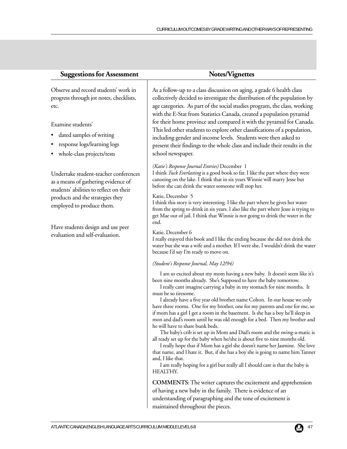| <b>Suggestions for Assessment</b>                                                                                                                                                                                      | Notes/Vignettes                                                                                                                                                                                                                                                                                                                                                                                                                                                                                                                                                                                                                                                                                                                                                                                                                                                                                                                                                                                                                                                    |
|------------------------------------------------------------------------------------------------------------------------------------------------------------------------------------------------------------------------|--------------------------------------------------------------------------------------------------------------------------------------------------------------------------------------------------------------------------------------------------------------------------------------------------------------------------------------------------------------------------------------------------------------------------------------------------------------------------------------------------------------------------------------------------------------------------------------------------------------------------------------------------------------------------------------------------------------------------------------------------------------------------------------------------------------------------------------------------------------------------------------------------------------------------------------------------------------------------------------------------------------------------------------------------------------------|
| Observe and record students' work in<br>progress through jot notes, checklists,<br>etc.<br>Examine students'<br>dated samples of writing<br>response logs/learning logs                                                | As a follow-up to a class discussion on aging, a grade 6 health class<br>collectively decided to investigate the distribution of the population by<br>age categories. As part of the social studies program, the class, working<br>with the E-Stat from Statistics Canada, created a population pyramid<br>for their home province and compared it with the pyramid for Canada.<br>This led other students to explore other classifications of a population,<br>including gender and income levels. Students were then asked to<br>present their findings to the whole class and include their results in the                                                                                                                                                                                                                                                                                                                                                                                                                                                      |
| whole-class projects/tests<br>Undertake student-teacher conferences<br>as a means of gathering evidence of<br>students' abilities to reflect on their<br>products and the strategies they<br>employed to produce them. | school newspaper.<br>(Katie's Response Journal Entries) December 1<br>I think Tuck Everlasting is a good book so far. I like the part where they were<br>canoeing on the lake. I think that in six years Winnie will marry Jesse but<br>before she can drink the water someone will stop her.                                                                                                                                                                                                                                                                                                                                                                                                                                                                                                                                                                                                                                                                                                                                                                      |
|                                                                                                                                                                                                                        | Katie, December 5<br>I think this story is very interesting. I like the part where he gives her water<br>from the spring to drink in six years. I also like the part where Jesse is trying to<br>get Mae out of jail. I think that Winnie is not going to drink the water in the<br>end.                                                                                                                                                                                                                                                                                                                                                                                                                                                                                                                                                                                                                                                                                                                                                                           |
| Have students design and use peer<br>evaluation and self-evaluation.                                                                                                                                                   | Katie, December 6<br>I really enjoyed this book and I like the ending because she did not drink the<br>water but she was a wife and a mother. If I were she, I wouldn't drink the water<br>because I'd say I'm ready to move on.                                                                                                                                                                                                                                                                                                                                                                                                                                                                                                                                                                                                                                                                                                                                                                                                                                   |
|                                                                                                                                                                                                                        | (Student's Response Journal, May 12/94)                                                                                                                                                                                                                                                                                                                                                                                                                                                                                                                                                                                                                                                                                                                                                                                                                                                                                                                                                                                                                            |
|                                                                                                                                                                                                                        | I am so excited about my mom having a new baby. It doesn't seem like it's<br>been nine months already. She's Supposed to have the baby tomorrow.<br>I really cant imagine carrying a baby in my stomach for nine months. It<br>must be so tiresome.<br>I already have a five year old brother name Colton. In our house we only<br>have three rooms. One for my brother, one for my parents and one for me, so<br>if mom has a girl I get a room in the basement. Is she has a boy he'll sleep in<br>mon and dad's room until he was old enough for a bed. Then my brother and<br>he will have to share bunk beds.<br>The baby's crib is set up in Mom and Dad's room and the swing-a-matic is<br>all ready set up for the baby when he/she is about five to nine months old.<br>I really hope that if Mom has a girl she doesn't name her Jasmine. She love<br>that name, and I hate it. But, if she has a boy she is going to name him Tanner<br>and, I like that.<br>I am really hoping for a girl but really all I should care is that the baby is<br>HEALTHY. |
|                                                                                                                                                                                                                        | <b>COMMENTS:</b> The writer captures the excitement and apprehension<br>of having a new baby in the family. There is evidence of an                                                                                                                                                                                                                                                                                                                                                                                                                                                                                                                                                                                                                                                                                                                                                                                                                                                                                                                                |
|                                                                                                                                                                                                                        | understanding of paragraphing and the tone of excitement is                                                                                                                                                                                                                                                                                                                                                                                                                                                                                                                                                                                                                                                                                                                                                                                                                                                                                                                                                                                                        |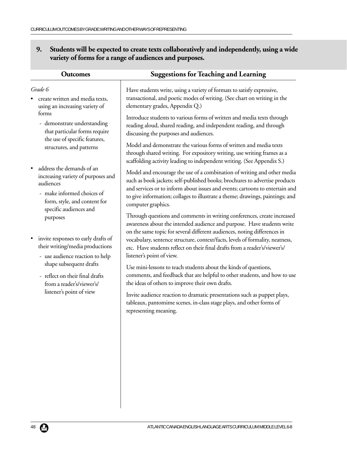**9. Students will be expected to create texts collaboratively and independently, using a wide variety of forms for a range of audiences and purposes.**

| <b>Outcomes</b>                                                                                                                                                      | <b>Suggestions for Teaching and Learning</b>                                                                                                                                                                                                                                                                                                                                                                              |
|----------------------------------------------------------------------------------------------------------------------------------------------------------------------|---------------------------------------------------------------------------------------------------------------------------------------------------------------------------------------------------------------------------------------------------------------------------------------------------------------------------------------------------------------------------------------------------------------------------|
| Grade 6<br>create written and media texts,<br>using an increasing variety of                                                                                         | Have students write, using a variety of formats to satisfy expressive,<br>transactional, and poetic modes of writing. (See chart on writing in the<br>elementary grades, Appendix Q.)                                                                                                                                                                                                                                     |
| forms<br>- demonstrate understanding<br>that particular forms require<br>the use of specific features,                                                               | Introduce students to various forms of written and media texts through<br>reading aloud, shared reading, and independent reading, and through<br>discussing the purposes and audiences.                                                                                                                                                                                                                                   |
| structures, and patterns                                                                                                                                             | Model and demonstrate the various forms of written and media texts<br>through shared writing. For expository writing, use writing frames as a<br>scaffolding activity leading to independent writing. (See Appendix S.)                                                                                                                                                                                                   |
| address the demands of an<br>increasing variety of purposes and<br>audiences<br>- make informed choices of<br>form, style, and content for<br>specific audiences and | Model and encourage the use of a combination of writing and other media<br>such as book jackets; self-published books; brochures to advertise products<br>and services or to inform about issues and events; cartoons to entertain and<br>to give information; collages to illustrate a theme; drawings, paintings; and<br>computer graphics.                                                                             |
| purposes<br>invite responses to early drafts of<br>their writing/media productions<br>- use audience reaction to help                                                | Through questions and comments in writing conferences, create increased<br>awareness about the intended audience and purpose. Have students write<br>on the same topic for several different audiences, noting differences in<br>vocabulary, sentence structure, context/facts, levels of formality, neatness,<br>etc. Have students reflect on their final drafts from a reader's/viewer's/<br>listener's point of view. |
| shape subsequent drafts<br>- reflect on their final drafts<br>from a reader's/viewer's/<br>listener's point of view                                                  | Use mini-lessons to teach students about the kinds of questions,<br>comments, and feedback that are helpful to other students, and how to use<br>the ideas of others to improve their own drafts.                                                                                                                                                                                                                         |
|                                                                                                                                                                      | Invite audience reaction to dramatic presentations such as puppet plays,<br>tableaux, pantomime scenes, in-class stage plays, and other forms of<br>representing meaning.                                                                                                                                                                                                                                                 |
|                                                                                                                                                                      |                                                                                                                                                                                                                                                                                                                                                                                                                           |
|                                                                                                                                                                      |                                                                                                                                                                                                                                                                                                                                                                                                                           |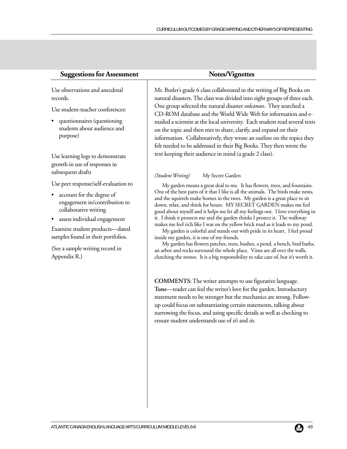| bservations and anecdotal<br>ds.                                  | Mr. Butler's grade 6 class collaborated in the writing of Big Boo<br>natural disasters. The class was divided into eight groups of thre                                                                                                                                                                                                                                                            |
|-------------------------------------------------------------------|----------------------------------------------------------------------------------------------------------------------------------------------------------------------------------------------------------------------------------------------------------------------------------------------------------------------------------------------------------------------------------------------------|
| tudent-teacher conferences:                                       | One group selected the natural disaster volcanoes. They searche<br>CD-ROM database and the World Wide Web for information                                                                                                                                                                                                                                                                          |
| uestionnaires (questioning<br>udents about audience and<br>(rpose | mailed a scientist at the local university. Each student read seve<br>on the topic and then met to share, clarify, and expand on their<br>information. Collaboratively, they wrote an outline on the top.<br>felt needed to be addressed in their Big Books. They then wrote                                                                                                                       |
| earning logs to demonstrate<br>th in use of responses in          | text keeping their audience in mind (a grade 2 class).                                                                                                                                                                                                                                                                                                                                             |
| quent drafts                                                      | (Student Writing)<br>My Secret Garden                                                                                                                                                                                                                                                                                                                                                              |
| eer response/self-evaluation to<br>count for the degree of        | My garden means a great deal to me. It has flowers, trees, and fou<br>One of the best parts of it that I like is all the animals. The birds mal-                                                                                                                                                                                                                                                   |
| gagement in/contribution to<br>llaborative writing                | and the squirrels make homes in the trees. My garden is a great place<br>down, relax, and think for hours. MY SECRET GARDEN makes n<br>good about myself and it helps me let all my feelings out. I love every                                                                                                                                                                                     |
| sess individual engagement                                        | it. I think it protects me and the garden thinks I protect it. The wall-                                                                                                                                                                                                                                                                                                                           |
| ine student products-dated<br>les found in their portfolios.      | makes me feel rich like I was on the yellow brick road as it leads to m<br>My garden is colorful and stands out with pride in its heart. I fee<br>inside my garden, it is one of my friends.                                                                                                                                                                                                       |
| sample writing record in<br>ndix R.)                              | My garden has flowers patches, trees, bushes, a pond, a bench, bir<br>an arbor and rocks surround the whole place. Vines are all over the v<br>clutching the stones. It is a big responsibility to take care of, but it's v                                                                                                                                                                        |
|                                                                   | <b>COMMENTS:</b> The writer attempts to use figurative language<br>Tone—reader can feel the writer's love for the garden. Introduc<br>statement needs to be stronger but the mechanics are strong. Fo<br>up could focus on substantiating certain statements, talking abo<br>narrowing the focus, and using specific details as well as checkin<br>ensure student understands use of it's and its. |
|                                                                   |                                                                                                                                                                                                                                                                                                                                                                                                    |

Use ol record

Use st

•  $qu$ students about audience and pu

Use le growth subsec

Use pe

- $\bullet$  account  $\bullet$ engagement in/contribution to col
- $•$  ass

Exam sampl

(See a Appen Mr. Butler's grade 6 class collaborated in the writing of Big Books on natural disasters. The class was divided into eight groups of three each. One group selected the natural disaster *volcanoes*. They searched a CD-ROM database and the World Wide Web for information and emailed a scientist at the local university. Each student read several texts on the topic and then met to share, clarify, and expand on their ics they felt needed to be addressed in their Big Books. They then wrote the

My garden means a great deal to me. It has flowers, trees, and fountains. One of the best parts of it that I like is all the animals. The birds make nests, and the squirrels make homes in the trees. My garden is a great place to sit down, relax, and think for hours. MY SECRET GARDEN makes me feel ything in it. I think it protects me and the garden thinks I protect it. The walkway

y pond<mark>.</mark><br>el proud My garden is colorful and stands out with pride in its heart. I feel proud

My garden has flowers patches, trees, bushes, a pond, a bench, bird baths, an arbor and rocks surround the whole place. Vines are all over the walls, clutching the stones. It is a big responsibility to take care of, but it's worth it.

**COMMENTS**: The writer attempts to use figurative language. **Tone**—reader can feel the writer's love for the garden. Introductory statement needs to be stronger but the mechanics are strong. Followup could focus on substantiating certain statements, talking about narrowing the focus, and using specific details as well as checking to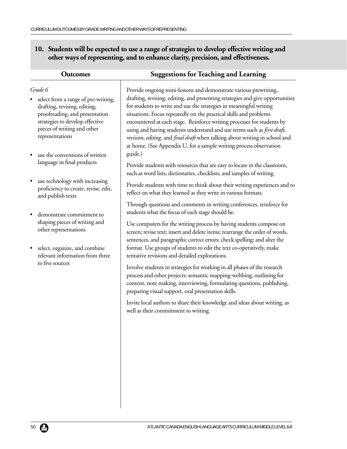**10. Students will be expected to use a range of strategies to develop effective writing and other ways of representing, and to enhance clarity, precision, and effectiveness.**

| <b>Outcomes</b>                                                                                                                                                                                       | <b>Suggestions for Teaching and Learning</b>                                                                                                                                                                                                                                                                                                                                                                                                                                                                                                                                                                   |
|-------------------------------------------------------------------------------------------------------------------------------------------------------------------------------------------------------|----------------------------------------------------------------------------------------------------------------------------------------------------------------------------------------------------------------------------------------------------------------------------------------------------------------------------------------------------------------------------------------------------------------------------------------------------------------------------------------------------------------------------------------------------------------------------------------------------------------|
| Grade 6<br>select from a range of pre-writing,<br>drafting, revising, editing,<br>proofreading, and presentation<br>strategies to develop effective<br>pieces of writing and other<br>representations | Provide ongoing mini-lessons and demonstrate various prewriting,<br>drafting, revising, editing, and presenting strategies and give opportunities<br>for students to write and use the strategies in meaningful writing<br>situations. Focus repeatedly on the practical skills and problems<br>encountered at each stage. Reinforce writing processes for students by<br>using and having students understand and use terms such as <i>first draft</i> ,<br>revision, editing, and final draft when talking about writing in school and<br>at home. (See Appendix U, for a sample writing process observation |
| use the conventions of written<br>language in final products<br>use technology with increasing<br>proficiency to create, revise, edit,                                                                | guide.)<br>Provide students with resources that are easy to locate in the classroom,<br>such as word lists, dictionaries, checklists, and samples of writing.<br>Provide students with time to think about their writing experiences and to<br>reflect on what they learned as they write in various formats.                                                                                                                                                                                                                                                                                                  |
| and publish texts<br>demonstrate commitment to<br>shaping pieces of writing and<br>other representations<br>select, organize, and combine<br>$\bullet$<br>relevant information from three             | Through questions and comments in writing conferences, reinforce for<br>students what the focus of each stage should be.<br>Use computers for the writing process by having students compose on<br>screen; revise text; insert and delete items; rearrange the order of words,<br>sentences, and paragraphs; correct errors; check spelling; and alter the<br>format. Use groups of students to edit the text co-operatively, make<br>tentative revisions and detailed explorations.                                                                                                                           |
| to five sources                                                                                                                                                                                       | Involve students in strategies for working in all phases of the research<br>process and other projects: semantic mapping-webbing, outlining for<br>content, note making, interviewing, formulating questions, publishing,<br>preparing visual support, oral presentation skills.<br>Invite local authors to share their knowledge and ideas about writing, as<br>well as their commitment to writing.                                                                                                                                                                                                          |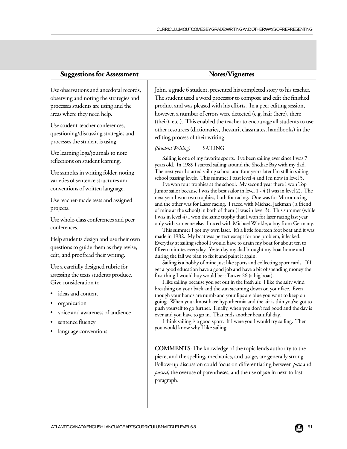| <b>Suggestions for Assessmen</b> |  |  |
|----------------------------------|--|--|

### t **Supplier Supplier Supplier Show Notes/Vignettes**

Use observations and anecdotal records, observing and noting the strategies and processes students are using and the areas where they need help.

Use student-teacher conferences, questioning/discussing strategies and processes the student is using.

Use learning logs/journals to note reflections on student learning.

Use samples in writing folder, noting varieties of sentence structures and conventions of written language.

Use teacher-made tests and assigned projects.

Use whole-class conferences and peer conferences.

Help students design and use their own questions to guide them as they revise, edit, and proofread their writing.

Use a carefully designed rubric for assessing the texts students produce. Give consideration to

- ideas and content
- organization
- voice and awareness of audience
- sentence fluency
- language conventions

John, a grade 6 student, presented his completed story to his teacher. The student used a word processor to compose and edit the finished product and was pleased with his efforts. In a peer editing session, however, a number of errors were detected (e.g. hair (here), there (their), etc.). This enabled the teacher to encourage all students to use other resources (dictionaries, thesauri, classmates, handbooks) in the editing process of their writing.

#### *(Student Writing)* SAILING

Sailing is one of my favorite sports. I've been sailing ever since I was 7 years old. In 1989 I started sailing around the Shediac Bay with my dad. The next year I started sailing school and four years later I'm still in sailing school passing levels. This summer I past level 4 and I'm now in level 5.

I've won four trophies at the school. My second year there I won Top Junior sailor because I was the best sailor in level 1 - 4 (I was in level 2). The next year I won two trophies, both for racing. One was for Mirror racing and the other was for Laser racing. I raced with Michael Jackman ( a friend of mine at the school) in both of them (I was in level 3). This summer (while I was in level 4) I won the same trophy that I won for laser racing last year only with someone else. I raced with Michael Winkle, a boy from Germany.

This summer I got my own laser. It's a little fourteen foot boat and it was made in 1982. My boat was perfect except for one problem, it leaked. Everyday at sailing school I would have to drain my boat for about ten to fifteen minutes everyday. Yesterday my dad brought my boat home and during the fall we plan to fix it and paint it again.

Sailing is a hobby of mine just like sports and collecting sport cards. If I get a good education have a good job and have a bit of spending money the first thing I would buy would be a Tanzer 26 (a big boat).

I like sailing because you get out in the fresh air. I like the salty wind breathing on your back and the sun steaming down on your face. Even though your hands are numb and your lips are blue you want to keep on going. When you almost have hypothermia and the air is thin you've got to push yourself to go further. Finally, when you don't feel good and the day is over and you have to go in. That ends another beautiful day.

I think sailing is a good sport. If I were you I would try sailing. Then you would know why I like sailing.

**COMMENTS**: The knowledge of the topic lends authority to the piece, and the spelling, mechanics, and usage, are generally strong. Follow-up discussion could focus on differentiating between *past* and *passed*, the overuse of parentheses, and the use of *you* in next-to-last paragraph.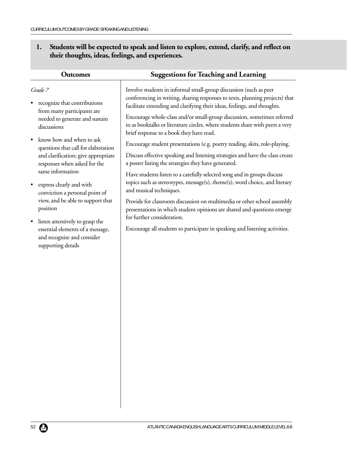## **1. Students will be expected to speak and listen to explore, extend, clarify, and reflect on their thoughts, ideas, feelings, and experiences.**

| <b>Outcomes</b>                                                                                                                                                                                                                                                                                                                                                                                                                                                                                                       | <b>Suggestions for Teaching and Learning</b>                                                                                                                                                                                                                                                                                                                                                                                                                                                                                                                                                                                                                                                                                                                                                                                                                                                                                                                                                                                                                                                                         |
|-----------------------------------------------------------------------------------------------------------------------------------------------------------------------------------------------------------------------------------------------------------------------------------------------------------------------------------------------------------------------------------------------------------------------------------------------------------------------------------------------------------------------|----------------------------------------------------------------------------------------------------------------------------------------------------------------------------------------------------------------------------------------------------------------------------------------------------------------------------------------------------------------------------------------------------------------------------------------------------------------------------------------------------------------------------------------------------------------------------------------------------------------------------------------------------------------------------------------------------------------------------------------------------------------------------------------------------------------------------------------------------------------------------------------------------------------------------------------------------------------------------------------------------------------------------------------------------------------------------------------------------------------------|
| Grade 7<br>recognize that contributions<br>from many participants are<br>needed to generate and sustain<br>discussions<br>know how and when to ask<br>questions that call for elaboration<br>and clarification; give appropriate<br>responses when asked for the<br>same information<br>express clearly and with<br>$\bullet$<br>conviction a personal point of<br>view, and be able to support that<br>position<br>listen attentively to grasp the<br>essential elements of a message,<br>and recognize and consider | Involve students in informal small-group discussion (such as peer<br>conferencing in writing, sharing responses to texts, planning projects) that<br>facilitate extending and clarifying their ideas, feelings, and thoughts.<br>Encourage whole-class and/or small-group discussion, sometimes referred<br>to as booktalks or literature circles, where students share with peers a very<br>brief response to a book they have read.<br>Encourage student presentations (e.g. poetry reading, skits, role-playing.<br>Discuss effective speaking and listening strategies and have the class create<br>a poster listing the strategies they have generated.<br>Have students listen to a carefully selected song and in groups discuss<br>topics such as stereotypes, message(s), theme(s), word choice, and literary<br>and musical techniques.<br>Provide for classroom discussion on multimedia or other school assembly<br>presentations in which student opinions are shared and questions emerge<br>for further consideration.<br>Encourage all students to participate in speaking and listening activities. |
| supporting details                                                                                                                                                                                                                                                                                                                                                                                                                                                                                                    |                                                                                                                                                                                                                                                                                                                                                                                                                                                                                                                                                                                                                                                                                                                                                                                                                                                                                                                                                                                                                                                                                                                      |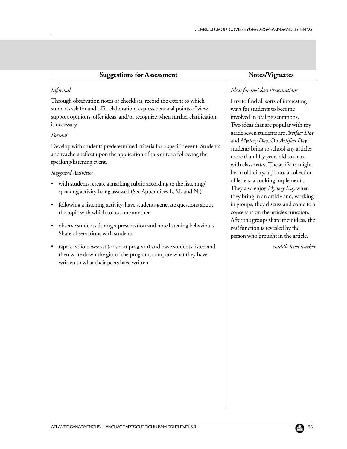| <b>Suggestions for Assessment</b>                                                                                                                                                                                                              | Notes/Vignettes                                                                                                                                |
|------------------------------------------------------------------------------------------------------------------------------------------------------------------------------------------------------------------------------------------------|------------------------------------------------------------------------------------------------------------------------------------------------|
| Informal                                                                                                                                                                                                                                       | Ideas for In-Class Presentations                                                                                                               |
| Through observation notes or checklists, record the extent to which<br>students ask for and offer elaboration, express personal points of view,<br>support opinions, offer ideas, and/or recognize when further clarification<br>is necessary. | I try to find all sorts of interesting<br>ways for students to become<br>involved in oral presentations.<br>Two ideas that are popular with my |
| Formal                                                                                                                                                                                                                                         | grade seven students are Artifact Day<br>and Mystery Day. On Artifact Day                                                                      |
| Develop with students predetermined criteria for a specific event. Students<br>and teachers reflect upon the application of this criteria following the<br>speaking/listening event.                                                           | students bring to school any articles<br>more than fifty years old to share<br>with classmates. The artifacts might                            |
| Suggested Activities                                                                                                                                                                                                                           | be an old diary, a photo, a collection                                                                                                         |
| with students, create a marking rubric according to the listening/<br>speaking activity being assessed (See Appendices L, M, and N.)                                                                                                           | of letters, a cooking implement<br>They also enjoy Mystery Day when<br>they bring in an article and, working                                   |
| following a listening activity, have students generate questions about<br>$\bullet$<br>the topic with which to test one another                                                                                                                | in groups, they discuss and come to a<br>consensus on the article's function.                                                                  |
| observe students during a presentation and note listening behaviours.<br>Share observations with students                                                                                                                                      | After the groups share their ideas, the<br>real function is revealed by the<br>person who brought in the article.                              |
| tape a radio newscast (or short program) and have students listen and<br>then write down the gist of the program; compare what they have                                                                                                       | middle level teacher                                                                                                                           |

written to what their peers have written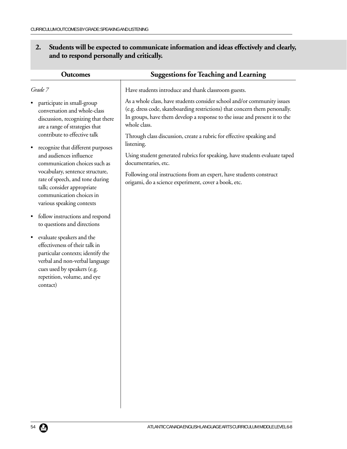## **2. Students will be expected to communicate information and ideas effectively and clearly, and to respond personally and critically.**

| <b>Outcomes</b>                                                                                                                                                                                                           | <b>Suggestions for Teaching and Learning</b>                                                                                                                                                                                                                                                                                               |
|---------------------------------------------------------------------------------------------------------------------------------------------------------------------------------------------------------------------------|--------------------------------------------------------------------------------------------------------------------------------------------------------------------------------------------------------------------------------------------------------------------------------------------------------------------------------------------|
| Grade 7                                                                                                                                                                                                                   | Have students introduce and thank classroom guests.                                                                                                                                                                                                                                                                                        |
| participate in small-group<br>conversation and whole-class<br>discussion, recognizing that there<br>are a range of strategies that<br>contribute to effective talk<br>recognize that different purposes                   | As a whole class, have students consider school and/or community issues<br>(e.g. dress code, skateboarding restrictions) that concern them personally.<br>In groups, have them develop a response to the issue and present it to the<br>whole class.<br>Through class discussion, create a rubric for effective speaking and<br>listening. |
| and audiences influence<br>communication choices such as                                                                                                                                                                  | Using student generated rubrics for speaking, have students evaluate taped<br>documentaries, etc.                                                                                                                                                                                                                                          |
| vocabulary, sentence structure,<br>rate of speech, and tone during<br>talk; consider appropriate<br>communication choices in<br>various speaking contexts                                                                 | Following oral instructions from an expert, have students construct<br>origami, do a science experiment, cover a book, etc.                                                                                                                                                                                                                |
| follow instructions and respond<br>$\bullet$<br>to questions and directions                                                                                                                                               |                                                                                                                                                                                                                                                                                                                                            |
| evaluate speakers and the<br>$\bullet$<br>effectiveness of their talk in<br>particular contexts; identify the<br>verbal and non-verbal language<br>cues used by speakers (e.g.<br>repetition, volume, and eye<br>contact) |                                                                                                                                                                                                                                                                                                                                            |
|                                                                                                                                                                                                                           |                                                                                                                                                                                                                                                                                                                                            |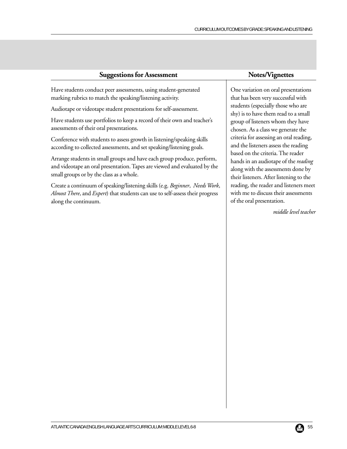| ÐО                                                                                                                                                                                              |                                                                                                                                           |
|-------------------------------------------------------------------------------------------------------------------------------------------------------------------------------------------------|-------------------------------------------------------------------------------------------------------------------------------------------|
| Have students conduct peer assessments, using student-generated                                                                                                                                 | One variation on oral presenta                                                                                                            |
| marking rubrics to match the speaking/listening activity.                                                                                                                                       | that has been very successful w                                                                                                           |
| Audiotape or videotape student presentations for self-assessment.                                                                                                                               | students (especially those who<br>shy) is to have them read to a s                                                                        |
| Have students use portfolios to keep a record of their own and teacher's                                                                                                                        | group of listeners whom they l                                                                                                            |
| assessments of their oral presentations.                                                                                                                                                        | chosen. As a class we generate                                                                                                            |
| Conference with students to assess growth in listening/speaking skills                                                                                                                          | criteria for assessing an oral rea                                                                                                        |
| according to collected assessments, and set speaking/listening goals.                                                                                                                           | and the listeners assess the read                                                                                                         |
| Arrange students in small groups and have each group produce, perform,<br>and videotape an oral presentation. Tapes are viewed and evaluated by the<br>small groups or by the class as a whole. | based on the criteria. The read<br>hands in an audiotape of the n<br>along with the assessments dor<br>their listeners. After listening t |

Create a continuum of speaking/listening skills (e.g. *Beginner*, *Needs Work*, *Almost There*, and *Expert*) that students can use to self-assess their progress along the continuum.

## **Suggestions for Assessment** Notes/Vignettes

ations that has been very successful with students (especially those who are small have chosen. As a class we generate the ading, ding based on the criteria. The reader eading ne by 1g to the reading, the reader and listeners meet with me to discuss their assessments of the oral presentation.

*middle level teacher*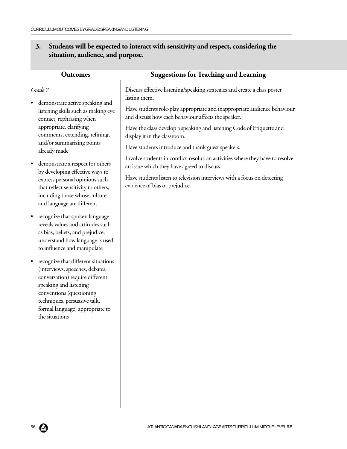## **3. Students will be expected to interact with sensitivity and respect, considering the situation, audience, and purpose.**

| <b>Outcomes</b>                                                                                                                                                                                                                                                   | <b>Suggestions for Teaching and Learning</b>                                                                                    |
|-------------------------------------------------------------------------------------------------------------------------------------------------------------------------------------------------------------------------------------------------------------------|---------------------------------------------------------------------------------------------------------------------------------|
| Grade 7                                                                                                                                                                                                                                                           | Discuss effective listening/speaking strategies and create a class poster<br>listing them.                                      |
| demonstrate active speaking and<br>listening skills such as making eye<br>contact, rephrasing when                                                                                                                                                                | Have students role-play appropriate and inappropriate audience behaviour<br>and discuss how each behaviour affects the speaker. |
| appropriate, clarifying<br>comments, extending, refining,                                                                                                                                                                                                         | Have the class develop a speaking and listening Code of Etiquette and<br>display it in the classroom.                           |
| and/or summarizing points<br>already made                                                                                                                                                                                                                         | Have students introduce and thank guest speakers.                                                                               |
| demonstrate a respect for others<br>$\bullet$<br>by developing effective ways to                                                                                                                                                                                  | Involve students in conflict-resolution activities where they have to resolve<br>an issue which they have agreed to discuss.    |
| express personal opinions such<br>that reflect sensitivity to others,<br>including those whose culture<br>and language are different                                                                                                                              | Have students listen to television interviews with a focus on detecting<br>evidence of bias or prejudice.                       |
| recognize that spoken language<br>$\bullet$<br>reveals values and attitudes such<br>as bias, beliefs, and prejudice;<br>understand how language is used<br>to influence and manipulate                                                                            |                                                                                                                                 |
| recognize that different situations<br>$\bullet$<br>(interviews, speeches, debates,<br>conversation) require different<br>speaking and listening<br>conventions (questioning<br>techniques, persuasive talk,<br>formal language) appropriate to<br>the situations |                                                                                                                                 |
|                                                                                                                                                                                                                                                                   |                                                                                                                                 |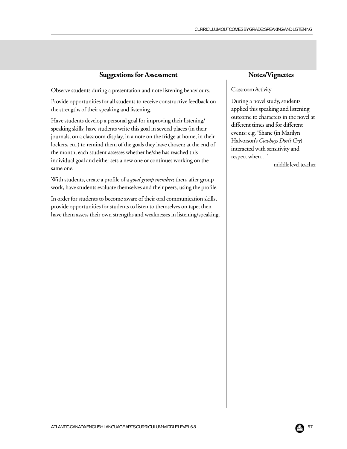| <b>Suggestions for Assessment</b> |  |
|-----------------------------------|--|
|-----------------------------------|--|

Observe students during a presentation and note listening behaviours.

Provide opportunities for all students to receive constructive feedback on the strengths of their speaking and listening.

Have students develop a personal goal for improving their listening/ speaking skills; have students write this goal in several places (in their journals, on a classroom display, in a note on the fridge at home, in their lockers, etc.) to remind them of the goals they have chosen; at the end of the month, each student assesses whether he/she has reached this individual goal and either sets a new one or continues working on the same one.

With students, create a profile of a *good group member*; then, after group work, have students evaluate themselves and their peers, using the profile.

In order for students to become aware of their oral communication skills, provide opportunities for students to listen to themselves on tape; then have them assess their own strengths and weaknesses in listening/speaking.

#### **Notes/Vignettes**

#### Classroom Activity

During a novel study, students applied this speaking and listening outcome to characters in the novel at different times and for different events: e.g. 'Shane (in Marilyn Halvorson's *Cowboys Don't Cry*) interacted with sensitivity and respect when…'

middle level teacher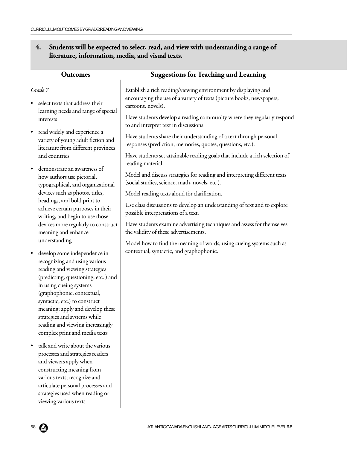## **4. Students will be expected to select, read, and view with understanding a range of literature, information, media, and visual texts.**

|           | <b>Outcomes</b>                                                                                                                                                                                                                                                                                                                                                           | <b>Suggestions for Teaching and Learning</b>                                                                                                                  |
|-----------|---------------------------------------------------------------------------------------------------------------------------------------------------------------------------------------------------------------------------------------------------------------------------------------------------------------------------------------------------------------------------|---------------------------------------------------------------------------------------------------------------------------------------------------------------|
|           | Grade 7<br>select texts that address their                                                                                                                                                                                                                                                                                                                                | Establish a rich reading/viewing environment by displaying and<br>encouraging the use of a variety of texts (picture books, newspapers,<br>cartoons, novels). |
|           | learning needs and range of special<br>interests                                                                                                                                                                                                                                                                                                                          | Have students develop a reading community where they regularly respond<br>to and interpret text in discussions.                                               |
| $\bullet$ | read widely and experience a<br>variety of young adult fiction and<br>literature from different provinces                                                                                                                                                                                                                                                                 | Have students share their understanding of a text through personal<br>responses (prediction, memories, quotes, questions, etc.).                              |
|           | and countries                                                                                                                                                                                                                                                                                                                                                             | Have students set attainable reading goals that include a rich selection of<br>reading material.                                                              |
| $\bullet$ | demonstrate an awareness of<br>how authors use pictorial,<br>typographical, and organizational                                                                                                                                                                                                                                                                            | Model and discuss strategies for reading and interpreting different texts<br>(social studies, science, math, novels, etc.).                                   |
|           | devices such as photos, titles,                                                                                                                                                                                                                                                                                                                                           | Model reading texts aloud for clarification.                                                                                                                  |
|           | headings, and bold print to<br>achieve certain purposes in their<br>writing, and begin to use those                                                                                                                                                                                                                                                                       | Use class discussions to develop an understanding of text and to explore<br>possible interpretations of a text.                                               |
|           | devices more regularly to construct<br>meaning and enhance                                                                                                                                                                                                                                                                                                                | Have students examine advertising techniques and assess for themselves<br>the validity of these advertisements.                                               |
|           | understanding                                                                                                                                                                                                                                                                                                                                                             | Model how to find the meaning of words, using cueing systems such as                                                                                          |
|           | develop some independence in<br>recognizing and using various<br>reading and viewing strategies<br>(predicting, questioning, etc.) and<br>in using cueing systems<br>(graphophonic, contextual,<br>syntactic, etc.) to construct<br>meaning; apply and develop these<br>strategies and systems while<br>reading and viewing increasingly<br>complex print and media texts | contextual, syntactic, and graphophonic.                                                                                                                      |
|           | talk and write about the various<br>processes and strategies readers<br>and viewers apply when<br>constructing meaning from<br>various texts; recognize and<br>articulate personal processes and<br>strategies used when reading or<br>viewing various texts                                                                                                              |                                                                                                                                                               |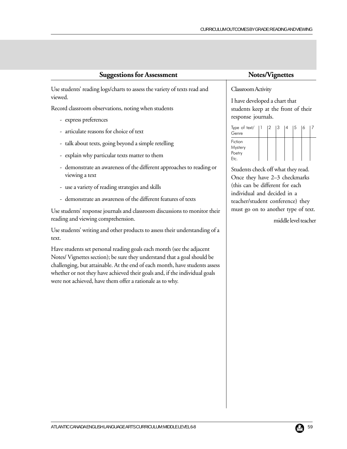Use students' reading logs/charts to assess the variety of texts read and viewed.

Record classroom observations, noting when students

- express preferences
- articulate reasons for choice of text
- talk about texts, going beyond a simple retelling
- explain why particular texts matter to them
- demonstrate an awareness of the different approaches to reading or viewing a text
- use a variety of reading strategies and skills
- demonstrate an awareness of the different features of texts

Use students' response journals and classroom discussions to monitor their reading and viewing comprehension.

Use students' writing and other products to assess their understanding of a text.

Have students set personal reading goals each month (see the adjacent Notes/ Vignettes section); be sure they understand that a goal should be challenging, but attainable. At the end of each month, have students assess whether or not they have achieved their goals and, if the individual goals were not achieved, have them offer a rationale as to why.

#### Classroom Activity

I have developed a chart that students keep at the front of their response journals.

| Type of text/<br>Genre               |  | 13 | $\vert 4 \vert$ | 15 | 16 |  |
|--------------------------------------|--|----|-----------------|----|----|--|
| Fiction<br>Mystery<br>Poetry<br>Etc. |  |    |                 |    |    |  |

Students check off what they read. Once they have 2–3 checkmarks (this can be different for each individual and decided in a teacher/student conference) they must go on to another type of text.

middle level teacher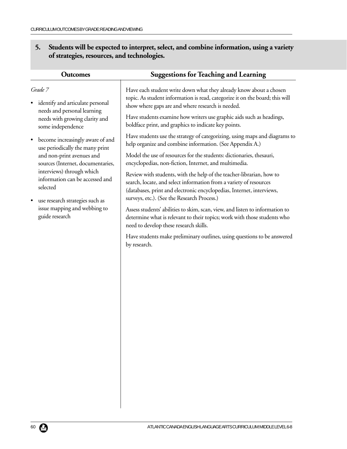## **5. Students will be expected to interpret, select, and combine information, using a variety of strategies, resources, and technologies.**

| <b>Outcomes</b>                                                                                                                                                                                                                                                                                                                                                                                                                                          | <b>Suggestions for Teaching and Learning</b>                                                                                                                                                                                                                                                                                                                                                                                                                                                                                                                                                                                                                                                                                                                                                                                                                                                                                                                                                                                                                                                                                                                                              |
|----------------------------------------------------------------------------------------------------------------------------------------------------------------------------------------------------------------------------------------------------------------------------------------------------------------------------------------------------------------------------------------------------------------------------------------------------------|-------------------------------------------------------------------------------------------------------------------------------------------------------------------------------------------------------------------------------------------------------------------------------------------------------------------------------------------------------------------------------------------------------------------------------------------------------------------------------------------------------------------------------------------------------------------------------------------------------------------------------------------------------------------------------------------------------------------------------------------------------------------------------------------------------------------------------------------------------------------------------------------------------------------------------------------------------------------------------------------------------------------------------------------------------------------------------------------------------------------------------------------------------------------------------------------|
| Grade 7<br>identify and articulate personal<br>needs and personal learning<br>needs with growing clarity and<br>some independence<br>become increasingly aware of and<br>$\bullet$<br>use periodically the many print<br>and non-print avenues and<br>sources (Internet, documentaries,<br>interviews) through which<br>information can be accessed and<br>selected<br>use research strategies such as<br>issue mapping and webbing to<br>guide research | Have each student write down what they already know about a chosen<br>topic. As student information is read, categorize it on the board; this will<br>show where gaps are and where research is needed.<br>Have students examine how writers use graphic aids such as headings,<br>boldface print, and graphics to indicate key points.<br>Have students use the strategy of categorizing, using maps and diagrams to<br>help organize and combine information. (See Appendix A.)<br>Model the use of resources for the students: dictionaries, thesauri,<br>encyclopedias, non-fiction, Internet, and multimedia.<br>Review with students, with the help of the teacher-librarian, how to<br>search, locate, and select information from a variety of resources<br>(databases, print and electronic encyclopedias, Internet, interviews,<br>surveys, etc.). (See the Research Process.)<br>Assess students' abilities to skim, scan, view, and listen to information to<br>determine what is relevant to their topics; work with those students who<br>need to develop these research skills.<br>Have students make preliminary outlines, using questions to be answered<br>by research. |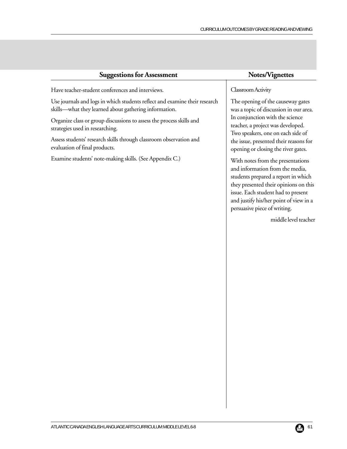| <b>Suggestions for Assessment</b>                                                                                                                                                                                                                                                                                                                                                                                                                                    | Notes/Vignettes                                                                                                                                                                                                                                                                                                                                                                                                                                                                                                                                                         |
|----------------------------------------------------------------------------------------------------------------------------------------------------------------------------------------------------------------------------------------------------------------------------------------------------------------------------------------------------------------------------------------------------------------------------------------------------------------------|-------------------------------------------------------------------------------------------------------------------------------------------------------------------------------------------------------------------------------------------------------------------------------------------------------------------------------------------------------------------------------------------------------------------------------------------------------------------------------------------------------------------------------------------------------------------------|
| Have teacher-student conferences and interviews.<br>Use journals and logs in which students reflect and examine their research<br>skills—what they learned about gathering information.<br>Organize class or group discussions to assess the process skills and<br>strategies used in researching.<br>Assess students' research skills through classroom observation and<br>evaluation of final products.<br>Examine students' note-making skills. (See Appendix C.) | Classroom Activity<br>The opening of the causeway gates<br>was a topic of discussion in our area.<br>In conjunction with the science<br>teacher, a project was developed.<br>Two speakers, one on each side of<br>the issue, presented their reasons for<br>opening or closing the river gates.<br>With notes from the presentations<br>and information from the media,<br>students prepared a report in which<br>they presented their opinions on this<br>issue. Each student had to present<br>and justify his/her point of view in a<br>persuasive piece of writing. |
|                                                                                                                                                                                                                                                                                                                                                                                                                                                                      | middle level teacher                                                                                                                                                                                                                                                                                                                                                                                                                                                                                                                                                    |
|                                                                                                                                                                                                                                                                                                                                                                                                                                                                      |                                                                                                                                                                                                                                                                                                                                                                                                                                                                                                                                                                         |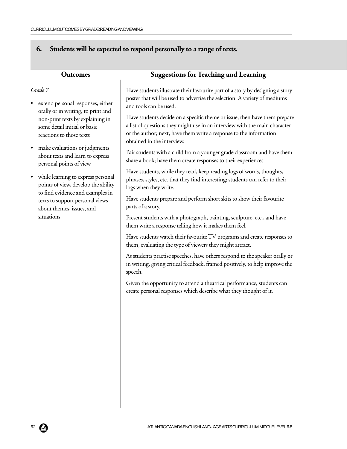# **6. Students will be expected to respond personally to a range of texts.**

| <b>Outcomes</b>                                                                                                                                                                             | <b>Suggestions for Teaching and Learning</b>                                                                                                                                                                                                                |
|---------------------------------------------------------------------------------------------------------------------------------------------------------------------------------------------|-------------------------------------------------------------------------------------------------------------------------------------------------------------------------------------------------------------------------------------------------------------|
| Grade 7<br>extend personal responses, either<br>orally or in writing, to print and<br>non-print texts by explaining in<br>some detail initial or basic<br>reactions to those texts          | Have students illustrate their favourite part of a story by designing a story<br>poster that will be used to advertise the selection. A variety of mediums<br>and tools can be used.                                                                        |
|                                                                                                                                                                                             | Have students decide on a specific theme or issue, then have them prepare<br>a list of questions they might use in an interview with the main character<br>or the author; next, have them write a response to the information<br>obtained in the interview. |
| make evaluations or judgments<br>about texts and learn to express<br>personal points of view                                                                                                | Pair students with a child from a younger grade classroom and have them<br>share a book; have them create responses to their experiences.                                                                                                                   |
| while learning to express personal<br>points of view, develop the ability<br>to find evidence and examples in<br>texts to support personal views<br>about themes, issues, and<br>situations | Have students, while they read, keep reading logs of words, thoughts,<br>phrases, styles, etc. that they find interesting; students can refer to their<br>logs when they write.                                                                             |
|                                                                                                                                                                                             | Have students prepare and perform short skits to show their favourite<br>parts of a story.                                                                                                                                                                  |
|                                                                                                                                                                                             | Present students with a photograph, painting, sculpture, etc., and have<br>them write a response telling how it makes them feel.                                                                                                                            |
|                                                                                                                                                                                             | Have students watch their favourite TV programs and create responses to<br>them, evaluating the type of viewers they might attract.                                                                                                                         |
|                                                                                                                                                                                             | As students practise speeches, have others respond to the speaker orally or<br>in writing, giving critical feedback, framed positively, to help improve the<br>speech.                                                                                      |
|                                                                                                                                                                                             | Given the opportunity to attend a theatrical performance, students can<br>create personal responses which describe what they thought of it.                                                                                                                 |
|                                                                                                                                                                                             |                                                                                                                                                                                                                                                             |
|                                                                                                                                                                                             |                                                                                                                                                                                                                                                             |
|                                                                                                                                                                                             |                                                                                                                                                                                                                                                             |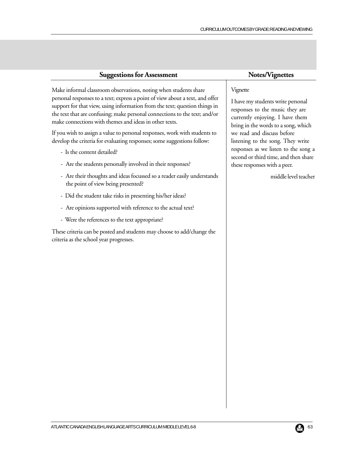| <b>Suggestions for Assessment</b>                                                                                                                                                                                                                                                                                                                                       | Notes/Vignettes                                                                                                                                            |  |
|-------------------------------------------------------------------------------------------------------------------------------------------------------------------------------------------------------------------------------------------------------------------------------------------------------------------------------------------------------------------------|------------------------------------------------------------------------------------------------------------------------------------------------------------|--|
| Make informal classroom observations, noting when students share<br>personal responses to a text; express a point of view about a text, and offer<br>support for that view, using information from the text; question things in<br>the text that are confusing; make personal connections to the text; and/or<br>make connections with themes and ideas in other texts. | Vignette<br>I have my students write personal<br>responses to the music they are<br>currently enjoying. I have them<br>bring in the words to a song, which |  |
| If you wish to assign a value to personal responses, work with students to<br>develop the criteria for evaluating responses; some suggestions follow:                                                                                                                                                                                                                   | we read and discuss before<br>listening to the song. They write<br>responses as we listen to the song a<br>second or third time, and then share            |  |
| - Is the content detailed?                                                                                                                                                                                                                                                                                                                                              |                                                                                                                                                            |  |
| - Are the students personally involved in their responses?                                                                                                                                                                                                                                                                                                              | these responses with a peer.                                                                                                                               |  |
| - Are their thoughts and ideas focussed so a reader easily understands<br>the point of view being presented?                                                                                                                                                                                                                                                            | middle level teacher                                                                                                                                       |  |
| - Did the student take risks in presenting his/her ideas?                                                                                                                                                                                                                                                                                                               |                                                                                                                                                            |  |
| - Are opinions supported with reference to the actual text?                                                                                                                                                                                                                                                                                                             |                                                                                                                                                            |  |
| - Were the references to the text appropriate?                                                                                                                                                                                                                                                                                                                          |                                                                                                                                                            |  |
| These criteria can be posted and students may choose to add/change the<br>criteria as the school year progresses.                                                                                                                                                                                                                                                       |                                                                                                                                                            |  |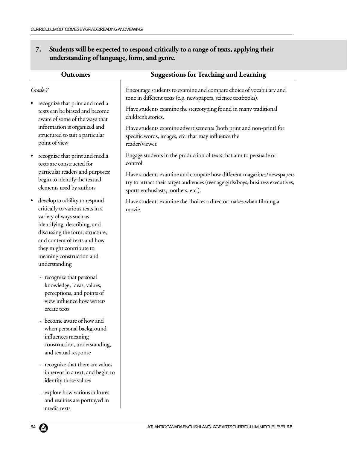## **7. Students will be expected to respond critically to a range of texts, applying their understanding of language, form, and genre.**

| <b>Outcomes</b>                                                                                                                                                                                                                                                          | <b>Suggestions for Teaching and Learning</b>                                                                                                                                                   |
|--------------------------------------------------------------------------------------------------------------------------------------------------------------------------------------------------------------------------------------------------------------------------|------------------------------------------------------------------------------------------------------------------------------------------------------------------------------------------------|
| Grade 7                                                                                                                                                                                                                                                                  | Encourage students to examine and compare choice of vocabulary and<br>tone in different texts (e.g. newspapers, science textbooks).                                                            |
| recognize that print and media<br>texts can be biased and become<br>aware of some of the ways that                                                                                                                                                                       | Have students examine the stereotyping found in many traditional<br>children's stories.                                                                                                        |
| information is organized and<br>structured to suit a particular<br>point of view                                                                                                                                                                                         | Have students examine advertisements (both print and non-print) for<br>specific words, images, etc. that may influence the<br>reader/viewer.                                                   |
| recognize that print and media<br>$\bullet$<br>texts are constructed for                                                                                                                                                                                                 | Engage students in the production of texts that aim to persuade or<br>control.                                                                                                                 |
| particular readers and purposes;<br>begin to identify the textual<br>elements used by authors                                                                                                                                                                            | Have students examine and compare how different magazines/newspapers<br>try to attract their target audiences (teenage girls/boys, business executives,<br>sports enthusiasts, mothers, etc.). |
| develop an ability to respond<br>critically to various texts in a<br>variety of ways such as<br>identifying, describing, and<br>discussing the form, structure,<br>and content of texts and how<br>they might contribute to<br>meaning construction and<br>understanding | Have students examine the choices a director makes when filming a<br>movie.                                                                                                                    |
| - recognize that personal<br>knowledge, ideas, values,<br>perceptions, and points of<br>view influence how writers<br>create texts                                                                                                                                       |                                                                                                                                                                                                |
| - become aware of how and<br>when personal background<br>influences meaning<br>construction, understanding,<br>and textual response                                                                                                                                      |                                                                                                                                                                                                |
| - recognize that there are values<br>inherent in a text, and begin to<br>identify those values                                                                                                                                                                           |                                                                                                                                                                                                |
| - explore how various cultures<br>and realities are portrayed in<br>media texts                                                                                                                                                                                          |                                                                                                                                                                                                |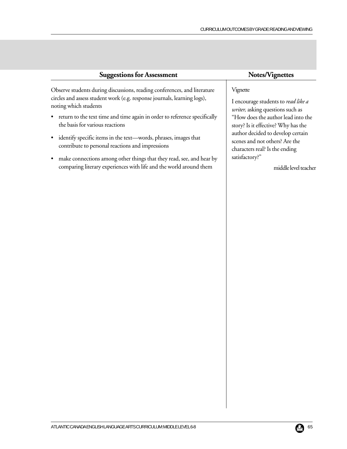| <b>Suggestions for Assessment</b>                                                                                                                                                                                                                                                                                                                                                                                                                                                                                                                                      | Notes/Vignettes                                                                                                                                                                                                                                                                                                     |  |  |
|------------------------------------------------------------------------------------------------------------------------------------------------------------------------------------------------------------------------------------------------------------------------------------------------------------------------------------------------------------------------------------------------------------------------------------------------------------------------------------------------------------------------------------------------------------------------|---------------------------------------------------------------------------------------------------------------------------------------------------------------------------------------------------------------------------------------------------------------------------------------------------------------------|--|--|
| Observe students during discussions, reading conferences, and literature<br>circles and assess student work (e.g. response journals, learning logs),<br>noting which students<br>• return to the text time and time again in order to reference specifically<br>the basis for various reactions<br>identify specific items in the text-words, phrases, images that<br>contribute to personal reactions and impressions<br>• make connections among other things that they read, see, and hear by<br>comparing literary experiences with life and the world around them | Vignette<br>I encourage students to read like a<br>writer, asking questions such as<br>"How does the author lead into the<br>story? Is it effective? Why has the<br>author decided to develop certain<br>scenes and not others? Are the<br>characters real? Is the ending<br>satisfactory?"<br>middle level teacher |  |  |
|                                                                                                                                                                                                                                                                                                                                                                                                                                                                                                                                                                        |                                                                                                                                                                                                                                                                                                                     |  |  |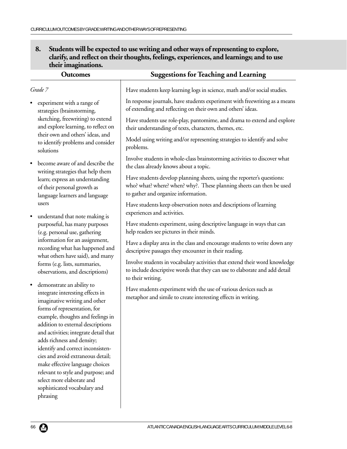## **8. Students will be expected to use writing and other ways of representing to explore, clarify, and reflect on their thoughts, feelings, experiences, and learnings; and to use their imaginations.**

| <b>Outcomes</b>                                                                                                                                                           | <b>Suggestions for Teaching and Learning</b>                                                                                                                                          |
|---------------------------------------------------------------------------------------------------------------------------------------------------------------------------|---------------------------------------------------------------------------------------------------------------------------------------------------------------------------------------|
| Grade 7                                                                                                                                                                   | Have students keep learning logs in science, math and/or social studies.                                                                                                              |
| experiment with a range of<br>strategies (brainstorming,                                                                                                                  | In response journals, have students experiment with freewriting as a means<br>of extending and reflecting on their own and others' ideas.                                             |
| sketching, freewriting) to extend<br>and explore learning, to reflect on<br>their own and others' ideas, and<br>to identify problems and consider<br>solutions            | Have students use role-play, pantomime, and drama to extend and explore<br>their understanding of texts, characters, themes, etc.                                                     |
|                                                                                                                                                                           | Model using writing and/or representing strategies to identify and solve<br>problems.                                                                                                 |
| become aware of and describe the<br>writing strategies that help them<br>learn; express an understanding<br>of their personal growth as<br>language learners and language | Involve students in whole-class brainstorming activities to discover what<br>the class already knows about a topic.                                                                   |
|                                                                                                                                                                           | Have students develop planning sheets, using the reporter's questions:<br>who? what? where? when? why?. These planning sheets can then be used<br>to gather and organize information. |
| users<br>understand that note making is<br>٠                                                                                                                              | Have students keep observation notes and descriptions of learning<br>experiences and activities.                                                                                      |
| purposeful, has many purposes<br>(e.g. personal use, gathering                                                                                                            | Have students experiment, using descriptive language in ways that can<br>help readers see pictures in their minds.                                                                    |
| information for an assignment,<br>recording what has happened and                                                                                                         | Have a display area in the class and encourage students to write down any<br>descriptive passages they encounter in their reading.                                                    |
| what others have said), and many<br>forms (e.g. lists, summaries,<br>observations, and descriptions)                                                                      | Involve students in vocabulary activities that extend their word knowledge<br>to include descriptive words that they can use to elaborate and add detail<br>to their writing.         |
| demonstrate an ability to<br>$\bullet$<br>integrate interesting effects in<br>imaginative writing and other<br>forms of representation, for                               | Have students experiment with the use of various devices such as<br>metaphor and simile to create interesting effects in writing.                                                     |
| example, thoughts and feelings in                                                                                                                                         |                                                                                                                                                                                       |
| addition to external descriptions<br>and activities; integrate detail that                                                                                                |                                                                                                                                                                                       |
| adds richness and density;                                                                                                                                                |                                                                                                                                                                                       |
| identify and correct inconsisten-                                                                                                                                         |                                                                                                                                                                                       |
| cies and avoid extraneous detail;                                                                                                                                         |                                                                                                                                                                                       |
| make effective language choices                                                                                                                                           |                                                                                                                                                                                       |
| relevant to style and purpose; and                                                                                                                                        |                                                                                                                                                                                       |
| select more elaborate and                                                                                                                                                 |                                                                                                                                                                                       |
| sophisticated vocabulary and                                                                                                                                              |                                                                                                                                                                                       |
| phrasing                                                                                                                                                                  |                                                                                                                                                                                       |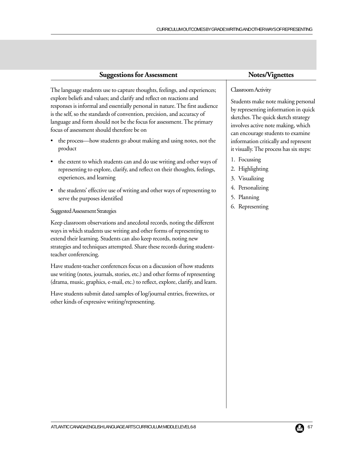| <b>Suggestions for Assessment</b>                                                                           | Notes/Vignettes                                    |  |  |
|-------------------------------------------------------------------------------------------------------------|----------------------------------------------------|--|--|
| The language students use to capture thoughts, feelings, and experiences;                                   | Classroom Activity                                 |  |  |
| explore beliefs and values; and clarify and reflect on reactions and                                        | Students make note making personal                 |  |  |
| responses is informal and essentially personal in nature. The first audience                                | by representing information in quick               |  |  |
| is the self, so the standards of convention, precision, and accuracy of                                     | sketches. The quick sketch strategy                |  |  |
| language and form should not be the focus for assessment. The primary                                       | involves active note making, which                 |  |  |
| focus of assessment should therefore be on                                                                  | can encourage students to examine                  |  |  |
| • the process—how students go about making and using notes, not the                                         | information critically and represent               |  |  |
| product                                                                                                     | it visually. The process has six steps:            |  |  |
| • the extent to which students can and do use writing and other ways of                                     | 1. Focussing                                       |  |  |
| representing to explore, clarify, and reflect on their thoughts, feelings,                                  | 2. Highlighting                                    |  |  |
| experiences, and learning                                                                                   | 3. Visualizing                                     |  |  |
| • the students' effective use of writing and other ways of representing to<br>serve the purposes identified | 4. Personalizing<br>5. Planning<br>6. Representing |  |  |

#### Suggested Assessment Strategies

Keep classroom observations and anecdotal records, noting the different ways in which students use writing and other forms of representing to extend their learning. Students can also keep records, noting new strategies and techniques attempted. Share these records during studentteacher conferencing.

Have student-teacher conferences focus on a discussion of how students use writing (notes, journals, stories, etc.) and other forms of representing (drama, music, graphics, e-mail, etc.) to reflect, explore, clarify, and learn.

Have students submit dated samples of log/journal entries, freewrites, or other kinds of expressive writing/representing.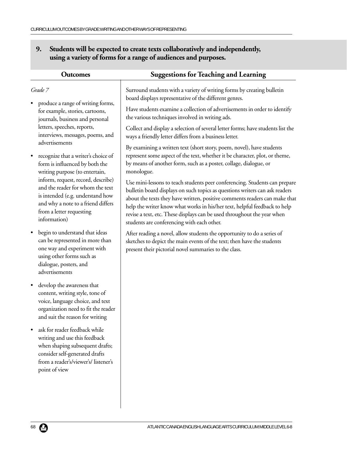| 9. Students will be expected to create texts collaboratively and independently, |
|---------------------------------------------------------------------------------|
| using a variety of forms for a range of audiences and purposes.                 |

| <b>Outcomes</b>                                                                                                                                                                              | <b>Suggestions for Teaching and Learning</b>                                                                                                                                                                                                                                                                                                                                                                                                  |
|----------------------------------------------------------------------------------------------------------------------------------------------------------------------------------------------|-----------------------------------------------------------------------------------------------------------------------------------------------------------------------------------------------------------------------------------------------------------------------------------------------------------------------------------------------------------------------------------------------------------------------------------------------|
| Grade 7                                                                                                                                                                                      | Surround students with a variety of writing forms by creating bulletin<br>board displays representative of the different genres.                                                                                                                                                                                                                                                                                                              |
| produce a range of writing forms,<br>for example, stories, cartoons,<br>journals, business and personal                                                                                      | Have students examine a collection of advertisements in order to identify<br>the various techniques involved in writing ads.                                                                                                                                                                                                                                                                                                                  |
| letters, speeches, reports,<br>interviews, messages, poems, and<br>advertisements                                                                                                            | Collect and display a selection of several letter forms; have students list the<br>ways a friendly letter differs from a business letter.                                                                                                                                                                                                                                                                                                     |
| recognize that a writer's choice of<br>٠<br>form is influenced by both the<br>writing purpose (to entertain,                                                                                 | By examining a written text (short story, poem, novel), have students<br>represent some aspect of the text, whether it be character, plot, or theme,<br>by means of another form, such as a poster, collage, dialogue, or<br>monologue.                                                                                                                                                                                                       |
| inform, request, record, describe)<br>and the reader for whom the text<br>is intended (e.g. understand how<br>and why a note to a friend differs<br>from a letter requesting<br>information) | Use mini-lessons to teach students peer conferencing. Students can prepare<br>bulletin board displays on such topics as questions writers can ask readers<br>about the texts they have written, positive comments readers can make that<br>help the writer know what works in his/her text, helpful feedback to help<br>revise a text, etc. These displays can be used throughout the year when<br>students are conferencing with each other. |
| begin to understand that ideas<br>٠<br>can be represented in more than<br>one way and experiment with<br>using other forms such as<br>dialogue, posters, and<br>advertisements               | After reading a novel, allow students the opportunity to do a series of<br>sketches to depict the main events of the text; then have the students<br>present their pictorial novel summaries to the class.                                                                                                                                                                                                                                    |
| develop the awareness that<br>$\bullet$<br>content, writing style, tone of<br>voice, language choice, and text<br>organization need to fit the reader<br>and suit the reason for writing     |                                                                                                                                                                                                                                                                                                                                                                                                                                               |
| ask for reader feedback while<br>writing and use this feedback<br>when shaping subsequent drafts;<br>consider self-generated drafts<br>from a reader's/viewer's/listener's<br>point of view  |                                                                                                                                                                                                                                                                                                                                                                                                                                               |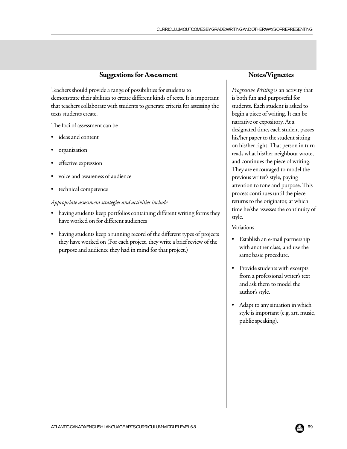Teachers should provide a range of possibilities for students to demonstrate their abilities to create different kinds of texts. It is important that teachers collaborate with students to generate criteria for assessing the texts students create.

The foci of assessment can be

- ideas and content
- organization
- effective expression
- voice and awareness of audience
- technical competence

#### *Appropriate assessment strategies and activities include*

- having students keep portfolios containing different writing forms they have worked on for different audiences
- having students keep a running record of the different types of projects they have worked on (For each project, they write a brief review of the purpose and audience they had in mind for that project.)

*Progressive Writing* is an activity that is both fun and purposeful for students. Each student is asked to begin a piece of writing. It can be narrative or expository. At a designated time, each student passes his/her paper to the student sitting on his/her right. That person in turn reads what his/her neighbour wrote, and continues the piece of writing. They are encouraged to model the previous writer's style, paying attention to tone and purpose. This process continues until the piece returns to the originator, at which time he/she assesses the continuity of style.

#### Variations

- Establish an e-mail partnership with another class, and use the same basic procedure.
- Provide students with excerpts from a professional writer's text and ask them to model the author's style.
- Adapt to any situation in which style is important (e.g. art, music, public speaking).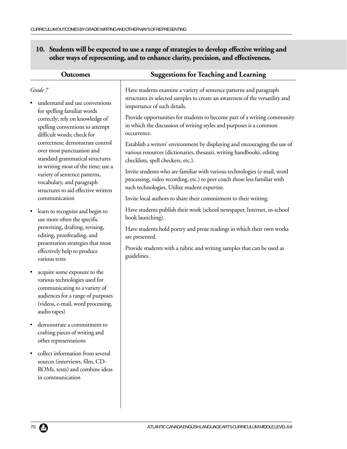# **10. Students will be expected to use a range of strategies to develop effective writing and other ways of representing, and to enhance clarity, precision, and effectiveness.**

| <b>Outcomes</b>                                                                                                                                                                                       | <b>Suggestions for Teaching and Learning</b>                                                                                                                                                           |  |
|-------------------------------------------------------------------------------------------------------------------------------------------------------------------------------------------------------|--------------------------------------------------------------------------------------------------------------------------------------------------------------------------------------------------------|--|
| Grade 7<br>understand and use conventions                                                                                                                                                             | Have students examine a variety of sentence patterns and paragraph<br>structures in selected samples to create an awareness of the versatility and<br>importance of such details.                      |  |
| for spelling familiar words<br>correctly; rely on knowledge of<br>spelling conventions to attempt<br>difficult words; check for                                                                       | Provide opportunities for students to become part of a writing community<br>in which the discussion of writing styles and purposes is a common<br>occurrence.                                          |  |
| correctness; demonstrate control<br>over most punctuation and<br>standard grammatical structures                                                                                                      | Establish a writers' environment by displaying and encouraging the use of<br>various resources (dictionaries, thesauri, writing handbooks, editing<br>checklists, spell checkers, etc.).               |  |
| in writing most of the time; use a<br>variety of sentence patterns,<br>vocabulary, and paragraph<br>structures to aid effective written                                                               | Invite students who are familiar with various technologies (e-mail, word<br>processing, video recording, etc.) to peer coach those less familiar with<br>such technologies. Utilize student expertise. |  |
| communication                                                                                                                                                                                         | Invite local authors to share their commitment to their writing.                                                                                                                                       |  |
| learn to recognize and begin to<br>$\bullet$<br>use more often the specific                                                                                                                           | Have students publish their work (school newspaper, Internet, in-school<br>book launching).                                                                                                            |  |
| prewriting, drafting, revising,<br>editing, proofreading, and                                                                                                                                         | Have students hold poetry and prose readings in which their own works<br>are presented.                                                                                                                |  |
| presentation strategies that most<br>effectively help to produce<br>various texts                                                                                                                     | Provide students with a rubric and writing samples that can be used as<br>guidelines.                                                                                                                  |  |
| acquire some exposure to the<br>$\bullet$<br>various technologies used for<br>communicating to a variety of<br>audiences for a range of purposes<br>(videos, e-mail, word processing,<br>audio tapes) |                                                                                                                                                                                                        |  |
| demonstrate a commitment to<br>crafting pieces of writing and<br>other representations                                                                                                                |                                                                                                                                                                                                        |  |
| collect information from several<br>sources (interviews, film, CD-<br>ROMs, texts) and combine ideas<br>in communication                                                                              |                                                                                                                                                                                                        |  |
|                                                                                                                                                                                                       |                                                                                                                                                                                                        |  |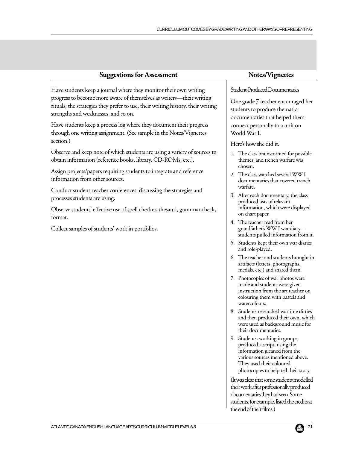| <b>Suggestions for Assessment</b>                                                                                                                                                                                                                                     | Notes/Vignettes                                                                                                                                              |
|-----------------------------------------------------------------------------------------------------------------------------------------------------------------------------------------------------------------------------------------------------------------------|--------------------------------------------------------------------------------------------------------------------------------------------------------------|
| Have students keep a journal where they monitor their own writing<br>progress to become more aware of themselves as writers—their writing<br>rituals, the strategies they prefer to use, their writing history, their writing<br>strengths and weaknesses, and so on. | Student-Produced Documentaries<br>One grade 7 teacher encouraged her<br>students to produce thematic<br>documentaries that helped them                       |
| Have students keep a process log where they document their progress<br>through one writing assignment. (See sample in the Notes/Vignettes                                                                                                                             | connect personally to a unit on<br>World War I.                                                                                                              |
| section.)                                                                                                                                                                                                                                                             | Here's how she did it.                                                                                                                                       |
| Observe and keep note of which students are using a variety of sources to<br>obtain information (reference books, library, CD-ROMs, etc.).                                                                                                                            | 1. The class brainstormed for possible<br>themes, and trench warfare was                                                                                     |
| Assign projects/papers requiring students to integrate and reference<br>information from other sources.                                                                                                                                                               | chosen.<br>2. The class watched several WW I<br>documentaries that covered trench                                                                            |
| Conduct student-teacher conferences, discussing the strategies and<br>processes students are using.                                                                                                                                                                   | warfare.<br>3. After each documentary, the class<br>produced lists of relevant                                                                               |
| Observe students' effective use of spell checker, thesauri, grammar check,<br>format.                                                                                                                                                                                 | information, which were displayed<br>on chart paper.                                                                                                         |
| Collect samples of students' work in portfolios.                                                                                                                                                                                                                      | 4. The teacher read from her<br>grandfather's WW I war diary-<br>students pulled information from it.                                                        |
|                                                                                                                                                                                                                                                                       | 5. Students kept their own war diaries<br>and role-played.                                                                                                   |
|                                                                                                                                                                                                                                                                       | 6. The teacher and students brought in<br>artifacts (letters, photographs,<br>medals, etc.) and shared them.                                                 |
|                                                                                                                                                                                                                                                                       | 7. Photocopies of war photos were<br>made and students were given<br>instruction from the art teacher on<br>colouring them with pastels and<br>watercolours. |

- 8. Students researched wartime ditties and then produced their own, which were used as background music for their documentaries.
- 9. Students, working in groups, produced a script, using the information gleaned from the various sources mentioned above. They used their coloured photocopies to help tell their story.

(It was clear that some students modelled their work after professionally produced documentaries they had seen. Some students, for example, listed the credits at the end of their films.)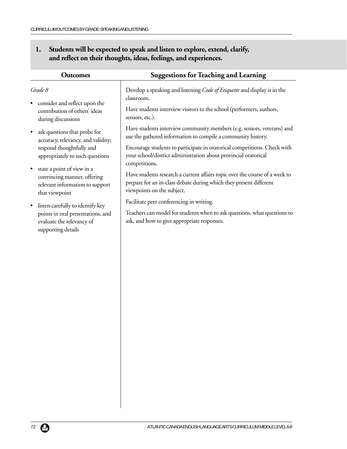| <b>Outcomes</b>                                                                                                             | <b>Suggestions for Teaching and Learning</b>                                                                                                                                    |  |
|-----------------------------------------------------------------------------------------------------------------------------|---------------------------------------------------------------------------------------------------------------------------------------------------------------------------------|--|
| Grade 8                                                                                                                     | Develop a speaking and listening Code of Etiquette and display it in the<br>classroom.                                                                                          |  |
| consider and reflect upon the<br>contribution of others' ideas<br>during discussions                                        | Have students interview visitors to the school (performers, authors,<br>seniors, etc.).                                                                                         |  |
| ask questions that probe for<br>$\bullet$<br>accuracy, relevancy, and validity;                                             | Have students interview community members (e.g. seniors, veterans) and<br>use the gathered information to compile a community history.                                          |  |
| respond thoughtfully and<br>appropriately to such questions                                                                 | Encourage students to participate in oratorical competitions. Check with<br>your school/district administration about provincial oratorical<br>competitions.                    |  |
| state a point of view in a<br>$\bullet$<br>convincing manner, offering<br>relevant information to support<br>that viewpoint | Have students research a current affairs topic over the course of a week to<br>prepare for an in-class debate during which they present different<br>viewpoints on the subject. |  |
| listen carefully to identify key<br>points in oral presentations, and<br>evaluate the relevancy of<br>supporting details    | Facilitate peer conferencing in writing.<br>Teachers can model for students when to ask questions, what questions to<br>ask, and how to give appropriate responses.             |  |
|                                                                                                                             |                                                                                                                                                                                 |  |
|                                                                                                                             |                                                                                                                                                                                 |  |
|                                                                                                                             |                                                                                                                                                                                 |  |

# **1. Students will be expected to speak and listen to explore, extend, clarify, and reflect on their thoughts, ideas, feelings, and experiences.**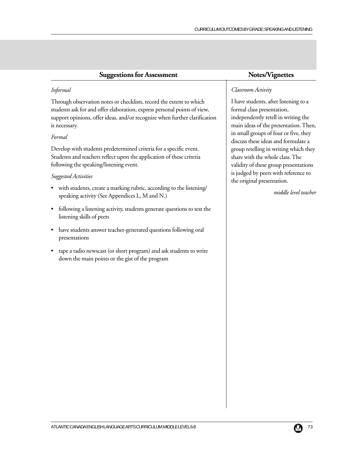| <b>Suggestions for Assessment</b>                                                                                                                                                                                                              | Notes/Vignettes                                                                                                                                                                                                                                                                                                                                                                                                                                        |
|------------------------------------------------------------------------------------------------------------------------------------------------------------------------------------------------------------------------------------------------|--------------------------------------------------------------------------------------------------------------------------------------------------------------------------------------------------------------------------------------------------------------------------------------------------------------------------------------------------------------------------------------------------------------------------------------------------------|
| Informal                                                                                                                                                                                                                                       | Classroom Activity                                                                                                                                                                                                                                                                                                                                                                                                                                     |
| Through observation notes or checklists, record the extent to which<br>students ask for and offer elaboration, express personal points of view,<br>support opinions, offer ideas, and/or recognize when further clarification<br>is necessary. | I have students, after listening to a<br>formal class presentation,<br>independently retell in writing the<br>main ideas of the presentation. Then,<br>in small groups of four or five, they<br>discuss these ideas and formulate a<br>group retelling in writing which they<br>share with the whole class. The<br>validity of these group presentations<br>is judged by peers with reference to<br>the original presentation.<br>middle level teacher |
| Formal                                                                                                                                                                                                                                         |                                                                                                                                                                                                                                                                                                                                                                                                                                                        |
| Develop with students predetermined criteria for a specific event.<br>Students and teachers reflect upon the application of these criteria<br>following the speaking/listening event.                                                          |                                                                                                                                                                                                                                                                                                                                                                                                                                                        |
| Suggested Activities                                                                                                                                                                                                                           |                                                                                                                                                                                                                                                                                                                                                                                                                                                        |
| with students, create a marking rubric, according to the listening/<br>speaking activity (See Appendices L, M and N.)                                                                                                                          |                                                                                                                                                                                                                                                                                                                                                                                                                                                        |
| following a listening activity, students generate questions to test the<br>$\bullet$<br>listening skills of peers                                                                                                                              |                                                                                                                                                                                                                                                                                                                                                                                                                                                        |
| have students answer teacher-generated questions following oral<br>presentations                                                                                                                                                               |                                                                                                                                                                                                                                                                                                                                                                                                                                                        |

• tape a radio newscast (or short program) and ask students to write down the main points or the gist of the program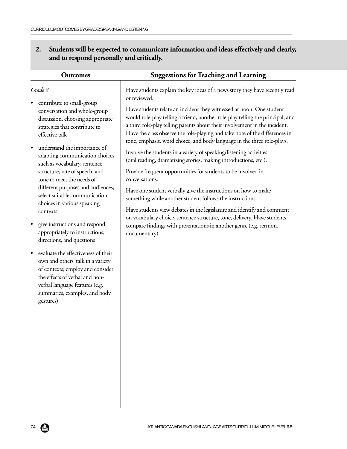# **2. Students will be expected to communicate information and ideas effectively and clearly, and to respond personally and critically.**

| <b>Outcomes</b>                                                                                                                                                                                                                                                          | <b>Suggestions for Teaching and Learning</b>                                                                                                                                                                                                                                                                                                                                                                                                                                                  |
|--------------------------------------------------------------------------------------------------------------------------------------------------------------------------------------------------------------------------------------------------------------------------|-----------------------------------------------------------------------------------------------------------------------------------------------------------------------------------------------------------------------------------------------------------------------------------------------------------------------------------------------------------------------------------------------------------------------------------------------------------------------------------------------|
| Grade 8<br>contribute to small-group<br>conversation and whole-group<br>discussion, choosing appropriate<br>strategies that contribute to<br>effective talk                                                                                                              | Have students explain the key ideas of a news story they have recently read<br>or reviewed.<br>Have students relate an incident they witnessed at noon. One student<br>would role-play telling a friend, another role-play telling the principal, and<br>a third role-play telling parents about their involvement in the incident.<br>Have the class observe the role-playing and take note of the differences in<br>tone, emphasis, word choice, and body language in the three role-plays. |
| understand the importance of<br>$\bullet$<br>adapting communication choices<br>such as vocabulary, sentence<br>structure, rate of speech, and<br>tone to meet the needs of<br>different purposes and audiences;                                                          | Involve the students in a variety of speaking/listening activities<br>(oral reading, dramatizing stories, making introductions, etc.).<br>Provide frequent opportunities for students to be involved in<br>conversations.<br>Have one student verbally give the instructions on how to make                                                                                                                                                                                                   |
| select suitable communication<br>choices in various speaking<br>contexts<br>give instructions and respond<br>appropriately to instructions,                                                                                                                              | something while another student follows the instructions.<br>Have students view debates in the legislature and identify and comment<br>on vocabulary choice, sentence structure, tone, delivery. Have students<br>compare findings with presentations in another genre (e.g. sermon,                                                                                                                                                                                                          |
| directions, and questions<br>evaluate the effectiveness of their<br>$\bullet$<br>own and others' talk in a variety<br>of contexts; employ and consider<br>the effects of verbal and non-<br>verbal language features (e.g.<br>summaries, examples, and body<br>gestures) | documentary).                                                                                                                                                                                                                                                                                                                                                                                                                                                                                 |
|                                                                                                                                                                                                                                                                          |                                                                                                                                                                                                                                                                                                                                                                                                                                                                                               |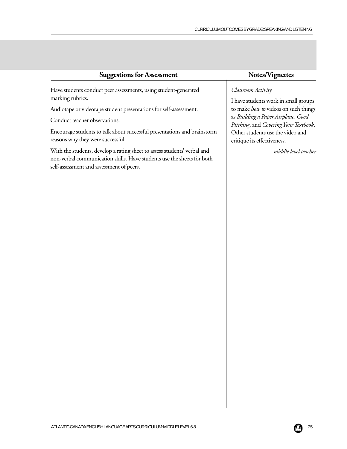| <b>Suggestions for Assessment</b>                                        | Notes/Vignettes                             |
|--------------------------------------------------------------------------|---------------------------------------------|
| Have students conduct peer assessments, using student-generated          | Classroom Activity                          |
| marking rubrics.                                                         | I have students work in small groups        |
| Audiotape or videotape student presentations for self-assessment.        | to make <i>how to</i> videos on such things |
| Conduct teacher observations.                                            | as Building a Paper Airplane, Good          |
|                                                                          | Pitching, and Covering Your Textbook.       |
| Encourage students to talk about successful presentations and brainstorm | Other students use the video and            |
| reasons why they were successful.                                        | critique its effectiveness.                 |

*middle level teacher*

With the students, develop a rating sheet to assess students' verbal and non-verbal communication skills. Have students use the sheets for both self-assessment and assessment of peers.

#### ATLANTIC CANADA ENGLISH LANGUAGE ARTS CURRICULUM: MIDDLE LEVEL 6-8 75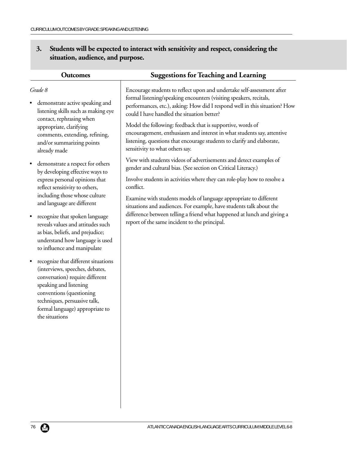# **3. Students will be expected to interact with sensitivity and respect, considering the situation, audience, and purpose.**

| <b>Outcomes</b>                                                                                                                                                                                                                                                   | <b>Suggestions for Teaching and Learning</b>                                                                             |  |
|-------------------------------------------------------------------------------------------------------------------------------------------------------------------------------------------------------------------------------------------------------------------|--------------------------------------------------------------------------------------------------------------------------|--|
| Grade 8                                                                                                                                                                                                                                                           | Encourage students to reflect upon and undertake self-assessment after                                                   |  |
| demonstrate active speaking and                                                                                                                                                                                                                                   | formal listening/speaking encounters (visiting speakers, recitals,                                                       |  |
| listening skills such as making eye                                                                                                                                                                                                                               | performances, etc.), asking: How did I respond well in this situation? How                                               |  |
| contact, rephrasing when                                                                                                                                                                                                                                          | could I have handled the situation better?                                                                               |  |
| appropriate, clarifying                                                                                                                                                                                                                                           | Model the following: feedback that is supportive, words of                                                               |  |
| comments, extending, refining,                                                                                                                                                                                                                                    | encouragement, enthusiasm and interest in what students say, attentive                                                   |  |
| and/or summarizing points                                                                                                                                                                                                                                         | listening, questions that encourage students to clarify and elaborate,                                                   |  |
| already made                                                                                                                                                                                                                                                      | sensitivity to what others say.                                                                                          |  |
| demonstrate a respect for others                                                                                                                                                                                                                                  | View with students videos of advertisements and detect examples of                                                       |  |
| by developing effective ways to                                                                                                                                                                                                                                   | gender and cultural bias. (See section on Critical Literacy.)                                                            |  |
| express personal opinions that                                                                                                                                                                                                                                    | Involve students in activities where they can role-play how to resolve a                                                 |  |
| reflect sensitivity to others,                                                                                                                                                                                                                                    | conflict.                                                                                                                |  |
| including those whose culture                                                                                                                                                                                                                                     | Examine with students models of language appropriate to different                                                        |  |
| and language are different                                                                                                                                                                                                                                        | situations and audiences. For example, have students talk about the                                                      |  |
| recognize that spoken language<br>$\bullet$<br>reveals values and attitudes such<br>as bias, beliefs, and prejudice;<br>understand how language is used<br>to influence and manipulate                                                                            | difference between telling a friend what happened at lunch and giving a<br>report of the same incident to the principal. |  |
| recognize that different situations<br>$\bullet$<br>(interviews, speeches, debates,<br>conversation) require different<br>speaking and listening<br>conventions (questioning<br>techniques, persuasive talk,<br>formal language) appropriate to<br>the situations |                                                                                                                          |  |
|                                                                                                                                                                                                                                                                   |                                                                                                                          |  |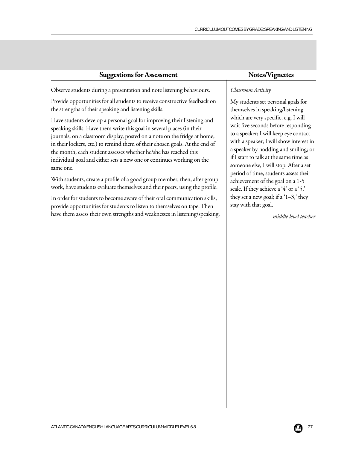| <b>Suggestions for Assessment</b>                                                                                                                 | Notes/Vignettes                                                |
|---------------------------------------------------------------------------------------------------------------------------------------------------|----------------------------------------------------------------|
| Observe students during a presentation and note listening behaviours.                                                                             | Classroom Activity                                             |
| Provide opportunities for all students to receive constructive feedback on                                                                        | My students set personal go                                    |
| the strengths of their speaking and listening skills.                                                                                             | themselves in speaking/lister<br>which are very specific, e.g. |
| Have students develop a personal goal for improving their listening and<br>speaking skills. Have them write this goal in several places (in their | wait five seconds before resp                                  |
| journals, on a classroom display, posted on a note on the fridge at home,                                                                         | to a speaker; I will keep eye                                  |
| in their lockers, etc.) to remind them of their chosen goals. At the end of                                                                       | with a speaker; I will show in<br>a speaker by nodding and sn  |
| the month, each student assesses whether he/she has reached this<br>individual goal and either sets a new one or continues working on the         | if I start to talk at the same t                               |
| same one.                                                                                                                                         | someone else, I will stop. Af<br>period of time students asset |
|                                                                                                                                                   |                                                                |

With students, create a profile of a good group member; then, after group work, have students evaluate themselves and their peers, using the profile.

In order for students to become aware of their oral communication skills, provide opportunities for students to listen to themselves on tape. Then have them assess their own strengths and weaknesses in listening/speaking.

pals for themselves I will ponding contact interest in miling; or time as fter a set period of time, students assess their achievement of the goal on a 1-5 scale. If they achieve a '4' or a '5,' they set a new goal; if a ' $1-3$ ,' they stay with that goal.

*middle level teacher*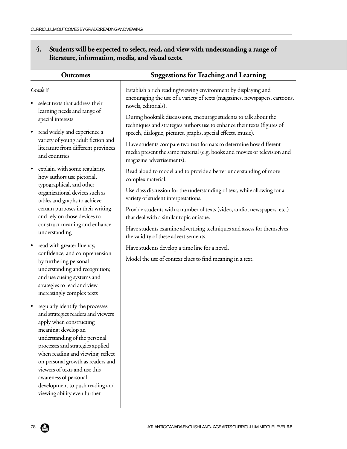# **4. Students will be expected to select, read, and view with understanding a range of literature, information, media, and visual texts.**

| <b>Outcomes</b>                                                                                                                                                                                                                                                                                                                                                                                                   | <b>Suggestions for Teaching and Learning</b>                                                                    |
|-------------------------------------------------------------------------------------------------------------------------------------------------------------------------------------------------------------------------------------------------------------------------------------------------------------------------------------------------------------------------------------------------------------------|-----------------------------------------------------------------------------------------------------------------|
| Grade 8                                                                                                                                                                                                                                                                                                                                                                                                           | Establish a rich reading/viewing environment by displaying and                                                  |
| select texts that address their                                                                                                                                                                                                                                                                                                                                                                                   | encouraging the use of a variety of texts (magazines, newspapers, cartoons,                                     |
| learning needs and range of                                                                                                                                                                                                                                                                                                                                                                                       | novels, editorials).                                                                                            |
| special interests                                                                                                                                                                                                                                                                                                                                                                                                 | During booktalk discussions, encourage students to talk about the                                               |
| read widely and experience a                                                                                                                                                                                                                                                                                                                                                                                      | techniques and strategies authors use to enhance their texts (figures of                                        |
| $\bullet$                                                                                                                                                                                                                                                                                                                                                                                                         | speech, dialogue, pictures, graphs, special effects, music).                                                    |
| variety of young adult fiction and                                                                                                                                                                                                                                                                                                                                                                                | Have students compare two text formats to determine how different                                               |
| literature from different provinces                                                                                                                                                                                                                                                                                                                                                                               | media present the same material (e.g. books and movies or television and                                        |
| and countries                                                                                                                                                                                                                                                                                                                                                                                                     | magazine advertisements).                                                                                       |
| explain, with some regularity,<br>$\bullet$<br>how authors use pictorial,                                                                                                                                                                                                                                                                                                                                         | Read aloud to model and to provide a better understanding of more<br>complex material.                          |
| typographical, and other<br>organizational devices such as<br>tables and graphs to achieve                                                                                                                                                                                                                                                                                                                        | Use class discussion for the understanding of text, while allowing for a<br>variety of student interpretations. |
| certain purposes in their writing,                                                                                                                                                                                                                                                                                                                                                                                | Provide students with a number of texts (video, audio, newspapers, etc.)                                        |
| and rely on those devices to                                                                                                                                                                                                                                                                                                                                                                                      | that deal with a similar topic or issue.                                                                        |
| construct meaning and enhance                                                                                                                                                                                                                                                                                                                                                                                     | Have students examine advertising techniques and assess for themselves                                          |
| understanding                                                                                                                                                                                                                                                                                                                                                                                                     | the validity of these advertisements.                                                                           |
| read with greater fluency,<br>$\bullet$<br>confidence, and comprehension<br>by furthering personal<br>understanding and recognition;<br>and use cueing systems and<br>strategies to read and view<br>increasingly complex texts                                                                                                                                                                                   | Have students develop a time line for a novel.<br>Model the use of context clues to find meaning in a text.     |
| regularly identify the processes<br>$\bullet$<br>and strategies readers and viewers<br>apply when constructing<br>meaning; develop an<br>understanding of the personal<br>processes and strategies applied<br>when reading and viewing; reflect<br>on personal growth as readers and<br>viewers of texts and use this<br>awareness of personal<br>development to push reading and<br>viewing ability even further |                                                                                                                 |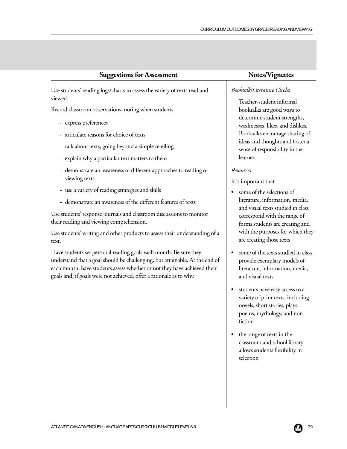Use students' reading logs/charts to assess the variety of texts read and viewed.

Record classroom observations, noting when students

- express preferences
- articulate reasons for choice of texts
- talk about texts, going beyond a simple retelling
- explain why a particular text matters to them
- demonstrate an awareness of different approaches to reading or viewing texts
- use a variety of reading strategies and skills
- demonstrate an awareness of the different features of texts

Use students' response journals and classroom discussions to monitor their reading and viewing comprehension.

Use students' writing and other products to assess their understanding of a text.

Have students set personal reading goals each month. Be sure they understand that a goal should be challenging, but attainable. At the end of each month, have students assess whether or not they have achieved their goals and, if goals were not achieved, offer a rationale as to why.

#### *Booktalk/Literature Circles*

Teacher-student informal booktalks are good ways to determine student strengths, weaknesses, likes, and dislikes. Booktalks encourage sharing of ideas and thoughts and foster a sense of responsibility in the learner.

#### *Resources*

It is important that

- some of the selections of literature, information, media, and visual texts studied in class correspond with the range of forms students are creating and with the purposes for which they are creating those texts
- some of the texts studied in class provide exemplary models of literature, information, media, and visual texts
- students have easy access to a variety of print texts, including novels, short stories, plays, poems, mythology, and nonfiction
- the range of texts in the classroom and school library allows students flexibility in selection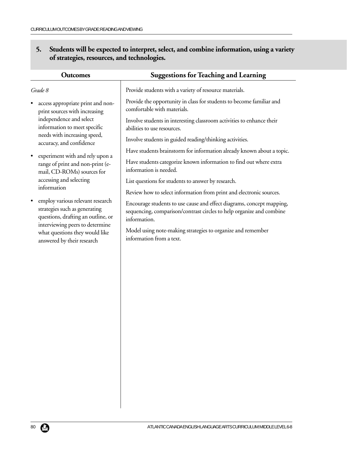# **5. Students will be expected to interpret, select, and combine information, using a variety of strategies, resources, and technologies.**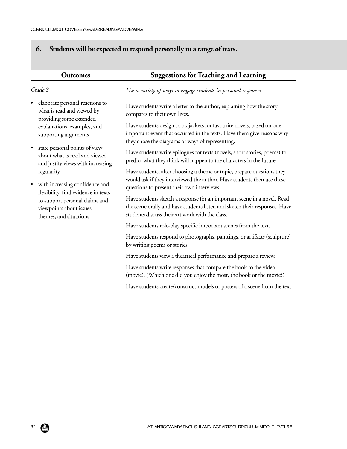# **6. Students will be expected to respond personally to a range of texts.**

| <b>Outcomes</b>                                                                                                                                                                                                               | <b>Suggestions for Teaching and Learning</b>                                                                                                                                                                                                                                                                                                                                            |
|-------------------------------------------------------------------------------------------------------------------------------------------------------------------------------------------------------------------------------|-----------------------------------------------------------------------------------------------------------------------------------------------------------------------------------------------------------------------------------------------------------------------------------------------------------------------------------------------------------------------------------------|
| Grade 8                                                                                                                                                                                                                       | Use a variety of ways to engage students in personal responses:                                                                                                                                                                                                                                                                                                                         |
| elaborate personal reactions to<br>what is read and viewed by<br>providing some extended<br>explanations, examples, and<br>supporting arguments<br>state personal points of view                                              | Have students write a letter to the author, explaining how the story<br>compares to their own lives.<br>Have students design book jackets for favourite novels, based on one<br>important event that occurred in the texts. Have them give reasons why<br>they chose the diagrams or ways of representing.<br>Have students write epilogues for texts (novels, short stories, poems) to |
| about what is read and viewed                                                                                                                                                                                                 | predict what they think will happen to the characters in the future.                                                                                                                                                                                                                                                                                                                    |
| and justify views with increasing<br>regularity<br>with increasing confidence and<br>$\bullet$<br>flexibility, find evidence in texts<br>to support personal claims and<br>viewpoints about issues,<br>themes, and situations | Have students, after choosing a theme or topic, prepare questions they<br>would ask if they interviewed the author. Have students then use these<br>questions to present their own interviews.                                                                                                                                                                                          |
|                                                                                                                                                                                                                               | Have students sketch a response for an important scene in a novel. Read<br>the scene orally and have students listen and sketch their responses. Have<br>students discuss their art work with the class.                                                                                                                                                                                |
|                                                                                                                                                                                                                               | Have students role-play specific important scenes from the text.                                                                                                                                                                                                                                                                                                                        |
|                                                                                                                                                                                                                               | Have students respond to photographs, paintings, or artifacts (sculpture)<br>by writing poems or stories.                                                                                                                                                                                                                                                                               |
|                                                                                                                                                                                                                               | Have students view a theatrical performance and prepare a review.                                                                                                                                                                                                                                                                                                                       |
|                                                                                                                                                                                                                               | Have students write responses that compare the book to the video<br>(movie). (Which one did you enjoy the most, the book or the movie?)                                                                                                                                                                                                                                                 |
|                                                                                                                                                                                                                               | Have students create/construct models or posters of a scene from the text.                                                                                                                                                                                                                                                                                                              |
|                                                                                                                                                                                                                               |                                                                                                                                                                                                                                                                                                                                                                                         |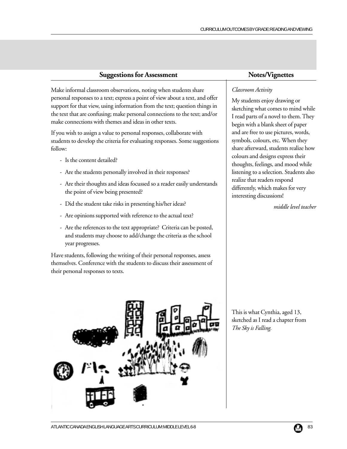Make informal classroom observations, noting when students share personal responses to a text; express a point of view about a text, and offer support for that view, using information from the text; question things in the text that are confusing; make personal connections to the text; and/or make connections with themes and ideas in other texts.

If you wish to assign a value to personal responses, collaborate with students to develop the criteria for evaluating responses. Some suggestions follow:

- Is the content detailed?
- Are the students personally involved in their responses?
- Are their thoughts and ideas focussed so a reader easily understands the point of view being presented?
- Did the student take risks in presenting his/her ideas?
- Are opinions supported with reference to the actual text?
- Are the references to the text appropriate? Criteria can be posted, and students may choose to add/change the criteria as the school year progresses.

Have students, following the writing of their personal responses, assess themselves. Conference with the students to discuss their assessment of their personal responses to texts.



### *Classroom Activity*

My students enjoy drawing or sketching what comes to mind while I read parts of a novel to them. They begin with a blank sheet of paper and are free to use pictures, words, symbols, colours, etc. When they share afterward, students realize how colours and designs express their thoughts, feelings, and mood while listening to a selection. Students also realize that readers respond differently, which makes for very interesting discussions!

*middle level teacher*

This is what Cynthia, aged 13, sketched as I read a chapter from *The Sky is Falling.*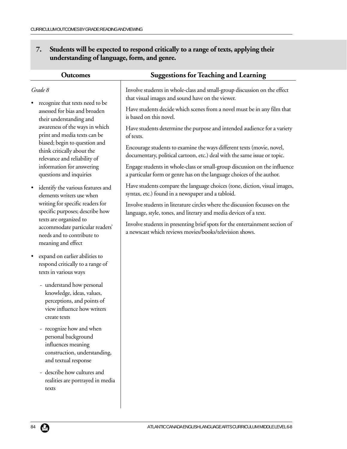# **7. Students will be expected to respond critically to a range of texts, applying their understanding of language, form, and genre.**

| <b>Outcomes</b>                                                                                                                    | <b>Suggestions for Teaching and Learning</b>                                                                                                       |
|------------------------------------------------------------------------------------------------------------------------------------|----------------------------------------------------------------------------------------------------------------------------------------------------|
| Grade 8                                                                                                                            | Involve students in whole-class and small-group discussion on the effect<br>that visual images and sound have on the viewer.                       |
| recognize that texts need to be<br>assessed for bias and broaden<br>their understanding and                                        | Have students decide which scenes from a novel must be in any film that<br>is based on this novel.                                                 |
| awareness of the ways in which<br>print and media texts can be                                                                     | Have students determine the purpose and intended audience for a variety<br>of texts.                                                               |
| biased; begin to question and<br>think critically about the<br>relevance and reliability of                                        | Encourage students to examine the ways different texts (movie, novel,<br>documentary, political cartoon, etc.) deal with the same issue or topic.  |
| information for answering<br>questions and inquiries                                                                               | Engage students in whole-class or small-group discussion on the influence<br>a particular form or genre has on the language choices of the author. |
| identify the various features and<br>٠<br>elements writers use when                                                                | Have students compare the language choices (tone, diction, visual images,<br>syntax, etc.) found in a newspaper and a tabloid.                     |
| writing for specific readers for<br>specific purposes; describe how                                                                | Involve students in literature circles where the discussion focusses on the<br>language, style, tones, and literary and media devices of a text.   |
| texts are organized to<br>accommodate particular readers'<br>needs and to contribute to<br>meaning and effect                      | Involve students in presenting brief spots for the entertainment section of<br>a newscast which reviews movies/books/television shows.             |
| expand on earlier abilities to<br>$\bullet$<br>respond critically to a range of<br>texts in various ways                           |                                                                                                                                                    |
| - understand how personal<br>knowledge, ideas, values,<br>perceptions, and points of<br>view influence how writers<br>create texts |                                                                                                                                                    |
| - recognize how and when<br>personal background<br>influences meaning<br>construction, understanding,<br>and textual response      |                                                                                                                                                    |
| - describe how cultures and<br>realities are portrayed in media<br>texts                                                           |                                                                                                                                                    |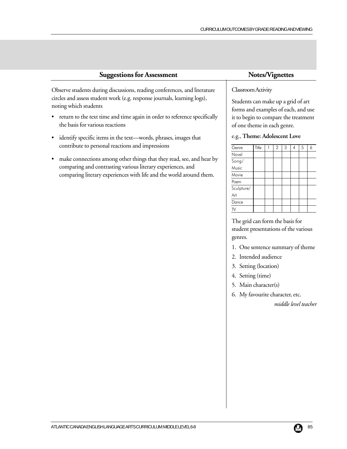Observe students during discussions, reading conferences, and literature circles and assess student work (e.g. response journals, learning logs), noting which students

- return to the text time and time again in order to reference specifically the basis for various reactions
- identify specific items in the text—words, phrases, images that contribute to personal reactions and impressions
- make connections among other things that they read, see, and hear by comparing and contrasting various literary experiences, and comparing literary experiences with life and the world around them.

### Classroom Activity

Students can make up a grid of art forms and examples of each, and use it to begin to compare the treatment of one theme in each genre.

#### e.g., **Theme: Adolescent Love**

| Genre      | Title | $\overline{2}$ | 3 | 4 | 5 | 6 |
|------------|-------|----------------|---|---|---|---|
| Novel      |       |                |   |   |   |   |
| Song/      |       |                |   |   |   |   |
| Music      |       |                |   |   |   |   |
| Movie      |       |                |   |   |   |   |
| Poem       |       |                |   |   |   |   |
| Sculpture/ |       |                |   |   |   |   |
| Art        |       |                |   |   |   |   |
| Dance      |       |                |   |   |   |   |
|            |       |                |   |   |   |   |

The grid can form the basis for student presentations of the various genres.

- 1. One sentence summary of theme
- 2. Intended audience
- 3. Setting (location)
- 4. Setting (time)
- 5. Main character(s)
- 6. My favourite character, etc.

*middle level teacher*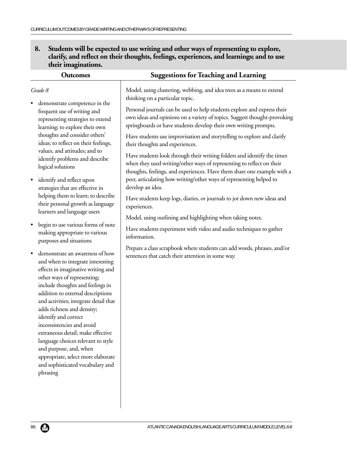### **8. Students will be expected to use writing and other ways of representing to explore, clarify, and reflect on their thoughts, feelings, experiences, and learnings; and to use their imaginations.**

| <b>Outcomes</b>                                                                                                                                                                                                                                                                                                                                                                                                                                                                                                                                        | <b>Suggestions for Teaching and Learning</b>                                                                                                                                                                                |
|--------------------------------------------------------------------------------------------------------------------------------------------------------------------------------------------------------------------------------------------------------------------------------------------------------------------------------------------------------------------------------------------------------------------------------------------------------------------------------------------------------------------------------------------------------|-----------------------------------------------------------------------------------------------------------------------------------------------------------------------------------------------------------------------------|
| Grade 8                                                                                                                                                                                                                                                                                                                                                                                                                                                                                                                                                | Model, using clustering, webbing, and idea trees as a means to extend<br>thinking on a particular topic.                                                                                                                    |
| demonstrate competence in the<br>frequent use of writing and<br>representing strategies to extend<br>learning; to explore their own                                                                                                                                                                                                                                                                                                                                                                                                                    | Personal journals can be used to help students explore and express their<br>own ideas and opinions on a variety of topics. Suggest thought-provoking<br>springboards or have students develop their own writing prompts.    |
| thoughts and consider others'<br>ideas; to reflect on their feelings,                                                                                                                                                                                                                                                                                                                                                                                                                                                                                  | Have students use improvisation and storytelling to explore and clarify<br>their thoughts and experiences.                                                                                                                  |
| values, and attitudes; and to<br>identify problems and describe<br>logical solutions                                                                                                                                                                                                                                                                                                                                                                                                                                                                   | Have students look through their writing folders and identify the times<br>when they used writing/other ways of representing to reflect on their<br>thoughts, feelings, and experiences. Have them share one example with a |
| identify and reflect upon<br>$\bullet$<br>strategies that are effective in                                                                                                                                                                                                                                                                                                                                                                                                                                                                             | peer, articulating how writing/other ways of representing helped to<br>develop an idea.                                                                                                                                     |
| helping them to learn; to describe<br>their personal growth as language<br>learners and language users                                                                                                                                                                                                                                                                                                                                                                                                                                                 | Have students keep logs, diaries, or journals to jot down new ideas and<br>experiences.                                                                                                                                     |
| begin to use various forms of note<br>$\bullet$<br>making appropriate to various<br>purposes and situations                                                                                                                                                                                                                                                                                                                                                                                                                                            | Model, using outlining and highlighting when taking notes.<br>Have students experiment with video and audio techniques to gather<br>information.                                                                            |
| demonstrate an awareness of how<br>$\bullet$<br>and when to integrate interesting<br>effects in imaginative writing and<br>other ways of representing;<br>include thoughts and feelings in<br>addition to external descriptions<br>and activities; integrate detail that<br>adds richness and density;<br>identify and correct<br>inconsistencies and avoid<br>extraneous detail; make effective<br>language choices relevant to style<br>and purpose, and, when<br>appropriate, select more elaborate<br>and sophisticated vocabulary and<br>phrasing | Prepare a class scrapbook where students can add words, phrases, and/or<br>sentences that catch their attention in some way.                                                                                                |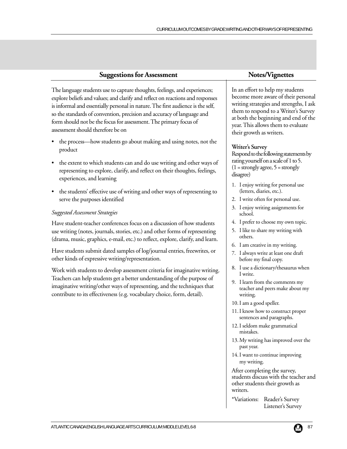The language students use to capture thoughts, feelings, and experiences; explore beliefs and values; and clarify and reflect on reactions and responses is informal and essentially personal in nature. The first audience is the self, so the standards of convention, precision and accuracy of language and form should not be the focus for assessment. The primary focus of assessment should therefore be on

- the process—how students go about making and using notes, not the product
- the extent to which students can and do use writing and other ways of representing to explore, clarify, and reflect on their thoughts, feelings, experiences, and learning
- the students' effective use of writing and other ways of representing to serve the purposes identified

#### *Suggested Assessment Strategies*

Have student-teacher conferences focus on a discussion of how students use writing (notes, journals, stories, etc.) and other forms of representing (drama, music, graphics, e-mail, etc.) to reflect, explore, clarify, and learn.

Have students submit dated samples of log/journal entries, freewrites, or other kinds of expressive writing/representation.

Work with students to develop assessment criteria for imaginative writing. Teachers can help students get a better understanding of the purpose of imaginative writing/other ways of representing, and the techniques that contribute to its effectiveness (e.g. vocabulary choice, form, detail).

In an effort to help my students become more aware of their personal writing strategies and strengths, I ask them to respond to a Writer's Survey at both the beginning and end of the year. This allows them to evaluate their growth as writers.

#### **Writer's Survey**

Respond to the following statements by rating yourself on a scale of 1 to 5.  $(1 = \text{strongly agree}, 5 = \text{strongly}$ disagree)

- 1. I enjoy writing for personal use (letters, diaries, etc.).
- 2. I write often for personal use.
- 3. I enjoy writing assignments for school.
- 4. I prefer to choose my own topic.
- 5. I like to share my writing with others.
- 6. I am creative in my writing.
- 7. I always write at least one draft before my final copy.
- 8. I use a dictionary/thesaurus when I write.
- 9. I learn from the comments my teacher and peers make about my writing.
- 10. I am a good speller.
- 11. I know how to construct proper sentences and paragraphs.
- 12. I seldom make grammatical mistakes.
- 13. My writing has improved over the past year.
- 14. I want to continue improving my writing.

After completing the survey, students discuss with the teacher and other students their growth as writers.

\*Variations: Reader's Survey Listener's Survey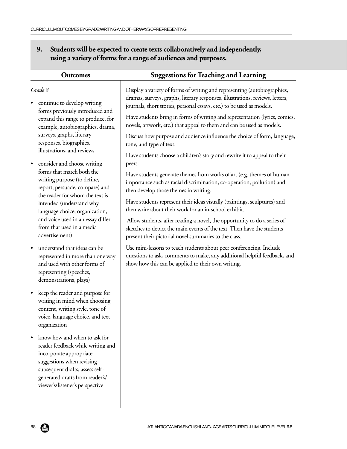| <b>Outcomes</b>                                                                                                                                                                                                                    | <b>Suggestions for Teaching and Learning</b>                                                                                                                                                                                       |
|------------------------------------------------------------------------------------------------------------------------------------------------------------------------------------------------------------------------------------|------------------------------------------------------------------------------------------------------------------------------------------------------------------------------------------------------------------------------------|
| Grade 8<br>continue to develop writing                                                                                                                                                                                             | Display a variety of forms of writing and representing (autobiographies,<br>dramas, surveys, graphs, literary responses, illustrations, reviews, letters,<br>journals, short stories, personal essays, etc.) to be used as models. |
| forms previously introduced and<br>expand this range to produce, for<br>example, autobiographies, drama,                                                                                                                           | Have students bring in forms of writing and representation (lyrics, comics,<br>novels, artwork, etc.) that appeal to them and can be used as models.                                                                               |
| surveys, graphs, literary<br>responses, biographies,<br>illustrations, and reviews                                                                                                                                                 | Discuss how purpose and audience influence the choice of form, language,<br>tone, and type of text.                                                                                                                                |
| consider and choose writing                                                                                                                                                                                                        | Have students choose a children's story and rewrite it to appeal to their<br>peers.                                                                                                                                                |
| forms that match both the<br>writing purpose (to define,<br>report, persuade, compare) and<br>the reader for whom the text is                                                                                                      | Have students generate themes from works of art (e.g. themes of human<br>importance such as racial discrimination, co-operation, pollution) and<br>then develop those themes in writing.                                           |
| intended (understand why<br>language choice, organization,                                                                                                                                                                         | Have students represent their ideas visually (paintings, sculptures) and<br>then write about their work for an in-school exhibit.                                                                                                  |
| and voice used in an essay differ<br>from that used in a media<br>advertisement)                                                                                                                                                   | Allow students, after reading a novel, the opportunity to do a series of<br>sketches to depict the main events of the text. Then have the students<br>present their pictorial novel summaries to the class.                        |
| understand that ideas can be<br>represented in more than one way<br>and used with other forms of<br>representing (speeches,<br>demonstrations, plays)                                                                              | Use mini-lessons to teach students about peer conferencing. Include<br>questions to ask, comments to make, any additional helpful feedback, and<br>show how this can be applied to their own writing.                              |
| keep the reader and purpose for<br>$\bullet$<br>writing in mind when choosing<br>content, writing style, tone of<br>voice, language choice, and text<br>organization                                                               |                                                                                                                                                                                                                                    |
| know how and when to ask for<br>reader feedback while writing and<br>incorporate appropriate<br>suggestions when revising<br>subsequent drafts; assess self-<br>generated drafts from reader's/<br>viewer's/listener's perspective |                                                                                                                                                                                                                                    |
|                                                                                                                                                                                                                                    |                                                                                                                                                                                                                                    |

# **9. Students will be expected to create texts collaboratively and independently, using a variety of forms for a range of audiences and purposes.**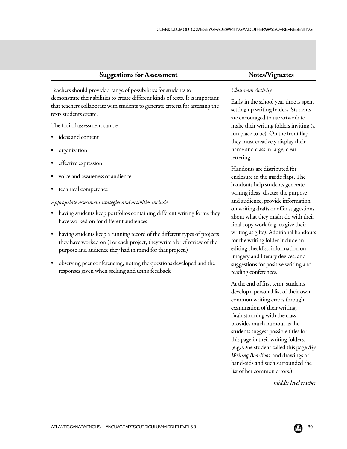Teachers should provide a range of possibilities for students to demonstrate their abilities to create different kinds of texts. It is important that teachers collaborate with students to generate criteria for assessing the texts students create.

The foci of assessment can be

- ideas and content
- organization
- effective expression
- voice and awareness of audience
- technical competence

#### *Appropriate assessment strategies and activities include*

- having students keep portfolios containing different writing forms they have worked on for different audiences
- having students keep a running record of the different types of projects they have worked on (For each project, they write a brief review of the purpose and audience they had in mind for that project.)
- observing peer conferencing, noting the questions developed and the responses given when seeking and using feedback

### *Classroom Activity*

Early in the school year time is spent setting up writing folders. Students are encouraged to use artwork to make their writing folders inviting (a fun place to be). On the front flap they must creatively display their name and class in large, clear lettering.

Handouts are distributed for enclosure in the inside flaps. The handouts help students generate writing ideas, discuss the purpose and audience, provide information on writing drafts or offer suggestions about what they might do with their final copy work (e.g. to give their writing as gifts). Additional handouts for the writing folder include an editing checklist, information on imagery and literary devices, and suggestions for positive writing and reading conferences.

At the end of first term, students develop a personal list of their own common writing errors through examination of their writing. Brainstorming with the class provides much humour as the students suggest possible titles for this page in their writing folders. (e.g. One student called this page *My Writing Boo-Boos,* and drawings of band-aids and such surrounded the list of her common errors.)

*middle level teacher*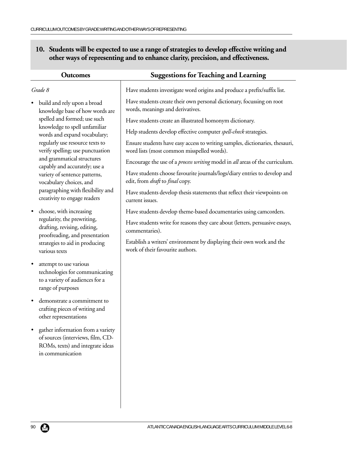| 10. Students will be expected to use a range of strategies to develop effective writing and |
|---------------------------------------------------------------------------------------------|
| other ways of representing and to enhance clarity, precision, and effectiveness.            |

| <b>Outcomes</b>                                                                                                                                  | <b>Suggestions for Teaching and Learning</b>                                                                               |
|--------------------------------------------------------------------------------------------------------------------------------------------------|----------------------------------------------------------------------------------------------------------------------------|
| Grade 8                                                                                                                                          | Have students investigate word origins and produce a prefix/suffix list.                                                   |
| build and rely upon a broad<br>$\bullet$<br>knowledge base of how words are<br>spelled and formed; use such                                      | Have students create their own personal dictionary, focussing on root<br>words, meanings and derivatives.                  |
|                                                                                                                                                  | Have students create an illustrated homonym dictionary.                                                                    |
| knowledge to spell unfamiliar<br>words and expand vocabulary;                                                                                    | Help students develop effective computer spell-check strategies.                                                           |
| regularly use resource texts to<br>verify spelling; use punctuation                                                                              | Ensure students have easy access to writing samples, dictionaries, thesauri,<br>word lists (most common misspelled words). |
| and grammatical structures<br>capably and accurately; use a                                                                                      | Encourage the use of a <i>process writing</i> model in all areas of the curriculum.                                        |
| variety of sentence patterns,<br>vocabulary choices, and                                                                                         | Have students choose favourite journals/logs/diary entries to develop and<br>edit, from <i>draft</i> to <i>final</i> copy. |
| paragraphing with flexibility and<br>creativity to engage readers                                                                                | Have students develop thesis statements that reflect their viewpoints on<br>current issues.                                |
| choose, with increasing<br>$\bullet$                                                                                                             | Have students develop theme-based documentaries using camcorders.                                                          |
| regularity, the prewriting,<br>drafting, revising, editing,<br>proofreading, and presentation<br>strategies to aid in producing<br>various texts | Have students write for reasons they care about (letters, persuasive essays,<br>commentaries).                             |
|                                                                                                                                                  | Establish a writers' environment by displaying their own work and the<br>work of their favourite authors.                  |
| attempt to use various<br>$\bullet$<br>technologies for communicating<br>to a variety of audiences for a<br>range of purposes                    |                                                                                                                            |
| demonstrate a commitment to<br>crafting pieces of writing and<br>other representations                                                           |                                                                                                                            |
| gather information from a variety<br>of sources (interviews, film, CD-<br>ROMs, texts) and integrate ideas<br>in communication                   |                                                                                                                            |
|                                                                                                                                                  |                                                                                                                            |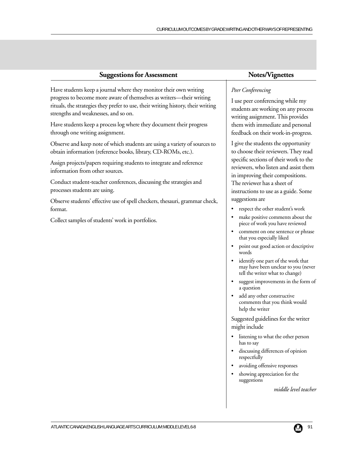| <b>Suggestions for Assessment</b>                                                                                                          | Notes/Vignettes                                                                                                      |
|--------------------------------------------------------------------------------------------------------------------------------------------|----------------------------------------------------------------------------------------------------------------------|
| Have students keep a journal where they monitor their own writing                                                                          | Peer Conferencing                                                                                                    |
| progress to become more aware of themselves as writers-their writing                                                                       | I use peer conferencing while my                                                                                     |
| rituals, the strategies they prefer to use, their writing history, their writing                                                           | students are working on any proces                                                                                   |
| strengths and weaknesses, and so on.                                                                                                       | writing assignment. This provides                                                                                    |
| Have students keep a process log where they document their progress                                                                        | them with immediate and personal                                                                                     |
| through one writing assignment.                                                                                                            | feedback on their work-in-progress                                                                                   |
| Observe and keep note of which students are using a variety of sources to<br>obtain information (reference books, library, CD-ROMs, etc.). | I give the students the opportunity<br>to choose their reviewers. They read<br>specific sections of their work to th |
| Assign projects/papers requiring students to integrate and reference                                                                       | reviewers, who listen and assist the                                                                                 |
| information from other sources.                                                                                                            | in improving their compositions.                                                                                     |
| Conduct student-teacher conferences, discussing the strategies and                                                                         | The reviewer has a sheet of                                                                                          |
| processes students are using.                                                                                                              | instructions to use as a guide. Some                                                                                 |

Observe students' effective use of spell checkers, thesauri, grammar check, format.

Collect samples of students' work in portfolios.

to choose their reviewers. They read specific sections of their work to the reviewers, who listen and assist them instructions to use as a guide. Some suggestions are

- respect the other student's work
- make positive comments about the piece of work you have reviewed
- comment on one sentence or phrase that you especially liked
- point out good action or descriptive words
- identify one part of the work that may have been unclear to you (never tell the writer what to change)
- suggest improvements in the form of a question
- add any other constructive comments that you think would help the writer

Suggested guidelines for the writer might include

- listening to what the other person has to say
- discussing differences of opinion respectfully
- avoiding offensive responses
- showing appreciation for the suggestions

*middle level teacher*

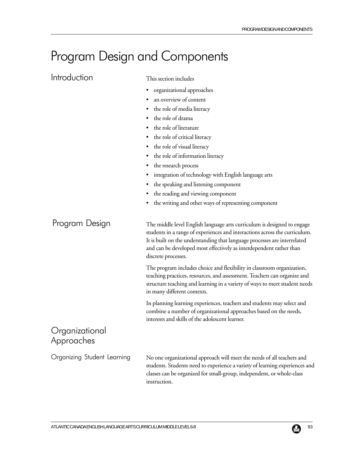# Program Design and Components

| Introduction                 | This section includes                                                                                                                                                                                                                                                                                                            |  |  |
|------------------------------|----------------------------------------------------------------------------------------------------------------------------------------------------------------------------------------------------------------------------------------------------------------------------------------------------------------------------------|--|--|
|                              | organizational approaches<br>٠                                                                                                                                                                                                                                                                                                   |  |  |
|                              | an overview of content                                                                                                                                                                                                                                                                                                           |  |  |
|                              | the role of media literacy<br>٠                                                                                                                                                                                                                                                                                                  |  |  |
|                              | the role of drama                                                                                                                                                                                                                                                                                                                |  |  |
|                              | the role of literature                                                                                                                                                                                                                                                                                                           |  |  |
|                              | the role of critical literacy<br>٠                                                                                                                                                                                                                                                                                               |  |  |
|                              | the role of visual literacy<br>٠                                                                                                                                                                                                                                                                                                 |  |  |
|                              | the role of information literacy<br>٠                                                                                                                                                                                                                                                                                            |  |  |
|                              | the research process                                                                                                                                                                                                                                                                                                             |  |  |
|                              | integration of technology with English language arts<br>٠                                                                                                                                                                                                                                                                        |  |  |
|                              | the speaking and listening component<br>٠                                                                                                                                                                                                                                                                                        |  |  |
|                              | the reading and viewing component<br>٠                                                                                                                                                                                                                                                                                           |  |  |
|                              | the writing and other ways of representing component<br>٠                                                                                                                                                                                                                                                                        |  |  |
| Program Design               | The middle level English language arts curriculum is designed to engage<br>students in a range of experiences and interactions across the curriculum.<br>It is built on the understanding that language processes are interrelated<br>and can be developed most effectively as interdependent rather than<br>discrete processes. |  |  |
|                              | The program includes choice and flexibility in classroom organization,<br>teaching practices, resources, and assessment. Teachers can organize and<br>structure teaching and learning in a variety of ways to meet student needs<br>in many different contexts.                                                                  |  |  |
|                              | In planning learning experiences, teachers and students may select and<br>combine a number of organizational approaches based on the needs,<br>interests and skills of the adolescent learner.                                                                                                                                   |  |  |
| Organizational<br>Approaches |                                                                                                                                                                                                                                                                                                                                  |  |  |
| Organizing Student Learning  | No one organizational approach will meet the needs of all teachers and<br>students. Students need to experience a variety of learning experiences and<br>classes can be organized for small-group, independent, or whole-class<br>instruction.                                                                                   |  |  |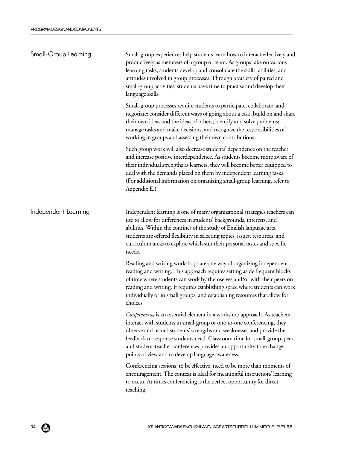| Small-Group Learning | Small-group experiences help students learn how to interact effectively and<br>productively as members of a group or team. As groups take on various<br>learning tasks, students develop and consolidate the skills, abilities, and<br>attitudes involved in group processes. Through a variety of paired and<br>small-group activities, students have time to practise and develop their<br>language skills.                        |  |
|----------------------|--------------------------------------------------------------------------------------------------------------------------------------------------------------------------------------------------------------------------------------------------------------------------------------------------------------------------------------------------------------------------------------------------------------------------------------|--|
|                      | Small-group processes require students to participate, collaborate, and<br>negotiate; consider different ways of going about a task; build on and share<br>their own ideas and the ideas of others; identify and solve problems;<br>manage tasks and make decisions; and recognize the responsibilities of<br>working in groups and assessing their own contributions.                                                               |  |
|                      | Such group work will also decrease students' dependence on the teacher<br>and increase positive interdependence. As students become more aware of<br>their individual strengths as learners, they will become better equipped to<br>deal with the demands placed on them by independent learning tasks.<br>(For additional information on organizing small-group learning, refer to<br>Appendix E.)                                  |  |
| Independent Learning | Independent learning is one of many organizational strategies teachers can<br>use to allow for differences in students' backgrounds, interests, and<br>abilities. Within the confines of the study of English language arts,<br>students are offered flexibility in selecting topics, issues, resources, and<br>curriculum areas to explore which suit their personal tastes and specific<br>needs.                                  |  |
|                      | Reading and writing workshops are one way of organizing independent<br>reading and writing. This approach requires setting aside frequent blocks<br>of time where students can work by themselves and/or with their peers on<br>reading and writing. It requires establishing space where students can work<br>individually or in small groups, and establishing resources that allow for<br>choices.                                |  |
|                      | Conferencing is an essential element in a workshop approach. As teachers<br>interact with students in small-group or one-to-one conferencing, they<br>observe and record students' strengths and weaknesses and provide the<br>feedback or response students need. Classroom time for small-group, peer,<br>and student-teacher conferences provides an opportunity to exchange<br>points of view and to develop language awareness. |  |
|                      | Conferencing sessions, to be effective, need to be more than moments of<br>encouragement. The context is ideal for meaningful instruction/ learning<br>to occur. At times conferencing is the perfect opportunity for direct<br>teaching.                                                                                                                                                                                            |  |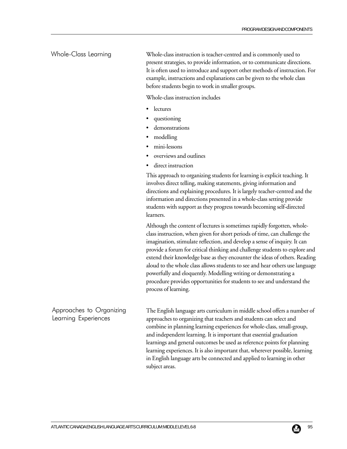#### Whole-Class Learning

Whole-class instruction is teacher-centred and is commonly used to present strategies, to provide information, or to communicate directions. It is often used to introduce and support other methods of instruction. For example, instructions and explanations can be given to the whole class before students begin to work in smaller groups.

Whole-class instruction includes

- **lectures**
- questioning
- demonstrations
- modelling
- mini-lessons
- overviews and outlines
- direct instruction

This approach to organizing students for learning is explicit teaching. It involves direct telling, making statements, giving information and directions and explaining procedures. It is largely teacher-centred and the information and directions presented in a whole-class setting provide students with support as they progress towards becoming self-directed learners.

Although the content of lectures is sometimes rapidly forgotten, wholeclass instruction, when given for short periods of time, can challenge the imagination, stimulate reflection, and develop a sense of inquiry. It can provide a forum for critical thinking and challenge students to explore and extend their knowledge base as they encounter the ideas of others. Reading aloud to the whole class allows students to see and hear others use language powerfully and eloquently. Modelling writing or demonstrating a procedure provides opportunities for students to see and understand the process of learning.

Approaches to Organizing Learning Experiences

The English language arts curriculum in middle school offers a number of approaches to organizing that teachers and students can select and combine in planning learning experiences for whole-class, small-group, and independent learning. It is important that essential graduation learnings and general outcomes be used as reference points for planning learning experiences. It is also important that, wherever possible, learning in English language arts be connected and applied to learning in other subject areas.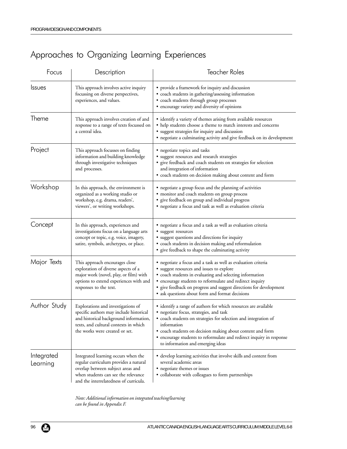# Approaches to Organizing Learning Experiences

| Focus                  | Description                                                                                                                                                                                        | <b>Teacher Roles</b>                                                                                                                                                                                                                                                                                                                                                    |
|------------------------|----------------------------------------------------------------------------------------------------------------------------------------------------------------------------------------------------|-------------------------------------------------------------------------------------------------------------------------------------------------------------------------------------------------------------------------------------------------------------------------------------------------------------------------------------------------------------------------|
| <b>Issues</b>          | This approach involves active inquiry<br>focussing on diverse perspectives,<br>experiences, and values.                                                                                            | • provide a framework for inquiry and discussion<br>· coach students in gathering/assessing information<br>• coach students through group processes<br>· encourage variety and diversity of opinions                                                                                                                                                                    |
| Theme                  | This approach involves creation of and<br>response to a range of texts focussed on<br>a central idea.                                                                                              | • identify a variety of themes arising from available resources<br>• help students choose a theme to match interests and concerns<br>· suggest strategies for inquiry and discussion<br>• negotiate a culminating activity and give feedback on its development                                                                                                         |
| Project                | This approach focusses on finding<br>information and building knowledge<br>through investigative techniques<br>and processes.                                                                      | • negotiate topics and tasks<br>· suggest resources and research strategies<br>· give feedback and coach students on strategies for selection<br>and integration of information<br>· coach students on decision making about content and form                                                                                                                           |
| Workshop               | In this approach, the environment is<br>organized as a working studio or<br>workshop, e.g. drama, readers',<br>viewers', or writing workshops.                                                     | • negotiate a group focus and the planning of activities<br>• monitor and coach students on group process<br>give feedback on group and individual progress<br>• negotiate a focus and task as well as evaluation criteria                                                                                                                                              |
| Concept                | In this approach, experiences and<br>investigations focus on a language arts<br>concept or topic, e.g. voice, imagery,<br>satire, symbols, archetypes, or place.                                   | • negotiate a focus and a task as well as evaluation criteria<br>· suggest resources<br>• suggest questions and directions for inquiry<br>· coach students in decision making and reformulation<br>· give feedback to shape the culminating activity                                                                                                                    |
| Major Texts            | This approach encourages close<br>exploration of diverse aspects of a<br>major work (novel, play, or film) with<br>options to extend experiences with and<br>responses to the text.                | • negotiate a focus and a task as well as evaluation criteria<br>• suggest resources and issues to explore<br>• coach students in evaluating and selecting information<br>• encourage students to reformulate and redirect inquiry<br>• give feedback on progress and suggest directions for development<br>• ask questions about form and format decisions             |
| Author Study           | Explorations and investigations of<br>specific authors may include historical<br>and historical background information,<br>texts, and cultural contexts in which<br>the works were created or set. | • identify a range of authors for which resources are available<br>· negotiate focus, strategies, and task<br>• coach students on strategies for selection and integration of<br>information<br>· coach students on decision making about content and form<br>• encourage students to reformulate and redirect inquiry in response<br>to information and emerging ideas |
| Integrated<br>Learning | Integrated learning occurs when the<br>regular curriculum provides a natural<br>overlap between subject areas and<br>when students can see the relevance<br>and the interrelatedness of curricula. | • develop learning activities that involve skills and content from<br>several academic areas<br>• negotiate themes or issues<br>· collaborate with colleagues to form partnerships                                                                                                                                                                                      |

*Note: Additional information on integrated teaching/learning can be found in Appendix F.*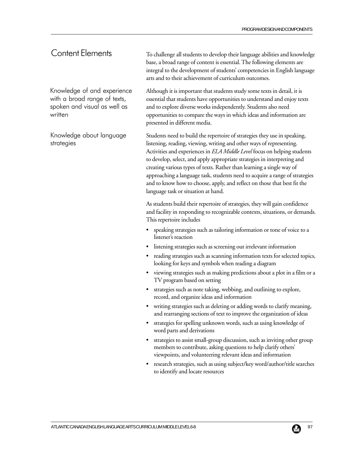# Content Elements

Knowledge of and experience with a broad range of texts, spoken and visual as well as written

Knowledge about language strategies

To challenge all students to develop their language abilities and knowledge base, a broad range of content is essential. The following elements are integral to the development of students' competencies in English language arts and to their achievement of curriculum outcomes.

Although it is important that students study some texts in detail, it is essential that students have opportunities to understand and enjoy texts and to explore diverse works independently. Students also need opportunities to compare the ways in which ideas and information are presented in different media.

Students need to build the repertoire of strategies they use in speaking, listening, reading, viewing, writing and other ways of representing. Activities and experiences in *ELA Middle Level* focus on helping students to develop, select, and apply appropriate strategies in interpreting and creating various types of texts. Rather than learning a single way of approaching a language task, students need to acquire a range of strategies and to know how to choose, apply, and reflect on those that best fit the language task or situation at hand.

As students build their repertoire of strategies, they will gain confidence and facility in responding to recognizable contexts, situations, or demands. This repertoire includes

- speaking strategies such as tailoring information or tone of voice to a listener's reaction
- listening strategies such as screening out irrelevant information
- reading strategies such as scanning information texts for selected topics, looking for keys and symbols when reading a diagram
- viewing strategies such as making predictions about a plot in a film or a TV program based on setting
- strategies such as note taking, webbing, and outlining to explore, record, and organize ideas and information
- writing strategies such as deleting or adding words to clarify meaning, and rearranging sections of text to improve the organization of ideas
- strategies for spelling unknown words, such as using knowledge of word parts and derivations
- strategies to assist small-group discussion, such as inviting other group members to contribute, asking questions to help clarify others' viewpoints, and volunteering relevant ideas and information
- research strategies, such as using subject/key word/author/title searches to identify and locate resources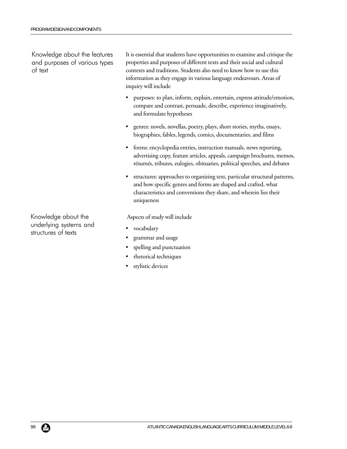Knowledge about the features and purposes of various types of text

It is essential that students have opportunities to examine and critique the properties and purposes of different texts and their social and cultural contexts and traditions. Students also need to know how to use this information as they engage in various language endeavours. Areas of inquiry will include

- purposes: to plan, inform, explain, entertain, express attitude/emotion, compare and contrast, persuade, describe, experience imaginatively, and formulate hypotheses
- genres: novels, novellas, poetry, plays, short stories, myths, essays, biographies, fables, legends, comics, documentaries, and films
- forms: encyclopedia entries, instruction manuals, news reporting, advertising copy, feature articles, appeals, campaign brochures, memos, résumés, tributes, eulogies, obituaries, political speeches, and debates
- structures: approaches to organizing text, particular structural patterns, and how specific genres and forms are shaped and crafted, what characteristics and conventions they share, and wherein lies their uniqueness

Aspects of study will include

- vocabulary
- grammar and usage
- spelling and punctuation
- rhetorical techniques
- stylistic devices

Knowledge about the underlying systems and structures of texts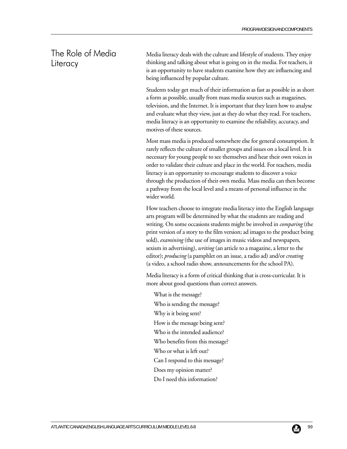# The Role of Media **Literacy**

Media literacy deals with the culture and lifestyle of students. They enjoy thinking and talking about what is going on in the media. For teachers, it is an opportunity to have students examine how they are influencing and being influenced by popular culture.

Students today get much of their information as fast as possible in as short a form as possible, usually from mass media sources such as magazines, television, and the Internet. It is important that they learn how to analyse and evaluate what they view, just as they do what they read. For teachers, media literacy is an opportunity to examine the reliability, accuracy, and motives of these sources.

Most mass media is produced somewhere else for general consumption. It rarely reflects the culture of smaller groups and issues on a local level. It is necessary for young people to see themselves and hear their own voices in order to validate their culture and place in the world. For teachers, media literacy is an opportunity to encourage students to discover a voice through the production of their own media. Mass media can then become a pathway from the local level and a means of personal influence in the wider world.

How teachers choose to integrate media literacy into the English language arts program will be determined by what the students are reading and writing. On some occasions students might be involved in *comparing* (the print version of a story to the film version; ad images to the product being sold), *examining* (the use of images in music videos and newspapers, sexism in advertising), *writing* (an article to a magazine, a letter to the editor); *producing* (a pamphlet on an issue, a radio ad) and/or *creating* (a video, a school radio show, announcements for the school PA).

Media literacy is a form of critical thinking that is cross-curricular. It is more about good questions than correct answers.

- What is the message? Who is sending the message? Why is it being sent? How is the message being sent? Who is the intended audience? Who benefits from this message? Who or what is left out? Can I respond to this message? Does my opinion matter?
- Do I need this information?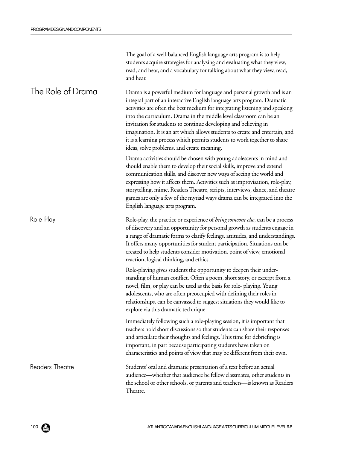|                   | The goal of a well-balanced English language arts program is to help<br>students acquire strategies for analysing and evaluating what they view,<br>read, and hear, and a vocabulary for talking about what they view, read,<br>and hear.                                                                                                                                                                                                                                                                                                                                           |
|-------------------|-------------------------------------------------------------------------------------------------------------------------------------------------------------------------------------------------------------------------------------------------------------------------------------------------------------------------------------------------------------------------------------------------------------------------------------------------------------------------------------------------------------------------------------------------------------------------------------|
| The Role of Drama | Drama is a powerful medium for language and personal growth and is an<br>integral part of an interactive English language arts program. Dramatic<br>activities are often the best medium for integrating listening and speaking<br>into the curriculum. Drama in the middle level classroom can be an<br>invitation for students to continue developing and believing in<br>imagination. It is an art which allows students to create and entertain, and<br>it is a learning process which permits students to work together to share<br>ideas, solve problems, and create meaning. |
|                   | Drama activities should be chosen with young adolescents in mind and<br>should enable them to develop their social skills, improve and extend<br>communication skills, and discover new ways of seeing the world and<br>expressing how it affects them. Activities such as improvisation, role-play,<br>storytelling, mime, Readers Theatre, scripts, interviews, dance, and theatre<br>games are only a few of the myriad ways drama can be integrated into the<br>English language arts program.                                                                                  |
| Role-Play         | Role-play, the practice or experience of <i>being someone else</i> , can be a process<br>of discovery and an opportunity for personal growth as students engage in<br>a range of dramatic forms to clarify feelings, attitudes, and understandings.<br>It offers many opportunities for student participation. Situations can be<br>created to help students consider motivation, point of view, emotional<br>reaction, logical thinking, and ethics.                                                                                                                               |
|                   | Role-playing gives students the opportunity to deepen their under-<br>standing of human conflict. Often a poem, short story, or excerpt from a<br>novel, film, or play can be used as the basis for role- playing. Young<br>adolescents, who are often preoccupied with defining their roles in<br>relationships, can be canvassed to suggest situations they would like to<br>explore via this dramatic technique.                                                                                                                                                                 |
|                   | Immediately following such a role-playing session, it is important that<br>teachers hold short discussions so that students can share their responses<br>and articulate their thoughts and feelings. This time for debriefing is<br>important, in part because participating students have taken on<br>characteristics and points of view that may be different from their own.                                                                                                                                                                                                     |
| Readers Theatre   | Students' oral and dramatic presentation of a text before an actual<br>audience—whether that audience be fellow classmates, other students in<br>the school or other schools, or parents and teachers-is known as Readers<br>Theatre.                                                                                                                                                                                                                                                                                                                                               |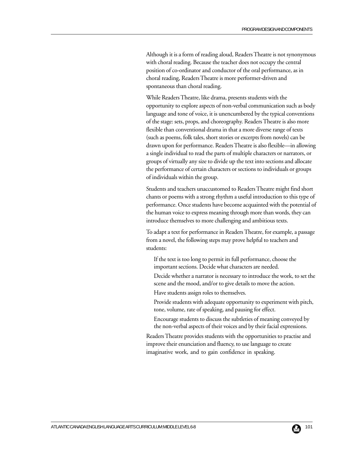Although it is a form of reading aloud, Readers Theatre is not synonymous with choral reading. Because the teacher does not occupy the central position of co-ordinator and conductor of the oral performance, as in choral reading, Readers Theatre is more performer-driven and spontaneous than choral reading.

While Readers Theatre, like drama, presents students with the opportunity to explore aspects of non-verbal communication such as body language and tone of voice, it is unencumbered by the typical conventions of the stage: sets, props, and choreography. Readers Theatre is also more flexible than conventional drama in that a more diverse range of texts (such as poems, folk tales, short stories or excerpts from novels) can be drawn upon for performance. Readers Theatre is also flexible—in allowing a single individual to read the parts of multiple characters or narrators, or groups of virtually any size to divide up the text into sections and allocate the performance of certain characters or sections to individuals or groups of individuals within the group.

Students and teachers unaccustomed to Readers Theatre might find short chants or poems with a strong rhythm a useful introduction to this type of performance. Once students have become acquainted with the potential of the human voice to express meaning through more than words, they can introduce themselves to more challenging and ambitious texts.

To adapt a text for performance in Readers Theatre, for example, a passage from a novel, the following steps may prove helpful to teachers and students:

- If the text is too long to permit its full performance, choose the important sections. Decide what characters are needed.
- Decide whether a narrator is necessary to introduce the work, to set the scene and the mood, and/or to give details to move the action.
- Have students assign roles to themselves.
- Provide students with adequate opportunity to experiment with pitch, tone, volume, rate of speaking, and pausing for effect.
- Encourage students to discuss the subtleties of meaning conveyed by the non-verbal aspects of their voices and by their facial expressions.

Readers Theatre provides students with the opportunities to practise and improve their enunciation and fluency, to use language to create imaginative work, and to gain confidence in speaking.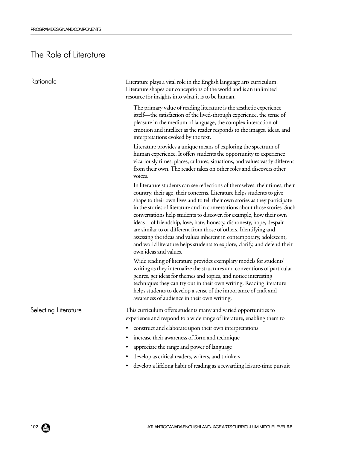# The Role of Literature

| Rationale            | Literature plays a vital role in the English language arts curriculum.<br>Literature shapes our conceptions of the world and is an unlimited<br>resource for insights into what it is to be human.                                                                                                                                                                                                                                                                                                                                                                                                                                                                                                                   |
|----------------------|----------------------------------------------------------------------------------------------------------------------------------------------------------------------------------------------------------------------------------------------------------------------------------------------------------------------------------------------------------------------------------------------------------------------------------------------------------------------------------------------------------------------------------------------------------------------------------------------------------------------------------------------------------------------------------------------------------------------|
|                      | The primary value of reading literature is the aesthetic experience<br>itself—the satisfaction of the lived-through experience, the sense of<br>pleasure in the medium of language, the complex interaction of<br>emotion and intellect as the reader responds to the images, ideas, and<br>interpretations evoked by the text.                                                                                                                                                                                                                                                                                                                                                                                      |
|                      | Literature provides a unique means of exploring the spectrum of<br>human experience. It offers students the opportunity to experience<br>vicariously times, places, cultures, situations, and values vastly different<br>from their own. The reader takes on other roles and discovers other<br>voices.                                                                                                                                                                                                                                                                                                                                                                                                              |
|                      | In literature students can see reflections of themselves: their times, their<br>country, their age, their concerns. Literature helps students to give<br>shape to their own lives and to tell their own stories as they participate<br>in the stories of literature and in conversations about those stories. Such<br>conversations help students to discover, for example, how their own<br>ideas—of friendship, love, hate, honesty, dishonesty, hope, despair—<br>are similar to or different from those of others. Identifying and<br>assessing the ideas and values inherent in contemporary, adolescent,<br>and world literature helps students to explore, clarify, and defend their<br>own ideas and values. |
|                      | Wide reading of literature provides exemplary models for students'<br>writing as they internalize the structures and conventions of particular<br>genres, get ideas for themes and topics, and notice interesting<br>techniques they can try out in their own writing. Reading literature<br>helps students to develop a sense of the importance of craft and<br>awareness of audience in their own writing.                                                                                                                                                                                                                                                                                                         |
| Selecting Literature | This curriculum offers students many and varied opportunities to<br>experience and respond to a wide range of literature, enabling them to<br>• construct and elaborate upon their own interpretations                                                                                                                                                                                                                                                                                                                                                                                                                                                                                                               |
|                      | increase their awareness of form and technique<br>appreciate the range and power of language<br>develop as critical readers, writers, and thinkers<br>develop a lifelong habit of reading as a rewarding leisure-time pursuit                                                                                                                                                                                                                                                                                                                                                                                                                                                                                        |
|                      |                                                                                                                                                                                                                                                                                                                                                                                                                                                                                                                                                                                                                                                                                                                      |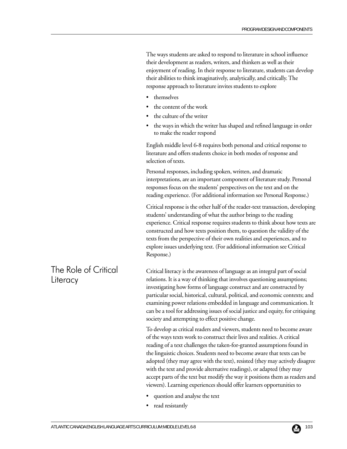The ways students are asked to respond to literature in school influence their development as readers, writers, and thinkers as well as their enjoyment of reading. In their response to literature, students can develop their abilities to think imaginatively, analytically, and critically. The response approach to literature invites students to explore

- themselves
- the content of the work
- the culture of the writer
- the ways in which the writer has shaped and refined language in order to make the reader respond

English middle level 6-8 requires both personal and critical response to literature and offers students choice in both modes of response and selection of texts.

Personal responses, including spoken, written, and dramatic interpretations, are an important component of literature study. Personal responses focus on the students' perspectives on the text and on the reading experience. (For additional information see Personal Response.)

Critical response is the other half of the reader-text transaction, developing students' understanding of what the author brings to the reading experience. Critical response requires students to think about how texts are constructed and how texts position them, to question the validity of the texts from the perspective of their own realities and experiences, and to explore issues underlying text. (For additional information see Critical Response.)

Critical literacy is the awareness of language as an integral part of social relations. It is a way of thinking that involves questioning assumptions; investigating how forms of language construct and are constructed by particular social, historical, cultural, political, and economic contexts; and examining power relations embedded in language and communication. It can be a tool for addressing issues of social justice and equity, for critiquing society and attempting to effect positive change.

To develop as critical readers and viewers, students need to become aware of the ways texts work to construct their lives and realities. A critical reading of a text challenges the taken-for-granted assumptions found in the linguistic choices. Students need to become aware that texts can be adopted (they may agree with the text), resisted (they may actively disagree with the text and provide alternative readings), or adapted (they may accept parts of the text but modify the way it positions them as readers and viewers). Learning experiences should offer learners opportunities to

- question and analyse the text
- read resistantly

# The Role of Critical **Literacy**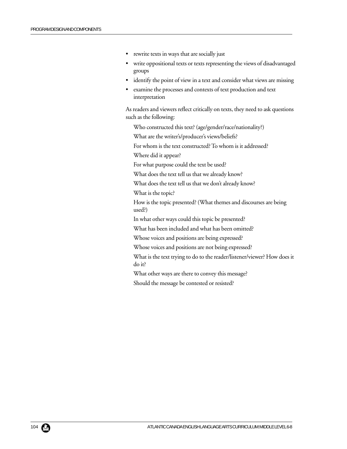- rewrite texts in ways that are socially just
- write oppositional texts or texts representing the views of disadvantaged groups
- identify the point of view in a text and consider what views are missing
- examine the processes and contexts of text production and text interpretation

As readers and viewers reflect critically on texts, they need to ask questions such as the following:

Who constructed this text? (age/gender/race/nationality?)

What are the writer's/producer's views/beliefs?

For whom is the text constructed? To whom is it addressed?

Where did it appear?

For what purpose could the text be used?

What does the text tell us that we already know?

What does the text tell us that we don't already know?

What is the topic?

How is the topic presented? (What themes and discourses are being used?)

In what other ways could this topic be presented?

What has been included and what has been omitted?

Whose voices and positions are being expressed?

Whose voices and positions are not being expressed?

What is the text trying to do to the reader/listener/viewer? How does it do it?

What other ways are there to convey this message?

Should the message be contested or resisted?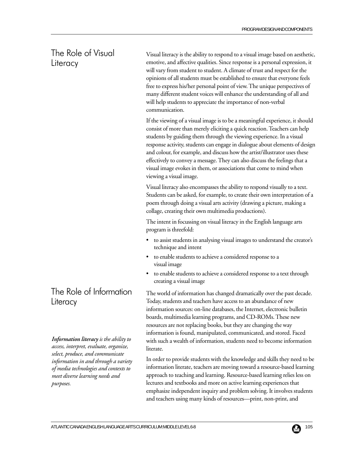# The Role of Visual **Literacy**

Visual literacy is the ability to respond to a visual image based on aesthetic, emotive, and affective qualities. Since response is a personal expression, it will vary from student to student. A climate of trust and respect for the opinions of all students must be established to ensure that everyone feels free to express his/her personal point of view. The unique perspectives of many different student voices will enhance the understanding of all and will help students to appreciate the importance of non-verbal communication.

If the viewing of a visual image is to be a meaningful experience, it should consist of more than merely eliciting a quick reaction. Teachers can help students by guiding them through the viewing experience. In a visual response activity, students can engage in dialogue about elements of design and colour, for example, and discuss how the artist/illustrator uses these effectively to convey a message. They can also discuss the feelings that a visual image evokes in them, or associations that come to mind when viewing a visual image.

Visual literacy also encompasses the ability to respond visually to a text. Students can be asked, for example, to create their own interpretation of a poem through doing a visual arts activity (drawing a picture, making a collage, creating their own multimedia productions).

The intent in focussing on visual literacy in the English language arts program is threefold:

- to assist students in analysing visual images to understand the creator's technique and intent
- to enable students to achieve a considered response to a visual image
- to enable students to achieve a considered response to a text through creating a visual image

The world of information has changed dramatically over the past decade. Today, students and teachers have access to an abundance of new information sources: on-line databases, the Internet, electronic bulletin boards, multimedia learning programs, and CD-ROMs. These new resources are not replacing books, but they are changing the way information is found, manipulated, communicated, and stored. Faced with such a wealth of information, students need to become information literate.

In order to provide students with the knowledge and skills they need to be information literate, teachers are moving toward a resource-based learning approach to teaching and learning. Resource-based learning relies less on lectures and textbooks and more on active learning experiences that emphasize independent inquiry and problem solving. It involves students and teachers using many kinds of resources—print, non-print, and

# The Role of Information **Literacy**

*Information literacy is the ability to access, interpret, evaluate, organize, select, produce, and communicate information in and through a variety of media technologies and contexts to meet diverse learning needs and purposes.*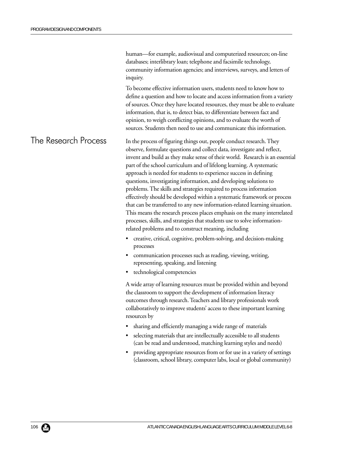human—for example, audiovisual and computerized resources; on-line databases; interlibrary loan; telephone and facsimile technology, community information agencies; and interviews, surveys, and letters of inquiry.

To become effective information users, students need to know how to define a question and how to locate and access information from a variety of sources. Once they have located resources, they must be able to evaluate information, that is, to detect bias, to differentiate between fact and opinion, to weigh conflicting opinions, and to evaluate the worth of sources. Students then need to use and communicate this information.

In the process of figuring things out, people conduct research. They observe, formulate questions and collect data, investigate and reflect, invent and build as they make sense of their world. Research is an essential part of the school curriculum and of lifelong learning. A systematic approach is needed for students to experience success in defining questions, investigating information, and developing solutions to problems. The skills and strategies required to process information effectively should be developed within a systematic framework or process that can be transferred to any new information-related learning situation. This means the research process places emphasis on the many interrelated processes, skills, and strategies that students use to solve informationrelated problems and to construct meaning, including The Research Process

- creative, critical, cognitive, problem-solving, and decision-making processes
- communication processes such as reading, viewing, writing, representing, speaking, and listening
- technological competencies

A wide array of learning resources must be provided within and beyond the classroom to support the development of information literacy outcomes through research. Teachers and library professionals work collaboratively to improve students' access to these important learning resources by

- sharing and efficiently managing a wide range of materials
- selecting materials that are intellectually accessible to all students (can be read and understood, matching learning styles and needs)
- providing appropriate resources from or for use in a variety of settings (classroom, school library, computer labs, local or global community)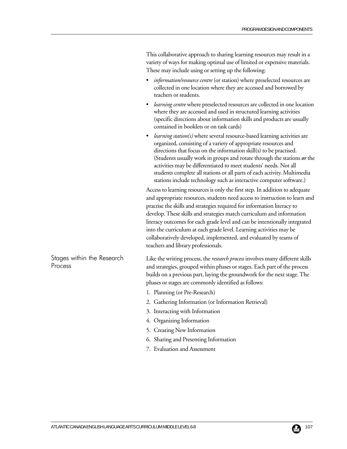This collaborative approach to sharing learning resources may result in a variety of ways for making optimal use of limited or expensive materials. These may include using or setting up the following:

- *information/resource centre* (or station) where preselected resources are collected in one location where they are accessed and borrowed by teachers or students.
- *learning centre* where preselected resources are collected in one location where they are accessed and used in structured learning activities (specific directions about information skills and products are usually contained in booklets or on task cards)
- *learning station(s)* where several resource-based learning activities are organized, consisting of a variety of appropriate resources and directions that focus on the information skill(s) to be practised. (Students usually work in groups and rotate through the stations *or* the activities may be differentiated to meet students' needs. Not all students complete all stations or all parts of each activity. Multimedia stations include technology such as interactive computer software.)

Access to learning resources is only the first step. In addition to adequate and appropriate resources, students need access to instruction to learn and practise the skills and strategies required for information literacy to develop. These skills and strategies match curriculum and information literacy outcomes for each grade level and can be intentionally integrated into the curriculum at each grade level. Learning activities may be collaboratively developed, implemented, and evaluated by teams of teachers and library professionals.

Like the writing process, the *research process* involves many different skills and strategies, grouped within phases or stages. Each part of the process builds on a previous part, laying the groundwork for the next stage. The phases or stages are commonly identified as follows:

- 1. Planning (or Pre-Research)
- 2. Gathering Information (or Information Retrieval)
- 3. Interacting with Information
- 4. Organizing Information
- 5. Creating New Information
- 6. Sharing and Presenting Information
- 7. Evaluation and Assessment

Stages within the Research Process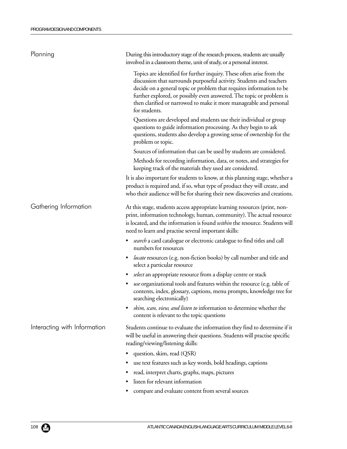| Topics are identified for further inquiry. These often arise from the<br>discussion that surrounds purposeful activity. Students and teachers<br>decide on a general topic or problem that requires information to be<br>further explored, or possibly even answered. The topic or problem is<br>then clarified or narrowed to make it more manageable and personal<br>for students.<br>Questions are developed and students use their individual or group<br>questions to guide information processing. As they begin to ask<br>questions, students also develop a growing sense of ownership for the<br>problem or topic.<br>Sources of information that can be used by students are considered.<br>Methods for recording information, data, or notes, and strategies for<br>keeping track of the materials they used are considered.<br>It is also important for students to know, at this planning stage, whether a<br>product is required and, if so, what type of product they will create, and<br>who their audience will be for sharing their new discoveries and creations.<br>Gathering Information<br>At this stage, students access appropriate learning resources (print, non-<br>print, information technology, human, community). The actual resource<br>is located, and the information is found <i>within</i> the resource. Students will<br>need to learn and practise several important skills:<br>search a card catalogue or electronic catalogue to find titles and call<br>٠<br>numbers for resources<br>locate resources (e.g. non-fiction books) by call number and title and<br>$\bullet$<br>select a particular resource<br>select an appropriate resource from a display centre or stack<br>$\bullet$<br>use organizational tools and features within the resource (e.g. table of<br>$\bullet$<br>contents, index, glossary, captions, menu prompts, knowledge tree for<br>searching electronically)<br>skim, scan, view, and listen to information to determine whether the<br>content is relevant to the topic questions<br>Interacting with Information<br>Students continue to evaluate the information they find to determine if it<br>will be useful in answering their questions. Students will practise specific<br>reading/viewing/listening skills:<br>question, skim, read (QSR)<br>use text features such as key words, bold headings, captions<br>read, interpret charts, graphs, maps, pictures<br>٠ | Planning | During this introductory stage of the research process, students are usually<br>involved in a classroom theme, unit of study, or a personal interest. |
|-----------------------------------------------------------------------------------------------------------------------------------------------------------------------------------------------------------------------------------------------------------------------------------------------------------------------------------------------------------------------------------------------------------------------------------------------------------------------------------------------------------------------------------------------------------------------------------------------------------------------------------------------------------------------------------------------------------------------------------------------------------------------------------------------------------------------------------------------------------------------------------------------------------------------------------------------------------------------------------------------------------------------------------------------------------------------------------------------------------------------------------------------------------------------------------------------------------------------------------------------------------------------------------------------------------------------------------------------------------------------------------------------------------------------------------------------------------------------------------------------------------------------------------------------------------------------------------------------------------------------------------------------------------------------------------------------------------------------------------------------------------------------------------------------------------------------------------------------------------------------------------------------------------------------------------------------------------------------------------------------------------------------------------------------------------------------------------------------------------------------------------------------------------------------------------------------------------------------------------------------------------------------------------------------------------------------------------------------------------------------------------------------------------------------------------------------|----------|-------------------------------------------------------------------------------------------------------------------------------------------------------|
|                                                                                                                                                                                                                                                                                                                                                                                                                                                                                                                                                                                                                                                                                                                                                                                                                                                                                                                                                                                                                                                                                                                                                                                                                                                                                                                                                                                                                                                                                                                                                                                                                                                                                                                                                                                                                                                                                                                                                                                                                                                                                                                                                                                                                                                                                                                                                                                                                                               |          |                                                                                                                                                       |
|                                                                                                                                                                                                                                                                                                                                                                                                                                                                                                                                                                                                                                                                                                                                                                                                                                                                                                                                                                                                                                                                                                                                                                                                                                                                                                                                                                                                                                                                                                                                                                                                                                                                                                                                                                                                                                                                                                                                                                                                                                                                                                                                                                                                                                                                                                                                                                                                                                               |          |                                                                                                                                                       |
|                                                                                                                                                                                                                                                                                                                                                                                                                                                                                                                                                                                                                                                                                                                                                                                                                                                                                                                                                                                                                                                                                                                                                                                                                                                                                                                                                                                                                                                                                                                                                                                                                                                                                                                                                                                                                                                                                                                                                                                                                                                                                                                                                                                                                                                                                                                                                                                                                                               |          |                                                                                                                                                       |
|                                                                                                                                                                                                                                                                                                                                                                                                                                                                                                                                                                                                                                                                                                                                                                                                                                                                                                                                                                                                                                                                                                                                                                                                                                                                                                                                                                                                                                                                                                                                                                                                                                                                                                                                                                                                                                                                                                                                                                                                                                                                                                                                                                                                                                                                                                                                                                                                                                               |          |                                                                                                                                                       |
|                                                                                                                                                                                                                                                                                                                                                                                                                                                                                                                                                                                                                                                                                                                                                                                                                                                                                                                                                                                                                                                                                                                                                                                                                                                                                                                                                                                                                                                                                                                                                                                                                                                                                                                                                                                                                                                                                                                                                                                                                                                                                                                                                                                                                                                                                                                                                                                                                                               |          |                                                                                                                                                       |
|                                                                                                                                                                                                                                                                                                                                                                                                                                                                                                                                                                                                                                                                                                                                                                                                                                                                                                                                                                                                                                                                                                                                                                                                                                                                                                                                                                                                                                                                                                                                                                                                                                                                                                                                                                                                                                                                                                                                                                                                                                                                                                                                                                                                                                                                                                                                                                                                                                               |          |                                                                                                                                                       |
|                                                                                                                                                                                                                                                                                                                                                                                                                                                                                                                                                                                                                                                                                                                                                                                                                                                                                                                                                                                                                                                                                                                                                                                                                                                                                                                                                                                                                                                                                                                                                                                                                                                                                                                                                                                                                                                                                                                                                                                                                                                                                                                                                                                                                                                                                                                                                                                                                                               |          |                                                                                                                                                       |
|                                                                                                                                                                                                                                                                                                                                                                                                                                                                                                                                                                                                                                                                                                                                                                                                                                                                                                                                                                                                                                                                                                                                                                                                                                                                                                                                                                                                                                                                                                                                                                                                                                                                                                                                                                                                                                                                                                                                                                                                                                                                                                                                                                                                                                                                                                                                                                                                                                               |          |                                                                                                                                                       |
|                                                                                                                                                                                                                                                                                                                                                                                                                                                                                                                                                                                                                                                                                                                                                                                                                                                                                                                                                                                                                                                                                                                                                                                                                                                                                                                                                                                                                                                                                                                                                                                                                                                                                                                                                                                                                                                                                                                                                                                                                                                                                                                                                                                                                                                                                                                                                                                                                                               |          |                                                                                                                                                       |
|                                                                                                                                                                                                                                                                                                                                                                                                                                                                                                                                                                                                                                                                                                                                                                                                                                                                                                                                                                                                                                                                                                                                                                                                                                                                                                                                                                                                                                                                                                                                                                                                                                                                                                                                                                                                                                                                                                                                                                                                                                                                                                                                                                                                                                                                                                                                                                                                                                               |          |                                                                                                                                                       |
|                                                                                                                                                                                                                                                                                                                                                                                                                                                                                                                                                                                                                                                                                                                                                                                                                                                                                                                                                                                                                                                                                                                                                                                                                                                                                                                                                                                                                                                                                                                                                                                                                                                                                                                                                                                                                                                                                                                                                                                                                                                                                                                                                                                                                                                                                                                                                                                                                                               |          |                                                                                                                                                       |
|                                                                                                                                                                                                                                                                                                                                                                                                                                                                                                                                                                                                                                                                                                                                                                                                                                                                                                                                                                                                                                                                                                                                                                                                                                                                                                                                                                                                                                                                                                                                                                                                                                                                                                                                                                                                                                                                                                                                                                                                                                                                                                                                                                                                                                                                                                                                                                                                                                               |          |                                                                                                                                                       |
|                                                                                                                                                                                                                                                                                                                                                                                                                                                                                                                                                                                                                                                                                                                                                                                                                                                                                                                                                                                                                                                                                                                                                                                                                                                                                                                                                                                                                                                                                                                                                                                                                                                                                                                                                                                                                                                                                                                                                                                                                                                                                                                                                                                                                                                                                                                                                                                                                                               |          |                                                                                                                                                       |
|                                                                                                                                                                                                                                                                                                                                                                                                                                                                                                                                                                                                                                                                                                                                                                                                                                                                                                                                                                                                                                                                                                                                                                                                                                                                                                                                                                                                                                                                                                                                                                                                                                                                                                                                                                                                                                                                                                                                                                                                                                                                                                                                                                                                                                                                                                                                                                                                                                               |          |                                                                                                                                                       |
|                                                                                                                                                                                                                                                                                                                                                                                                                                                                                                                                                                                                                                                                                                                                                                                                                                                                                                                                                                                                                                                                                                                                                                                                                                                                                                                                                                                                                                                                                                                                                                                                                                                                                                                                                                                                                                                                                                                                                                                                                                                                                                                                                                                                                                                                                                                                                                                                                                               |          |                                                                                                                                                       |
| listen for relevant information<br>$\bullet$                                                                                                                                                                                                                                                                                                                                                                                                                                                                                                                                                                                                                                                                                                                                                                                                                                                                                                                                                                                                                                                                                                                                                                                                                                                                                                                                                                                                                                                                                                                                                                                                                                                                                                                                                                                                                                                                                                                                                                                                                                                                                                                                                                                                                                                                                                                                                                                                  |          |                                                                                                                                                       |
| compare and evaluate content from several sources                                                                                                                                                                                                                                                                                                                                                                                                                                                                                                                                                                                                                                                                                                                                                                                                                                                                                                                                                                                                                                                                                                                                                                                                                                                                                                                                                                                                                                                                                                                                                                                                                                                                                                                                                                                                                                                                                                                                                                                                                                                                                                                                                                                                                                                                                                                                                                                             |          |                                                                                                                                                       |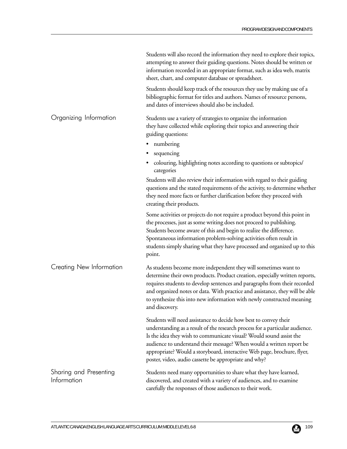|                                       | Students will also record the information they need to explore their topics,<br>attempting to answer their guiding questions. Notes should be written or<br>information recorded in an appropriate format, such as idea web, matrix<br>sheet, chart, and computer database or spreadsheet.<br>Students should keep track of the resources they use by making use of a                                                               |
|---------------------------------------|-------------------------------------------------------------------------------------------------------------------------------------------------------------------------------------------------------------------------------------------------------------------------------------------------------------------------------------------------------------------------------------------------------------------------------------|
|                                       | bibliographic format for titles and authors. Names of resource persons,<br>and dates of interviews should also be included.                                                                                                                                                                                                                                                                                                         |
| Organizing Information                | Students use a variety of strategies to organize the information<br>they have collected while exploring their topics and answering their<br>guiding questions:<br>numbering<br>٠                                                                                                                                                                                                                                                    |
|                                       | sequencing<br>colouring, highlighting notes according to questions or subtopics/<br>categories                                                                                                                                                                                                                                                                                                                                      |
|                                       | Students will also review their information with regard to their guiding<br>questions and the stated requirements of the activity, to determine whether<br>they need more facts or further clarification before they proceed with<br>creating their products.                                                                                                                                                                       |
|                                       | Some activities or projects do not require a product beyond this point in<br>the processes, just as some writing does not proceed to publishing.<br>Students become aware of this and begin to realize the difference.<br>Spontaneous information problem-solving activities often result in<br>students simply sharing what they have processed and organized up to this<br>point.                                                 |
| Creating New Information              | As students become more independent they will sometimes want to<br>determine their own products. Product creation, especially written reports,<br>requires students to develop sentences and paragraphs from their recorded<br>and organized notes or data. With practice and assistance, they will be able<br>to synthesize this into new information with newly constructed meaning<br>and discovery.                             |
|                                       | Students will need assistance to decide how best to convey their<br>understanding as a result of the research process for a particular audience.<br>Is the idea they wish to communicate visual? Would sound assist the<br>audience to understand their message? When would a written report be<br>appropriate? Would a storyboard, interactive Web page, brochure, flyer,<br>poster, video, audio cassette be appropriate and why? |
| Sharing and Presenting<br>Information | Students need many opportunities to share what they have learned,<br>discovered, and created with a variety of audiences, and to examine<br>carefully the responses of those audiences to their work.                                                                                                                                                                                                                               |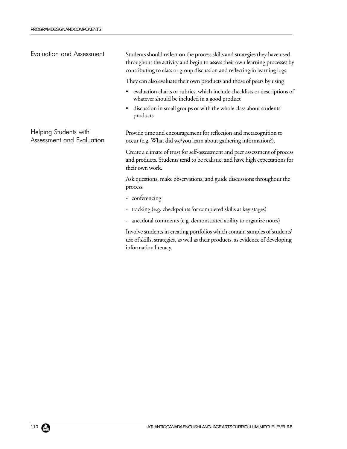Students should reflect on the process skills and strategies they have used throughout the activity and begin to assess their own learning processes by contributing to class or group discussion and reflecting in learning logs. They can also evaluate their own products and those of peers by using • evaluation charts or rubrics, which include checklists or descriptions of whatever should be included in a good product • discussion in small groups or with the whole class about students' products Provide time and encouragement for reflection and metacognition to occur (e.g. What did we/you learn about gathering information?). Create a climate of trust for self-assessment and peer assessment of process and products. Students tend to be realistic, and have high expectations for their own work. Ask questions, make observations, and guide discussions throughout the process: - conferencing - tracking (e.g. checkpoints for completed skills at key stages) - anecdotal comments (e.g. demonstrated ability to organize notes) Involve students in creating portfolios which contain samples of students' use of skills, strategies, as well as their products, as evidence of developing information literacy. Evaluation and Assessment Helping Students with Assessment and Evaluation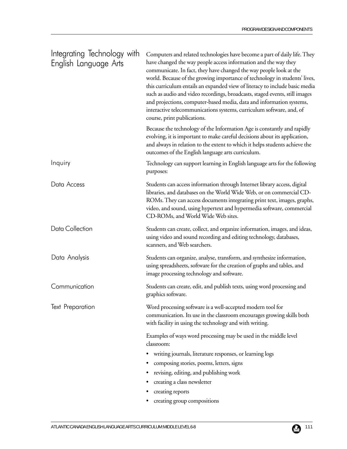| Integrating Technology with<br>English Language Arts | Computers and related technologies have become a part of daily life. They<br>have changed the way people access information and the way they<br>communicate. In fact, they have changed the way people look at the<br>world. Because of the growing importance of technology in students' lives,<br>this curriculum entails an expanded view of literacy to include basic media<br>such as audio and video recordings, broadcasts, staged events, still images<br>and projections, computer-based media, data and information systems,<br>interactive telecommunications systems, curriculum software, and, of<br>course, print publications. |
|------------------------------------------------------|-----------------------------------------------------------------------------------------------------------------------------------------------------------------------------------------------------------------------------------------------------------------------------------------------------------------------------------------------------------------------------------------------------------------------------------------------------------------------------------------------------------------------------------------------------------------------------------------------------------------------------------------------|
|                                                      | Because the technology of the Information Age is constantly and rapidly<br>evolving, it is important to make careful decisions about its application,<br>and always in relation to the extent to which it helps students achieve the<br>outcomes of the English language arts curriculum.                                                                                                                                                                                                                                                                                                                                                     |
| Inquiry                                              | Technology can support learning in English language arts for the following<br>purposes:                                                                                                                                                                                                                                                                                                                                                                                                                                                                                                                                                       |
| Data Access                                          | Students can access information through Internet library access, digital<br>libraries, and databases on the World Wide Web, or on commercial CD-<br>ROMs. They can access documents integrating print text, images, graphs,<br>video, and sound, using hypertext and hypermedia software, commercial<br>CD-ROMs, and World Wide Web sites.                                                                                                                                                                                                                                                                                                    |
| Data Collection                                      | Students can create, collect, and organize information, images, and ideas,<br>using video and sound recording and editing technology, databases,<br>scanners, and Web searchers.                                                                                                                                                                                                                                                                                                                                                                                                                                                              |
| Data Analysis                                        | Students can organize, analyse, transform, and synthesize information,<br>using spreadsheets, software for the creation of graphs and tables, and<br>image processing technology and software.                                                                                                                                                                                                                                                                                                                                                                                                                                                |
| Communication                                        | Students can create, edit, and publish texts, using word processing and<br>graphics software.                                                                                                                                                                                                                                                                                                                                                                                                                                                                                                                                                 |
| <b>Text Preparation</b>                              | Word processing software is a well-accepted modern tool for<br>communication. Its use in the classroom encourages growing skills both<br>with facility in using the technology and with writing.                                                                                                                                                                                                                                                                                                                                                                                                                                              |
|                                                      | Examples of ways word processing may be used in the middle level<br>classroom:                                                                                                                                                                                                                                                                                                                                                                                                                                                                                                                                                                |
|                                                      | writing journals, literature responses, or learning logs<br>$\bullet$                                                                                                                                                                                                                                                                                                                                                                                                                                                                                                                                                                         |
|                                                      | composing stories, poems, letters, signs                                                                                                                                                                                                                                                                                                                                                                                                                                                                                                                                                                                                      |
|                                                      | revising, editing, and publishing work                                                                                                                                                                                                                                                                                                                                                                                                                                                                                                                                                                                                        |
|                                                      | creating a class newsletter                                                                                                                                                                                                                                                                                                                                                                                                                                                                                                                                                                                                                   |
|                                                      | creating reports                                                                                                                                                                                                                                                                                                                                                                                                                                                                                                                                                                                                                              |
|                                                      | creating group compositions                                                                                                                                                                                                                                                                                                                                                                                                                                                                                                                                                                                                                   |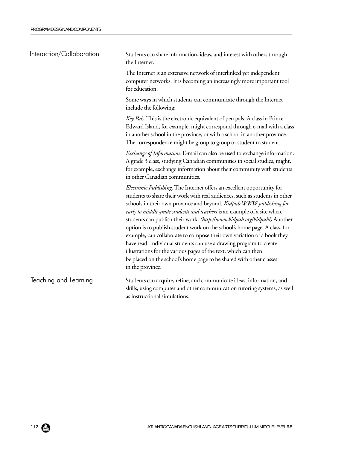| Interaction/Collaboration | Students can share information, ideas, and interest with others through<br>the Internet.                                                                                                                                                                                                                                                                                                                                                                                                                                                                                                                                                                                                                                                                                          |
|---------------------------|-----------------------------------------------------------------------------------------------------------------------------------------------------------------------------------------------------------------------------------------------------------------------------------------------------------------------------------------------------------------------------------------------------------------------------------------------------------------------------------------------------------------------------------------------------------------------------------------------------------------------------------------------------------------------------------------------------------------------------------------------------------------------------------|
|                           | The Internet is an extensive network of interlinked yet independent<br>computer networks. It is becoming an increasingly more important tool<br>for education.                                                                                                                                                                                                                                                                                                                                                                                                                                                                                                                                                                                                                    |
|                           | Some ways in which students can communicate through the Internet<br>include the following:                                                                                                                                                                                                                                                                                                                                                                                                                                                                                                                                                                                                                                                                                        |
|                           | Key Pals. This is the electronic equivalent of pen pals. A class in Prince<br>Edward Island, for example, might correspond through e-mail with a class<br>in another school in the province, or with a school in another province.<br>The correspondence might be group to group or student to student.                                                                                                                                                                                                                                                                                                                                                                                                                                                                           |
|                           | <i>Exchange of Information</i> . E-mail can also be used to exchange information.<br>A grade 3 class, studying Canadian communities in social studies, might,<br>for example, exchange information about their community with students<br>in other Canadian communities.                                                                                                                                                                                                                                                                                                                                                                                                                                                                                                          |
|                           | Electronic Publishing. The Internet offers an excellent opportunity for<br>students to share their work with real audiences, such as students in other<br>schools in their own province and beyond. Kidpub WWW publishing for<br>early to middle grade students and teachers is an example of a site where<br>students can publish their work. (http://www.kidpub.org/kidpub/) Another<br>option is to publish student work on the school's home page. A class, for<br>example, can collaborate to compose their own variation of a book they<br>have read. Individual students can use a drawing program to create<br>illustrations for the various pages of the text, which can then<br>be placed on the school's home page to be shared with other classes<br>in the province. |
| Teaching and Learning     | Students can acquire, refine, and communicate ideas, information, and<br>skills, using computer and other communication tutoring systems, as well                                                                                                                                                                                                                                                                                                                                                                                                                                                                                                                                                                                                                                 |

as instructional simulations.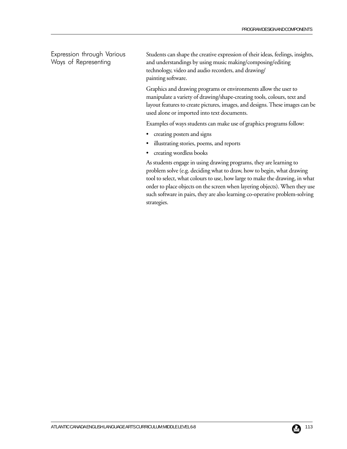Expression through Various Ways of Representing

Students can shape the creative expression of their ideas, feelings, insights, and understandings by using music making/composing/editing technology, video and audio recorders, and drawing/ painting software.

Graphics and drawing programs or environments allow the user to manipulate a variety of drawing/shape-creating tools, colours, text and layout features to create pictures, images, and designs. These images can be used alone or imported into text documents.

Examples of ways students can make use of graphics programs follow:

- creating posters and signs
- illustrating stories, poems, and reports
- creating wordless books

As students engage in using drawing programs, they are learning to problem solve (e.g. deciding what to draw, how to begin, what drawing tool to select, what colours to use, how large to make the drawing, in what order to place objects on the screen when layering objects). When they use such software in pairs, they are also learning co-operative problem-solving strategies.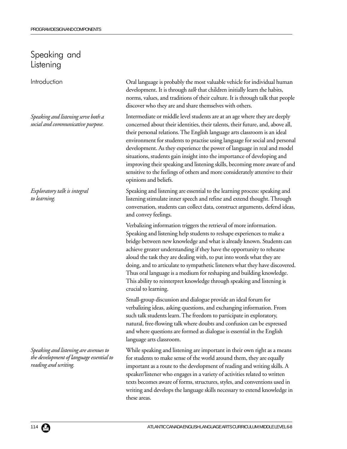## Speaking and Listening

Introduction

*Speaking and listening serve both a social and communicative purpose.*

*Exploratory talk is integral to learning.*

*Speaking and listening are avenues to the development of language essential to reading and writing.*

Oral language is probably the most valuable vehicle for individual human development. It is through *talk* that children initially learn the habits, norms, values, and traditions of their culture. It is through talk that people discover who they are and share themselves with others.

Intermediate or middle level students are at an age where they are deeply concerned about their identities, their talents, their future, and, above all, their personal relations. The English language arts classroom is an ideal environment for students to practise using language for social and personal development. As they experience the power of language in real and model situations, students gain insight into the importance of developing and improving their speaking and listening skills, becoming more aware of and sensitive to the feelings of others and more considerately attentive to their opinions and beliefs.

Speaking and listening are essential to the learning process: speaking and listening stimulate inner speech and refine and extend thought. Through conversation, students can collect data, construct arguments, defend ideas, and convey feelings.

Verbalizing information triggers the retrieval of more information. Speaking and listening help students to reshape experiences to make a bridge between new knowledge and what is already known. Students can achieve greater understanding if they have the opportunity to rehearse aloud the task they are dealing with, to put into words what they are doing, and to articulate to sympathetic listeners what they have discovered. Thus oral language is a medium for reshaping and building knowledge. This ability to reinterpret knowledge through speaking and listening is crucial to learning.

Small-group discussion and dialogue provide an ideal forum for verbalizing ideas, asking questions, and exchanging information. From such talk students learn. The freedom to participate in exploratory, natural, free-flowing talk where doubts and confusion can be expressed and where questions are formed as dialogue is essential in the English language arts classroom.

While speaking and listening are important in their own right as a means for students to make sense of the world around them, they are equally important as a route to the development of reading and writing skills. A speaker/listener who engages in a variety of activities related to written texts becomes aware of forms, structures, styles, and conventions used in writing and develops the language skills necessary to extend knowledge in these areas.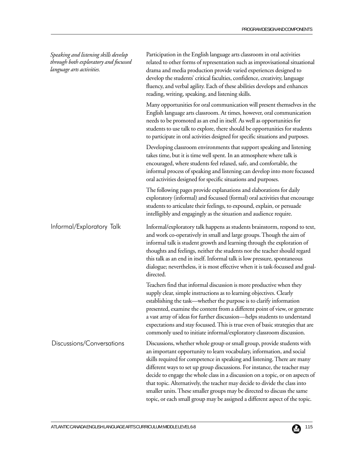| Speaking and listening skills develop<br>through both exploratory and focussed<br>language arts activities. | Participation in the English language arts classroom in oral activities<br>related to other forms of representation such as improvisational situational<br>drama and media production provide varied experiences designed to<br>develop the students' critical faculties, confidence, creativity, language<br>fluency, and verbal agility. Each of these abilities develops and enhances<br>reading, writing, speaking, and listening skills.                                                                                                                                                                                     |
|-------------------------------------------------------------------------------------------------------------|-----------------------------------------------------------------------------------------------------------------------------------------------------------------------------------------------------------------------------------------------------------------------------------------------------------------------------------------------------------------------------------------------------------------------------------------------------------------------------------------------------------------------------------------------------------------------------------------------------------------------------------|
|                                                                                                             | Many opportunities for oral communication will present themselves in the<br>English language arts classroom. At times, however, oral communication<br>needs to be promoted as an end in itself. As well as opportunities for<br>students to use talk to explore, there should be opportunities for students<br>to participate in oral activities designed for specific situations and purposes.                                                                                                                                                                                                                                   |
|                                                                                                             | Developing classroom environments that support speaking and listening<br>takes time, but it is time well spent. In an atmosphere where talk is<br>encouraged, where students feel relaxed, safe, and comfortable, the<br>informal process of speaking and listening can develop into more focussed<br>oral activities designed for specific situations and purposes.                                                                                                                                                                                                                                                              |
|                                                                                                             | The following pages provide explanations and elaborations for daily<br>exploratory (informal) and focussed (formal) oral activities that encourage<br>students to articulate their feelings, to expound, explain, or persuade<br>intelligibly and engagingly as the situation and audience require.                                                                                                                                                                                                                                                                                                                               |
| Informal/Exploratory Talk                                                                                   | Informal/exploratory talk happens as students brainstorm, respond to text,<br>and work co-operatively in small and large groups. Though the aim of<br>informal talk is student growth and learning through the exploration of<br>thoughts and feelings, neither the students nor the teacher should regard<br>this talk as an end in itself. Informal talk is low pressure, spontaneous<br>dialogue; nevertheless, it is most effective when it is task-focussed and goal-<br>directed.                                                                                                                                           |
|                                                                                                             | Teachers find that informal discussion is more productive when they<br>supply clear, simple instructions as to learning objectives. Clearly<br>establishing the task—whether the purpose is to clarify information<br>presented, examine the content from a different point of view, or generate<br>a vast array of ideas for further discussion-helps students to understand<br>expectations and stay focussed. This is true even of basic strategies that are<br>commonly used to initiate informal/exploratory classroom discussion.                                                                                           |
| Discussions/Conversations                                                                                   | Discussions, whether whole group or small group, provide students with<br>an important opportunity to learn vocabulary, information, and social<br>skills required for competence in speaking and listening. There are many<br>different ways to set up group discussions. For instance, the teacher may<br>decide to engage the whole class in a discussion on a topic, or on aspects of<br>that topic. Alternatively, the teacher may decide to divide the class into<br>smaller units. These smaller groups may be directed to discuss the same<br>topic, or each small group may be assigned a different aspect of the topic. |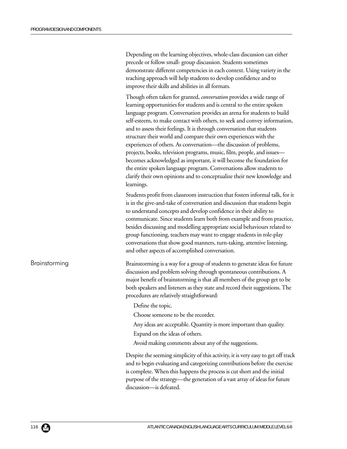Depending on the learning objectives, whole-class discussion can either precede or follow small- group discussion. Students sometimes demonstrate different competencies in each context. Using variety in the teaching approach will help students to develop confidence and to improve their skills and abilities in all formats.

Though often taken for granted, *conversation* provides a wide range of learning opportunities for students and is central to the entire spoken language program. Conversation provides an arena for students to build self-esteem, to make contact with others, to seek and convey information, and to assess their feelings. It is through conversation that students structure their world and compare their own experiences with the experiences of others. As conversation—the discussion of problems, projects, books, television programs, music, film, people, and issues becomes acknowledged as important, it will become the foundation for the entire spoken language program. Conversations allow students to clarify their own opinions and to conceptualize their new knowledge and learnings.

Students profit from classroom instruction that fosters informal talk, for it is in the give-and-take of conversation and discussion that students begin to understand concepts and develop confidence in their ability to communicate. Since students learn both from example and from practice, besides discussing and modelling appropriate social behaviours related to group functioning, teachers may want to engage students in role-play conversations that show good manners, turn-taking, attentive listening, and other aspects of accomplished conversation.

Brainstorming

Brainstorming is a way for a group of students to generate ideas for future discussion and problem solving through spontaneous contributions. A major benefit of brainstorming is that all members of the group get to be both speakers and listeners as they state and record their suggestions. The procedures are relatively straightforward:

Define the topic.

Choose someone to be the recorder.

Any ideas are acceptable. Quantity is more important than quality.

Expand on the ideas of others.

Avoid making comments about any of the suggestions.

Despite the seeming simplicity of this activity, it is very easy to get off track and to begin evaluating and categorizing contributions before the exercise is complete. When this happens the process is cut short and the initial purpose of the strategy—the generation of a vast array of ideas for future discussion—is defeated.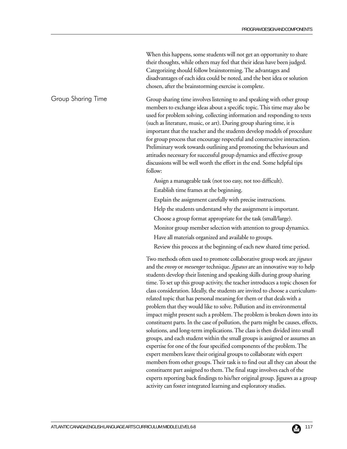When this happens, some students will not get an opportunity to share their thoughts, while others may feel that their ideas have been judged. Categorizing should follow brainstorming. The advantages and disadvantages of each idea could be noted, and the best idea or solution chosen, after the brainstorming exercise is complete.

Group sharing time involves listening to and speaking with other group members to exchange ideas about a specific topic. This time may also be used for problem solving, collecting information and responding to texts (such as literature, music, or art). During group sharing time, it is important that the teacher and the students develop models of procedure for group process that encourage respectful and constructive interaction. Preliminary work towards outlining and promoting the behaviours and attitudes necessary for successful group dynamics and effective group discussions will be well worth the effort in the end. Some helpful tips follow: Group Sharing Time

Assign a manageable task (not too easy, not too difficult).

- Establish time frames at the beginning.
- Explain the assignment carefully with precise instructions.
- Help the students understand why the assignment is important.
- Choose a group format appropriate for the task (small/large).
- Monitor group member selection with attention to group dynamics.
- Have all materials organized and available to groups.
- Review this process at the beginning of each new shared time period.

Two methods often used to promote collaborative group work are *jigsaws* and the *envoy* or *messenger* technique. *Jigsaws* are an innovative way to help students develop their listening and speaking skills during group sharing time. To set up this group activity, the teacher introduces a topic chosen for class consideration. Ideally, the students are invited to choose a curriculumrelated topic that has personal meaning for them or that deals with a problem that they would like to solve. Pollution and its environmental impact might present such a problem. The problem is broken down into its constituent parts. In the case of pollution, the parts might be causes, effects, solutions, and long-term implications. The class is then divided into small groups, and each student within the small groups is assigned or assumes an expertise for one of the four specified components of the problem. The expert members leave their original groups to collaborate with expert members from other groups. Their task is to find out all they can about the constituent part assigned to them. The final stage involves each of the experts reporting back findings to his/her original group. Jigsaws as a group activity can foster integrated learning and exploratory studies.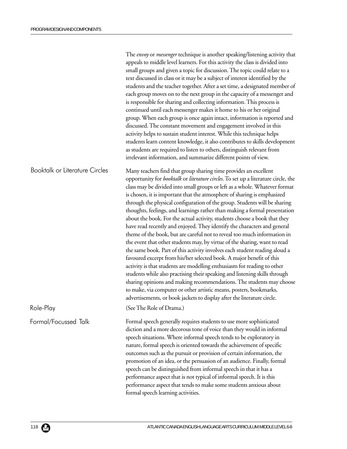|                                       | The envoy or messenger technique is another speaking/listening activity that<br>appeals to middle level learners. For this activity the class is divided into<br>small groups and given a topic for discussion. The topic could relate to a<br>text discussed in class or it may be a subject of interest identified by the<br>students and the teacher together. After a set time, a designated member of<br>each group moves on to the next group in the capacity of a messenger and<br>is responsible for sharing and collecting information. This process is<br>continued until each messenger makes it home to his or her original<br>group. When each group is once again intact, information is reported and<br>discussed. The constant movement and engagement involved in this<br>activity helps to sustain student interest. While this technique helps<br>students learn content knowledge, it also contributes to skills development<br>as students are required to listen to others, distinguish relevant from<br>irrelevant information, and summarize different points of view.                                                                                                                                                                                                                                                      |
|---------------------------------------|-----------------------------------------------------------------------------------------------------------------------------------------------------------------------------------------------------------------------------------------------------------------------------------------------------------------------------------------------------------------------------------------------------------------------------------------------------------------------------------------------------------------------------------------------------------------------------------------------------------------------------------------------------------------------------------------------------------------------------------------------------------------------------------------------------------------------------------------------------------------------------------------------------------------------------------------------------------------------------------------------------------------------------------------------------------------------------------------------------------------------------------------------------------------------------------------------------------------------------------------------------------------------------------------------------------------------------------------------------|
| <b>Booktalk or Literature Circles</b> | Many teachers find that group sharing time provides an excellent<br>opportunity for <i>booktalk</i> or <i>literature circles</i> . To set up a literature circle, the<br>class may be divided into small groups or left as a whole. Whatever format<br>is chosen, it is important that the atmosphere of sharing is emphasized<br>through the physical configuration of the group. Students will be sharing<br>thoughts, feelings, and learnings rather than making a formal presentation<br>about the book. For the actual activity, students choose a book that they<br>have read recently and enjoyed. They identify the characters and general<br>theme of the book, but are careful not to reveal too much information in<br>the event that other students may, by virtue of the sharing, want to read<br>the same book. Part of this activity involves each student reading aloud a<br>favoured excerpt from his/her selected book. A major benefit of this<br>activity is that students are modelling enthusiasm for reading to other<br>students while also practising their speaking and listening skills through<br>sharing opinions and making recommendations. The students may choose<br>to make, via computer or other artistic means, posters, bookmarks,<br>advertisements, or book jackets to display after the literature circle. |
| Role-Play                             | (See The Role of Drama.)                                                                                                                                                                                                                                                                                                                                                                                                                                                                                                                                                                                                                                                                                                                                                                                                                                                                                                                                                                                                                                                                                                                                                                                                                                                                                                                            |
| Formal/Focussed Talk                  | Formal speech generally requires students to use more sophisticated<br>diction and a more decorous tone of voice than they would in informal<br>speech situations. Where informal speech tends to be exploratory in<br>nature, formal speech is oriented towards the achievement of specific<br>outcomes such as the pursuit or provision of certain information, the<br>promotion of an idea, or the persuasion of an audience. Finally, formal<br>speech can be distinguished from informal speech in that it has a<br>performance aspect that is not typical of informal speech. It is this<br>performance aspect that tends to make some students anxious about<br>formal speech learning activities.                                                                                                                                                                                                                                                                                                                                                                                                                                                                                                                                                                                                                                           |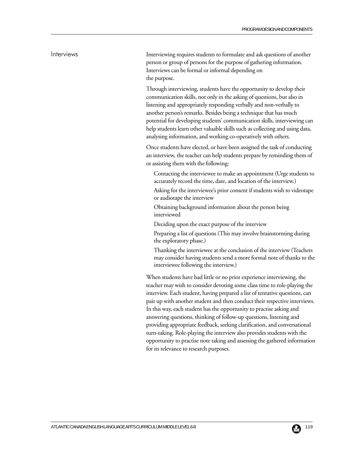### Interviews

Interviewing requires students to formulate and ask questions of another person or group of persons for the purpose of gathering information. Interviews can be formal or informal depending on the purpose.

Through interviewing, students have the opportunity to develop their communication skills, not only in the asking of questions, but also in listening and appropriately responding verbally and non-verbally to another person's remarks. Besides being a technique that has much potential for developing students' communication skills, interviewing can help students learn other valuable skills such as collecting and using data, analysing information, and working co-operatively with others.

Once students have elected, or have been assigned the task of conducting an interview, the teacher can help students prepare by reminding them of or assisting them with the following:

- Contacting the interviewee to make an appointment (Urge students to accurately record the time, date, and location of the interview.)
- Asking for the interviewee's prior consent if students wish to videotape or audiotape the interview
- Obtaining background information about the person being interviewed
- Deciding upon the exact purpose of the interview
- Preparing a list of questions (This may involve brainstorming during the exploratory phase.)
- Thanking the interviewee at the conclusion of the interview (Teachers may consider having students send a more formal note of thanks to the interviewee following the interview.)

When students have had little or no prior experience interviewing, the teacher may wish to consider devoting some class time to role-playing the interview. Each student, having prepared a list of tentative questions, can pair up with another student and then conduct their respective interviews. In this way, each student has the opportunity to practise asking and answering questions, thinking of follow-up questions, listening and providing appropriate feedback, seeking clarification, and conversational turn-taking. Role-playing the interview also provides students with the opportunity to practise note taking and assessing the gathered information for its relevance to research purposes.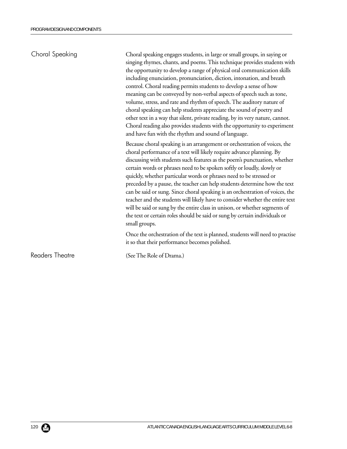| Choral Speaking        | Choral speaking engages students, in large or small groups, in saying or<br>singing rhymes, chants, and poems. This technique provides students with<br>the opportunity to develop a range of physical oral communication skills<br>including enunciation, pronunciation, diction, intonation, and breath<br>control. Choral reading permits students to develop a sense of how<br>meaning can be conveyed by non-verbal aspects of speech such as tone,<br>volume, stress, and rate and rhythm of speech. The auditory nature of<br>choral speaking can help students appreciate the sound of poetry and<br>other text in a way that silent, private reading, by its very nature, cannot.<br>Choral reading also provides students with the opportunity to experiment<br>and have fun with the rhythm and sound of language. |
|------------------------|-------------------------------------------------------------------------------------------------------------------------------------------------------------------------------------------------------------------------------------------------------------------------------------------------------------------------------------------------------------------------------------------------------------------------------------------------------------------------------------------------------------------------------------------------------------------------------------------------------------------------------------------------------------------------------------------------------------------------------------------------------------------------------------------------------------------------------|
|                        | Because choral speaking is an arrangement or orchestration of voices, the<br>choral performance of a text will likely require advance planning. By<br>discussing with students such features as the poem's punctuation, whether<br>certain words or phrases need to be spoken softly or loudly, slowly or<br>quickly, whether particular words or phrases need to be stressed or<br>preceded by a pause, the teacher can help students determine how the text<br>can be said or sung. Since choral speaking is an orchestration of voices, the<br>teacher and the students will likely have to consider whether the entire text<br>will be said or sung by the entire class in unison, or whether segments of<br>the text or certain roles should be said or sung by certain individuals or<br>small groups.                  |
|                        | Once the orchestration of the text is planned, students will need to practise<br>it so that their performance becomes polished.                                                                                                                                                                                                                                                                                                                                                                                                                                                                                                                                                                                                                                                                                               |
| <b>Readers Theatre</b> | (See The Role of Drama.)                                                                                                                                                                                                                                                                                                                                                                                                                                                                                                                                                                                                                                                                                                                                                                                                      |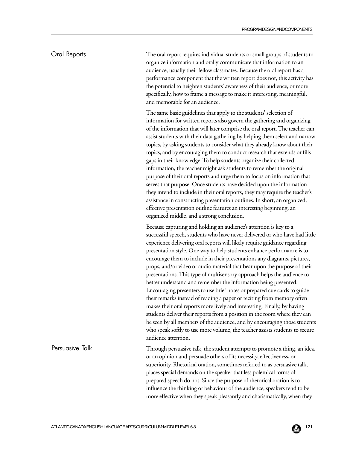### Oral Reports

The oral report requires individual students or small groups of students to organize information and orally communicate that information to an audience, usually their fellow classmates. Because the oral report has a performance component that the written report does not, this activity has the potential to heighten students' awareness of their audience, or more specifically, how to frame a message to make it interesting, meaningful, and memorable for an audience.

The same basic guidelines that apply to the students' selection of information for written reports also govern the gathering and organizing of the information that will later comprise the oral report. The teacher can assist students with their data gathering by helping them select and narrow topics, by asking students to consider what they already know about their topics, and by encouraging them to conduct research that extends or fills gaps in their knowledge. To help students organize their collected information, the teacher might ask students to remember the original purpose of their oral reports and urge them to focus on information that serves that purpose. Once students have decided upon the information they intend to include in their oral reports, they may require the teacher's assistance in constructing presentation outlines. In short, an organized, effective presentation outline features an interesting beginning, an organized middle, and a strong conclusion.

Because capturing and holding an audience's attention is key to a successful speech, students who have never delivered or who have had little experience delivering oral reports will likely require guidance regarding presentation style. One way to help students enhance performance is to encourage them to include in their presentations any diagrams, pictures, props, and/or video or audio material that bear upon the purpose of their presentations. This type of multisensory approach helps the audience to better understand and remember the information being presented. Encouraging presenters to use brief notes or prepared cue cards to guide their remarks instead of reading a paper or reciting from memory often makes their oral reports more lively and interesting. Finally, by having students deliver their reports from a position in the room where they can be seen by all members of the audience, and by encouraging those students who speak softly to use more volume, the teacher assists students to secure audience attention.

Through persuasive talk, the student attempts to promote a thing, an idea, or an opinion and persuade others of its necessity, effectiveness, or superiority. Rhetorical oration, sometimes referred to as persuasive talk, places special demands on the speaker that less polemical forms of prepared speech do not. Since the purpose of rhetorical oration is to influence the thinking or behaviour of the audience, speakers tend to be more effective when they speak pleasantly and charismatically, when they

#### Persuasive Talk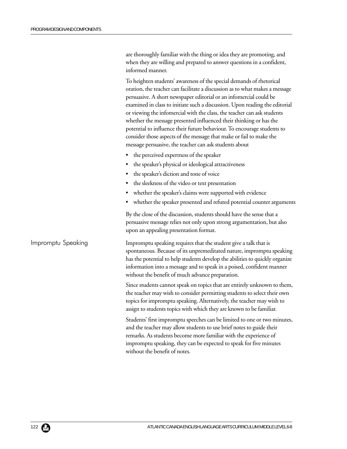are thoroughly familiar with the thing or idea they are promoting, and when they are willing and prepared to answer questions in a confident, informed manner.

To heighten students' awareness of the special demands of rhetorical oration, the teacher can facilitate a discussion as to what makes a message persuasive. A short newspaper editorial or an infomercial could be examined in class to initiate such a discussion. Upon reading the editorial or viewing the infomercial with the class, the teacher can ask students whether the message presented influenced their thinking or has the potential to influence their future behaviour. To encourage students to consider those aspects of the message that make or fail to make the message persuasive, the teacher can ask students about

- the perceived expertness of the speaker
- the speaker's physical or ideological attractiveness
- the speaker's diction and tone of voice
- the sleekness of the video or text presentation
- whether the speaker's claims were supported with evidence
- whether the speaker presented and refuted potential counter arguments

By the close of the discussion, students should have the sense that a persuasive message relies not only upon strong argumentation, but also upon an appealing presentation format.

Impromptu speaking requires that the student give a talk that is spontaneous. Because of its unpremeditated nature, impromptu speaking has the potential to help students develop the abilities to quickly organize information into a message and to speak in a poised, confident manner without the benefit of much advance preparation.

> Since students cannot speak on topics that are entirely unknown to them, the teacher may wish to consider permitting students to select their own topics for impromptu speaking. Alternatively, the teacher may wish to assign to students topics with which they are known to be familiar.

> Students' first impromptu speeches can be limited to one or two minutes, and the teacher may allow students to use brief notes to guide their remarks. As students become more familiar with the experience of impromptu speaking, they can be expected to speak for five minutes without the benefit of notes.

Impromptu Speaking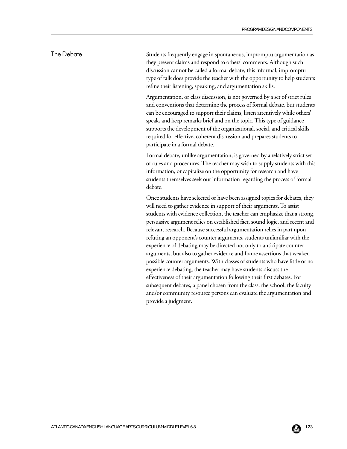## The Debate

Students frequently engage in spontaneous, impromptu argumentation as they present claims and respond to others' comments. Although such discussion cannot be called a formal debate, this informal, impromptu type of talk does provide the teacher with the opportunity to help students refine their listening, speaking, and argumentation skills.

Argumentation, or class discussion, is not governed by a set of strict rules and conventions that determine the process of formal debate, but students can be encouraged to support their claims, listen attentively while others' speak, and keep remarks brief and on the topic. This type of guidance supports the development of the organizational, social, and critical skills required for effective, coherent discussion and prepares students to participate in a formal debate.

Formal debate, unlike argumentation, is governed by a relatively strict set of rules and procedures. The teacher may wish to supply students with this information, or capitalize on the opportunity for research and have students themselves seek out information regarding the process of formal debate.

Once students have selected or have been assigned topics for debates, they will need to gather evidence in support of their arguments. To assist students with evidence collection, the teacher can emphasize that a strong, persuasive argument relies on established fact, sound logic, and recent and relevant research. Because successful argumentation relies in part upon refuting an opponent's counter arguments, students unfamiliar with the experience of debating may be directed not only to anticipate counter arguments, but also to gather evidence and frame assertions that weaken possible counter arguments. With classes of students who have little or no experience debating, the teacher may have students discuss the effectiveness of their argumentation following their first debates. For subsequent debates, a panel chosen from the class, the school, the faculty and/or community resource persons can evaluate the argumentation and provide a judgment.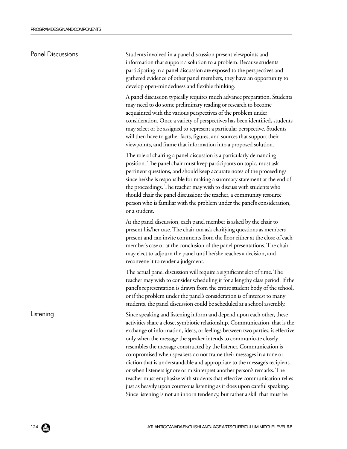| <b>Panel Discussions</b> | Students involved in a panel discussion present viewpoints and<br>information that support a solution to a problem. Because students<br>participating in a panel discussion are exposed to the perspectives and<br>gathered evidence of other panel members, they have an opportunity to<br>develop open-mindedness and flexible thinking.                                                                                                                                                                                                                                                                                                                                                                                                                                                                                                              |
|--------------------------|---------------------------------------------------------------------------------------------------------------------------------------------------------------------------------------------------------------------------------------------------------------------------------------------------------------------------------------------------------------------------------------------------------------------------------------------------------------------------------------------------------------------------------------------------------------------------------------------------------------------------------------------------------------------------------------------------------------------------------------------------------------------------------------------------------------------------------------------------------|
|                          | A panel discussion typically requires much advance preparation. Students<br>may need to do some preliminary reading or research to become<br>acquainted with the various perspectives of the problem under<br>consideration. Once a variety of perspectives has been identified, students<br>may select or be assigned to represent a particular perspective. Students<br>will then have to gather facts, figures, and sources that support their<br>viewpoints, and frame that information into a proposed solution.                                                                                                                                                                                                                                                                                                                                   |
|                          | The role of chairing a panel discussion is a particularly demanding<br>position. The panel chair must keep participants on topic, must ask<br>pertinent questions, and should keep accurate notes of the proceedings<br>since he/she is responsible for making a summary statement at the end of<br>the proceedings. The teacher may wish to discuss with students who<br>should chair the panel discussion: the teacher, a community resource<br>person who is familiar with the problem under the panel's consideration,<br>or a student.                                                                                                                                                                                                                                                                                                             |
|                          | At the panel discussion, each panel member is asked by the chair to<br>present his/her case. The chair can ask clarifying questions as members<br>present and can invite comments from the floor either at the close of each<br>member's case or at the conclusion of the panel presentations. The chair<br>may elect to adjourn the panel until he/she reaches a decision, and<br>reconvene it to render a judgment.                                                                                                                                                                                                                                                                                                                                                                                                                                   |
|                          | The actual panel discussion will require a significant slot of time. The<br>teacher may wish to consider scheduling it for a lengthy class period. If the<br>panel's representation is drawn from the entire student body of the school,<br>or if the problem under the panel's consideration is of interest to many<br>students, the panel discussion could be scheduled at a school assembly.                                                                                                                                                                                                                                                                                                                                                                                                                                                         |
| Listening                | Since speaking and listening inform and depend upon each other, these<br>activities share a close, symbiotic relationship. Communication, that is the<br>exchange of information, ideas, or feelings between two parties, is effective<br>only when the message the speaker intends to communicate closely<br>resembles the message constructed by the listener. Communication is<br>compromised when speakers do not frame their messages in a tone or<br>diction that is understandable and appropriate to the message's recipient,<br>or when listeners ignore or misinterpret another person's remarks. The<br>teacher must emphasize with students that effective communication relies<br>just as heavily upon courteous listening as it does upon careful speaking.<br>Since listening is not an inborn tendency, but rather a skill that must be |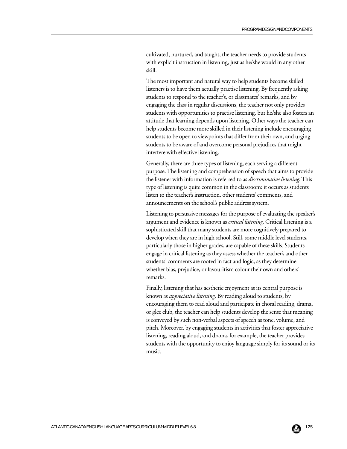cultivated, nurtured, and taught, the teacher needs to provide students with explicit instruction in listening, just as he/she would in any other skill.

The most important and natural way to help students become skilled listeners is to have them actually practise listening. By frequently asking students to respond to the teacher's, or classmates' remarks, and by engaging the class in regular discussions, the teacher not only provides students with opportunities to practise listening, but he/she also fosters an attitude that learning depends upon listening. Other ways the teacher can help students become more skilled in their listening include encouraging students to be open to viewpoints that differ from their own, and urging students to be aware of and overcome personal prejudices that might interfere with effective listening.

Generally, there are three types of listening, each serving a different purpose. The listening and comprehension of speech that aims to provide the listener with information is referred to as *discriminative listening*. This type of listening is quite common in the classroom: it occurs as students listen to the teacher's instruction, other students' comments, and announcements on the school's public address system.

Listening to persuasive messages for the purpose of evaluating the speaker's argument and evidence is known as *critical listening*. Critical listening is a sophisticated skill that many students are more cognitively prepared to develop when they are in high school. Still, some middle level students, particularly those in higher grades, are capable of these skills. Students engage in critical listening as they assess whether the teacher's and other students' comments are rooted in fact and logic, as they determine whether bias, prejudice, or favouritism colour their own and others' remarks.

Finally, listening that has aesthetic enjoyment as its central purpose is known as *appreciative listening*. By reading aloud to students, by encouraging them to read aloud and participate in choral reading, drama, or glee club, the teacher can help students develop the sense that meaning is conveyed by such non-verbal aspects of speech as tone, volume, and pitch. Moreover, by engaging students in activities that foster appreciative listening, reading aloud, and drama, for example, the teacher provides students with the opportunity to enjoy language simply for its sound or its music.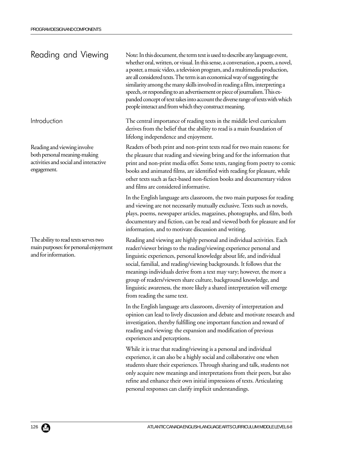# Reading and Viewing

Introduction

Reading and viewing involve both personal meaning-making activities and social and interactive engagement.

The ability to read texts serves two main purposes: for personal enjoyment and for information.

Note: In this document, the term text is used to describe any language event, whether oral, written, or visual. In this sense, a conversation, a poem, a novel, a poster, a music video, a television program, and a multimedia production, are all considered texts. The term is an economical way of suggesting the similarity among the many skills involved in reading a film, interpreting a speech, or responding to an advertisement or piece of journalism. This expanded concept of text takes into account the diverse range of texts with which people interact and from which they construct meaning.

The central importance of reading texts in the middle level curriculum derives from the belief that the ability to read is a main foundation of lifelong independence and enjoyment.

Readers of both print and non-print texts read for two main reasons: for the pleasure that reading and viewing bring and for the information that print and non-print media offer. Some texts, ranging from poetry to comic books and animated films, are identified with reading for pleasure, while other texts such as fact-based non-fiction books and documentary videos and films are considered informative.

In the English language arts classroom, the two main purposes for reading and viewing are not necessarily mutually exclusive. Texts such as novels, plays, poems, newspaper articles, magazines, photographs, and film, both documentary and fiction, can be read and viewed both for pleasure and for information, and to motivate discussion and writing.

Reading and viewing are highly personal and individual activities. Each reader/viewer brings to the reading/viewing experience personal and linguistic experiences, personal knowledge about life, and individual social, familial, and reading/viewing backgrounds. It follows that the meanings individuals derive from a text may vary; however, the more a group of readers/viewers share culture, background knowledge, and linguistic awareness, the more likely a shared interpretation will emerge from reading the same text.

In the English language arts classroom, diversity of interpretation and opinion can lead to lively discussion and debate and motivate research and investigation, thereby fulfilling one important function and reward of reading and viewing: the expansion and modification of previous experiences and perceptions.

While it is true that reading/viewing is a personal and individual experience, it can also be a highly social and collaborative one when students share their experiences. Through sharing and talk, students not only acquire new meanings and interpretations from their peers, but also refine and enhance their own initial impressions of texts. Articulating personal responses can clarify implicit understandings.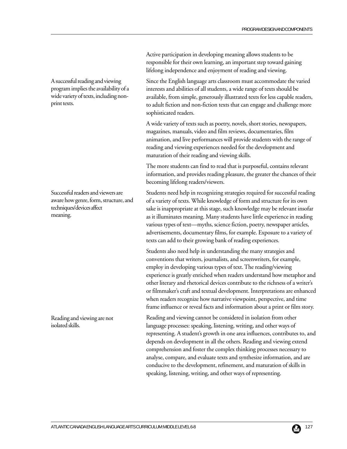Active participation in developing meaning allows students to be responsible for their own learning, an important step toward gaining lifelong independence and enjoyment of reading and viewing.

Since the English language arts classroom must accommodate the varied interests and abilities of all students, a wide range of texts should be available, from simple, generously illustrated texts for less capable readers, to adult fiction and non-fiction texts that can engage and challenge more sophisticated readers.

A wide variety of texts such as poetry, novels, short stories, newspapers, magazines, manuals, video and film reviews, documentaries, film animation, and live performances will provide students with the range of reading and viewing experiences needed for the development and maturation of their reading and viewing skills.

The more students can find to read that is purposeful, contains relevant information, and provides reading pleasure, the greater the chances of their becoming lifelong readers/viewers.

Students need help in recognizing strategies required for successful reading of a variety of texts. While knowledge of form and structure for its own sake is inappropriate at this stage, such knowledge may be relevant insofar as it illuminates meaning. Many students have little experience in reading various types of text—myths, science fiction, poetry, newspaper articles, advertisements, documentary films, for example. Exposure to a variety of texts can add to their growing bank of reading experiences.

Students also need help in understanding the many strategies and conventions that writers, journalists, and screenwriters, for example, employ in developing various types of text. The reading/viewing experience is greatly enriched when readers understand how metaphor and other literary and rhetorical devices contribute to the richness of a writer's or filmmaker's craft and textual development. Interpretations are enhanced when readers recognize how narrative viewpoint, perspective, and time frame influence or reveal facts and information about a print or film story.

Reading and viewing cannot be considered in isolation from other language processes: speaking, listening, writing, and other ways of representing. A student's growth in one area influences, contributes to, and depends on development in all the others. Reading and viewing extend comprehension and foster the complex thinking processes necessary to analyse, compare, and evaluate texts and synthesize information, and are conducive to the development, refinement, and maturation of skills in speaking, listening, writing, and other ways of representing.

A successful reading and viewing program implies the availability of a wide variety of texts, including nonprint texts.

Successful readers and viewers are aware how genre, form, structure, and techniques/devices affect meaning.

Reading and viewing are not isolated skills.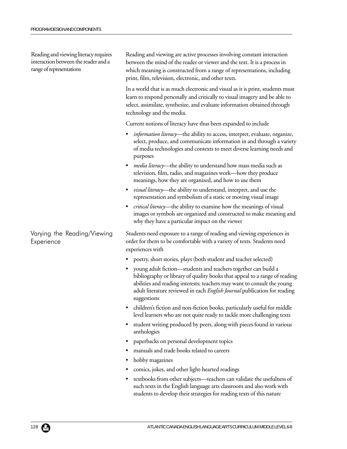Reading and viewing literacy requires interaction between the reader and a range of representations

Varying the Reading/Viewing **Experience** 

Reading and viewing are active processes involving constant interaction between the mind of the reader or viewer and the text. It is a process in which meaning is constructed from a range of representations, including print, film, television, electronic, and other texts.

In a world that is as much electronic and visual as it is print, students must learn to respond personally and critically to visual imagery and be able to select, assimilate, synthesize, and evaluate information obtained through technology and the media.

Current notions of literacy have thus been expanded to include

- *information literacy*—the ability to access, interpret, evaluate, organize, select, produce, and communicate information in and through a variety of media technologies and contexts to meet diverse learning needs and purposes
- *media literacy*—the ability to understand how mass media such as television, film, radio, and magazines work—how they produce meanings, how they are organized, and how to use them
- *visual literacy—*the ability to understand, interpret, and use the representation and symbolism of a static or moving visual image
- *critical literacy—*the ability to examine how the meanings of visual images or symbols are organized and constructed to make meaning and why they have a particular impact on the viewer

Students need exposure to a range of reading and viewing experiences in order for them to be comfortable with a variety of texts. Students need experiences with

- poetry, short stories, plays (both student and teacher selected)
- young adult fiction—students and teachers together can build a bibliography or library of quality books that appeal to a range of reading abilities and reading interests; teachers may want to consult the young adult literature reviewed in each *English Journal* publication for reading suggestions
- children's fiction and non-fiction books, particularly useful for middle level learners who are not quite ready to tackle more challenging texts
- student writing produced by peers, along with pieces found in various anthologies
- paperbacks on personal development topics
- manuals and trade books related to careers
- hobby magazines
- comics, jokes, and other light-hearted readings
- textbooks from other subjects—teachers can validate the usefulness of such texts in the English language arts classroom and also work with students to develop their strategies for reading texts of this nature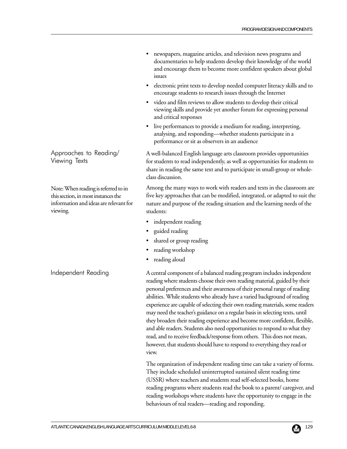- newspapers, magazine articles, and television news programs and documentaries to help students develop their knowledge of the world and encourage them to become more confident speakers about global issues
- electronic print texts to develop needed computer literacy skills and to encourage students to research issues through the Internet
- video and film reviews to allow students to develop their critical viewing skills and provide yet another forum for expressing personal and critical responses
- live performances to provide a medium for reading, interpreting, analysing, and responding—whether students participate in a performance or sit as observers in an audience

A well-balanced English language arts classroom provides opportunities for students to read independently, as well as opportunities for students to share in reading the same text and to participate in small-group or wholeclass discussion.

Among the many ways to work with readers and texts in the classroom are five key approaches that can be modified, integrated, or adapted to suit the nature and purpose of the reading situation and the learning needs of the students:

- independent reading
- guided reading
- shared or group reading
- reading workshop
- reading aloud

A central component of a balanced reading program includes independent reading where students choose their own reading material, guided by their personal preferences and their awareness of their personal range of reading abilities. While students who already have a varied background of reading experience are capable of selecting their own reading materials, some readers may need the teacher's guidance on a regular basis in selecting texts, until they broaden their reading experience and become more confident, flexible, and able readers. Students also need opportunities to respond to what they read, and to receive feedback/response from others. This does not mean, however, that students should have to respond to everything they read or view.

The organization of independent reading time can take a variety of forms. They include scheduled uninterrupted sustained silent reading time (USSR) where teachers and students read self-selected books, home reading programs where students read the book to a parent/ caregiver, and reading workshops where students have the opportunity to engage in the behaviours of real readers—reading and responding.

Approaches to Reading/ Viewing Texts

Note: When reading is referred to in this section, in most instances the information and ideas are relevant for viewing.

Independent Reading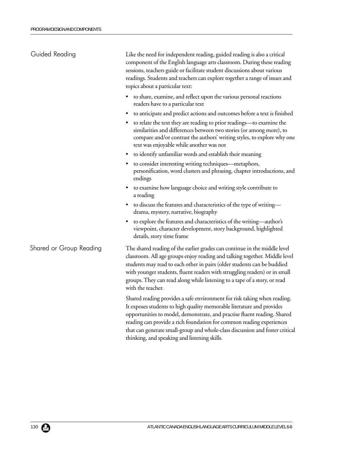| Guided Reading          | Like the need for independent reading, guided reading is also a critical<br>component of the English language arts classroom. During these reading<br>sessions, teachers guide or facilitate student discussions about various<br>readings. Students and teachers can explore together a range of issues and<br>topics about a particular text:                                                                                       |
|-------------------------|---------------------------------------------------------------------------------------------------------------------------------------------------------------------------------------------------------------------------------------------------------------------------------------------------------------------------------------------------------------------------------------------------------------------------------------|
|                         | to share, examine, and reflect upon the various personal reactions<br>٠<br>readers have to a particular text                                                                                                                                                                                                                                                                                                                          |
|                         | to anticipate and predict actions and outcomes before a text is finished                                                                                                                                                                                                                                                                                                                                                              |
|                         | to relate the text they are reading to prior readings-to examine the<br>similarities and differences between two stories (or among more), to<br>compare and/or contrast the authors' writing styles, to explore why one<br>text was enjoyable while another was not                                                                                                                                                                   |
|                         | to identify unfamiliar words and establish their meaning                                                                                                                                                                                                                                                                                                                                                                              |
|                         | to consider interesting writing techniques—metaphors,<br>personification, word clusters and phrasing, chapter introductions, and<br>endings                                                                                                                                                                                                                                                                                           |
|                         | to examine how language choice and writing style contribute to<br>a reading                                                                                                                                                                                                                                                                                                                                                           |
|                         | • to discuss the features and characteristics of the type of writing-<br>drama, mystery, narrative, biography                                                                                                                                                                                                                                                                                                                         |
|                         | to explore the features and characteristics of the writing—author's<br>viewpoint, character development, story background, highlighted<br>details, story time frame                                                                                                                                                                                                                                                                   |
| Shared or Group Reading | The shared reading of the earlier grades can continue in the middle level<br>classroom. All age groups enjoy reading and talking together. Middle level<br>students may read to each other in pairs (older students can be buddied<br>with younger students, fluent readers with struggling readers) or in small<br>groups. They can read along while listening to a tape of a story, or read<br>with the teacher.                    |
|                         | Shared reading provides a safe environment for risk taking when reading.<br>It exposes students to high quality memorable literature and provides<br>opportunities to model, demonstrate, and practise fluent reading. Shared<br>reading can provide a rich foundation for common reading experiences<br>that can generate small-group and whole-class discussion and foster critical<br>thinking, and speaking and listening skills. |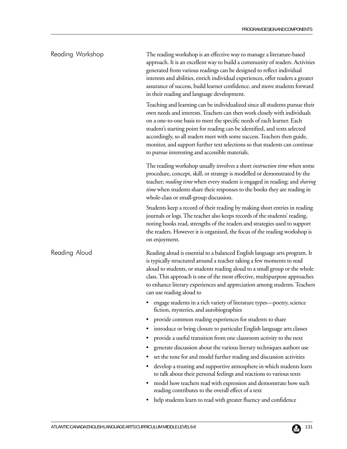| Reading Workshop | The reading workshop is an effective way to manage a literature-based<br>approach. It is an excellent way to build a community of readers. Activities<br>generated from various readings can be designed to reflect individual<br>interests and abilities, enrich individual experiences, offer readers a greater<br>assurance of success, build learner confidence, and move students forward<br>in their reading and language development.                                                                                 |
|------------------|------------------------------------------------------------------------------------------------------------------------------------------------------------------------------------------------------------------------------------------------------------------------------------------------------------------------------------------------------------------------------------------------------------------------------------------------------------------------------------------------------------------------------|
|                  | Teaching and learning can be individualized since all students pursue their<br>own needs and interests. Teachers can then work closely with individuals<br>on a one-to-one basis to meet the specific needs of each learner. Each<br>student's starting point for reading can be identified, and texts selected<br>accordingly, so all readers meet with some success. Teachers then guide,<br>monitor, and support further text selections so that students can continue<br>to pursue interesting and accessible materials. |
|                  | The reading workshop usually involves a short <i>instruction time</i> when some<br>procedure, concept, skill, or strategy is modelled or demonstrated by the<br>teacher; reading time when every student is engaged in reading; and sharing<br>time when students share their responses to the books they are reading in<br>whole-class or small-group discussion.                                                                                                                                                           |
|                  | Students keep a record of their reading by making short entries in reading<br>journals or logs. The teacher also keeps records of the students' reading,<br>noting books read, strengths of the readers and strategies used to support<br>the readers. However it is organized, the focus of the reading workshop is<br>on enjoyment.                                                                                                                                                                                        |
| Reading Aloud    | Reading aloud is essential to a balanced English language arts program. It<br>is typically structured around a teacher taking a few moments to read<br>aloud to students, or students reading aloud to a small group or the whole<br>class. This approach is one of the most effective, multipurpose approaches<br>to enhance literary experiences and appreciation among students. Teachers<br>can use reading aloud to                                                                                                     |
|                  | • engage students in a rich variety of literature types-poetry, science<br>fiction, mysteries, and autobiographies                                                                                                                                                                                                                                                                                                                                                                                                           |
|                  | provide common reading experiences for students to share                                                                                                                                                                                                                                                                                                                                                                                                                                                                     |
|                  | introduce or bring closure to particular English language arts classes                                                                                                                                                                                                                                                                                                                                                                                                                                                       |
|                  | provide a useful transition from one classroom activity to the next<br>$\bullet$                                                                                                                                                                                                                                                                                                                                                                                                                                             |
|                  | generate discussion about the various literary techniques authors use<br>٠                                                                                                                                                                                                                                                                                                                                                                                                                                                   |
|                  | set the tone for and model further reading and discussion activities                                                                                                                                                                                                                                                                                                                                                                                                                                                         |
|                  | develop a trusting and supportive atmosphere in which students learn<br>٠<br>to talk about their personal feelings and reactions to various texts                                                                                                                                                                                                                                                                                                                                                                            |
|                  | model how teachers read with expression and demonstrate how such<br>٠<br>reading contributes to the overall effect of a text                                                                                                                                                                                                                                                                                                                                                                                                 |
|                  | help students learn to read with greater fluency and confidence<br>٠                                                                                                                                                                                                                                                                                                                                                                                                                                                         |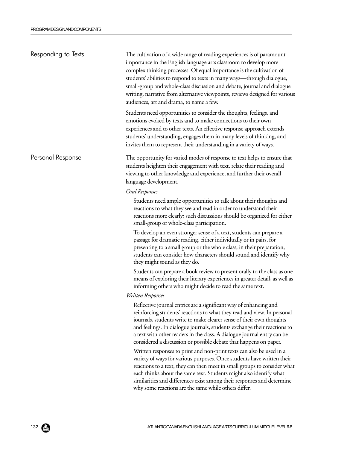| Responding to Texts | The cultivation of a wide range of reading experiences is of paramount<br>importance in the English language arts classroom to develop more<br>complex thinking processes. Of equal importance is the cultivation of<br>students' abilities to respond to texts in many ways—through dialogue,<br>small-group and whole-class discussion and debate, journal and dialogue<br>writing, narrative from alternative viewpoints, reviews designed for various<br>audiences, art and drama, to name a few.                    |
|---------------------|--------------------------------------------------------------------------------------------------------------------------------------------------------------------------------------------------------------------------------------------------------------------------------------------------------------------------------------------------------------------------------------------------------------------------------------------------------------------------------------------------------------------------|
|                     | Students need opportunities to consider the thoughts, feelings, and<br>emotions evoked by texts and to make connections to their own<br>experiences and to other texts. An effective response approach extends<br>students' understanding, engages them in many levels of thinking, and<br>invites them to represent their understanding in a variety of ways.                                                                                                                                                           |
| Personal Response   | The opportunity for varied modes of response to text helps to ensure that<br>students heighten their engagement with text, relate their reading and<br>viewing to other knowledge and experience, and further their overall<br>language development.                                                                                                                                                                                                                                                                     |
|                     | Oral Responses                                                                                                                                                                                                                                                                                                                                                                                                                                                                                                           |
|                     | Students need ample opportunities to talk about their thoughts and<br>reactions to what they see and read in order to understand their<br>reactions more clearly; such discussions should be organized for either<br>small-group or whole-class participation.                                                                                                                                                                                                                                                           |
|                     | To develop an even stronger sense of a text, students can prepare a<br>passage for dramatic reading, either individually or in pairs, for<br>presenting to a small group or the whole class; in their preparation,<br>students can consider how characters should sound and identify why<br>they might sound as they do.                                                                                                                                                                                                 |
|                     | Students can prepare a book review to present orally to the class as one<br>means of exploring their literary experiences in greater detail, as well as<br>informing others who might decide to read the same text.                                                                                                                                                                                                                                                                                                      |
|                     | Written Responses                                                                                                                                                                                                                                                                                                                                                                                                                                                                                                        |
|                     | Reflective journal entries are a significant way of enhancing and<br>reinforcing students' reactions to what they read and view. In personal<br>journals, students write to make clearer sense of their own thoughts<br>and feelings. In dialogue journals, students exchange their reactions to<br>a text with other readers in the class. A dialogue journal entry can be<br>considered a discussion or possible debate that happens on paper.<br>Written responses to print and non-print texts can also be used in a |
|                     | variety of ways for various purposes. Once students have written their<br>reactions to a text, they can then meet in small groups to consider what<br>each thinks about the same text. Students might also identify what<br>similarities and differences exist among their responses and determine<br>why some reactions are the same while others differ.                                                                                                                                                               |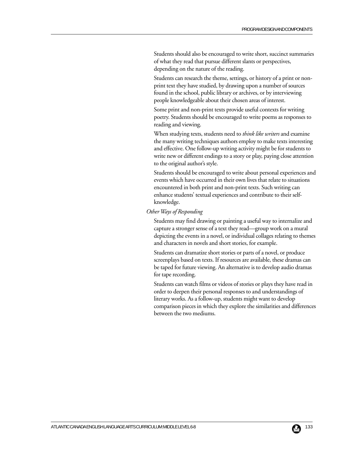Students should also be encouraged to write short, succinct summaries of what they read that pursue different slants or perspectives, depending on the nature of the reading.

Students can research the theme, settings, or history of a print or nonprint text they have studied, by drawing upon a number of sources found in the school, public library or archives, or by interviewing people knowledgeable about their chosen areas of interest.

Some print and non-print texts provide useful contexts for writing poetry. Students should be encouraged to write poems as responses to reading and viewing.

When studying texts, students need to *think like writers* and examine the many writing techniques authors employ to make texts interesting and effective. One follow-up writing activity might be for students to write new or different endings to a story or play, paying close attention to the original author's style.

Students should be encouraged to write about personal experiences and events which have occurred in their own lives that relate to situations encountered in both print and non-print texts. Such writing can enhance students' textual experiences and contribute to their selfknowledge.

#### *Other Ways of Responding*

Students may find drawing or painting a useful way to internalize and capture a stronger sense of a text they read—group work on a mural depicting the events in a novel, or individual collages relating to themes and characters in novels and short stories, for example.

Students can dramatize short stories or parts of a novel, or produce screenplays based on texts. If resources are available, these dramas can be taped for future viewing. An alternative is to develop audio dramas for tape recording.

Students can watch films or videos of stories or plays they have read in order to deepen their personal responses to and understandings of literary works. As a follow-up, students might want to develop comparison pieces in which they explore the similarities and differences between the two mediums.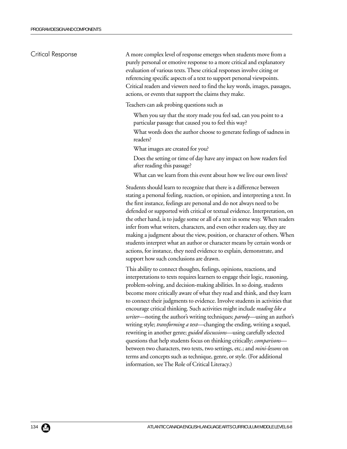### Critical Response

A more complex level of response emerges when students move from a purely personal or emotive response to a more critical and explanatory evaluation of various texts. These critical responses involve citing or referencing specific aspects of a text to support personal viewpoints. Critical readers and viewers need to find the key words, images, passages, actions, or events that support the claims they make.

Teachers can ask probing questions such as

- When you say that the story made you feel sad, can you point to a particular passage that caused you to feel this way?
- What words does the author choose to generate feelings of sadness in readers?
- What images are created for you?
- Does the setting or time of day have any impact on how readers feel after reading this passage?
- What can we learn from this event about how we live our own lives?

Students should learn to recognize that there is a difference between stating a personal feeling, reaction, or opinion, and interpreting a text. In the first instance, feelings are personal and do not always need to be defended or supported with critical or textual evidence. Interpretation, on the other hand, is to judge some or all of a text in some way. When readers infer from what writers, characters, and even other readers say, they are making a judgment about the view, position, or character of others. When students interpret what an author or character means by certain words or actions, for instance, they need evidence to explain, demonstrate, and support how such conclusions are drawn.

This ability to connect thoughts, feelings, opinions, reactions, and interpretations to texts requires learners to engage their logic, reasoning, problem-solving, and decision-making abilities. In so doing, students become more critically aware of what they read and think, and they learn to connect their judgments to evidence. Involve students in activities that encourage critical thinking. Such activities might include *reading like a writer*—noting the author's writing techniques; *parody*—using an author's writing style; *transforming a text*—changing the ending, writing a sequel, rewriting in another genre; *guided discussions*—using carefully selected questions that help students focus on thinking critically; *comparisons* between two characters, two texts, two settings, etc.; and *mini-lessons* on terms and concepts such as technique, genre, or style. (For additional information, see The Role of Critical Literacy.)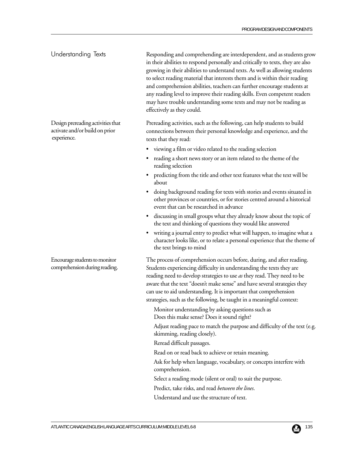Responding and comprehending are interdependent, and as students grow in their abilities to respond personally and critically to texts, they are also growing in their abilities to understand texts. As well as allowing students to select reading material that interests them and is within their reading and comprehension abilities, teachers can further encourage students at any reading level to improve their reading skills. Even competent readers may have trouble understanding some texts and may not be reading as effectively as they could. Understanding Texts

> Prereading activities, such as the following, can help students to build connections between their personal knowledge and experience, and the texts that they read:

- viewing a film or video related to the reading selection
- reading a short news story or an item related to the theme of the reading selection
- predicting from the title and other text features what the text will be about
- doing background reading for texts with stories and events situated in other provinces or countries, or for stories centred around a historical event that can be researched in advance
- discussing in small groups what they already know about the topic of the text and thinking of questions they would like answered
- writing a journal entry to predict what will happen, to imagine what a character looks like, or to relate a personal experience that the theme of the text brings to mind

The process of comprehension occurs before, during, and after reading. Students experiencing difficulty in understanding the texts they are reading need to develop strategies to use *as* they read. They need to be aware that the text "doesn't make sense" and have several strategies they can use to aid understanding. It is important that comprehension strategies, such as the following, be taught in a meaningful context:

Monitor understanding by asking questions such as Does this make sense? Does it sound right?

Adjust reading pace to match the purpose and difficulty of the text (e.g. skimming, reading closely).

Reread difficult passages.

Read on or read back to achieve or retain meaning.

Ask for help when language, vocabulary, or concepts interfere with comprehension.

Select a reading mode (silent or oral) to suit the purpose.

Predict, take risks, and read *between the lines*.

Understand and use the structure of text.

Encourage students to monitor comprehension during reading.

Design prereading activities that activate and/or build on prior

experience.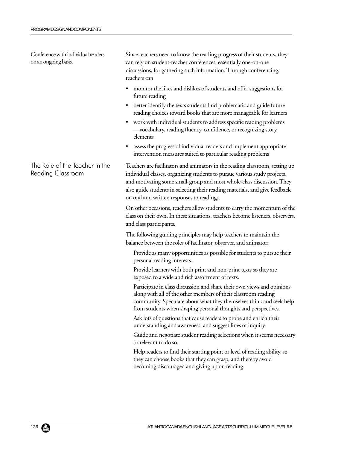Conference with individual readers on an ongoing basis.

The Role of the Teacher in the Reading Classroom

Since teachers need to know the reading progress of their students, they can rely on student-teacher conferences, essentially one-on-one discussions, for gathering such information. Through conferencing, teachers can

- monitor the likes and dislikes of students and offer suggestions for future reading
- better identify the texts students find problematic and guide future reading choices toward books that are more manageable for learners
- work with individual students to address specific reading problems —vocabulary, reading fluency, confidence, or recognizing story elements
- assess the progress of individual readers and implement appropriate intervention measures suited to particular reading problems

Teachers are facilitators and animators in the reading classroom, setting up individual classes, organizing students to pursue various study projects, and motivating some small-group and most whole-class discussion. They also guide students in selecting their reading materials, and give feedback on oral and written responses to readings.

On other occasions, teachers allow students to carry the momentum of the class on their own. In these situations, teachers become listeners, observers, and class participants.

The following guiding principles may help teachers to maintain the balance between the roles of facilitator, observer, and animator:

Provide as many opportunities as possible for students to pursue their personal reading interests.

Provide learners with both print and non-print texts so they are exposed to a wide and rich assortment of texts.

Participate in class discussion and share their own views and opinions along with all of the other members of their classroom reading community. Speculate about what they themselves think and seek help from students when shaping personal thoughts and perspectives.

Ask lots of questions that cause readers to probe and enrich their understanding and awareness, and suggest lines of inquiry.

Guide and negotiate student reading selections when it seems necessary or relevant to do so.

Help readers to find their starting point or level of reading ability, so they can choose books that they can grasp, and thereby avoid becoming discouraged and giving up on reading.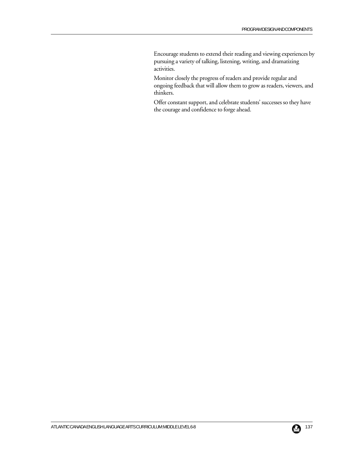Encourage students to extend their reading and viewing experiences by pursuing a variety of talking, listening, writing, and dramatizing activities.

Monitor closely the progress of readers and provide regular and ongoing feedback that will allow them to grow as readers, viewers, and thinkers.

Offer constant support, and celebrate students' successes so they have the courage and confidence to forge ahead.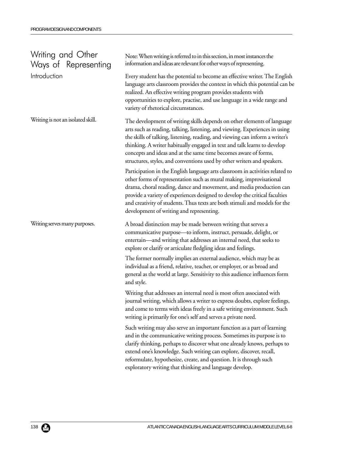| Writing and Other<br>Ways of Representing | Note: When writing is referred to in this section, in most instances the<br>information and ideas are relevant for other ways of representing.                                                                                                                                                                                                                                                                                                                   |
|-------------------------------------------|------------------------------------------------------------------------------------------------------------------------------------------------------------------------------------------------------------------------------------------------------------------------------------------------------------------------------------------------------------------------------------------------------------------------------------------------------------------|
| Introduction                              | Every student has the potential to become an effective writer. The English<br>language arts classroom provides the context in which this potential can be<br>realized. An effective writing program provides students with<br>opportunities to explore, practise, and use language in a wide range and<br>variety of rhetorical circumstances.                                                                                                                   |
| Writing is not an isolated skill.         | The development of writing skills depends on other elements of language<br>arts such as reading, talking, listening, and viewing. Experiences in using<br>the skills of talking, listening, reading, and viewing can inform a writer's<br>thinking. A writer habitually engaged in text and talk learns to develop<br>concepts and ideas and at the same time becomes aware of forms,<br>structures, styles, and conventions used by other writers and speakers. |
|                                           | Participation in the English language arts classroom in activities related to<br>other forms of representation such as mural making, improvisational<br>drama, choral reading, dance and movement, and media production can<br>provide a variety of experiences designed to develop the critical faculties<br>and creativity of students. Thus texts are both stimuli and models for the<br>development of writing and representing.                             |
| Writing serves many purposes.             | A broad distinction may be made between writing that serves a<br>communicative purpose—to inform, instruct, persuade, delight, or<br>entertain—and writing that addresses an internal need, that seeks to<br>explore or clarify or articulate fledgling ideas and feelings.                                                                                                                                                                                      |
|                                           | The former normally implies an external audience, which may be as<br>individual as a friend, relative, teacher, or employer, or as broad and<br>general as the world at large. Sensitivity to this audience influences form<br>and style.                                                                                                                                                                                                                        |
|                                           | Writing that addresses an internal need is most often associated with<br>journal writing, which allows a writer to express doubts, explore feelings,<br>and come to terms with ideas freely in a safe writing environment. Such<br>writing is primarily for one's self and serves a private need.                                                                                                                                                                |
|                                           | Such writing may also serve an important function as a part of learning<br>and in the communicative writing process. Sometimes its purpose is to<br>clarify thinking, perhaps to discover what one already knows, perhaps to<br>extend one's knowledge. Such writing can explore, discover, recall,<br>reformulate, hypothesize, create, and question. It is through such<br>exploratory writing that thinking and language develop.                             |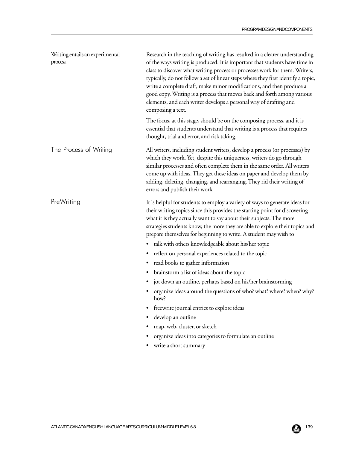| Writing entails an experimental<br>process. | Research in the teaching of writing has resulted in a clearer understanding<br>of the ways writing is produced. It is important that students have time in<br>class to discover what writing process or processes work for them. Writers,<br>typically, do not follow a set of linear steps where they first identify a topic,<br>write a complete draft, make minor modifications, and then produce a<br>good copy. Writing is a process that moves back and forth among various<br>elements, and each writer develops a personal way of drafting and<br>composing a text.                                                                                                                                                                                                                                                                                                                                                                    |
|---------------------------------------------|------------------------------------------------------------------------------------------------------------------------------------------------------------------------------------------------------------------------------------------------------------------------------------------------------------------------------------------------------------------------------------------------------------------------------------------------------------------------------------------------------------------------------------------------------------------------------------------------------------------------------------------------------------------------------------------------------------------------------------------------------------------------------------------------------------------------------------------------------------------------------------------------------------------------------------------------|
|                                             | The focus, at this stage, should be on the composing process, and it is<br>essential that students understand that writing is a process that requires<br>thought, trial and error, and risk taking.                                                                                                                                                                                                                                                                                                                                                                                                                                                                                                                                                                                                                                                                                                                                            |
| The Process of Writing                      | All writers, including student writers, develop a process (or processes) by<br>which they work. Yet, despite this uniqueness, writers do go through<br>similar processes and often complete them in the same order. All writers<br>come up with ideas. They get these ideas on paper and develop them by<br>adding, deleting, changing, and rearranging. They rid their writing of<br>errors and publish their work.                                                                                                                                                                                                                                                                                                                                                                                                                                                                                                                           |
| PreWriting                                  | It is helpful for students to employ a variety of ways to generate ideas for<br>their writing topics since this provides the starting point for discovering<br>what it is they actually want to say about their subjects. The more<br>strategies students know, the more they are able to explore their topics and<br>prepare themselves for beginning to write. A student may wish to<br>talk with others knowledgeable about his/her topic<br>reflect on personal experiences related to the topic<br>٠<br>read books to gather information<br>$\bullet$<br>brainstorm a list of ideas about the topic<br>$\bullet$<br>jot down an outline, perhaps based on his/her brainstorming<br>$\bullet$<br>organize ideas around the questions of who? what? where? when? why?<br>how?<br>freewrite journal entries to explore ideas<br>develop an outline<br>map, web, cluster, or sketch<br>organize ideas into categories to formulate an outline |
|                                             | write a short summary                                                                                                                                                                                                                                                                                                                                                                                                                                                                                                                                                                                                                                                                                                                                                                                                                                                                                                                          |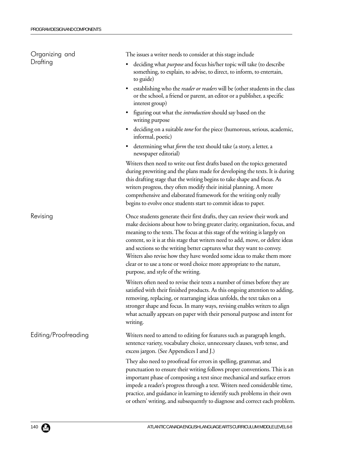| Organizing and       | The issues a writer needs to consider at this stage include                                                                                                                                                                                                                                                                                                                                                                                                                                                                                                                                |
|----------------------|--------------------------------------------------------------------------------------------------------------------------------------------------------------------------------------------------------------------------------------------------------------------------------------------------------------------------------------------------------------------------------------------------------------------------------------------------------------------------------------------------------------------------------------------------------------------------------------------|
| Drafting             | deciding what <i>purpose</i> and focus his/her topic will take (to describe<br>something, to explain, to advise, to direct, to inform, to entertain,<br>to guide)                                                                                                                                                                                                                                                                                                                                                                                                                          |
|                      | establishing who the <i>reader or readers</i> will be (other students in the class<br>or the school, a friend or parent, an editor or a publisher, a specific<br>interest group)                                                                                                                                                                                                                                                                                                                                                                                                           |
|                      | figuring out what the <i>introduction</i> should say based on the<br>writing purpose                                                                                                                                                                                                                                                                                                                                                                                                                                                                                                       |
|                      | deciding on a suitable tone for the piece (humorous, serious, academic,<br>٠<br>informal, poetic)                                                                                                                                                                                                                                                                                                                                                                                                                                                                                          |
|                      | determining what <i>form</i> the text should take (a story, a letter, a<br>newspaper editorial)                                                                                                                                                                                                                                                                                                                                                                                                                                                                                            |
|                      | Writers then need to write out first drafts based on the topics generated<br>during prewriting and the plans made for developing the texts. It is during<br>this drafting stage that the writing begins to take shape and focus. As<br>writers progress, they often modify their initial planning. A more<br>comprehensive and elaborated framework for the writing only really<br>begins to evolve once students start to commit ideas to paper.                                                                                                                                          |
| Revising             | Once students generate their first drafts, they can review their work and<br>make decisions about how to bring greater clarity, organization, focus, and<br>meaning to the texts. The focus at this stage of the writing is largely on<br>content, so it is at this stage that writers need to add, move, or delete ideas<br>and sections so the writing better captures what they want to convey.<br>Writers also revise how they have worded some ideas to make them more<br>clear or to use a tone or word choice more appropriate to the nature,<br>purpose, and style of the writing. |
|                      | Writers often need to revise their texts a number of times before they are<br>satisfied with their finished products. As this ongoing attention to adding,<br>removing, replacing, or rearranging ideas unfolds, the text takes on a<br>stronger shape and focus. In many ways, revising enables writers to align<br>what actually appears on paper with their personal purpose and intent for<br>writing.                                                                                                                                                                                 |
| Editing/Proofreading | Writers need to attend to editing for features such as paragraph length,<br>sentence variety, vocabulary choice, unnecessary clauses, verb tense, and<br>excess jargon. (See Appendices I and J.)                                                                                                                                                                                                                                                                                                                                                                                          |
|                      | They also need to proofread for errors in spelling, grammar, and<br>punctuation to ensure their writing follows proper conventions. This is an<br>important phase of composing a text since mechanical and surface errors<br>impede a reader's progress through a text. Writers need considerable time,<br>practice, and guidance in learning to identify such problems in their own<br>or others' writing, and subsequently to diagnose and correct each problem.                                                                                                                         |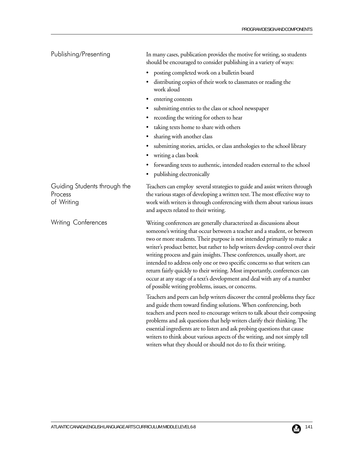| Publishing/Presenting                                 | In many cases, publication provides the motive for writing, so students<br>should be encouraged to consider publishing in a variety of ways:                                                                                                                                                                                                                                                                                                                                                                                                                                                                                                                                          |  |  |  |  |
|-------------------------------------------------------|---------------------------------------------------------------------------------------------------------------------------------------------------------------------------------------------------------------------------------------------------------------------------------------------------------------------------------------------------------------------------------------------------------------------------------------------------------------------------------------------------------------------------------------------------------------------------------------------------------------------------------------------------------------------------------------|--|--|--|--|
|                                                       | posting completed work on a bulletin board<br>٠                                                                                                                                                                                                                                                                                                                                                                                                                                                                                                                                                                                                                                       |  |  |  |  |
|                                                       | distributing copies of their work to classmates or reading the<br>$\bullet$<br>work aloud                                                                                                                                                                                                                                                                                                                                                                                                                                                                                                                                                                                             |  |  |  |  |
|                                                       | entering contests<br>$\bullet$                                                                                                                                                                                                                                                                                                                                                                                                                                                                                                                                                                                                                                                        |  |  |  |  |
|                                                       | submitting entries to the class or school newspaper<br>$\bullet$                                                                                                                                                                                                                                                                                                                                                                                                                                                                                                                                                                                                                      |  |  |  |  |
|                                                       | recording the writing for others to hear                                                                                                                                                                                                                                                                                                                                                                                                                                                                                                                                                                                                                                              |  |  |  |  |
|                                                       | taking texts home to share with others                                                                                                                                                                                                                                                                                                                                                                                                                                                                                                                                                                                                                                                |  |  |  |  |
|                                                       | sharing with another class<br>$\bullet$                                                                                                                                                                                                                                                                                                                                                                                                                                                                                                                                                                                                                                               |  |  |  |  |
|                                                       | submitting stories, articles, or class anthologies to the school library<br>٠<br>writing a class book                                                                                                                                                                                                                                                                                                                                                                                                                                                                                                                                                                                 |  |  |  |  |
|                                                       | forwarding texts to authentic, intended readers external to the school<br>publishing electronically<br>$\bullet$                                                                                                                                                                                                                                                                                                                                                                                                                                                                                                                                                                      |  |  |  |  |
| Guiding Students through the<br>Process<br>of Writing | Teachers can employ several strategies to guide and assist writers through<br>the various stages of developing a written text. The most effective way to<br>work with writers is through conferencing with them about various issues<br>and aspects related to their writing.                                                                                                                                                                                                                                                                                                                                                                                                         |  |  |  |  |
| <b>Writing Conferences</b>                            | Writing conferences are generally characterized as discussions about<br>someone's writing that occur between a teacher and a student, or between<br>two or more students. Their purpose is not intended primarily to make a<br>writer's product better, but rather to help writers develop control over their<br>writing process and gain insights. These conferences, usually short, are<br>intended to address only one or two specific concerns so that writers can<br>return fairly quickly to their writing. Most importantly, conferences can<br>occur at any stage of a text's development and deal with any of a number<br>of possible writing problems, issues, or concerns. |  |  |  |  |
|                                                       | Teachers and peers can help writers discover the central problems they face<br>and guide them toward finding solutions. When conferencing, both<br>teachers and peers need to encourage writers to talk about their composing<br>problems and ask questions that help writers clarify their thinking. The<br>essential ingredients are to listen and ask probing questions that cause<br>writers to think about various aspects of the writing, and not simply tell                                                                                                                                                                                                                   |  |  |  |  |

writers what they should or should not do to fix their writing.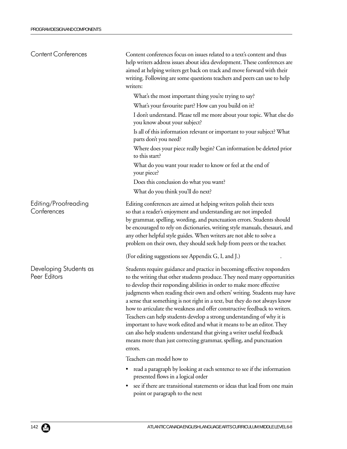| <b>Content Conferences</b>             | Content conferences focus on issues related to a text's content and thus<br>help writers address issues about idea development. These conferences are<br>aimed at helping writers get back on track and move forward with their<br>writing. Following are some questions teachers and peers can use to help<br>writers:                                                                                                                                                                                                                                                                                                                                                                                                                                                           |  |  |  |
|----------------------------------------|-----------------------------------------------------------------------------------------------------------------------------------------------------------------------------------------------------------------------------------------------------------------------------------------------------------------------------------------------------------------------------------------------------------------------------------------------------------------------------------------------------------------------------------------------------------------------------------------------------------------------------------------------------------------------------------------------------------------------------------------------------------------------------------|--|--|--|
|                                        | What's the most important thing you're trying to say?                                                                                                                                                                                                                                                                                                                                                                                                                                                                                                                                                                                                                                                                                                                             |  |  |  |
|                                        | What's your favourite part? How can you build on it?                                                                                                                                                                                                                                                                                                                                                                                                                                                                                                                                                                                                                                                                                                                              |  |  |  |
|                                        | I don't understand. Please tell me more about your topic. What else do<br>you know about your subject?                                                                                                                                                                                                                                                                                                                                                                                                                                                                                                                                                                                                                                                                            |  |  |  |
|                                        | Is all of this information relevant or important to your subject? What<br>parts don't you need?                                                                                                                                                                                                                                                                                                                                                                                                                                                                                                                                                                                                                                                                                   |  |  |  |
|                                        | Where does your piece really begin? Can information be deleted prior<br>to this start?                                                                                                                                                                                                                                                                                                                                                                                                                                                                                                                                                                                                                                                                                            |  |  |  |
|                                        | What do you want your reader to know or feel at the end of<br>your piece?                                                                                                                                                                                                                                                                                                                                                                                                                                                                                                                                                                                                                                                                                                         |  |  |  |
|                                        | Does this conclusion do what you want?                                                                                                                                                                                                                                                                                                                                                                                                                                                                                                                                                                                                                                                                                                                                            |  |  |  |
|                                        | What do you think you'll do next?                                                                                                                                                                                                                                                                                                                                                                                                                                                                                                                                                                                                                                                                                                                                                 |  |  |  |
| Editing/Proofreading<br>Conferences    | Editing conferences are aimed at helping writers polish their texts<br>so that a reader's enjoyment and understanding are not impeded<br>by grammar, spelling, wording, and punctuation errors. Students should<br>be encouraged to rely on dictionaries, writing style manuals, thesauri, and<br>any other helpful style guides. When writers are not able to solve a<br>problem on their own, they should seek help from peers or the teacher.                                                                                                                                                                                                                                                                                                                                  |  |  |  |
|                                        | (For editing suggestions see Appendix G, I, and J.)                                                                                                                                                                                                                                                                                                                                                                                                                                                                                                                                                                                                                                                                                                                               |  |  |  |
| Developing Students as<br>Peer Editors | Students require guidance and practice in becoming effective responders<br>to the writing that other students produce. They need many opportunities<br>to develop their responding abilities in order to make more effective<br>judgments when reading their own and others' writing. Students may have<br>a sense that something is not right in a text, but they do not always know<br>how to articulate the weakness and offer constructive feedback to writers.<br>Teachers can help students develop a strong understanding of why it is<br>important to have work edited and what it means to be an editor. They<br>can also help students understand that giving a writer useful feedback<br>means more than just correcting grammar, spelling, and punctuation<br>errors. |  |  |  |
|                                        | Teachers can model how to                                                                                                                                                                                                                                                                                                                                                                                                                                                                                                                                                                                                                                                                                                                                                         |  |  |  |
|                                        | read a paragraph by looking at each sentence to see if the information<br>presented flows in a logical order                                                                                                                                                                                                                                                                                                                                                                                                                                                                                                                                                                                                                                                                      |  |  |  |
|                                        | see if there are transitional statements or ideas that lead from one main                                                                                                                                                                                                                                                                                                                                                                                                                                                                                                                                                                                                                                                                                                         |  |  |  |

point or paragraph to the next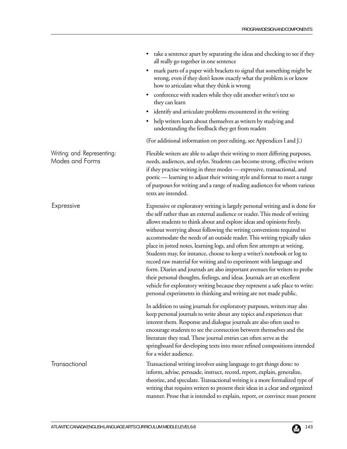• take a sentence apart by separating the ideas and checking to see if they

|                                              | all really go together in one sentence                                                                                                                                                                                                                                                                                                                                                                                                                                                                                                                                                                                                                                                                                                                                                                                                                                                                                                  |
|----------------------------------------------|-----------------------------------------------------------------------------------------------------------------------------------------------------------------------------------------------------------------------------------------------------------------------------------------------------------------------------------------------------------------------------------------------------------------------------------------------------------------------------------------------------------------------------------------------------------------------------------------------------------------------------------------------------------------------------------------------------------------------------------------------------------------------------------------------------------------------------------------------------------------------------------------------------------------------------------------|
|                                              | mark parts of a paper with brackets to signal that something might be<br>$\bullet$<br>wrong, even if they don't know exactly what the problem is or know<br>how to articulate what they think is wrong                                                                                                                                                                                                                                                                                                                                                                                                                                                                                                                                                                                                                                                                                                                                  |
|                                              | conference with readers while they edit another writer's text so<br>$\bullet$<br>they can learn                                                                                                                                                                                                                                                                                                                                                                                                                                                                                                                                                                                                                                                                                                                                                                                                                                         |
|                                              | identify and articulate problems encountered in the writing<br>٠                                                                                                                                                                                                                                                                                                                                                                                                                                                                                                                                                                                                                                                                                                                                                                                                                                                                        |
|                                              | help writers learn about themselves as writers by studying and<br>$\bullet$<br>understanding the feedback they get from readers                                                                                                                                                                                                                                                                                                                                                                                                                                                                                                                                                                                                                                                                                                                                                                                                         |
|                                              | (For additional information on peer editing, see Appendices I and J.)                                                                                                                                                                                                                                                                                                                                                                                                                                                                                                                                                                                                                                                                                                                                                                                                                                                                   |
| Writing and Representing:<br>Modes and Forms | Flexible writers are able to adapt their writing to meet differing purposes,<br>needs, audiences, and styles. Students can become strong, effective writers<br>if they practise writing in three modes - expressive, transactional, and<br>poetic — learning to adjust their writing style and format to meet a range<br>of purposes for writing and a range of reading audiences for whom various<br>texts are intended.                                                                                                                                                                                                                                                                                                                                                                                                                                                                                                               |
| Expressive                                   | Expressive or exploratory writing is largely personal writing and is done for<br>the self rather than an external audience or reader. This mode of writing<br>allows students to think about and explore ideas and opinions freely,<br>without worrying about following the writing conventions required to<br>accommodate the needs of an outside reader. This writing typically takes<br>place in jotted notes, learning logs, and often first attempts at writing.<br>Students may, for instance, choose to keep a writer's notebook or log to<br>record raw material for writing and to experiment with language and<br>form. Diaries and journals are also important avenues for writers to probe<br>their personal thoughts, feelings, and ideas. Journals are an excellent<br>vehicle for exploratory writing because they represent a safe place to write:<br>personal experiments in thinking and writing are not made public. |
|                                              | In addition to using journals for exploratory purposes, writers may also<br>keep personal journals to write about any topics and experiences that<br>interest them. Response and dialogue journals are also often used to<br>encourage students to see the connection between themselves and the<br>literature they read. These journal entries can often serve as the<br>springboard for developing texts into more refined compositions intended<br>for a wider audience.                                                                                                                                                                                                                                                                                                                                                                                                                                                             |
| Transactional                                | Transactional writing involves using language to get things done: to<br>inform, advise, persuade, instruct, record, report, explain, generalize,<br>theorize, and speculate. Transactional writing is a more formalized type of<br>writing that requires writers to present their ideas in a clear and organized<br>manner. Prose that is intended to explain, report, or convince must present                                                                                                                                                                                                                                                                                                                                                                                                                                                                                                                                         |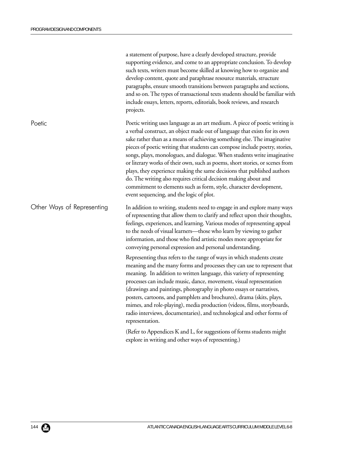|                            | a statement of purpose, have a clearly developed structure, provide<br>supporting evidence, and come to an appropriate conclusion. To develop<br>such texts, writers must become skilled at knowing how to organize and<br>develop content, quote and paraphrase resource materials, structure<br>paragraphs, ensure smooth transitions between paragraphs and sections,<br>and so on. The types of transactional texts students should be familiar with<br>include essays, letters, reports, editorials, book reviews, and research<br>projects.                                                                                                                                                                                                |
|----------------------------|--------------------------------------------------------------------------------------------------------------------------------------------------------------------------------------------------------------------------------------------------------------------------------------------------------------------------------------------------------------------------------------------------------------------------------------------------------------------------------------------------------------------------------------------------------------------------------------------------------------------------------------------------------------------------------------------------------------------------------------------------|
| Poetic                     | Poetic writing uses language as an art medium. A piece of poetic writing is<br>a verbal construct, an object made out of language that exists for its own<br>sake rather than as a means of achieving something else. The imaginative<br>pieces of poetic writing that students can compose include poetry, stories,<br>songs, plays, monologues, and dialogue. When students write imaginative<br>or literary works of their own, such as poems, short stories, or scenes from<br>plays, they experience making the same decisions that published authors<br>do. The writing also requires critical decision making about and<br>commitment to elements such as form, style, character development,<br>event sequencing, and the logic of plot. |
| Other Ways of Representing | In addition to writing, students need to engage in and explore many ways<br>of representing that allow them to clarify and reflect upon their thoughts,<br>feelings, experiences, and learning. Various modes of representing appeal<br>to the needs of visual learners-those who learn by viewing to gather<br>information, and those who find artistic modes more appropriate for<br>conveying personal expression and personal understanding.                                                                                                                                                                                                                                                                                                 |
|                            | Representing thus refers to the range of ways in which students create<br>meaning and the many forms and processes they can use to represent that<br>meaning. In addition to written language, this variety of representing<br>processes can include music, dance, movement, visual representation<br>(drawings and paintings, photography in photo essays or narratives,<br>posters, cartoons, and pamphlets and brochures), drama (skits, plays,<br>mimes, and role-playing), media production (videos, films, storyboards,<br>radio interviews, documentaries), and technological and other forms of<br>representation.                                                                                                                       |
|                            | (Refer to Appendices K and L, for suggestions of forms students might<br>explore in writing and other ways of representing.)                                                                                                                                                                                                                                                                                                                                                                                                                                                                                                                                                                                                                     |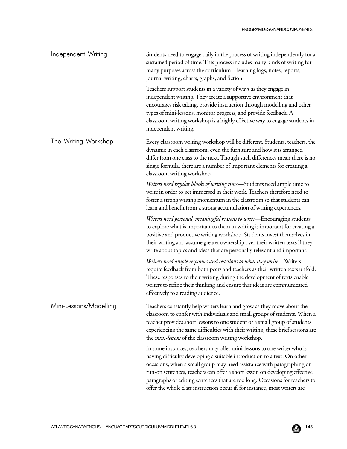| Independent Writing    | Students need to engage daily in the process of writing independently for a<br>sustained period of time. This process includes many kinds of writing for<br>many purposes across the curriculum—learning logs, notes, reports,<br>journal writing, charts, graphs, and fiction.                                                                                                                                                                                            |
|------------------------|----------------------------------------------------------------------------------------------------------------------------------------------------------------------------------------------------------------------------------------------------------------------------------------------------------------------------------------------------------------------------------------------------------------------------------------------------------------------------|
|                        | Teachers support students in a variety of ways as they engage in<br>independent writing. They create a supportive environment that<br>encourages risk taking, provide instruction through modelling and other<br>types of mini-lessons, monitor progress, and provide feedback. A<br>classroom writing workshop is a highly effective way to engage students in<br>independent writing.                                                                                    |
| The Writing Workshop   | Every classroom writing workshop will be different. Students, teachers, the<br>dynamic in each classroom, even the furniture and how it is arranged<br>differ from one class to the next. Though such differences mean there is no<br>single formula, there are a number of important elements for creating a<br>classroom writing workshop.                                                                                                                               |
|                        | Writers need regular blocks of writing time-Students need ample time to<br>write in order to get immersed in their work. Teachers therefore need to<br>foster a strong writing momentum in the classroom so that students can<br>learn and benefit from a strong accumulation of writing experiences.                                                                                                                                                                      |
|                        | Writers need personal, meaningful reasons to write-Encouraging students<br>to explore what is important to them in writing is important for creating a<br>positive and productive writing workshop. Students invest themselves in<br>their writing and assume greater ownership over their written texts if they<br>write about topics and ideas that are personally relevant and important.                                                                               |
|                        | Writers need ample responses and reactions to what they write—Writers<br>require feedback from both peers and teachers as their written texts unfold.<br>These responses to their writing during the development of texts enable<br>writers to refine their thinking and ensure that ideas are communicated<br>effectively to a reading audience.                                                                                                                          |
| Mini-Lessons/Modelling | Teachers constantly help writers learn and grow as they move about the<br>classroom to confer with individuals and small groups of students. When a<br>teacher provides short lessons to one student or a small group of students<br>experiencing the same difficulties with their writing, these brief sessions are<br>the <i>mini-lessons</i> of the classroom writing workshop.                                                                                         |
|                        | In some instances, teachers may offer mini-lessons to one writer who is<br>having difficulty developing a suitable introduction to a text. On other<br>occasions, when a small group may need assistance with paragraphing or<br>run-on sentences, teachers can offer a short lesson on developing effective<br>paragraphs or editing sentences that are too long. Occasions for teachers to<br>offer the whole class instruction occur if, for instance, most writers are |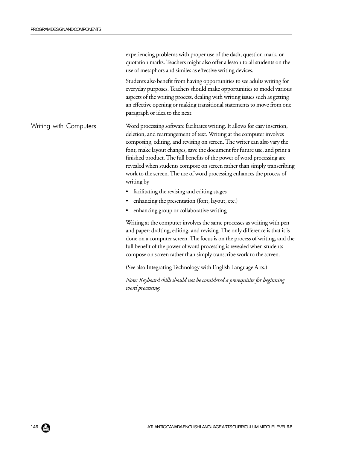|                        | experiencing problems with proper use of the dash, question mark, or<br>quotation marks. Teachers might also offer a lesson to all students on the<br>use of metaphors and similes as effective writing devices.                                                                                                                                                                                                                                                                                                                                            |
|------------------------|-------------------------------------------------------------------------------------------------------------------------------------------------------------------------------------------------------------------------------------------------------------------------------------------------------------------------------------------------------------------------------------------------------------------------------------------------------------------------------------------------------------------------------------------------------------|
|                        | Students also benefit from having opportunities to see adults writing for<br>everyday purposes. Teachers should make opportunities to model various<br>aspects of the writing process, dealing with writing issues such as getting<br>an effective opening or making transitional statements to move from one<br>paragraph or idea to the next.                                                                                                                                                                                                             |
| Writing with Computers | Word processing software facilitates writing. It allows for easy insertion,<br>deletion, and rearrangement of text. Writing at the computer involves<br>composing, editing, and revising on screen. The writer can also vary the<br>font, make layout changes, save the document for future use, and print a<br>finished product. The full benefits of the power of word processing are<br>revealed when students compose on screen rather than simply transcribing<br>work to the screen. The use of word processing enhances the process of<br>writing by |
|                        | • facilitating the revising and editing stages                                                                                                                                                                                                                                                                                                                                                                                                                                                                                                              |
|                        | enhancing the presentation (font, layout, etc.)                                                                                                                                                                                                                                                                                                                                                                                                                                                                                                             |
|                        | enhancing group or collaborative writing                                                                                                                                                                                                                                                                                                                                                                                                                                                                                                                    |
|                        | Writing at the computer involves the same processes as writing with pen<br>and paper: drafting, editing, and revising. The only difference is that it is<br>done on a computer screen. The focus is on the process of writing, and the<br>full benefit of the power of word processing is revealed when students<br>compose on screen rather than simply transcribe work to the screen.                                                                                                                                                                     |
|                        | (See also Integrating Technology with English Language Arts.)                                                                                                                                                                                                                                                                                                                                                                                                                                                                                               |
|                        | Note: Keyboard skills should not be considered a prerequisite for beginning<br>word processing.                                                                                                                                                                                                                                                                                                                                                                                                                                                             |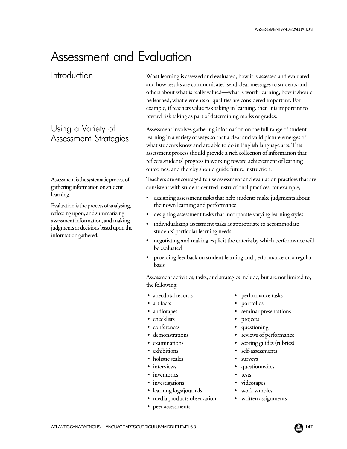# Assessment and Evaluation

Introduction

Using a Variety of Assessment Strategies

Assessment is the systematic process of gathering information on student learning.

Evaluation is the process of analysing, reflecting upon, and summarizing assessment information, and making judgments or decisions based upon the information gathered.

What learning is assessed and evaluated, how it is assessed and evaluated, and how results are communicated send clear messages to students and others about what is really valued—what is worth learning, how it should be learned, what elements or qualities are considered important. For example, if teachers value risk taking in learning, then it is important to reward risk taking as part of determining marks or grades.

Assessment involves gathering information on the full range of student learning in a variety of ways so that a clear and valid picture emerges of what students know and are able to do in English language arts. This assessment process should provide a rich collection of information that reflects students' progress in working toward achievement of learning outcomes, and thereby should guide future instruction.

Teachers are encouraged to use assessment and evaluation practices that are consistent with student-centred instructional practices, for example,

- designing assessment tasks that help students make judgments about their own learning and performance
- designing assessment tasks that incorporate varying learning styles
- individualizing assessment tasks as appropriate to accommodate students' particular learning needs
- negotiating and making explicit the criteria by which performance will be evaluated
- providing feedback on student learning and performance on a regular basis

Assessment activities, tasks, and strategies include, but are not limited to, the following:

- anecdotal records performance tasks
- 
- 
- checklists projects
- conferences questioning
- 
- 
- 
- holistic scales surveys
- 
- inventories tests
- investigations videotapes
- learning logs/journals work samples
- media products observation written assignments
- peer assessments
- 
- artifacts portfolios
- audiotapes seminar presentations
	-
	-
- demonstrations reviews of performance
- examinations scoring guides (rubrics)
- exhibitions self-assessments
	-
- interviews questionnaires
	- -
	-
	-

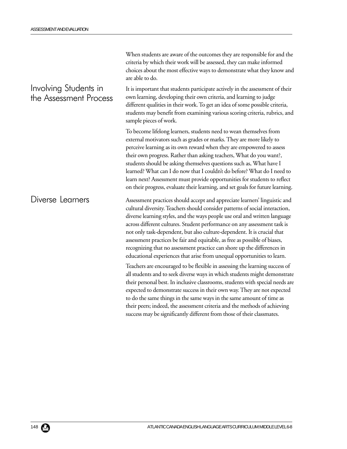|                                                 | When students are aware of the outcomes they are responsible for and the<br>criteria by which their work will be assessed, they can make informed<br>choices about the most effective ways to demonstrate what they know and<br>are able to do.                                                                                                                                                                                                                                                                                                                                                                                     |
|-------------------------------------------------|-------------------------------------------------------------------------------------------------------------------------------------------------------------------------------------------------------------------------------------------------------------------------------------------------------------------------------------------------------------------------------------------------------------------------------------------------------------------------------------------------------------------------------------------------------------------------------------------------------------------------------------|
| Involving Students in<br>the Assessment Process | It is important that students participate actively in the assessment of their<br>own learning, developing their own criteria, and learning to judge<br>different qualities in their work. To get an idea of some possible criteria,<br>students may benefit from examining various scoring criteria, rubrics, and<br>sample pieces of work.                                                                                                                                                                                                                                                                                         |
|                                                 | To become lifelong learners, students need to wean themselves from<br>external motivators such as grades or marks. They are more likely to<br>perceive learning as its own reward when they are empowered to assess<br>their own progress. Rather than asking teachers, What do you want?,<br>students should be asking themselves questions such as, What have I<br>learned? What can I do now that I couldn't do before? What do I need to<br>learn next? Assessment must provide opportunities for students to reflect<br>on their progress, evaluate their learning, and set goals for future learning.                         |
| Diverse Learners                                | Assessment practices should accept and appreciate learners' linguistic and<br>cultural diversity. Teachers should consider patterns of social interaction,<br>diverse learning styles, and the ways people use oral and written language<br>across different cultures. Student performance on any assessment task is<br>not only task-dependent, but also culture-dependent. It is crucial that<br>assessment practices be fair and equitable, as free as possible of biases,<br>recognizing that no assessment practice can shore up the differences in<br>educational experiences that arise from unequal opportunities to learn. |
|                                                 | Teachers are encouraged to be flexible in assessing the learning success of<br>all students and to seek diverse ways in which students might demonstrate<br>their personal best. In inclusive classrooms, students with special needs are<br>expected to demonstrate success in their own way. They are not expected<br>to do the same things in the same ways in the same amount of time as<br>their peers; indeed, the assessment criteria and the methods of achieving<br>success may be significantly different from those of their classmates.                                                                                 |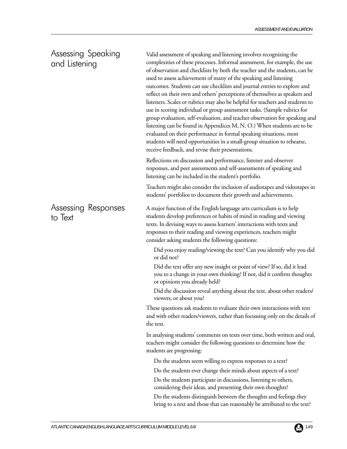### Assessing Speaking and Listening

Assessing Responses

to Text

Valid assessment of speaking and listening involves recognizing the complexities of these processes. Informal assessment, for example, the use of observation and checklists by both the teacher and the students, can be used to assess achievement of many of the speaking and listening outcomes. Students can use checklists and journal entries to explore and reflect on their own and others' perceptions of themselves as speakers and listeners. Scales or rubrics may also be helpful for teachers and students to use in scoring individual or group assessment tasks. (Sample rubrics for group evaluation, self-evaluation, and teacher observation for speaking and listening can be found in Appendices M, N, O.) When students are to be evaluated on their performance in formal speaking situations, most students will need opportunities in a small-group situation to rehearse, receive feedback, and revise their presentations.

Reflections on discussion and performance, listener and observer responses, and peer assessments and self-assessments of speaking and listening can be included in the student's portfolio.

Teachers might also consider the inclusion of audiotapes and videotapes in students' portfolios to document their growth and achievements.

A major function of the English language arts curriculum is to help students develop preferences or habits of mind in reading and viewing texts. In devising ways to assess learners' interactions with texts and responses to their reading and viewing experiences, teachers might consider asking students the following questions:

Did you enjoy reading/viewing the text? Can you identify why you did or did not?

Did the text offer any new insight or point of view? If so, did it lead you to a change in your own thinking? If not, did it confirm thoughts or opinions you already held?

Did the discussion reveal anything about the text, about other readers/ viewers, or about you?

These questions ask students to evaluate their own interactions with text and with other readers/viewers, rather than focussing only on the details of the text.

In analysing students' comments on texts over time, both written and oral, teachers might consider the following questions to determine how the students are progressing:

Do the students seem willing to express responses to a text?

Do the students ever change their minds about aspects of a text?

Do the students participate in discussions, listening to others, considering their ideas, and presenting their own thoughts?

Do the students distinguish between the thoughts and feelings they bring to a text and those that can reasonably be attributed to the text?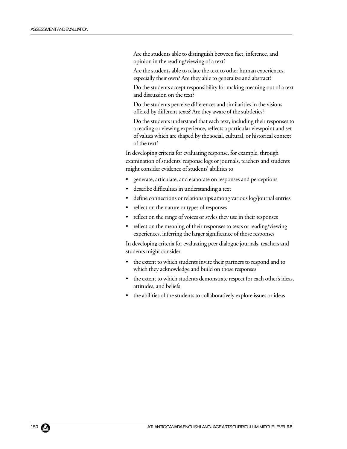Are the students able to distinguish between fact, inference, and opinion in the reading/viewing of a text?

Are the students able to relate the text to other human experiences, especially their own? Are they able to generalize and abstract?

Do the students accept responsibility for making meaning out of a text and discussion on the text?

Do the students perceive differences and similarities in the visions offered by different texts? Are they aware of the subtleties?

Do the students understand that each text, including their responses to a reading or viewing experience, reflects a particular viewpoint and set of values which are shaped by the social, cultural, or historical context of the text?

In developing criteria for evaluating response, for example, through examination of students' response logs or journals, teachers and students might consider evidence of students' abilities to

- generate, articulate, and elaborate on responses and perceptions
- describe difficulties in understanding a text
- define connections or relationships among various log/journal entries
- reflect on the nature or types of responses
- reflect on the range of voices or styles they use in their responses
- reflect on the meaning of their responses to texts or reading/viewing experiences, inferring the larger significance of those responses

In developing criteria for evaluating peer dialogue journals, teachers and students might consider

- the extent to which students invite their partners to respond and to which they acknowledge and build on those responses
- the extent to which students demonstrate respect for each other's ideas, attitudes, and beliefs
- the abilities of the students to collaboratively explore issues or ideas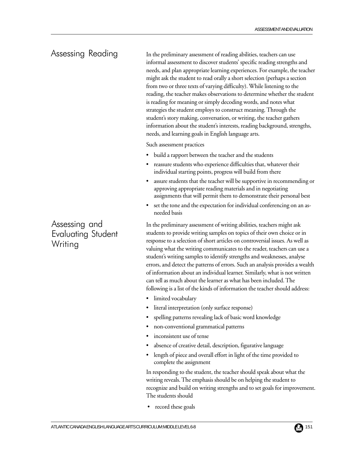# Assessing Reading

In the preliminary assessment of reading abilities, teachers can use informal assessment to discover students' specific reading strengths and needs, and plan appropriate learning experiences. For example, the teacher might ask the student to read orally a short selection (perhaps a section from two or three texts of varying difficulty). While listening to the reading, the teacher makes observations to determine whether the student is reading for meaning or simply decoding words, and notes what strategies the student employs to construct meaning. Through the student's story making, conversation, or writing, the teacher gathers information about the student's interests, reading background, strengths, needs, and learning goals in English language arts.

Such assessment practices

- build a rapport between the teacher and the students
- reassure students who experience difficulties that, whatever their individual starting points, progress will build from there
- assure students that the teacher will be supportive in recommending or approving appropriate reading materials and in negotiating assignments that will permit them to demonstrate their personal best
- set the tone and the expectation for individual conferencing on an asneeded basis

In the preliminary assessment of writing abilities, teachers might ask students to provide writing samples on topics of their own choice or in response to a selection of short articles on controversial issues. As well as valuing what the writing communicates to the reader, teachers can use a student's writing samples to identify strengths and weaknesses, analyse errors, and detect the patterns of errors. Such an analysis provides a wealth of information about an individual learner. Similarly, what is not written can tell as much about the learner as what has been included. The following is a list of the kinds of information the teacher should address:

- limited vocabulary
- literal interpretation (only surface response)
- spelling patterns revealing lack of basic word knowledge
- non-conventional grammatical patterns
- inconsistent use of tense
- absence of creative detail, description, figurative language
- length of piece and overall effort in light of the time provided to complete the assignment

In responding to the student, the teacher should speak about what the writing reveals. The emphasis should be on helping the student to recognize and build on writing strengths and to set goals for improvement. The students should

record these goals

Assessing and Evaluating Student **Writing**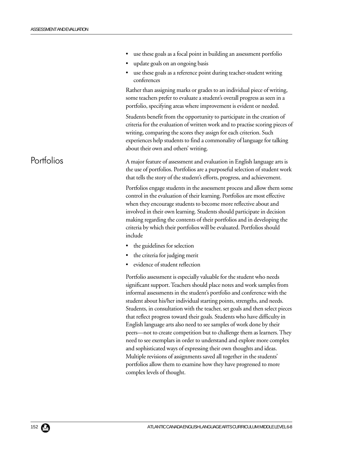|            | use these goals as a focal point in building an assessment portfolio                                                                                                                                                                                                                                                                                                                                                                                                                                                                                                                                                                                                                                                                                                                                                                                                                                                                             |
|------------|--------------------------------------------------------------------------------------------------------------------------------------------------------------------------------------------------------------------------------------------------------------------------------------------------------------------------------------------------------------------------------------------------------------------------------------------------------------------------------------------------------------------------------------------------------------------------------------------------------------------------------------------------------------------------------------------------------------------------------------------------------------------------------------------------------------------------------------------------------------------------------------------------------------------------------------------------|
|            | update goals on an ongoing basis                                                                                                                                                                                                                                                                                                                                                                                                                                                                                                                                                                                                                                                                                                                                                                                                                                                                                                                 |
|            | use these goals as a reference point during teacher-student writing<br>conferences                                                                                                                                                                                                                                                                                                                                                                                                                                                                                                                                                                                                                                                                                                                                                                                                                                                               |
|            | Rather than assigning marks or grades to an individual piece of writing,<br>some teachers prefer to evaluate a student's overall progress as seen in a<br>portfolio, specifying areas where improvement is evident or needed.                                                                                                                                                                                                                                                                                                                                                                                                                                                                                                                                                                                                                                                                                                                    |
|            | Students benefit from the opportunity to participate in the creation of<br>criteria for the evaluation of written work and to practise scoring pieces of<br>writing, comparing the scores they assign for each criterion. Such<br>experiences help students to find a commonality of language for talking<br>about their own and others' writing.                                                                                                                                                                                                                                                                                                                                                                                                                                                                                                                                                                                                |
| Portfolios | A major feature of assessment and evaluation in English language arts is<br>the use of portfolios. Portfolios are a purposeful selection of student work<br>that tells the story of the student's efforts, progress, and achievement.                                                                                                                                                                                                                                                                                                                                                                                                                                                                                                                                                                                                                                                                                                            |
|            | Portfolios engage students in the assessment process and allow them some<br>control in the evaluation of their learning. Portfolios are most effective<br>when they encourage students to become more reflective about and<br>involved in their own learning. Students should participate in decision<br>making regarding the contents of their portfolios and in developing the<br>criteria by which their portfolios will be evaluated. Portfolios should<br>include                                                                                                                                                                                                                                                                                                                                                                                                                                                                           |
|            | • the guidelines for selection                                                                                                                                                                                                                                                                                                                                                                                                                                                                                                                                                                                                                                                                                                                                                                                                                                                                                                                   |
|            | • the criteria for judging merit                                                                                                                                                                                                                                                                                                                                                                                                                                                                                                                                                                                                                                                                                                                                                                                                                                                                                                                 |
|            | evidence of student reflection                                                                                                                                                                                                                                                                                                                                                                                                                                                                                                                                                                                                                                                                                                                                                                                                                                                                                                                   |
|            | Portfolio assessment is especially valuable for the student who needs<br>significant support. Teachers should place notes and work samples from<br>informal assessments in the student's portfolio and conference with the<br>student about his/her individual starting points, strengths, and needs.<br>Students, in consultation with the teacher, set goals and then select pieces<br>that reflect progress toward their goals. Students who have difficulty in<br>English language arts also need to see samples of work done by their<br>peers—not to create competition but to challenge them as learners. They<br>need to see exemplars in order to understand and explore more complex<br>and sophisticated ways of expressing their own thoughts and ideas.<br>Multiple revisions of assignments saved all together in the students'<br>portfolios allow them to examine how they have progressed to more<br>complex levels of thought. |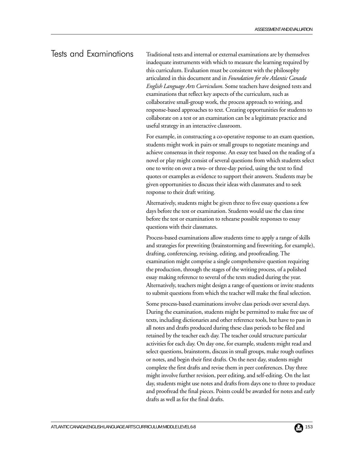### Tests and Examinations

Traditional tests and internal or external examinations are by themselves inadequate instruments with which to measure the learning required by this curriculum. Evaluation must be consistent with the philosophy articulated in this document and in *Foundation for the Atlantic Canada English Language Arts Curriculum*. Some teachers have designed tests and examinations that reflect key aspects of the curriculum, such as collaborative small-group work, the process approach to writing, and response-based approaches to text. Creating opportunities for students to collaborate on a test or an examination can be a legitimate practice and useful strategy in an interactive classroom.

For example, in constructing a co-operative response to an exam question, students might work in pairs or small groups to negotiate meanings and achieve consensus in their response. An essay test based on the reading of a novel or play might consist of several questions from which students select one to write on over a two- or three-day period, using the text to find quotes or examples as evidence to support their answers. Students may be given opportunities to discuss their ideas with classmates and to seek response to their draft writing.

Alternatively, students might be given three to five essay questions a few days before the test or examination. Students would use the class time before the test or examination to rehearse possible responses to essay questions with their classmates.

Process-based examinations allow students time to apply a range of skills and strategies for prewriting (brainstorming and freewriting, for example), drafting, conferencing, revising, editing, and proofreading. The examination might comprise a single comprehensive question requiring the production, through the stages of the writing process, of a polished essay making reference to several of the texts studied during the year. Alternatively, teachers might design a range of questions or invite students to submit questions from which the teacher will make the final selection.

Some process-based examinations involve class periods over several days. During the examination, students might be permitted to make free use of texts, including dictionaries and other reference tools, but have to pass in all notes and drafts produced during these class periods to be filed and retained by the teacher each day. The teacher could structure particular activities for each day. On day one, for example, students might read and select questions, brainstorm, discuss in small groups, make rough outlines or notes, and begin their first drafts. On the next day, students might complete the first drafts and revise them in peer conferences. Day three might involve further revision, peer editing, and self-editing. On the last day, students might use notes and drafts from days one to three to produce and proofread the final pieces. Points could be awarded for notes and early drafts as well as for the final drafts.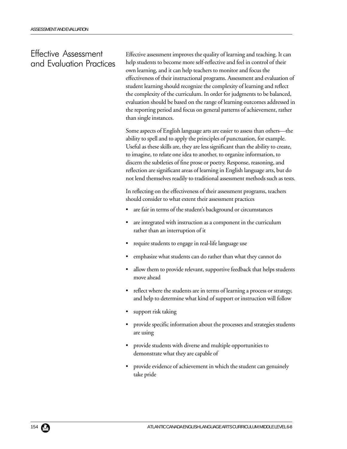### Effective Assessment and Evaluation Practices

Effective assessment improves the quality of learning and teaching. It can help students to become more self-reflective and feel in control of their own learning, and it can help teachers to monitor and focus the effectiveness of their instructional programs. Assessment and evaluation of student learning should recognize the complexity of learning and reflect the complexity of the curriculum. In order for judgments to be balanced, evaluation should be based on the range of learning outcomes addressed in the reporting period and focus on general patterns of achievement, rather than single instances.

Some aspects of English language arts are easier to assess than others—the ability to spell and to apply the principles of punctuation, for example. Useful as these skills are, they are less significant than the ability to create, to imagine, to relate one idea to another, to organize information, to discern the subtleties of fine prose or poetry. Response, reasoning, and reflection are significant areas of learning in English language arts, but do not lend themselves readily to traditional assessment methods such as tests.

In reflecting on the effectiveness of their assessment programs, teachers should consider to what extent their assessment practices

- are fair in terms of the student's background or circumstances
- are integrated with instruction as a component in the curriculum rather than an interruption of it
- require students to engage in real-life language use
- emphasize what students can do rather than what they cannot do
- allow them to provide relevant, supportive feedback that helps students move ahead
- reflect where the students are in terms of learning a process or strategy, and help to determine what kind of support or instruction will follow
- support risk taking
- provide specific information about the processes and strategies students are using
- provide students with diverse and multiple opportunities to demonstrate what they are capable of
- provide evidence of achievement in which the student can genuinely take pride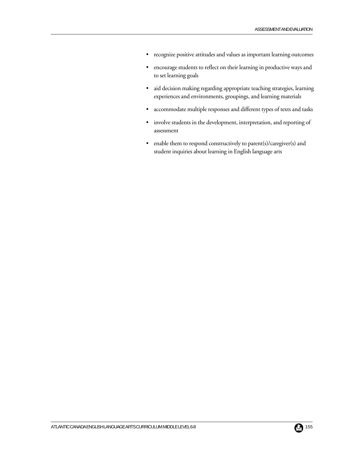- recognize positive attitudes and values as important learning outcomes
- encourage students to reflect on their learning in productive ways and to set learning goals
- aid decision making regarding appropriate teaching strategies, learning experiences and environments, groupings, and learning materials
- accommodate multiple responses and different types of texts and tasks
- involve students in the development, interpretation, and reporting of assessment
- enable them to respond constructively to parent(s)/caregiver(s) and student inquiries about learning in English language arts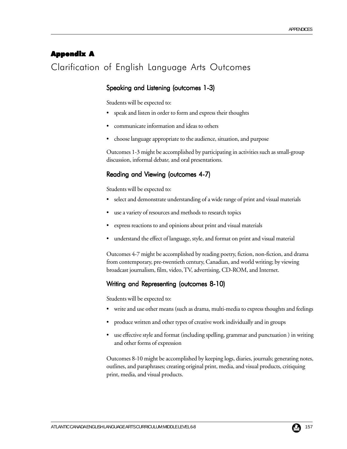### Appendix A

# Clarification of English Language Arts Outcomes

#### Speaking and Listening (outcomes 1-3)

Students will be expected to:

- speak and listen in order to form and express their thoughts
- communicate information and ideas to others
- choose language appropriate to the audience, situation, and purpose

Outcomes 1-3 might be accomplished by participating in activities such as small-group discussion, informal debat*e,* and oral presentations.

#### Reading and Viewing (outcomes 4-7)

Students will be expected to:

- select and demonstrate understanding of a wide range of print and visual materials
- use a variety of resources and methods to research topics
- express reactions to and opinions about print and visual materials
- understand the effect of language, style, and format on print and visual material

Outcomes 4-7 might be accomplished by reading poetry, fiction, non-fiction, and drama from contemporary, pre-twentieth century, Canadian, and world writing; by viewing broadcast journalism, film, video, TV, advertising, CD-ROM, and Internet.

#### Writing and Representing (outcomes 8-10)

Students will be expected to:

- write and use other means (such as drama, multi-media to express thoughts and feelings
- produce written and other types of creative work individually and in groups
- use effective style and format (including spelling, grammar and punctuation ) in writing and other forms of expression

Outcomes 8-10 might be accomplished by keeping logs, diaries, journals; generating notes, outlines, and paraphrases; creating original print, media, and visual products, critiquing print, media, and visual products.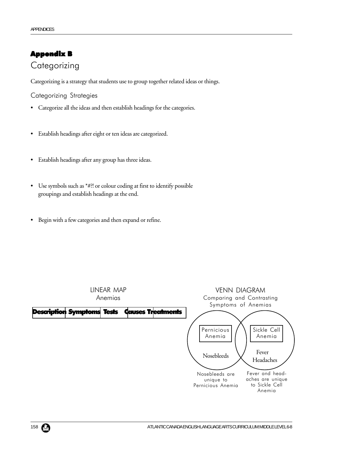# Appendix B **Categorizing**

Categorizing is a strategy that students use to group together related ideas or things.

Categorizing Strategies

- Categorize all the ideas and then establish headings for the categories.
- Establish headings after eight or ten ideas are categorized.
- Establish headings after any group has three ideas.
- Use symbols such as \*#?! or colour coding at first to identify possible groupings and establish headings at the end.
- Begin with a few categories and then expand or refine.

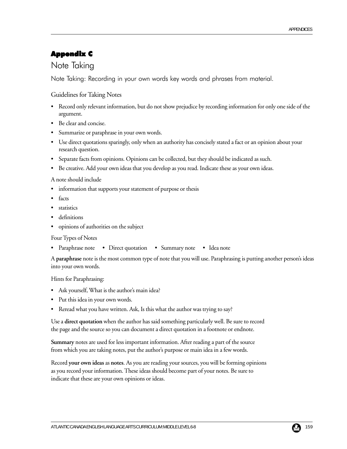# Appendix C

# Note Taking

Note Taking: Recording in your own words key words and phrases from material.

#### Guidelines for Taking Notes

- Record only relevant information, but do not show prejudice by recording information for only one side of the argument.
- Be clear and concise.
- Summarize or paraphrase in your own words.
- Use direct quotations sparingly, only when an authority has concisely stated a fact or an opinion about your research question.
- Separate facts from opinions. Opinions can be collected, but they should be indicated as such.
- Be creative. Add your own ideas that you develop as you read. Indicate these as your own ideas.

A note should include

- information that supports your statement of purpose or thesis
- facts
- statistics
- definitions
- opinions of authorities on the subject

Four Types of Notes

• Paraphrase note • Direct quotation • Summary note • Idea note

A **paraphrase** note is the most common type of note that you will use. Paraphrasing is putting another person's ideas into your own words.

Hints for Paraphrasing:

- Ask yourself, What is the author's main idea?
- Put this idea in your own words.
- Reread what you have written. Ask, Is this what the author was trying to say?

Use a **direct quotation** when the author has said something particularly well. Be sure to record the page and the source so you can document a direct quotation in a footnote or endnote.

**Summary** notes are used for less important information. After reading a part of the source from which you are taking notes, put the author's purpose or main idea in a few words.

Record **your own ideas** as **notes**. As you are reading your sources, you will be forming opinions as you record your information. These ideas should become part of your notes. Be sure to indicate that these are your own opinions or ideas.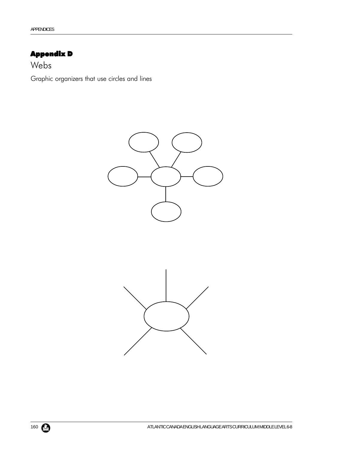# Appendix D

Webs

Graphic organizers that use circles and lines

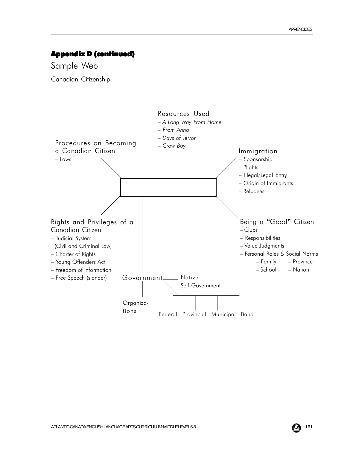### Appendix D (continued)

Sample Web Canadian Citizenship

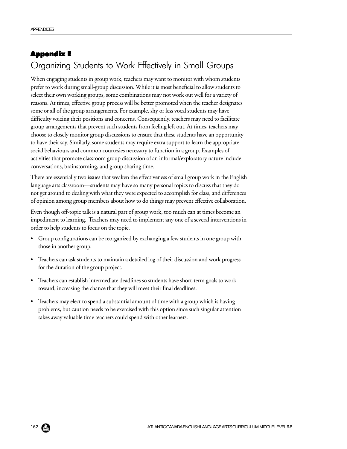# Appendix E Organizing Students to Work Effectively in Small Groups

When engaging students in group work, teachers may want to monitor with whom students prefer to work during small-group discussion. While it is most beneficial to allow students to select their own working groups, some combinations may not work out well for a variety of reasons. At times, effective group process will be better promoted when the teacher designates some or all of the group arrangements. For example, shy or less vocal students may have difficulty voicing their positions and concerns. Consequently, teachers may need to facilitate group arrangements that prevent such students from feeling left out. At times, teachers may choose to closely monitor group discussions to ensure that these students have an opportunity to have their say. Similarly, some students may require extra support to learn the appropriate social behaviours and common courtesies necessary to function in a group. Examples of activities that promote classroom group discussion of an informal/exploratory nature include conversations, brainstorming, and group sharing time.

There are essentially two issues that weaken the effectiveness of small group work in the English language arts classroom—students may have so many personal topics to discuss that they do not get around to dealing with what they were expected to accomplish for class, and differences of opinion among group members about how to do things may prevent effective collaboration.

Even though off-topic talk is a natural part of group work, too much can at times become an impediment to learning. Teachers may need to implement any one of a several interventions in order to help students to focus on the topic.

- Group configurations can be reorganized by exchanging a few students in one group with those in another group.
- Teachers can ask students to maintain a detailed log of their discussion and work progress for the duration of the group project.
- Teachers can establish intermediate deadlines so students have short-term goals to work toward, increasing the chance that they will meet their final deadlines.
- Teachers may elect to spend a substantial amount of time with a group which is having problems, but caution needs to be exercised with this option since such singular attention takes away valuable time teachers could spend with other learners.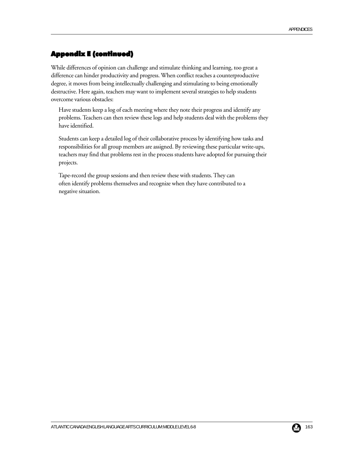# Appendix E (continued)

While differences of opinion can challenge and stimulate thinking and learning, too great a difference can hinder productivity and progress. When conflict reaches a counterproductive degree, it moves from being intellectually challenging and stimulating to being emotionally destructive. Here again, teachers may want to implement several strategies to help students overcome various obstacles:

Have students keep a log of each meeting where they note their progress and identify any problems. Teachers can then review these logs and help students deal with the problems they have identified.

Students can keep a detailed log of their collaborative process by identifying how tasks and responsibilities for all group members are assigned. By reviewing these particular write-ups, teachers may find that problems rest in the process students have adopted for pursuing their projects.

Tape-record the group sessions and then review these with students. They can often identify problems themselves and recognize when they have contributed to a negative situation.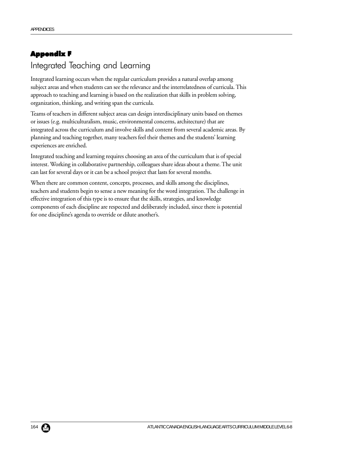# Appendix F Integrated Teaching and Learning

Integrated learning occurs when the regular curriculum provides a natural overlap among subject areas and when students can see the relevance and the interrelatedness of curricula. This approach to teaching and learning is based on the realization that skills in problem solving, organization, thinking, and writing span the curricula.

Teams of teachers in different subject areas can design interdisciplinary units based on themes or issues (e.g. multiculturalism, music, environmental concerns, architecture) that are integrated across the curriculum and involve skills and content from several academic areas. By planning and teaching together, many teachers feel their themes and the students' learning experiences are enriched.

Integrated teaching and learning requires choosing an area of the curriculum that is of special interest. Working in collaborative partnership, colleagues share ideas about a theme. The unit can last for several days or it can be a school project that lasts for several months.

When there are common content, concepts, processes, and skills among the disciplines, teachers and students begin to sense a new meaning for the word integration. The challenge in effective integration of this type is to ensure that the skills, strategies, and knowledge components of each discipline are respected and deliberately included, since there is potential for one discipline's agenda to override or dilute another's.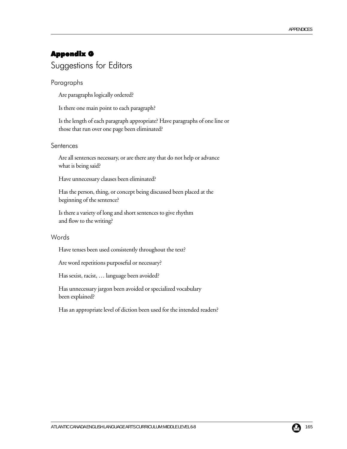# Appendix G Suggestions for Editors

#### Paragraphs

Are paragraphs logically ordered?

Is there one main point to each paragraph?

Is the length of each paragraph appropriate? Have paragraphs of one line or those that run over one page been eliminated?

#### **Sentences**

Are all sentences necessary, or are there any that do not help or advance what is being said?

Have unnecessary clauses been eliminated?

Has the person, thing, or concept being discussed been placed at the beginning of the sentence?

Is there a variety of long and short sentences to give rhythm and flow to the writing?

#### Words

Have tenses been used consistently throughout the text?

Are word repetitions purposeful or necessary?

Has sexist, racist, … language been avoided?

Has unnecessary jargon been avoided or specialized vocabulary been explained?

Has an appropriate level of diction been used for the intended readers?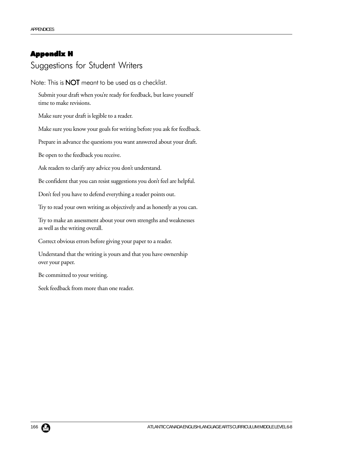### Appendix H

# Suggestions for Student Writers

Note: This is **NOT** meant to be used as a checklist.

Submit your draft when you're ready for feedback, but leave yourself time to make revisions.

Make sure your draft is legible to a reader.

Make sure you know your goals for writing before you ask for feedback.

Prepare in advance the questions you want answered about your draft.

Be open to the feedback you receive.

Ask readers to clarify any advice you don't understand.

Be confident that you can resist suggestions you don't feel are helpful.

Don't feel you have to defend everything a reader points out.

Try to read your own writing as objectively and as honestly as you can.

Try to make an assessment about your own strengths and weaknesses as well as the writing overall.

Correct obvious errors before giving your paper to a reader.

Understand that the writing is yours and that you have ownership over your paper.

Be committed to your writing.

Seek feedback from more than one reader.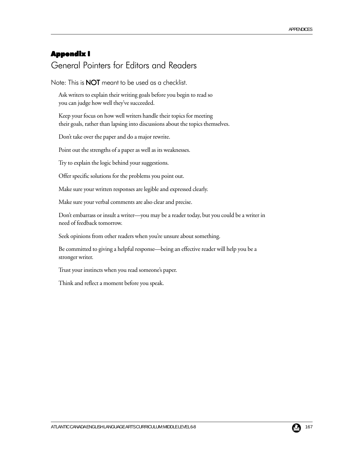## Appendix I

# General Pointers for Editors and Readers

Note: This is **NOT** meant to be used as a checklist.

Ask writers to explain their writing goals before you begin to read so you can judge how well they've succeeded.

Keep your focus on how well writers handle their topics for meeting their goals, rather than lapsing into discussions about the topics themselves.

Don't take over the paper and do a major rewrite.

Point out the strengths of a paper as well as its weaknesses.

Try to explain the logic behind your suggestions.

Offer specific solutions for the problems you point out.

Make sure your written responses are legible and expressed clearly.

Make sure your verbal comments are also clear and precise.

Don't embarrass or insult a writer—you may be a reader today, but you could be a writer in need of feedback tomorrow.

Seek opinions from other readers when you're unsure about something.

Be committed to giving a helpful response—being an effective reader will help you be a stronger writer.

Trust your instincts when you read someone's paper.

Think and reflect a moment before you speak.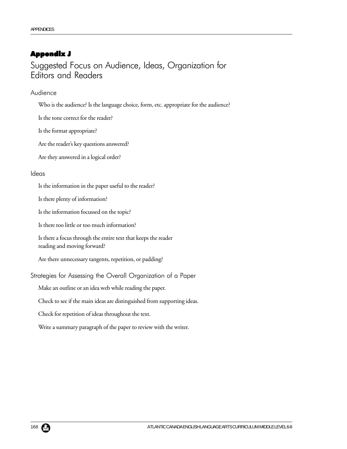### Appendix J

Suggested Focus on Audience, Ideas, Organization for Editors and Readers

Audience

Who is the audience? Is the language choice, form, etc. appropriate for the audience?

Is the tone correct for the reader?

Is the format appropriate?

Are the reader's key questions answered?

Are they answered in a logical order?

#### Ideas

Is the information in the paper useful to the reader?

Is there plenty of information?

Is the information focussed on the topic?

Is there too little or too much information?

Is there a focus through the entire text that keeps the reader reading and moving forward?

Are there unnecessary tangents, repetition, or padding?

Strategies for Assessing the Overall Organization of a Paper

Make an outline or an idea web while reading the paper.

Check to see if the main ideas are distinguished from supporting ideas.

Check for repetition of ideas throughout the text.

Write a summary paragraph of the paper to review with the writer.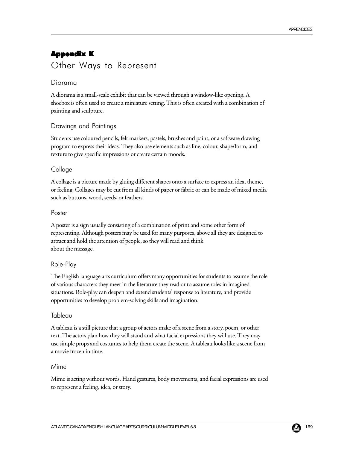# Appendix K Other Ways to Represent

#### Diorama

A diorama is a small-scale exhibit that can be viewed through a window-like opening. A shoebox is often used to create a miniature setting. This is often created with a combination of painting and sculpture.

#### Drawings and Paintings

Students use coloured pencils, felt markers, pastels, brushes and paint, or a software drawing program to express their ideas. They also use elements such as line, colour, shape/form, and texture to give specific impressions or create certain moods.

#### Collage

A collage is a picture made by gluing different shapes onto a surface to express an idea, theme, or feeling. Collages may be cut from all kinds of paper or fabric or can be made of mixed media such as buttons, wood, seeds, or feathers.

#### Poster

A poster is a sign usually consisting of a combination of print and some other form of representing. Although posters may be used for many purposes, above all they are designed to attract and hold the attention of people, so they will read and think about the message.

#### Role-Play

The English language arts curriculum offers many opportunities for students to assume the role of various characters they meet in the literature they read or to assume roles in imagined situations. Role-play can deepen and extend students' response to literature, and provide opportunities to develop problem-solving skills and imagination.

#### Tableau

A tableau is a still picture that a group of actors make of a scene from a story, poem, or other text. The actors plan how they will stand and what facial expressions they will use. They may use simple props and costumes to help them create the scene. A tableau looks like a scene from a movie frozen in time.

#### Mime

Mime is acting without words. Hand gestures, body movements, and facial expressions are used to represent a feeling, idea, or story.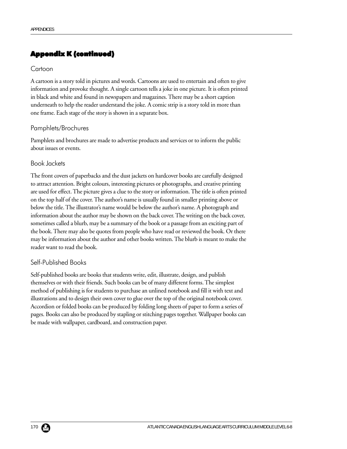### Appendix K (continued)

#### **Cartoon**

A cartoon is a story told in pictures and words. Cartoons are used to entertain and often to give information and provoke thought. A single cartoon tells a joke in one picture. It is often printed in black and white and found in newspapers and magazines. There may be a short caption underneath to help the reader understand the joke. A comic strip is a story told in more than one frame. Each stage of the story is shown in a separate box.

#### Pamphlets/Brochures

Pamphlets and brochures are made to advertise products and services or to inform the public about issues or events.

#### Book Jackets

The front covers of paperbacks and the dust jackets on hardcover books are carefully designed to attract attention. Bright colours, interesting pictures or photographs, and creative printing are used for effect. The picture gives a clue to the story or information. The title is often printed on the top half of the cover. The author's name is usually found in smaller printing above or below the title. The illustrator's name would be below the author's name. A photograph and information about the author may be shown on the back cover. The writing on the back cover, sometimes called a blurb, may be a summary of the book or a passage from an exciting part of the book. There may also be quotes from people who have read or reviewed the book. Or there may be information about the author and other books written. The blurb is meant to make the reader want to read the book.

#### Self-Published Books

Self-published books are books that students write, edit, illustrate, design, and publish themselves or with their friends. Such books can be of many different forms. The simplest method of publishing is for students to purchase an unlined notebook and fill it with text and illustrations and to design their own cover to glue over the top of the original notebook cover. Accordion or folded books can be produced by folding long sheets of paper to form a series of pages. Books can also be produced by stapling or stitching pages together. Wallpaper books can be made with wallpaper, cardboard, and construction paper.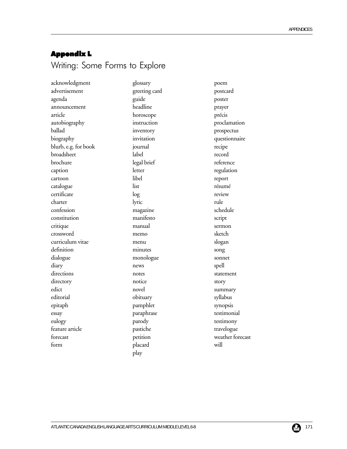### Appendix L

# Writing: Some Forms to Explore

acknowledgment glossary poem advertisement greeting card postcard agenda guide poster announcement headline prayer article horoscope précis autobiography instruction proclamation ballad inventory prospectus biography invitation invitation questionnaire blurb, e.g. for book journal recipe broadsheet label record brochure legal brief reference caption letter letter regulation cartoon libel report catalogue list list résumé certificate log review charter lyric lyric rule confession magazine schedule constitution manifesto script critique manual sermon crossword memo sketch curriculum vitae menu slogan definition minutes song dialogue monologue sonnet diary news spell directions notes notes statement directory notice story edict novel novel summary editorial obituary bituary syllabus epitaph pamphlet synopsis essay paraphrase testimonial eulogy **parody** parody testimony feature article travelogue pastiche travelogue travelogue forecast petition weather forecast form placard will

play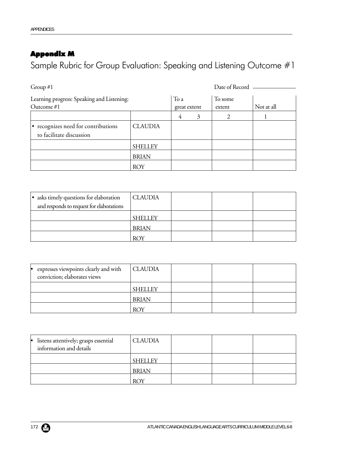# Appendix M

Sample Rubric for Group Evaluation: Speaking and Listening Outcome #1

| Group $#1$                                                      |                |                      | Date of Record |                   |            |  |
|-----------------------------------------------------------------|----------------|----------------------|----------------|-------------------|------------|--|
| Learning progress: Speaking and Listening:<br>Outcome $#1$      |                | To a<br>great extent |                | To some<br>extent | Not at all |  |
|                                                                 |                | 4                    | 3              |                   |            |  |
| • recognizes need for contributions<br>to facilitate discussion | <b>CLAUDIA</b> |                      |                |                   |            |  |
|                                                                 | <b>SHELLEY</b> |                      |                |                   |            |  |
|                                                                 | <b>BRIAN</b>   |                      |                |                   |            |  |
|                                                                 | <b>ROY</b>     |                      |                |                   |            |  |

| • asks timely questions for elaboration<br>and responds to request for elaborations | <b>CLAUDIA</b> |  |  |
|-------------------------------------------------------------------------------------|----------------|--|--|
|                                                                                     | <b>SHELLEY</b> |  |  |
|                                                                                     | <b>BRIAN</b>   |  |  |
|                                                                                     | <b>ROY</b>     |  |  |

| expresses viewpoints clearly and with<br>conviction; elaborates views | <b>CLAUDIA</b> |  |  |
|-----------------------------------------------------------------------|----------------|--|--|
|                                                                       | <b>SHELLEY</b> |  |  |
|                                                                       | <b>BRIAN</b>   |  |  |
|                                                                       | <b>ROY</b>     |  |  |

| · listens attentively; grasps essential<br>information and details | <b>CLAUDIA</b> |  |  |
|--------------------------------------------------------------------|----------------|--|--|
|                                                                    | <b>SHELLEY</b> |  |  |
|                                                                    | <b>BRIAN</b>   |  |  |
|                                                                    | <b>ROY</b>     |  |  |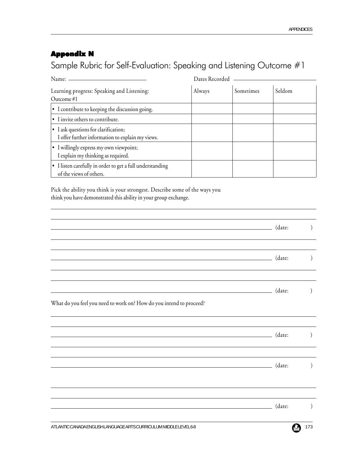# Appendix N

Sample Rubric for Self-Evaluation: Speaking and Listening Outcome #1

| Name: -                                                                                        | Dates Recorded |           |        |
|------------------------------------------------------------------------------------------------|----------------|-----------|--------|
| Learning progress: Speaking and Listening:<br>Outcome #1                                       | Always         | Sometimes | Seldom |
| • I contribute to keeping the discussion going.                                                |                |           |        |
| • I invite others to contribute.                                                               |                |           |        |
| $\cdot$ I ask questions for clarification;<br>I offer further information to explain my views. |                |           |        |
| • I willingly express my own viewpoint;<br>I explain my thinking as required.                  |                |           |        |
| • I listen carefully in order to get a full understanding<br>of the views of others.           |                |           |        |

Pick the ability you think is your strongest. Describe some of the ways you think you have demonstrated this ability in your group exchange.

|                                                                                                                      | (date: |  |
|----------------------------------------------------------------------------------------------------------------------|--------|--|
| <u> Alexandria de la contrada de la contrada de la contrada de la contrada de la contrada de la contrada de la c</u> | (date: |  |
| What do you feel you need to work on? How do you intend to proceed?                                                  | (date: |  |
|                                                                                                                      | (date: |  |
|                                                                                                                      | (date: |  |
|                                                                                                                      | (date: |  |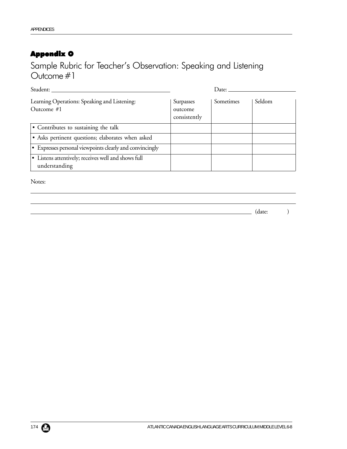# Appendix O

Sample Rubric for Teacher's Observation: Speaking and Listening Outcome #1

| Student:                                                             | Date:                                |           |        |
|----------------------------------------------------------------------|--------------------------------------|-----------|--------|
| Learning Operations: Speaking and Listening:<br>Outcome $#1$         | Surpasses<br>outcome<br>consistently | Sometimes | Seldom |
| • Contributes to sustaining the talk                                 |                                      |           |        |
| · Asks pertinent questions; elaborates when asked                    |                                      |           |        |
| • Expresses personal viewpoints clearly and convincingly             |                                      |           |        |
| • Listens attentively; receives well and shows full<br>understanding |                                      |           |        |

Notes:

(date: )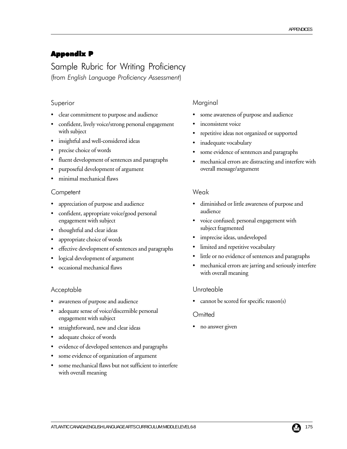### Appendix P

Sample Rubric for Writing Proficiency (from *English Language Proficiency Assessment*)

#### Superior

- clear commitment to purpose and audience
- confident, lively voice/strong personal engagement with subject
- insightful and well-considered ideas
- precise choice of words
- fluent development of sentences and paragraphs
- purposeful development of argument
- minimal mechanical flaws

#### **Competent**

- appreciation of purpose and audience
- confident, appropriate voice/good personal engagement with subject
- thoughtful and clear ideas
- appropriate choice of words
- effective development of sentences and paragraphs
- logical development of argument
- occasional mechanical flaws

#### Acceptable

- awareness of purpose and audience
- adequate sense of voice/discernible personal engagement with subject
- straightforward, new and clear ideas
- adequate choice of words
- evidence of developed sentences and paragraphs
- some evidence of organization of argument
- some mechanical flaws but not sufficient to interfere with overall meaning

#### Marginal

- some awareness of purpose and audience
- inconsistent voice
- repetitive ideas not organized or supported
- inadequate vocabulary
- some evidence of sentences and paragraphs
- mechanical errors are distracting and interfere with overall message/argument

#### Weak

- diminished or little awareness of purpose and audience
- voice confused; personal engagement with subject fragmented
- imprecise ideas, undeveloped
- limited and repetitive vocabulary
- little or no evidence of sentences and paragraphs
- mechanical errors are jarring and seriously interfere with overall meaning

#### Unrateable

cannot be scored for specific reason(s)

#### **Omitted**

• no answer given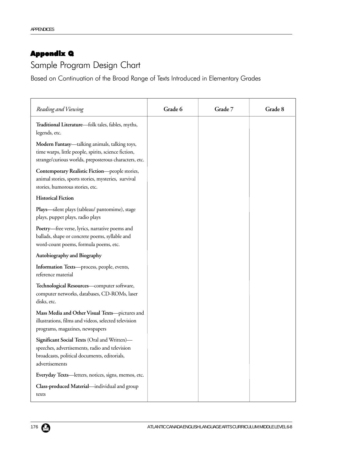# Appendix Q

# Sample Program Design Chart

Based on Continuation of the Broad Range of Texts Introduced in Elementary Grades

| Reading and Viewing                                                                                                                                              | Grade 6 | Grade 7 | Grade 8 |
|------------------------------------------------------------------------------------------------------------------------------------------------------------------|---------|---------|---------|
| Traditional Literature-folk tales, fables, myths,<br>legends, etc.                                                                                               |         |         |         |
| Modern Fantasy-talking animals, talking toys,<br>time warps, little people, spirits, science fiction,<br>strange/curious worlds, preposterous characters, etc.   |         |         |         |
| Contemporary Realistic Fiction-people stories,<br>animal stories, sports stories, mysteries, survival<br>stories, humorous stories, etc.                         |         |         |         |
| <b>Historical Fiction</b>                                                                                                                                        |         |         |         |
| Plays—silent plays (tableau/ pantomime), stage<br>plays, puppet plays, radio plays                                                                               |         |         |         |
| Poetry-free verse, lyrics, narrative poems and<br>ballads, shape or concrete poems, syllable and<br>word-count poems, formula poems, etc.                        |         |         |         |
| Autobiography and Biography                                                                                                                                      |         |         |         |
| Information Texts-process, people, events,<br>reference material                                                                                                 |         |         |         |
| Technological Resources-computer software,<br>computer networks, databases, CD-ROMs, laser<br>disks, etc.                                                        |         |         |         |
| Mass Media and Other Visual Texts-pictures and<br>illustrations, films and videos, selected television<br>programs, magazines, newspapers                        |         |         |         |
| Significant Social Texts (Oral and Written)-<br>speeches, advertisements, radio and television<br>broadcasts, political documents, editorials,<br>advertisements |         |         |         |
| Everyday Texts-letters, notices, signs, memos, etc.                                                                                                              |         |         |         |
| Class-produced Material-individual and group<br>texts                                                                                                            |         |         |         |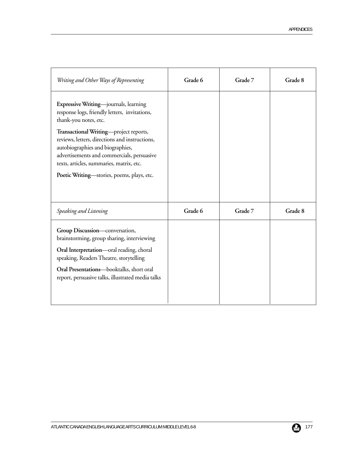| Writing and Other Ways of Representing                                                                                                                                                                                                                                                                                                                                                  | Grade 6 | Grade 7 | Grade 8 |
|-----------------------------------------------------------------------------------------------------------------------------------------------------------------------------------------------------------------------------------------------------------------------------------------------------------------------------------------------------------------------------------------|---------|---------|---------|
| Expressive Writing-journals, learning<br>response logs, friendly letters, invitations,<br>thank-you notes, etc.<br>Transactional Writing-project reports,<br>reviews, letters, directions and instructions,<br>autobiographies and biographies,<br>advertisements and commercials, persuasive<br>texts, articles, summaries, matrix, etc.<br>Poetic Writing—stories, poems, plays, etc. |         |         |         |
| Speaking and Listening                                                                                                                                                                                                                                                                                                                                                                  | Grade 6 | Grade 7 | Grade 8 |
| Group Discussion-conversation,<br>brainstorming, group sharing, interviewing<br>Oral Interpretation-oral reading, choral<br>speaking, Readers Theatre, storytelling<br>Oral Presentations-booktalks, short oral<br>report, persuasive talks, illustrated media talks                                                                                                                    |         |         |         |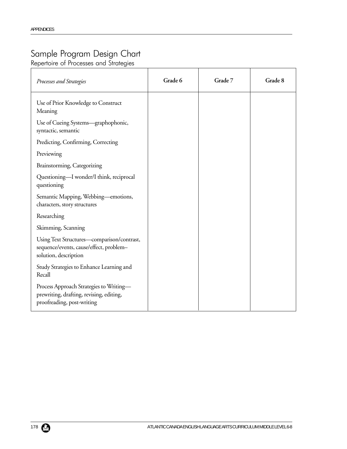# Sample Program Design Chart

Repertoire of Processes and Strategies

| Processes and Strategies                                                                                          | Grade 6 | Grade 7 | Grade 8 |
|-------------------------------------------------------------------------------------------------------------------|---------|---------|---------|
| Use of Prior Knowledge to Construct<br>Meaning                                                                    |         |         |         |
| Use of Cueing Systems—graphophonic,<br>syntactic, semantic                                                        |         |         |         |
| Predicting, Confirming, Correcting                                                                                |         |         |         |
| Previewing                                                                                                        |         |         |         |
| Brainstorming, Categorizing                                                                                       |         |         |         |
| Questioning—I wonder/I think, reciprocal<br>questioning                                                           |         |         |         |
| Semantic Mapping, Webbing—emotions,<br>characters, story structures                                               |         |         |         |
| Researching                                                                                                       |         |         |         |
| Skimming, Scanning                                                                                                |         |         |         |
| Using Text Structures-comparison/contrast,<br>sequence/events, cause/effect, problem-<br>solution, description    |         |         |         |
| Study Strategies to Enhance Learning and<br>Recall                                                                |         |         |         |
| Process Approach Strategies to Writing-<br>prewriting, drafting, revising, editing,<br>proofreading, post-writing |         |         |         |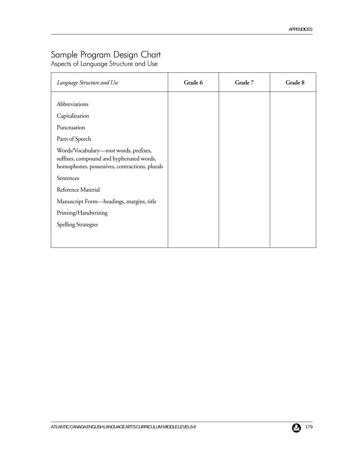# Sample Program Design Chart

Aspects of Language Structure and Use

| Language Structure and Use                                                                                                                                           | Grade 6 | Grade 7 | Grade 8 |
|----------------------------------------------------------------------------------------------------------------------------------------------------------------------|---------|---------|---------|
| Abbreviations<br>Capitalization<br>Punctuation                                                                                                                       |         |         |         |
| Parts of Speech<br>Words/Vocabulary-root words, prefixes,<br>suffixes, compound and hyphenated words,<br>homophones, possessives, contractions, plurals<br>Sentences |         |         |         |
| Reference Material<br>Manuscript Form—headings, margins, title<br>Printing/Handwriting                                                                               |         |         |         |
| <b>Spelling Strategies</b>                                                                                                                                           |         |         |         |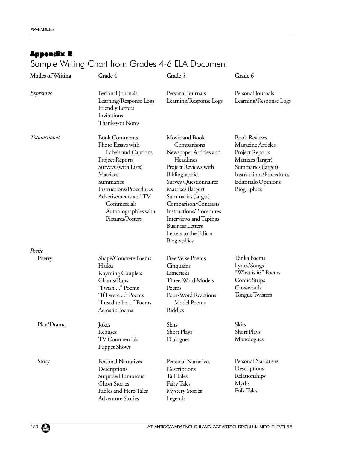# Appendix R

# Sample Writing Chart from Grades 4-6 ELA Document

| <b>Modes of Writing</b> | Grade 4                                                                                                                                                                                                                                                   | Grade 5                                                                                                                                                                                                                                                                                                                                   | Grade 6                                                                                                                                                                        |
|-------------------------|-----------------------------------------------------------------------------------------------------------------------------------------------------------------------------------------------------------------------------------------------------------|-------------------------------------------------------------------------------------------------------------------------------------------------------------------------------------------------------------------------------------------------------------------------------------------------------------------------------------------|--------------------------------------------------------------------------------------------------------------------------------------------------------------------------------|
| Expressive              | Personal Journals<br>Learning/Response Logs<br><b>Friendly Letters</b><br>Invitations<br>Thank-you Notes                                                                                                                                                  | Personal Journals<br>Learning/Response Logs                                                                                                                                                                                                                                                                                               | Personal Journals<br>Learning/Response Logs                                                                                                                                    |
| Transactional           | <b>Book Comments</b><br>Photo Essays with<br>Labels and Captions<br>Project Reports<br>Surveys (with Lists)<br>Matrixes<br>Summaries<br><b>Instructions/Procedures</b><br>Adverisements and TV<br>Commercials<br>Autobiographies with<br>Pictures/Posters | Movie and Book<br>Comparisons<br>Newspaper Articles and<br>Headlines<br>Project Reviews with<br>Bibliographies<br>Survey Questionnaires<br>Matrixes (larger)<br>Summaries (larger)<br>Comparison/Contrasts<br><b>Instructions/Procedures</b><br>Interviews and Tapings<br><b>Business Letters</b><br>Letters to the Editor<br>Biographies | <b>Book Reviews</b><br>Magazine Articles<br>Project Reports<br>Matrixes (larger)<br>Summaries (larger)<br><b>Instructions/Procedures</b><br>Editorials/Opinions<br>Biographies |
| Poetic                  |                                                                                                                                                                                                                                                           |                                                                                                                                                                                                                                                                                                                                           |                                                                                                                                                                                |
| Poetry                  | Shape/Concrete Poems<br>Haiku<br><b>Rhyming Couplets</b><br>Chants/Raps<br>"I wish " Poems<br>"If I were " Poems<br>"I used to be " Poems<br><b>Acrostic Poems</b>                                                                                        | Free Verse Poems<br>Cinquains<br>Limericks<br>Three-Word Models<br>Poems<br>Four-Word Reactions<br>Model Poems<br>Riddles                                                                                                                                                                                                                 | Tanka Poems<br>Lyrics/Songs<br>"What is it?" Poems<br>Comic Strips<br>Crosswords<br><b>Tongue Twisters</b>                                                                     |
| Play/Drama              | Jokes<br>Rebuses<br><b>TV Commercials</b><br><b>Puppet Shows</b>                                                                                                                                                                                          | Skits<br>Short Plays<br>Dialogues                                                                                                                                                                                                                                                                                                         | Skits<br>Short Plays<br>Monologues                                                                                                                                             |
| Story                   | Personal Narratives<br>Descriptions<br>Surprise/Humorous<br><b>Ghost Stories</b><br>Fables and Hero Tales<br><b>Adventure Stories</b>                                                                                                                     | <b>Personal Narratives</b><br>Descriptions<br>Tall Tales<br>Fairy Tales<br><b>Mystery Stories</b><br>Legends                                                                                                                                                                                                                              | Personal Narratives<br>Descriptions<br>Relationships<br>Myths<br><b>Folk Tales</b>                                                                                             |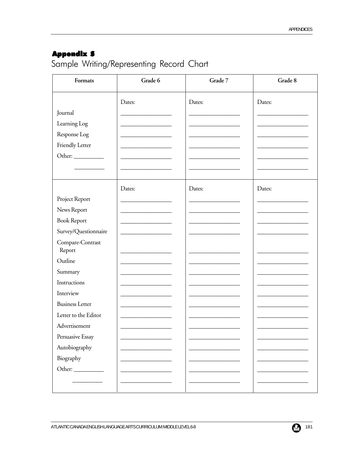# **Appendix S**

Sample Writing/Representing Record Chart

| Formats                    | Grade 6 | Grade 7 | Grade 8 |
|----------------------------|---------|---------|---------|
|                            | Dates:  | Dates:  | Dates:  |
| Journal                    |         |         |         |
| Learning Log               |         |         |         |
| Response Log               |         |         |         |
| Friendly Letter            |         |         |         |
| Other:                     |         |         |         |
|                            |         |         |         |
|                            | Dates:  | Dates:  | Dates:  |
| Project Report             |         |         |         |
| News Report                |         |         |         |
| <b>Book Report</b>         |         |         |         |
| Survey/Questionnaire       |         |         |         |
| Compare-Contrast<br>Report |         |         |         |
| Outline                    |         |         |         |
| Summary                    |         |         |         |
| Instructions               |         |         |         |
| Interview                  |         |         |         |
| <b>Business Letter</b>     |         |         |         |
| Letter to the Editor       |         |         |         |
| Advertisement              |         |         |         |
| Persuasive Essay           |         |         |         |
| Autobiography              |         |         |         |
| Biography                  |         |         |         |
|                            |         |         |         |
|                            |         |         |         |
|                            |         |         |         |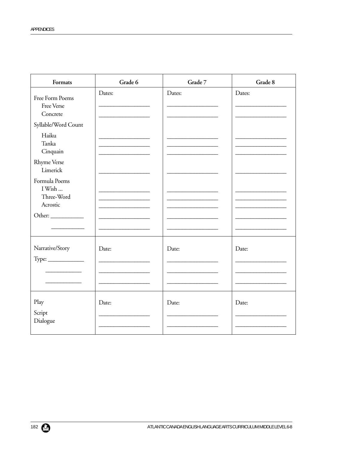| Formats                                                     | Grade 6                                            | Grade 7 | Grade 8 |
|-------------------------------------------------------------|----------------------------------------------------|---------|---------|
| Free Form Poems<br>Free Verse<br>Concrete                   | Dates:                                             | Dates:  | Dates:  |
| Syllable/Word Count                                         |                                                    |         |         |
| Haiku<br>Tanka<br>Cinquain                                  | <u> 1989 - Johann John Stein, fransk politik (</u> |         |         |
| <b>Rhyme Verse</b><br>Limerick                              |                                                    |         |         |
| Formula Poems<br>I Wish<br>Three-Word<br>Acrostic<br>Other: |                                                    |         |         |
| Narrative/Story<br>$Type: \_\_$                             | Date:                                              | Date:   | Date:   |
|                                                             |                                                    |         |         |
| Play<br>Script<br>Dialogue                                  | Date:                                              | Date:   | Date:   |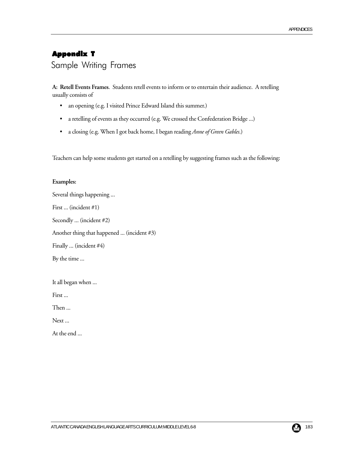# Appendix T Sample Writing Frames

**A: Retell Events Frames**. Students retell events to inform or to entertain their audience. A retelling usually consists of

- an opening (e.g. I visited Prince Edward Island this summer.)
- a retelling of events as they occurred (e.g. We crossed the Confederation Bridge ...)
- a closing (e.g. When I got back home, I began reading *Anne of Green Gables*.)

Teachers can help some students get started on a retelling by suggesting frames such as the following:

#### **Examples:**

Several things happening ... First ... (incident #1) Secondly ... (incident #2) Another thing that happened ... (incident #3) Finally ... (incident #4) By the time ...

It all began when ...

First ...

Then ...

Next ...

At the end ...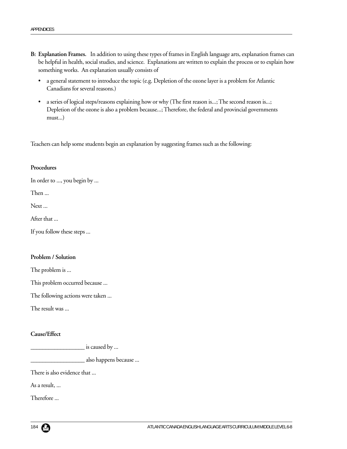- **B: Explanation Frames.** In addition to using these types of frames in English language arts, explanation frames can be helpful in health, social studies, and science. Explanations are written to explain the process or to explain how something works. An explanation usually consists of
	- a general statement to introduce the topic (e.g. Depletion of the ozone layer is a problem for Atlantic Canadians for several reasons.)
	- a series of logical steps/reasons explaining how or why (The first reason is...; The second reason is...; Depletion of the ozone is also a problem because...; Therefore, the federal and provincial governments must...)

Teachers can help some students begin an explanation by suggesting frames such as the following:

#### **Procedures**

In order to ..., you begin by ...

Then ...

Next ...

After that ...

If you follow these steps ...

#### **Problem / Solution**

The problem is ...

This problem occurred because ...

The following actions were taken ...

The result was ...

### **Cause/Effect**

is caused by ...

\_\_\_\_\_\_\_\_\_\_\_\_\_\_\_\_\_\_ also happens because ...

There is also evidence that ...

As a result, ...

Therefore ...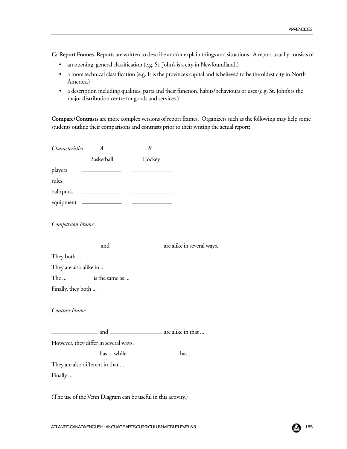**C: Report Frames.** Reports are written to describe and/or explain things and situations. A report usually consists of

- an opening, general classification (e.g. St. John's is a city in Newfoundland.)
- a more technical classification (e.g. It is the province's capital and is believed to be the oldest city in North America.)
- a description including qualities, parts and their function, habits/behaviours or uses (e.g. St. John's is the major distribution centre for goods and services.)

**Compare/Contrasts** are more complex versions of report frames. Organizers such as the following may help some students outline their comparisons and contrasts prior to their writing the actual report:

| Characteristics        | A                                                             | B      |  |
|------------------------|---------------------------------------------------------------|--------|--|
|                        | Basketball                                                    | Hockey |  |
| players                |                                                               |        |  |
| rules                  |                                                               |        |  |
|                        |                                                               |        |  |
|                        | equipment ——————                                              |        |  |
| Comparison Frame       |                                                               |        |  |
|                        |                                                               |        |  |
| They both              |                                                               |        |  |
| They are also alike in |                                                               |        |  |
| The                    | is the same as                                                |        |  |
| Finally, they both     |                                                               |        |  |
| Contrast Frame         |                                                               |        |  |
|                        |                                                               |        |  |
|                        | However, they differ in several ways.                         |        |  |
|                        | has  while <u>example</u> has                                 |        |  |
|                        | They are also different in that                               |        |  |
| Finally                |                                                               |        |  |
|                        | (The use of the Venn Diagram can be useful in this activity.) |        |  |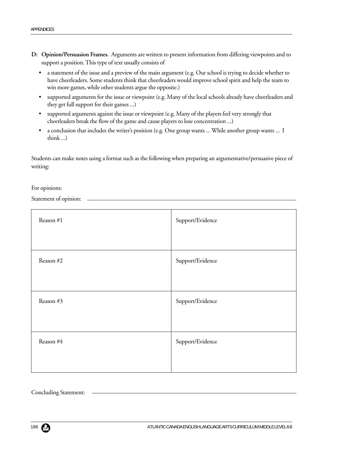- **D: Opinion/Persuasion Frames.** Arguments are written to present information from differing viewpoints and to support a position. This type of text usually consists of
	- a statement of the issue and a preview of the main argument (e.g. Our school is trying to decide whether to have cheerleaders. Some students think that cheerleaders would improve school spirit and help the team to win more games, while other students argue the opposite.)
	- supported arguments for the issue or viewpoint (e.g. Many of the local schools already have cheerleaders and they get full support for their games ...)
	- supported arguments against the issue or viewpoint (e.g. Many of the players feel very strongly that cheerleaders break the flow of the game and cause players to lose concentration ...)
	- a conclusion that includes the writer's position (e.g. One group wants ... While another group wants ... I think ...)

Students can make notes using a format such as the following when preparing an argumentative/persuasive piece of writing:

For opinions:

Statement of opinion:

| Reason #1 | Support/Evidence |
|-----------|------------------|
| Reason #2 | Support/Evidence |
| Reason #3 | Support/Evidence |
| Reason #4 | Support/Evidence |

Concluding Statement: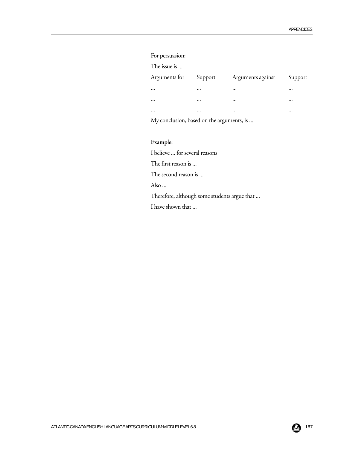### For persuasion:

| The issue is |  |
|--------------|--|
|              |  |

| Arguments for | Support  | Arguments against | Support  |
|---------------|----------|-------------------|----------|
| $\cdots$      | $\cdots$ | $\cdots$          | $\cdots$ |
| $\cdots$      | $\cdots$ | $\cdots$          | $\cdots$ |
| $\cdots$      | $\cdots$ | $\cdots$          | $\cdots$ |

My conclusion, based on the arguments, is ...

## **Example**:

I believe ... for several reasons

The first reason is ...

The second reason is ...

Also ...

Therefore, although some students argue that ...

I have shown that ...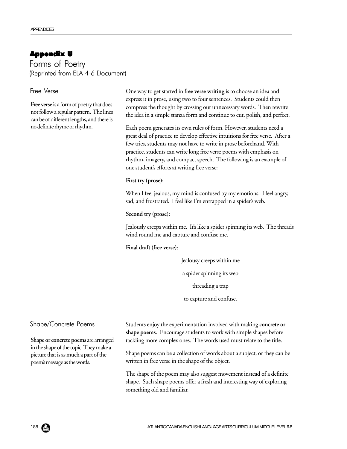# Appendix U

Forms of Poetry (Reprinted from ELA 4-6 Document)

### Free Verse

**Free verse** is a form of poetry that does not follow a regular pattern. The lines can be of different lengths, and there is no definite rhyme or rhythm.

One way to get started in **free verse writing** is to choose an idea and express it in prose, using two to four sentences. Students could then compress the thought by crossing out unnecessary words. Then rewrite the idea in a simple stanza form and continue to cut, polish, and perfect.

Each poem generates its own rules of form. However, students need a great deal of practice to develop effective intuitions for free verse. After a few tries, students may not have to write in prose beforehand. With practice, students can write long free verse poems with emphasis on rhythm, imagery, and compact speech. The following is an example of one student's efforts at writing free verse:

#### **First try (prose):**

When I feel jealous, my mind is confused by my emotions. I feel angry, sad, and frustrated. I feel like I'm entrapped in a spider's web.

**Second try (prose):**

Jealously creeps within me. It's like a spider spinning its web. The threads wind round me and capture and confuse me.

#### **Final draft (free verse)**:

Jealousy creeps within me a spider spinning its web threading a trap to capture and confuse.

#### Shape/Concrete Poems

**Shape or concrete poems** are arranged in the shape of the topic. They make a picture that is as much a part of the poem's message as the words.

Students enjoy the experimentation involved with making **concrete or shape poems**. Encourage students to work with simple shapes before tackling more complex ones. The words used must relate to the title.

Shape poems can be a collection of words about a subject, or they can be written in free verse in the shape of the object.

The shape of the poem may also suggest movement instead of a definite shape. Such shape poems offer a fresh and interesting way of exploring something old and familiar.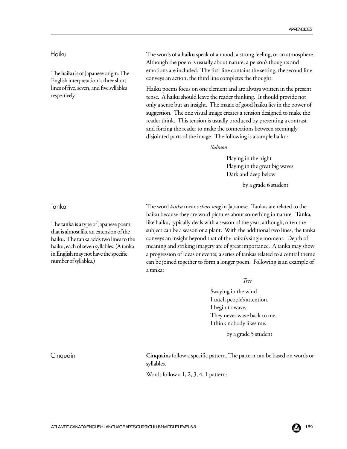## Haiku

The **haiku** is of Japanese origin. The English interpretation is three short lines of five, seven, and five syllables respectively.

Tanka

The **tanka** is a type of Japanese poem that is almost like an extension of the haiku. The tanka adds two lines to the haiku, each of seven syllables. (A tanka in English may not have the specific number of syllables.)

The words of a **haiku** speak of a mood, a strong feeling, or an atmosphere. Although the poem is usually about nature, a person's thoughts and emotions are included. The first line contains the setting, the second line conveys an action, the third line completes the thought.

Haiku poems focus on one element and are always written in the present tense. A haiku should leave the reader thinking. It should provide not only a sense but an insight. The magic of good haiku lies in the power of suggestion. The one visual image creates a tension designed to make the reader think. This tension is usually produced by presenting a contrast and forcing the reader to make the connections between seemingly disjointed parts of the image. The following is a sample haiku:

#### *Salmon*

Playing in the night Playing in the great big waves Dark and deep below

by a grade 6 student

The word *tanka* means *short song* in Japanese. Tankas are related to the haiku because they are word pictures about something in nature. **Tanka**, like haiku, typically deals with a season of the year; although, often the subject can be a season or a plant. With the additional two lines, the tanka conveys an insight beyond that of the haiku's single moment. Depth of meaning and striking imagery are of great importance. A tanka may show a progression of ideas or events; a series of tankas related to a central theme can be joined together to form a longer poem. Following is an example of a tanka:

*Tree*

Swaying in the wind I catch people's attention. I begin to wave, They never wave back to me. I think nobody likes me.

by a grade 5 student

Cinquain

**Cinquains** follow a specific pattern. The pattern can be based on words or syllables.

Words follow a 1, 2, 3, 4, 1 pattern: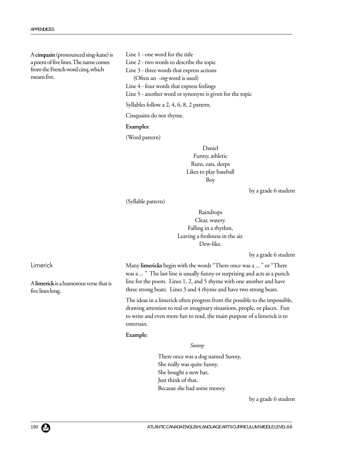A **cinquain** (pronounced sing-kane) is a poem of five lines. The name comes from the French word cinq, which means five.

Line 1 - one word for the title

Line 2 - two words to describe the topic

Line 3 - three words that express actions

(Often an -*ing* word is used)

Line 4 - four words that express feelings

Line 5 - another word or synonym is given for the topic

Syllables follow a 2, 4, 6, 8, 2 pattern.

Cinquains do not rhyme.

#### **Examples**:

(Word pattern)

Daniel Funny, athletic Runs, eats, sleeps Likes to play baseball Boy

by a grade 6 student

(Syllable pattern)

Raindrops Clear, watery. Falling in a rhythm, Leaving a freshness in the air. Dew-like.

by a grade 6 student

Many **limericks** begin with the words "There once was a ... " or "There was a ... " The last line is usually funny or surprising and acts as a punch line for the poem. Lines 1, 2, and 5 rhyme with one another and have three strong beats. Lines 3 and 4 rhyme and have two strong beats.

The ideas in a limerick often progress from the possible to the impossible, drawing attention to real or imaginary situations, people, or places. Fun to write and even more fun to read, the main purpose of a limerick is to entertain.

#### **Example**:

#### *Sunny*

There once was a dog named Sunny, She really was quite funny. She bought a new hat, Just think of that, Because she had some money.

by a grade 6 student

Limerick

A **limerick** is a humorous verse that is five lines long.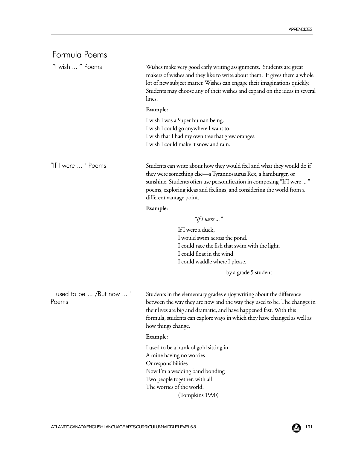| Formula Poems                       |                                                                                                                                                                                                                                                                                                                           |
|-------------------------------------|---------------------------------------------------------------------------------------------------------------------------------------------------------------------------------------------------------------------------------------------------------------------------------------------------------------------------|
| "I wish  " Poems                    | Wishes make very good early writing assignments. Students are great<br>makers of wishes and they like to write about them. It gives them a whole<br>lot of new subject matter. Wishes can engage their imaginations quickly.<br>Students may choose any of their wishes and expand on the ideas in several<br>lines.      |
|                                     | Example:                                                                                                                                                                                                                                                                                                                  |
|                                     | I wish I was a Super human being.<br>I wish I could go anywhere I want to.<br>I wish that I had my own tree that grew oranges.<br>I wish I could make it snow and rain.                                                                                                                                                   |
| "If I were  " Poems                 | Students can write about how they would feel and what they would do if<br>they were something else—a Tyrannosaurus Rex, a hamburger, or<br>sunshine. Students often use personification in composing "If I were  "<br>poems, exploring ideas and feelings, and considering the world from a<br>different vantage point.   |
|                                     | Example:                                                                                                                                                                                                                                                                                                                  |
|                                     | "If I were $\ldots$ "                                                                                                                                                                                                                                                                                                     |
|                                     | If I were a duck,<br>I would swim across the pond.<br>I could race the fish that swim with the light.<br>I could float in the wind.<br>I could waddle where I please.                                                                                                                                                     |
|                                     | by a grade 5 student                                                                                                                                                                                                                                                                                                      |
| "I used to be  /But now  "<br>Poems | Students in the elementary grades enjoy writing about the difference<br>between the way they are now and the way they used to be. The changes in<br>their lives are big and dramatic, and have happened fast. With this<br>formula, students can explore ways in which they have changed as well as<br>how things change. |
|                                     | Example:                                                                                                                                                                                                                                                                                                                  |
|                                     | I used to be a hunk of gold sitting in<br>A mine having no worries<br>Or responsibilities<br>Now I'm a wedding band bonding<br>Two people together, with all<br>The worries of the world.<br>(Tompkins 1990)                                                                                                              |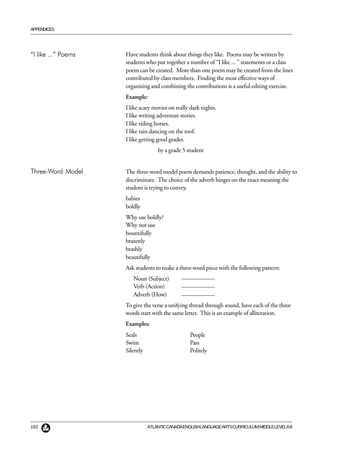| "I like " Poems  | Have students think about things they like. Poems may be written by<br>students who put together a number of "I like " statements or a class<br>poem can be created. More than one poem may be created from the lines<br>contributed by class members. Finding the most effective ways of<br>organizing and combining the contributions is a useful editing exercise.<br>Example: |                                                                                                                                                    |
|------------------|-----------------------------------------------------------------------------------------------------------------------------------------------------------------------------------------------------------------------------------------------------------------------------------------------------------------------------------------------------------------------------------|----------------------------------------------------------------------------------------------------------------------------------------------------|
|                  |                                                                                                                                                                                                                                                                                                                                                                                   |                                                                                                                                                    |
|                  | I like scary movies on really dark nights.<br>I like writing adventure stories.<br>I like riding horses.<br>I like rain dancing on the roof.<br>I like getting good grades.                                                                                                                                                                                                       |                                                                                                                                                    |
|                  | by a grade 5 student                                                                                                                                                                                                                                                                                                                                                              |                                                                                                                                                    |
| Three-Word Model | The three-word model poem demands patience, thought, and the ability to<br>discriminate. The choice of the adverb hinges on the exact meaning the<br>student is trying to convey.                                                                                                                                                                                                 |                                                                                                                                                    |
|                  | babies<br>boldly                                                                                                                                                                                                                                                                                                                                                                  |                                                                                                                                                    |
|                  | Why use boldly?<br>Why not use<br>bountifully<br>brazenly<br>brashly<br>beautifully                                                                                                                                                                                                                                                                                               |                                                                                                                                                    |
|                  |                                                                                                                                                                                                                                                                                                                                                                                   | Ask students to make a three-word piece with the following pattern:                                                                                |
|                  | Noun (Subject)<br>Verb (Action)<br>Adverb (How)                                                                                                                                                                                                                                                                                                                                   |                                                                                                                                                    |
|                  |                                                                                                                                                                                                                                                                                                                                                                                   | To give the verse a unifying thread through sound, have each of the three<br>words start with the same letter. This is an example of alliteration. |
|                  | <b>Examples:</b>                                                                                                                                                                                                                                                                                                                                                                  |                                                                                                                                                    |
|                  | Seals<br>Swim<br>Silently                                                                                                                                                                                                                                                                                                                                                         | People<br>Pass<br>Politely                                                                                                                         |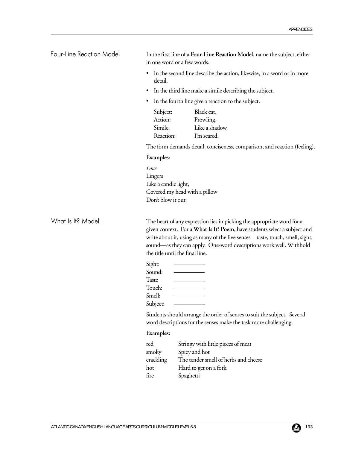In the first line of a **Four-Line Reaction Model**, name the subject, either in one word or a few words. • In the second line describe the action, likewise, in a word or in more detail. • In the third line make a simile describing the subject. • In the fourth line give a reaction to the subject. Subject: Black cat, Action: Prowling, Simile: Like a shadow, Reaction: I'm scared. The form demands detail, conciseness, comparison, and reaction (feeling). **Examples:** *Love* Lingers Like a candle light, Covered my head with a pillow Don't blow it out. The heart of any expression lies in picking the appropriate word for a given context. For a **What Is It? Poem**, have students select a subject and write about it, using as many of the five senses—taste, touch, smell, sight, sound—as they can apply. One-word descriptions work well. Withhold the title until the final line. Sight: Sound: Taste Touch: Smell: Subject: Students should arrange the order of senses to suit the subject. Several word descriptions for the senses make the task more challenging. **Examples:** red Stringy with little pieces of meat smoky Spicy and hot crackling The tender smell of herbs and cheese hot Hard to get on a fork What Is It? Model Four-Line Reaction Model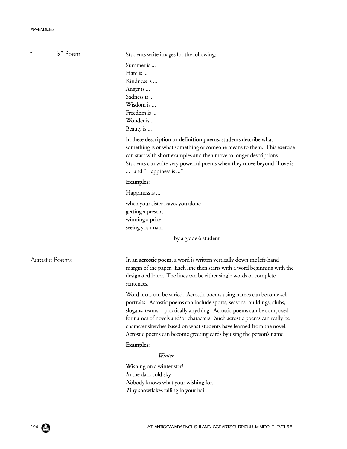| $\boldsymbol{u}$<br>_________ is" Poem | Students write images for the following:                                                                                                                                                                                                                                                                                                                                                                                                               |
|----------------------------------------|--------------------------------------------------------------------------------------------------------------------------------------------------------------------------------------------------------------------------------------------------------------------------------------------------------------------------------------------------------------------------------------------------------------------------------------------------------|
|                                        | Summer is<br>Hate is<br>Kindness is<br>Anger is<br>Sadness is<br>Wisdom is<br>Freedom is<br>Wonder is<br>Beauty is<br>In these description or definition poems, students describe what                                                                                                                                                                                                                                                                 |
|                                        | something is or what something or someone means to them. This exercise<br>can start with short examples and then move to longer descriptions.<br>Students can write very powerful poems when they move beyond "Love is<br>" and "Happiness is "                                                                                                                                                                                                        |
|                                        | Examples:                                                                                                                                                                                                                                                                                                                                                                                                                                              |
|                                        | Happiness is                                                                                                                                                                                                                                                                                                                                                                                                                                           |
|                                        | when your sister leaves you alone<br>getting a present<br>winning a prize<br>seeing your nan.                                                                                                                                                                                                                                                                                                                                                          |
|                                        | by a grade 6 student                                                                                                                                                                                                                                                                                                                                                                                                                                   |
| Acrostic Poems                         | In an <b>acrostic poem</b> , a word is written vertically down the left-hand<br>margin of the paper. Each line then starts with a word beginning with the<br>designated letter. The lines can be either single words or complete<br>sentences.                                                                                                                                                                                                         |
|                                        | Word ideas can be varied. Acrostic poems using names can become self-<br>portraits. Acrostic poems can include sports, seasons, buildings, clubs,<br>slogans, teams—practically anything. Acrostic poems can be composed<br>for names of novels and/or characters. Such acrostic poems can really be<br>character sketches based on what students have learned from the novel.<br>Acrostic poems can become greeting cards by using the person's name. |
|                                        | Examples:                                                                                                                                                                                                                                                                                                                                                                                                                                              |
|                                        | Winter                                                                                                                                                                                                                                                                                                                                                                                                                                                 |
|                                        | Wishing on a winter star!<br>In the dark cold sky.<br>Nobody knows what your wishing for.<br>Tiny snowflakes falling in your hair.                                                                                                                                                                                                                                                                                                                     |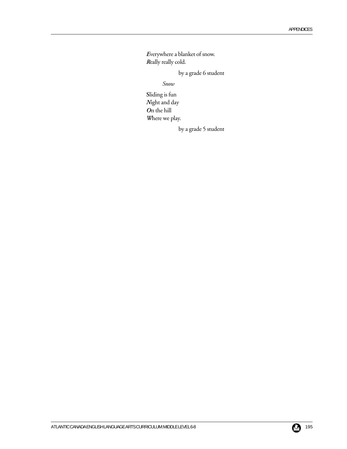*E*verywhere a blanket of snow. *R*eally really cold.

by a grade 6 student

*Snow*

**S**liding is fun *N*ight and day *O*n the hill *W*here we play.

by a grade 5 student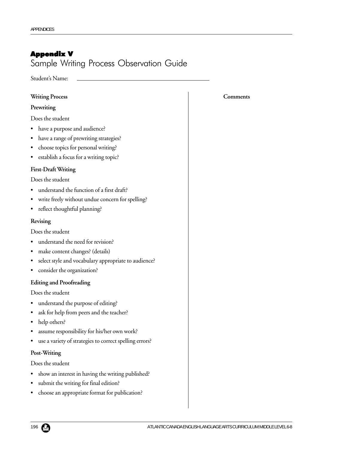# Appendix V

# Sample Writing Process Observation Guide

Student's Name:

| Prewriting<br>Does the student<br>have a purpose and audience?<br>have a range of prewriting strategies?<br>$\bullet$<br>choose topics for personal writing?<br>establish a focus for a writing topic? |  |  |
|--------------------------------------------------------------------------------------------------------------------------------------------------------------------------------------------------------|--|--|
|                                                                                                                                                                                                        |  |  |
|                                                                                                                                                                                                        |  |  |
|                                                                                                                                                                                                        |  |  |
|                                                                                                                                                                                                        |  |  |
|                                                                                                                                                                                                        |  |  |
|                                                                                                                                                                                                        |  |  |
| <b>First-Draft Writing</b>                                                                                                                                                                             |  |  |
| Does the student                                                                                                                                                                                       |  |  |
| understand the function of a first draft?                                                                                                                                                              |  |  |
| write freely without undue concern for spelling?<br>٠                                                                                                                                                  |  |  |
| reflect thoughtful planning?<br>٠                                                                                                                                                                      |  |  |
| Revising                                                                                                                                                                                               |  |  |
| Does the student                                                                                                                                                                                       |  |  |
| understand the need for revision?                                                                                                                                                                      |  |  |
| make content changes? (details)                                                                                                                                                                        |  |  |
| select style and vocabulary appropriate to audience?                                                                                                                                                   |  |  |
| consider the organization?<br>٠                                                                                                                                                                        |  |  |
| <b>Editing and Proofreading</b>                                                                                                                                                                        |  |  |
| Does the student                                                                                                                                                                                       |  |  |
| understand the purpose of editing?                                                                                                                                                                     |  |  |
| ask for help from peers and the teacher?<br>٠                                                                                                                                                          |  |  |
| help others?<br>$\bullet$                                                                                                                                                                              |  |  |
| assume responsibility for his/her own work?<br>٠                                                                                                                                                       |  |  |
| use a variety of strategies to correct spelling errors?                                                                                                                                                |  |  |
| Post-Writing                                                                                                                                                                                           |  |  |
| Does the student                                                                                                                                                                                       |  |  |
| show an interest in having the writing published?<br>٠                                                                                                                                                 |  |  |

- submit the writing for final edition?
- choose an appropriate format for publication?

## **Comments**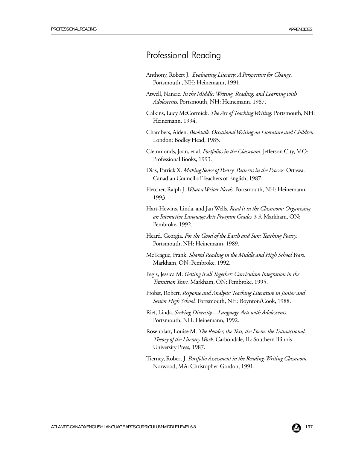# Professional Reading

- Anthony, Robert J. *Evaluating Literacy: A Perspective for Change.* Portsmouth , NH: Heinemann, 1991.
- Atwell, Nancie. *In the Middle: Writing, Reading, and Learning with Adolescents.* Portsmouth, NH: Heinemann, 1987.
- Calkins, Lucy McCormick. *The Art of Teaching Writing.* Portsmouth, NH: Heinemann, 1994.
- Chambers, Aiden. *Booktalk: Occasional Writing on Literature and Children.* London: Bodley Head, 1985.
- Clemmonds, Joan, et al. *Portfolios in the Classroom.* Jefferson City, MO: Professional Books, 1993.
- Dias, Patrick X. *Making Sense of Poetry: Patterns in the Process.* Ottawa: Canadian Council of Teachers of English, 1987.
- Fletcher, Ralph J. *What a Writer Needs.* Portsmouth, NH: Heinemann, 1993.
- Hart-Hewins, Linda, and Jan Wells. *Read it in the Classroom: Organizing an Interactive Language Arts Program Grades 4-9*. Markham, ON: Pembroke, 1992.
- Heard, Georgia. *For the Good of the Earth and Sun: Teaching Poetry.* Portsmouth, NH: Heinemann, 1989.
- McTeague, Frank. *Shared Reading in the Middle and High School Years.* Markham, ON: Pembroke, 1992.
- Pegis, Jessica M. *Getting it all Together: Curriculum Integration in the Transition Years.* Markham, ON: Pembroke, 1995.
- Probst, Robert. *Response and Analysis: Teaching Literature in Junior and Senior High School.* Portsmouth, NH: Boynton/Cook, 1988.
- Rief, Linda. *Seeking Diversity—Language Arts with Adolescents.* Portsmouth, NH: Heinemann, 1992.
- Rosenblatt, Louise M. *The Reader, the Text, the Poem: the Transactional Theory of the Literary Work.* Carbondale, IL: Southern Illinois University Press, 1987.
- Tierney, Robert J. *Portfolio Assessment in the Reading-Writing Classroom.* Norwood, MA: Christopher-Gordon, 1991.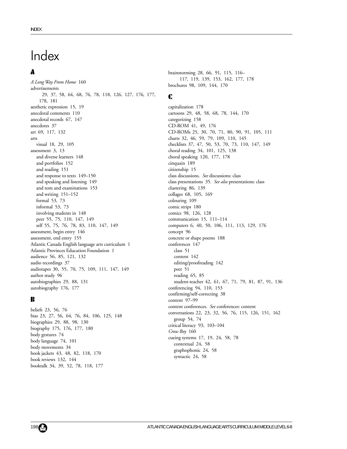# **Index**

# A

*A Long Way From Home* 160 advertisements 29, 37, 58, 64, 68, 76, 78, 118, 126, 127, 176, 177, 178, 181 aesthetic expression 15, 19 anecdotal comments 110 anecdotal records 67, 147 anecdotes 37 art 69, 117, 132 arts visual 18, 29, 105 assessment 3, 13 and diverse learners 148 and portfolios 152 and reading 151 and response to texts 149–150 and speaking and listening 149 and tests and examinations 153 and writing 151–152 formal 53, 73 informal 53, 73 involving students in 148 peer 55, 75, 110, 147, 149 self 55, 75, 76, 78, 83, 110, 147, 149 assessment, begin entry 146 assessment, end entry 155 Atlantic Canada English language arts curriculum 1 Atlantic Provinces Education Foundation 1 audience 56, 85, 121, 132 audio recordings 37 audiotapes 30, 55, 70, 75, 109, 111, 147, 149 author study 96 autobiographies 29, 88, 131 autobiography 176, 177

## B

beliefs 23, 56, 76 bias 23, 27, 56, 64, 76, 84, 106, 125, 148 biographies 29, 88, 98, 130 biography 175, 176, 177, 180 body gestures 74 body language 74, 101 body movements 34 book jackets 43, 48, 82, 118, 170 book reviews 132, 144 booktalk 34, 39, 52, 78, 118, 177

brainstorming 28, 66, 91, 115, 116– 117, 119, 139, 153, 162, 177, 178 brochures 98, 109, 144, 170

## C

capitalization 178 cartoons 29, 48, 58, 68, 78, 144, 170 categorizing 158 CD-ROM 41, 49, 176 CD-ROMs 25, 30, 70, 71, 80, 90, 91, 105, 111 charts 32, 46, 59, 79, 109, 110, 145 checklists 37, 47, 50, 53, 70, 73, 110, 147, 149 choral reading 34, 101, 125, 138 choral speaking 120, 177, 178 cinquain 189 citizenship 15 class discussions. *See* discussions: class class presentations 35. *See also* presentations: class clustering 86, 139 collages 68, 105, 169 colouring 109 comic strips 180 comics 98, 126, 128 communication 15, 111–114 computers 6, 40, 50, 106, 111, 113, 129, 176 concept 96 concrete or shape poems 188 conferences 147 class 51 content 142 editing/proofreading 142 peer 51 reading 65, 85 student-teacher 42, 61, 67, 71, 79, 81, 87, 91, 136 conferencing 94, 110, 153 confirming/self-correcting 38 content 97–99 content conferences. *See* conferences: content conversations 22, 23, 32, 56, 76, 115, 126, 151, 162 group 54, 74 critical literacy 93, 103–104 *Crow Boy* 160 cueing systems 17, 19, 24, 58, 78 contextual 24, 58 graphophonic 24, 58 syntactic 24, 58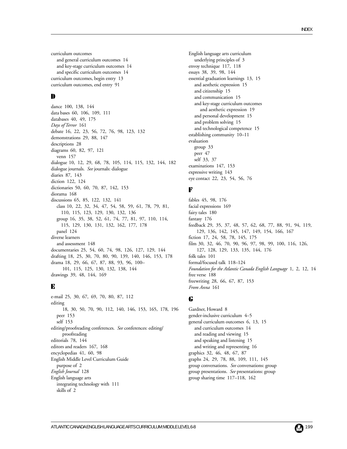curriculum outcomes and general curriculum outcomes 14 and key-stage curriculum outcomes 14 and specific curriculum outcomes 14 curriculum outcomes, begin entry 13 curriculum outcomes, end entry 91

## D

dance 100, 138, 144 data bases 60, 106, 109, 111 databases 40, 49, 175 *Days of Terror* 161 debate 16, 22, 23, 56, 72, 76, 98, 123, 132 demonstrations 29, 88, 147 descriptions 28 diagrams 60, 82, 97, 121 venn 157 dialogue 10, 12, 29, 68, 78, 105, 114, 115, 132, 144, 182 dialogue journals. *See* journals: dialogue diaries 87, 143 diction 122, 124 dictionaries 50, 60, 70, 87, 142, 153 diorama 168 discussions 65, 85, 122, 132, 141 class 10, 22, 32, 34, 47, 54, 58, 59, 61, 78, 79, 81, 110, 115, 123, 129, 130, 132, 136 group 16, 35, 38, 52, 61, 74, 77, 81, 97, 110, 114, 115, 129, 130, 131, 132, 162, 177, 178 panel 124 diverse learners and assessment 148 documentaries 25, 54, 60, 74, 98, 126, 127, 129, 144 drafting 18, 25, 30, 70, 80, 90, 139, 140, 146, 153, 178 drama 18, 29, 66, 67, 87, 88, 93, 96, 100– 101, 115, 125, 130, 132, 138, 144 drawings 39, 48, 144, 169

## E

e-mail 25, 30, 67, 69, 70, 80, 87, 112 editing 18, 30, 50, 70, 90, 112, 140, 146, 153, 165, 178, 196 peer 153 self 153 editing/proofreading conferences. *See* conferences: editing/ proofreading editorials 78, 144 editors and readers 167, 168 encyclopedias 41, 60, 98 English Middle Level Curriculum Guide purpose of 2 *English Journal* 128 English language arts integrating technology with 111 skills of 2

English language arts curriculum underlying principles of 3 envoy technique 117, 118 essays 38, 39, 98, 144 essential graduation learnings 13, 15 and aesthetic expression 15 and citizenship 15 and communication 15 and key-stage curriculum outcomes and aesthetic expression 19 and personal development 15 and problem solving 15 and technological competence 15 establishing community 10–11 evaluation group 33 peer 47 self 33, 37 examinations 147, 153 expressive writing 143 eye contact 22, 23, 54, 56, 76

## F

fables 45, 98, 176 facial expressions 169 fairy tales 180 fantasy 176 feedback 29, 35, 37, 48, 57, 62, 68, 77, 88, 91, 94, 119, 129, 136, 142, 145, 147, 149, 154, 166, 167 fiction 17, 24, 58, 78, 145, 175 film 30, 32, 46, 70, 90, 96, 97, 98, 99, 100, 116, 126, 127, 128, 129, 133, 135, 144, 176 folk tales 101 formal/focused talk 118–124 *Foundation for the Atlantic Canada English Language* 1, 2, 12, 14 free verse 188 freewriting 28, 66, 67, 87, 153 *From Anna* 161

## G

Gardner, Howard 8 gender-inclusive curriculum 4–5 general curriculum outcomes 6, 13, 15 and curriculum outcomes 14 and reading and viewing 15 and speaking and listening 15 and writing and representing 16 graphics 32, 46, 48, 67, 87 graphs 24, 29, 78, 88, 109, 111, 145 group conversations. *See* conversations: group group presentations. *See* presentations: group group sharing time 117–118, 162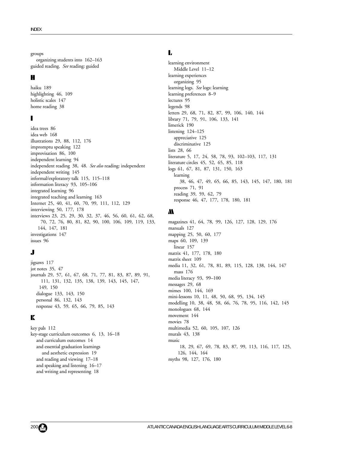#### groups

organizing students into 162–163 guided reading. *See* reading: guided

#### H

haiku 189 highlighting 46, 109 holistic scales 147 home reading 38

## I

idea trees 86 idea web 168 illustrations 29, 88, 112, 176 impromptu speaking 122 improvisation 86, 100 independent learning 94 independent reading 38, 48. *See also* reading: independent independent writing 145 informal/exploratory talk 115, 115–118 information literacy 93, 105–106 integrated learning 96 integrated teaching and learning 163 Internet 25, 40, 41, 60, 70, 99, 111, 112, 129 interviewing 50, 177, 178 interviews 23, 25, 29, 30, 32, 37, 46, 56, 60, 61, 62, 68, 70, 72, 76, 80, 81, 82, 90, 100, 106, 109, 119, 133, 144, 147, 181 investigations 147 issues 96

# J

jigsaws 117 jot notes 35, 47 journals 29, 57, 61, 67, 68, 71, 77, 81, 83, 87, 89, 91, 111, 131, 132, 135, 138, 139, 143, 145, 147, 149, 150 dialogue 133, 143, 150 personal 86, 132, 143 response 43, 59, 65, 66, 79, 85, 143

# K

key pals 112 key-stage curriculum outcomes 6, 13, 16–18 and curriculum outcomes 14 and essential graduation learnings and aesthetic expression 19 and reading and viewing 17–18 and speaking and listening 16–17 and writing and representing 18

## L

learning environment Middle Level 11–12 learning experiences organizing 95 learning logs. *See* logs: learning learning preferences 8–9 lectures 95 legends 98 letters 29, 68, 71, 82, 87, 99, 106, 140, 144 library 71, 79, 91, 106, 133, 141 limerick 190 listening 124–125 appreciative 125 discriminative 125 lists 28, 66 literature 5, 17, 24, 58, 78, 93, 102–103, 117, 131 literature circles 45, 52, 65, 85, 118 logs 61, 67, 81, 87, 131, 150, 163 learning 38, 46, 47, 49, 65, 66, 85, 143, 145, 147, 180, 181 process 71, 91 reading 39, 59, 62, 79 response 46, 47, 177, 178, 180, 181

### M

magazines 41, 64, 78, 99, 126, 127, 128, 129, 176 manuals 127 mapping 25, 50, 60, 177 maps 60, 109, 139 linear 157 matrix 41, 177, 178, 180 matrix sheet 109 media 11, 32, 61, 78, 81, 89, 115, 128, 138, 144, 147 mass 176 media literacy 93, 99–100 messages 29, 68 mimes 100, 144, 169 mini-lessons 10, 11, 48, 50, 68, 95, 134, 145 modelling 10, 38, 48, 58, 66, 76, 78, 95, 116, 142, 145 monologues 68, 144 movement 144 movies 78 multimedia 52, 60, 105, 107, 126 murals 43, 138 music 18, 29, 67, 69, 78, 83, 87, 99, 113, 116, 117, 125, 126, 144, 164 myths 98, 127, 176, 180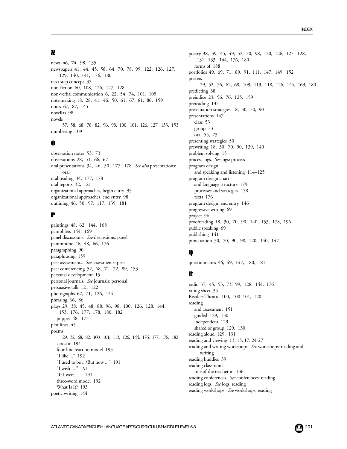# N

news 46, 74, 98, 135 newspapers 41, 44, 45, 58, 64, 70, 78, 99, 122, 126, 127, 129, 140, 141, 176, 180 next step concept 37 non-fiction 60, 108, 126, 127, 128 non-verbal communication 6, 22, 54, 74, 101, 105 note making 18, 28, 41, 46, 50, 61, 67, 81, 86, 159 notes 67, 87, 145 novellas 98 novels 57, 58, 68, 78, 82, 96, 98, 100, 101, 126, 127, 133, 153 numbering 109

## O

observation notes 53, 73 observations 28, 51, 66, 67 oral presentations 34, 46, 50, 177, 178. *See also* presentations: oral oral reading 34, 177, 178 oral reports 32, 121 organizational approaches, begin entry 93 organizational approaches, end entry 98 outlining 46, 50, 97, 117, 139, 181

## P

paintings 48, 62, 144, 168 pamphlets 144, 169 panel discussions. *See* discussions: panel pantomime 46, 48, 66, 176 paragraphing 90 paraphrasing 159 peer assessments. *See* assessments: peer peer conferencing 52, 68, 71, 72, 89, 153 personal development 15 personal journals. *See* journals: personal persuasive talk 121–122 photographs 62, 71, 126, 144 phrasing 66, 86 plays 29, 38, 45, 48, 88, 96, 98, 100, 126, 128, 144, 153, 176, 177, 178, 180, 182 puppet 48, 175 plot lines 45 poems 29, 32, 68, 82, 100, 101, 113, 126, 144, 176, 177, 178, 182 acrostic 194 four-line reaction model 193 "I like ..." 192 "I used to be .../But now ..." 191 "I wish ... " 191 "If I were ... " 191 three-word model 192 What Is It? 193 poetic writing 144

poetry 38, 39, 45, 49, 52, 70, 98, 120, 126, 127, 128, 131, 133, 144, 176, 180 forms of 188 portfolios 49, 69, 71, 89, 91, 111, 147, 149, 152 posters 29, 52, 56, 62, 68, 109, 113, 118, 126, 144, 169, 180 predicting 38 prejudice 23, 56, 76, 125, 159 prereading 135 presentation strategies 18, 30, 70, 90 presentations 147 class 53 group 73 oral 55, 73 presenting strategies 50 prewriting 18, 30, 70, 90, 139, 140 problem solving 15 process logs. *See* logs: process program design and speaking and listening 114–125 program design chart and language structure 179 processes and strategies 178 texts 176 program design, end entry 146 progressive writing 69 project 96 proofreading 18, 30, 70, 90, 140, 153, 178, 196 public speaking 69 publishing 141 punctuation 30, 70, 90, 98, 120, 140, 142

# Q

questionnaires 46, 49, 147, 180, 181

# R

radio 37, 45, 53, 73, 99, 128, 144, 176 rating sheet 35 Readers Theatre 100, 100–101, 120 reading and assessment 151 guided 129, 130 independent 129 shared or group 129, 130 reading aloud 129, 131 reading and viewing 13, 15, 17, 24-27 reading and writing workshops. *See* workshops: reading and writing reading buddies 39 reading classroom role of the teacher in 136 reading conferences. *See* conferences: reading reading logs. *See* logs: reading reading workshops. *See* workshops: reading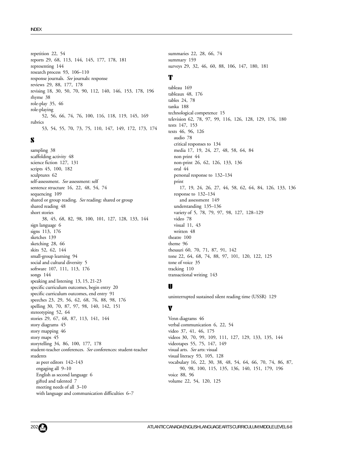repetition 22, 54 reports 29, 68, 113, 144, 145, 177, 178, 181 representing 144 research process 93, 106–110 response journals. *See* journals: response reviews 29, 88, 177, 178 revising 18, 30, 50, 70, 90, 112, 140, 146, 153, 178, 196 rhyme 38 role-play 35, 46 role-playing 52, 56, 66, 74, 76, 100, 116, 118, 119, 145, 169 rubrics 53, 54, 55, 70, 73, 75, 110, 147, 149, 172, 173, 174

## S

sampling 38 scaffolding activity 48 science fiction 127, 131 scripts 45, 100, 182 sculptures 62 self-assessment. *See* assessment: self sentence structure 16, 22, 48, 54, 74 sequencing 109 shared or group reading. *See* reading: shared or group shared reading 48 short stories 38, 45, 68, 82, 98, 100, 101, 127, 128, 133, 144 sign language 6 signs 113, 176 sketches 139 sketching 28, 66 skits 52, 62, 144 small-group learning 94 social and cultural diversity 5 software 107, 111, 113, 176 songs 144 speaking and listening 13, 15, 21-23 specific curriculum outcomes, begin entry 20 specific curriculum outcomes, end entry 91 speeches 23, 29, 56, 62, 68, 76, 88, 98, 176 spelling 30, 70, 87, 97, 98, 140, 142, 151 stereotyping 52, 64 stories 29, 67, 68, 87, 113, 141, 144 story diagrams 45 story mapping 46 story maps 45 storytelling 34, 86, 100, 177, 178 student-teacher conferences. *See* conferences: student-teacher students as peer editors 142–143 engaging all 9–10 English as second language 6 gifted and talented 7 meeting needs of all 3–10 with language and communication difficulties 6–7

summaries 22, 28, 66, 74 summary 159 surveys 29, 32, 46, 60, 88, 106, 147, 180, 181

### T

tableau 169 tableaux 48, 176 tables 24, 78 tanka 188 technological competence 15 television 62, 78, 97, 99, 116, 126, 128, 129, 176, 180 tests 147, 153 texts 46, 96, 126 audio 78 critical responses to 134 media 17, 19, 24, 27, 48, 58, 64, 84 non print 44 non-print 26, 62, 126, 133, 136 oral 44 personal response to 132–134 print 17, 19, 24, 26, 27, 44, 58, 62, 64, 84, 126, 133, 136 response to 132–134 and assessment 149 understanding 135–136 variety of 5, 78, 79, 97, 98, 127, 128–129 video 78 visual 11, 43 written 48 theatre 100 theme 96 thesauri 60, 70, 71, 87, 91, 142 tone 22, 64, 68, 74, 88, 97, 101, 120, 122, 125 tone of voice 35 tracking 110 transactional writing 143

## U

uninterrupted sustained silent reading time (USSR) 129

## V

Venn diagrams 46 verbal communication 6, 22, 54 video 37, 41, 46, 175 videos 30, 70, 99, 109, 111, 127, 129, 133, 135, 144 videotapes 55, 75, 147, 149 visual arts. *See* arts: visual visual literacy 93, 105, 128 vocabulary 16, 22, 30, 38, 48, 54, 64, 66, 70, 74, 86, 87, 90, 98, 100, 115, 135, 136, 140, 151, 179, 196 voice 88, 96 volume 22, 54, 120, 125